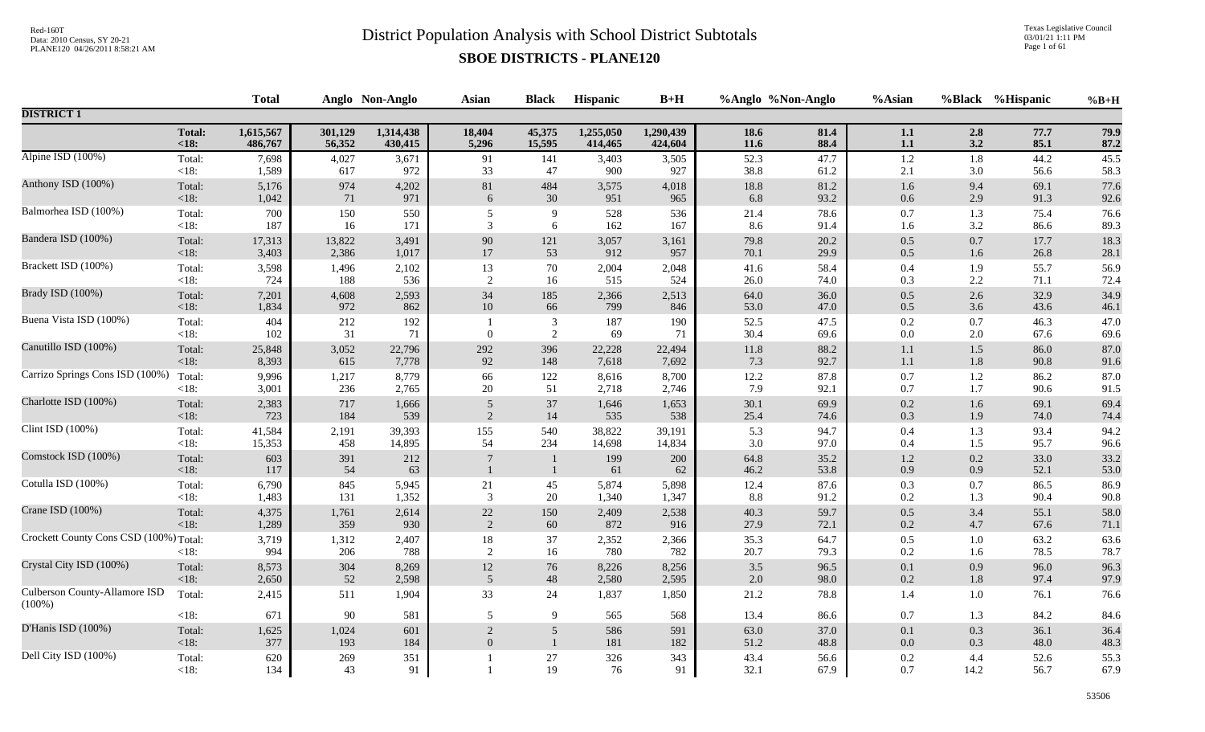Texas Legislative Council 03/01/21 1:11 PM Page 1 of 61

|                                            |                         | <b>Total</b>      |                  | Anglo Non-Anglo  | <b>Asian</b>    | <b>Black</b>                 | Hispanic         | $B+H$            | %Anglo %Non-Anglo    |                      | %Asian            |                    | %Black %Hispanic     | $%B+H$               |
|--------------------------------------------|-------------------------|-------------------|------------------|------------------|-----------------|------------------------------|------------------|------------------|----------------------|----------------------|-------------------|--------------------|----------------------|----------------------|
| <b>DISTRICT 1</b>                          |                         |                   |                  |                  |                 |                              |                  |                  |                      |                      |                   |                    |                      |                      |
|                                            | Total:                  | 1,615,567         | 301,129          | 1,314,438        | 18,404          | 45,375                       | 1,255,050        | 1,290,439        | 18.6                 | 81.4                 | $1.1\,$           | 2.8                | 77.7                 | 79.9                 |
|                                            | $18$                    | 486,767           | 56,352           | 430,415          | 5,296           | 15,595                       | 414,465          | 424,604          | 11.6                 | 88.4                 | $1.1\,$           | 3.2                | 85.1                 | 87.2                 |
| Alpine ISD (100%)                          | Total:                  | 7,698             | 4,027            | 3,671            | 91              | 141                          | 3,403            | 3,505            | 52.3                 | 47.7                 | $1.2\,$           | $1.8\,$            | 44.2                 | 45.5                 |
|                                            | $<18$ :                 | 1,589             | 617              | 972              | 33              | 47                           | 900              | 927              | 38.8                 | 61.2                 | $2.1$             | 3.0                | 56.6                 | 58.3                 |
| Anthony ISD (100%)                         | Total:                  | 5,176             | 974              | 4,202            | $81\,$          | 484                          | 3,575            | 4,018            | 18.8                 | 81.2                 | 1.6               | 9.4                | 69.1                 | 77.6                 |
|                                            | <18:                    | 1,042             | 71               | 971              | 6               | $30\,$                       | 951              | 965              | 6.8                  | 93.2                 | 0.6               | 2.9                | 91.3                 | 92.6                 |
| Balmorhea ISD (100%)                       | Total:                  | 700               | 150              | 550              | 5               | 9                            | 528              | 536              | 21.4                 | 78.6                 | $0.7\,$           | 1.3                | 75.4                 | 76.6                 |
|                                            | $<18$ :                 | 187               | 16               | 171              | 3               | 6                            | 162              | 167              | 8.6                  | 91.4                 | 1.6               | 3.2                | 86.6                 | 89.3                 |
| Bandera ISD (100%)                         | Total:                  | 17,313            | 13,822           | 3,491            | 90              | 121                          | 3,057            | 3,161            | 79.8                 | 20.2                 | $0.5\,$           | 0.7                | 17.7                 | 18.3                 |
|                                            | <18:                    | 3,403             | 2,386            | 1,017            | $17\,$          | 53                           | 912              | 957              | 70.1                 | 29.9                 | $0.5\,$           | 1.6                | 26.8                 | 28.1                 |
| Brackett ISD (100%)                        | Total:                  | 3,598             | 1,496            | 2,102            | 13              | 70                           | 2,004            | 2,048            | 41.6                 | 58.4                 | $0.4\,$           | 1.9                | 55.7                 | 56.9                 |
|                                            | <18:                    | 724               | 188              | 536              | $\sqrt{2}$      | 16                           | 515              | 524              | 26.0                 | 74.0                 | 0.3               | $2.2\,$            | 71.1                 | 72.4                 |
| Brady ISD (100%)                           | Total:                  | 7,201             | 4,608            | 2,593            | 34              | 185                          | 2,366            | 2,513            | 64.0                 | 36.0                 | $0.5\,$           | 2.6                | 32.9                 | 34.9                 |
|                                            | $<18$ :                 | 1,834             | 972              | 862              | $10\,$          | 66                           | 799              | 846              | 53.0                 | 47.0                 | $0.5\,$           | 3.6                | 43.6                 | 46.1                 |
| Buena Vista ISD (100%)                     | Total:<br><18:          | 404<br>102        | 212<br>31        | 192<br>71        | $\theta$        | 3<br>2                       | 187<br>69        | 190<br>71        | 52.5<br>30.4         | 47.5<br>69.6         | 0.2<br>$0.0\,$    | 0.7<br>$2.0\,$     | 46.3<br>67.6         | 47.0<br>69.6         |
| Canutillo ISD (100%)                       | Total:                  | 25,848            | 3,052            | 22,796           | 292             | 396                          | 22,228           | 22,494           | 11.8                 | 88.2                 | $1.1\,$           | 1.5                | 86.0                 | 87.0                 |
|                                            | $<18$ :                 | 8,393             | 615              | 7,778            | 92              | 148                          | 7,618            | 7,692            | 7.3                  | 92.7                 | $1.1\,$           | $1.8\,$            | 90.8                 | 91.6                 |
| Carrizo Springs Cons ISD (100%)            | Total:                  | 9,996             | 1,217            | 8,779            | 66              | 122                          | 8,616            | 8,700            | 12.2                 | 87.8                 | 0.7               | 1.2                | 86.2                 | 87.0                 |
|                                            | $<18$ :                 | 3,001             | 236              | 2,765            | $20\,$          | 51                           | 2,718            | 2,746            | 7.9                  | 92.1                 | $0.7\,$           | 1.7                | 90.6                 | 91.5                 |
| Charlotte ISD (100%)                       | Total:                  | 2,383             | 717              | 1,666            | 5               | 37                           | 1,646            | 1,653            | 30.1                 | 69.9                 | $0.2\,$           | 1.6                | 69.1                 | 69.4                 |
|                                            | <18:                    | 723               | 184              | 539              | 2               | 14                           | 535              | 538              | 25.4                 | 74.6                 | 0.3               | 1.9                | 74.0                 | 74.4                 |
| Clint ISD (100%)                           | Total:                  | 41,584            | 2,191            | 39,393           | 155             | 540                          | 38,822           | 39,191           | 5.3                  | 94.7                 | $0.4\,$           | 1.3                | 93.4                 | 94.2                 |
|                                            | <18:                    | 15,353            | 458              | 14,895           | 54              | 234                          | 14,698           | 14,834           | 3.0                  | 97.0                 | 0.4               | 1.5                | 95.7                 | 96.6                 |
| Comstock ISD (100%)                        | Total:<br>$<18$ :       | 603<br>117        | 391<br>54        | 212<br>63        | $7\phantom{.0}$ | $\mathbf{1}$<br>$\mathbf{1}$ | 199<br>61        | 200<br>62        | 64.8<br>46.2         | 35.2<br>53.8         | 1.2<br>0.9        | 0.2<br>0.9         | 33.0<br>52.1         | 33.2<br>53.0         |
| Cotulla ISD (100%)                         | Total:                  | 6,790             | 845              | 5,945            | 21              | 45                           | 5,874            | 5,898            | 12.4                 | 87.6                 | 0.3               | 0.7                | 86.5                 | 86.9                 |
|                                            | $<18$ :                 | 1,483             | 131              | 1,352            | 3               | 20                           | 1,340            | 1,347            | 8.8                  | 91.2                 | 0.2               | 1.3                | 90.4                 | 90.8                 |
| Crane ISD (100%)                           | Total:                  | 4,375             | 1,761            | 2,614            | $22\,$          | 150                          | 2,409            | 2,538            | 40.3                 | 59.7                 | $0.5\,$           | 3.4                | 55.1                 | 58.0                 |
|                                            | $<18$ :                 | 1,289             | 359              | 930              | 2               | 60                           | 872              | 916              | 27.9                 | 72.1                 | $0.2\,$           | 4.7                | 67.6                 | 71.1                 |
| Crockett County Cons CSD (100%) Total:     | < 18:                   | 3,719<br>994      | 1,312<br>206     | 2,407<br>788     | $18\,$<br>2     | 37<br>16                     | 2,352<br>780     | 2,366<br>782     | 35.3<br>20.7         | 64.7<br>79.3         | 0.5<br>0.2        | 1.0<br>1.6         | 63.2<br>78.5         | 63.6<br>78.7         |
| Crystal City ISD (100%)                    | Total:                  | 8,573             | 304              | 8,269            | $12\,$          | $76\,$                       | 8,226            | 8,256            | 3.5                  | 96.5                 | $0.1\,$           | 0.9                | 96.0                 | 96.3                 |
|                                            | <18:                    | 2,650             | 52               | 2,598            | 5               | 48                           | 2,580            | 2,595            | 2.0                  | 98.0                 | 0.2               | $1.8\,$            | 97.4                 | 97.9                 |
| Culberson County-Allamore ISD<br>$(100\%)$ | Total:                  | 2,415             | 511              | 1,904            | 33              | 24                           | 1,837            | 1,850            | 21.2                 | 78.8                 | 1.4               | 1.0                | 76.1                 | 76.6                 |
| D'Hanis ISD (100%)                         | $<18$ :                 | 671               | 90               | 581              | 5               | 9                            | 565              | 568              | 13.4                 | 86.6                 | 0.7               | 1.3                | 84.2                 | 84.6                 |
|                                            | Total:                  | 1,625             | 1,024            | 601              | $\sqrt{2}$      | $\overline{5}$               | 586              | 591              | 63.0                 | 37.0                 | $0.1\,$           | 0.3                | 36.1                 | 36.4                 |
| Dell City ISD (100%)                       | < 18:<br>Total:<br><18: | 377<br>620<br>134 | 193<br>269<br>43 | 184<br>351<br>91 | $\Omega$        | $\mathbf{1}$<br>27<br>19     | 181<br>326<br>76 | 182<br>343<br>91 | 51.2<br>43.4<br>32.1 | 48.8<br>56.6<br>67.9 | 0.0<br>0.2<br>0.7 | 0.3<br>4.4<br>14.2 | 48.0<br>52.6<br>56.7 | 48.3<br>55.3<br>67.9 |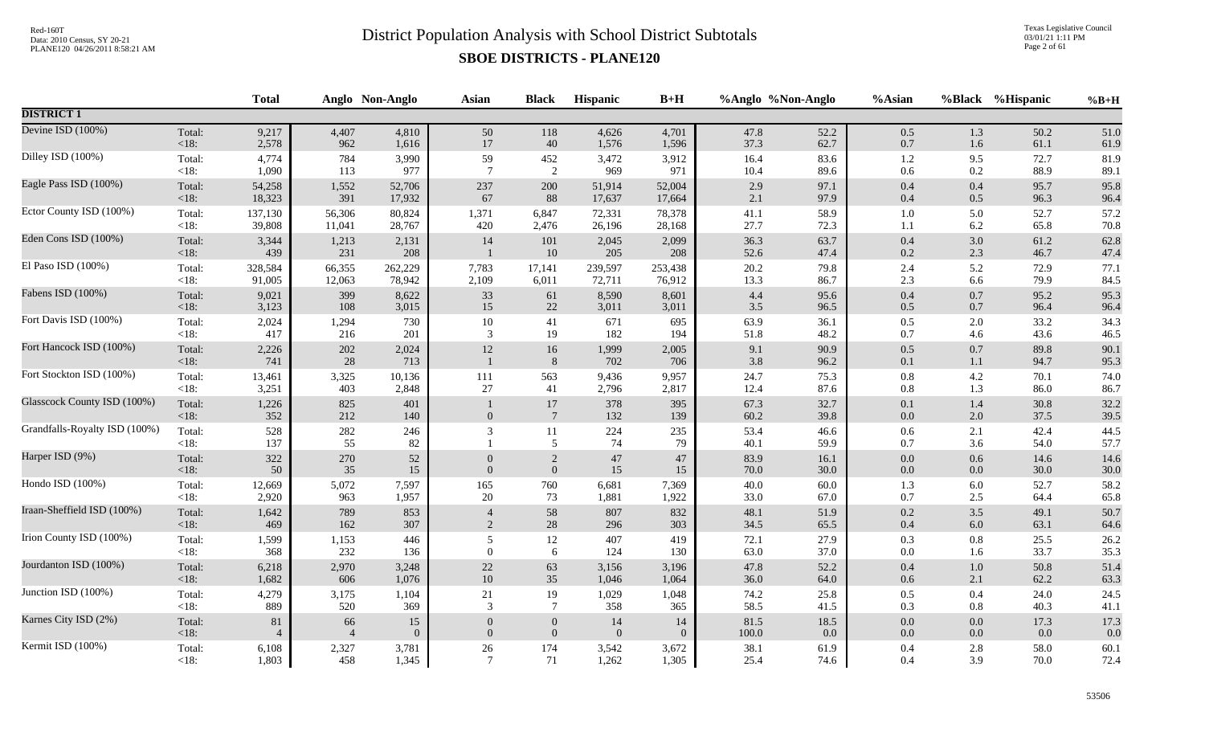Texas Legislative Council 03/01/21 1:11 PM Page 2 of 61

|                               |                 | <b>Total</b>   |                | Anglo Non-Anglo | <b>Asian</b>     | <b>Black</b>              | Hispanic     | $B+H$        |              | %Anglo %Non-Anglo | %Asian         |            | %Black %Hispanic | $%B+H$       |
|-------------------------------|-----------------|----------------|----------------|-----------------|------------------|---------------------------|--------------|--------------|--------------|-------------------|----------------|------------|------------------|--------------|
| <b>DISTRICT 1</b>             |                 |                |                |                 |                  |                           |              |              |              |                   |                |            |                  |              |
| Devine ISD (100%)             | Total:          | 9,217          | 4,407          | 4,810           | 50               | 118                       | 4,626        | 4,701        | 47.8         | 52.2              | $0.5\,$        | 1.3        | 50.2             | 51.0         |
|                               | $<18$ :         | 2,578          | 962            | 1,616           | 17               | 40                        | 1,576        | 1,596        | 37.3         | 62.7              | $0.7\,$        | 1.6        | 61.1             | 61.9         |
| Dilley ISD (100%)             | Total:          | 4,774          | 784            | 3,990           | 59               | 452                       | 3,472        | 3,912        | 16.4         | 83.6              | $1.2\,$        | 9.5        | 72.7             | 81.9         |
|                               | <18:            | 1,090          | 113            | 977             | $7\phantom{.0}$  | 2                         | 969          | 971          | 10.4         | 89.6              | 0.6            | $0.2\,$    | 88.9             | 89.1         |
| Eagle Pass ISD (100%)         | Total:          | 54,258         | 1,552          | 52,706          | 237              | 200                       | 51,914       | 52,004       | 2.9          | 97.1              | 0.4            | 0.4        | 95.7             | 95.8         |
|                               | $<18$ :         | 18,323         | 391            | 17,932          | 67               | 88                        | 17,637       | 17,664       | 2.1          | 97.9              | $0.4\,$        | 0.5        | 96.3             | 96.4         |
| Ector County ISD (100%)       | Total:          | 137,130        | 56,306         | 80,824          | 1,371            | 6,847                     | 72,331       | 78,378       | 41.1         | 58.9              | $1.0\,$        | 5.0        | 52.7             | 57.2         |
|                               | $<18$ :         | 39,808         | 11,041         | 28,767          | 420              | 2,476                     | 26,196       | 28,168       | 27.7         | 72.3              | 1.1            | 6.2        | 65.8             | 70.8         |
| Eden Cons ISD (100%)          | Total:          | 3,344          | 1,213          | 2,131           | 14               | 101                       | 2,045        | 2,099        | 36.3         | 63.7              | $0.4\,$        | $3.0\,$    | 61.2             | 62.8         |
|                               | < 18:           | 439            | 231            | 208             | $\overline{1}$   | 10                        | 205          | 208          | 52.6         | 47.4              | $0.2\,$        | 2.3        | 46.7             | 47.4         |
| El Paso ISD (100%)            | Total:          | 328,584        | 66,355         | 262,229         | 7,783            | 17,141                    | 239,597      | 253,438      | 20.2         | 79.8              | 2.4            | 5.2        | 72.9             | 77.1         |
|                               | <18:            | 91,005         | 12,063         | 78,942          | 2,109            | 6,011                     | 72,711       | 76,912       | 13.3         | 86.7              | 2.3            | 6.6        | 79.9             | 84.5         |
| Fabens ISD (100%)             | Total:          | 9,021          | 399            | 8,622           | 33               | 61                        | 8,590        | 8,601        | 4.4          | 95.6              | $0.4\,$        | 0.7        | 95.2             | 95.3         |
|                               | < 18:           | 3,123          | 108            | 3,015           | $15\,$           | $22\,$                    | 3,011        | 3,011        | 3.5          | 96.5              | $0.5\,$        | $0.7\,$    | 96.4             | 96.4         |
| Fort Davis ISD (100%)         | Total:          | 2,024          | 1,294          | 730             | $10\,$           | 41                        | 671          | 695          | 63.9         | 36.1              | $0.5\,$        | 2.0        | 33.2             | 34.3         |
|                               | $<18$ :         | 417            | 216            | 201             | 3                | 19                        | 182          | 194          | 51.8         | 48.2              | 0.7            | 4.6        | 43.6             | 46.5         |
| Fort Hancock ISD (100%)       | Total:<br>< 18: | 2,226<br>741   | 202<br>28      | 2,024<br>713    | $12\,$           | $16\,$<br>$8\phantom{.}8$ | 1,999<br>702 | 2,005<br>706 | 9.1<br>3.8   | 90.9<br>96.2      | $0.5\,$<br>0.1 | 0.7<br>1.1 | 89.8<br>94.7     | 90.1<br>95.3 |
| Fort Stockton ISD (100%)      | Total:          | 13,461         | 3,325          | 10,136          | 111              | 563                       | 9,436        | 9,957        | 24.7         | 75.3              | $0.8\,$        | 4.2        | 70.1             | 74.0         |
|                               | <18:            | 3,251          | 403            | 2,848           | 27               | 41                        | 2,796        | 2,817        | 12.4         | 87.6              | 0.8            | 1.3        | 86.0             | 86.7         |
| Glasscock County ISD (100%)   | Total:<br>< 18: | 1,226<br>352   | 825<br>212     | 401<br>140      | $\overline{0}$   | 17<br>$7\phantom{.0}$     | 378<br>132   | 395<br>139   | 67.3<br>60.2 | 32.7<br>39.8      | 0.1<br>$0.0\,$ | 1.4<br>2.0 | 30.8<br>37.5     | 32.2<br>39.5 |
| Grandfalls-Royalty ISD (100%) | Total:<br><18:  | 528<br>137     | 282<br>55      | 246<br>82       | 3                | 11<br>5                   | 224<br>74    | 235<br>79    | 53.4<br>40.1 | 46.6<br>59.9      | 0.6<br>0.7     | 2.1<br>3.6 | 42.4<br>54.0     | 44.5<br>57.7 |
| Harper ISD (9%)               | Total:          | 322            | 270            | 52              | $\theta$         | $\overline{c}$            | $47\,$       | 47           | 83.9         | 16.1              | $0.0\,$        | 0.6        | 14.6             | 14.6         |
|                               | $<18$ :         | 50             | 35             | 15              | $\overline{0}$   | $\boldsymbol{0}$          | $15\,$       | 15           | 70.0         | $30.0\,$          | $0.0\,$        | 0.0        | 30.0             | 30.0         |
| Hondo ISD (100%)              | Total:          | 12,669         | 5,072          | 7,597           | 165              | 760                       | 6,681        | 7,369        | 40.0         | 60.0              | 1.3            | 6.0        | 52.7             | 58.2         |
|                               | $<18$ :         | 2,920          | 963            | 1,957           | $20\,$           | 73                        | 1,881        | 1,922        | 33.0         | 67.0              | 0.7            | 2.5        | 64.4             | 65.8         |
| Iraan-Sheffield ISD (100%)    | Total:          | 1,642          | 789            | 853             | $\overline{4}$   | 58                        | 807          | 832          | 48.1         | 51.9              | $0.2\,$        | 3.5        | 49.1             | 50.7         |
|                               | $<18$ :         | 469            | 162            | 307             | $\overline{2}$   | $28\,$                    | 296          | 303          | 34.5         | 65.5              | $0.4\,$        | $6.0\,$    | 63.1             | 64.6         |
| Irion County ISD (100%)       | Total:          | 1,599          | 1,153          | 446             | 5                | 12                        | 407          | 419          | 72.1         | 27.9              | $0.3\,$        | $0.8\,$    | 25.5             | 26.2         |
|                               | <18:            | 368            | 232            | 136             | $\theta$         | 6                         | 124          | 130          | 63.0         | 37.0              | 0.0            | 1.6        | 33.7             | 35.3         |
| Jourdanton ISD (100%)         | Total:          | 6,218          | 2,970          | 3,248           | $22\,$           | 63                        | 3,156        | 3,196        | 47.8         | 52.2              | 0.4            | $1.0\,$    | 50.8             | 51.4         |
|                               | < 18:           | 1,682          | 606            | 1,076           | 10               | 35                        | 1,046        | 1,064        | 36.0         | 64.0              | 0.6            | 2.1        | 62.2             | 63.3         |
| Junction ISD (100%)           | Total:          | 4,279          | 3,175          | 1,104           | $21\,$           | 19                        | 1,029        | 1,048        | 74.2         | 25.8              | $0.5\,$        | 0.4        | 24.0             | 24.5         |
|                               | <18:            | 889            | 520            | 369             | 3                | $\overline{7}$            | 358          | 365          | 58.5         | 41.5              | 0.3            | $0.8\,$    | 40.3             | 41.1         |
| Karnes City ISD (2%)          | Total:          | $81\,$         | 66             | 15              | $\boldsymbol{0}$ | $\mathbf{0}$              | 14           | 14           | 81.5         | 18.5              | $0.0\,$        | 0.0        | 17.3             | 17.3         |
|                               | < 18:           | $\overline{4}$ | $\overline{4}$ | $\overline{0}$  | $\overline{0}$   | $\boldsymbol{0}$          | $\Omega$     | $\theta$     | $100.0\,$    | 0.0               | $0.0\,$        | $0.0\,$    | 0.0              | 0.0          |
| Kermit ISD (100%)             | Total:          | 6,108          | 2,327          | 3,781           | 26               | 174                       | 3,542        | 3,672        | 38.1         | 61.9              | 0.4            | 2.8        | 58.0             | 60.1         |
|                               | $<18$ :         | 1,803          | 458            | 1,345           | $\overline{7}$   | 71                        | 1,262        | 1,305        | 25.4         | 74.6              | 0.4            | 3.9        | 70.0             | 72.4         |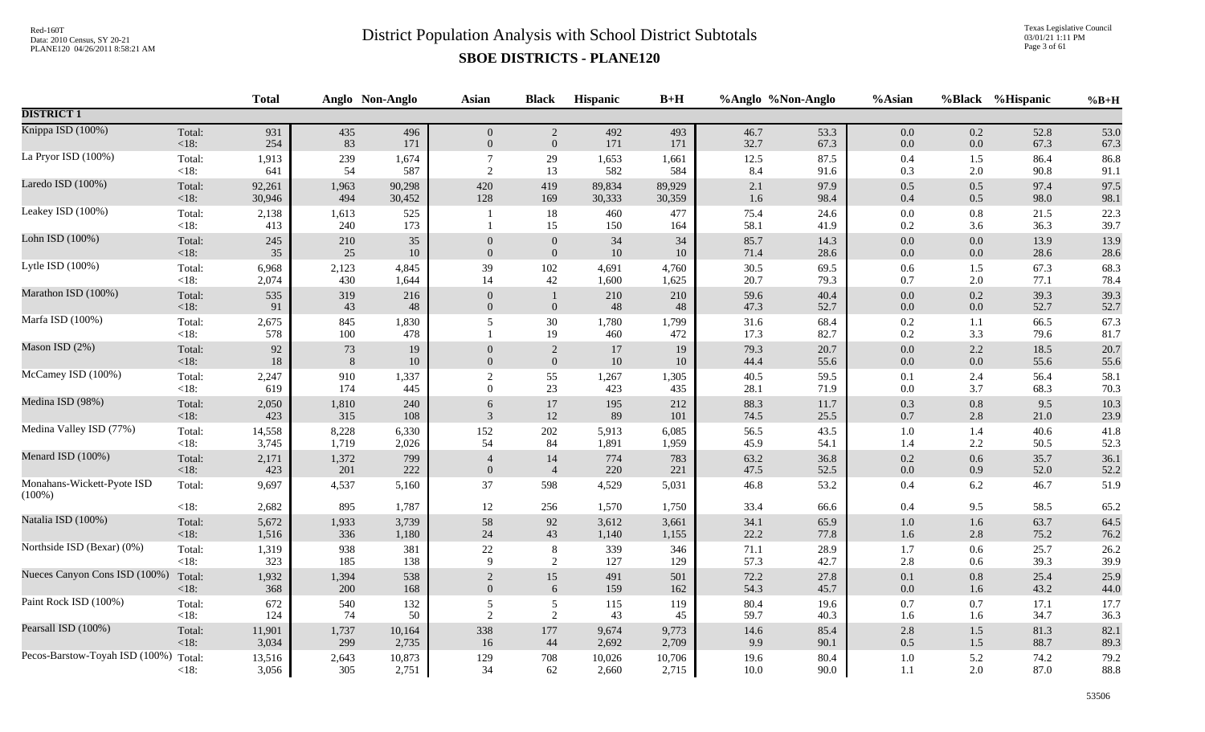Texas Legislative Council 03/01/21 1:11 PM Page 3 of 61

|                                         |                   | <b>Total</b> |              | Anglo Non-Anglo | Asian                          | <b>Black</b>     | <b>Hispanic</b> | $B+H$        |              | %Anglo %Non-Anglo | %Asian             |                | %Black %Hispanic | $%B+H$       |
|-----------------------------------------|-------------------|--------------|--------------|-----------------|--------------------------------|------------------|-----------------|--------------|--------------|-------------------|--------------------|----------------|------------------|--------------|
| <b>DISTRICT 1</b>                       |                   |              |              |                 |                                |                  |                 |              |              |                   |                    |                |                  |              |
| Knippa ISD (100%)                       | Total:            | 931          | 435          | 496             | $\overline{0}$                 | $\overline{2}$   | 492             | 493          | 46.7         | 53.3              | $0.0\,$            | 0.2            | 52.8             | 53.0         |
|                                         | $<18$ :           | 254          | 83           | 171             | $\mathbf{0}$                   | $\boldsymbol{0}$ | 171             | 171          | 32.7         | 67.3              | $0.0\,$            | 0.0            | 67.3             | 67.3         |
| La Pryor ISD (100%)                     | Total:            | 1,913        | 239          | 1,674           | $\overline{7}$                 | 29               | 1,653           | 1,661        | 12.5         | 87.5              | $0.4\,$            | 1.5            | 86.4             | 86.8         |
|                                         | $<18$ :           | 641          | 54           | 587             | $\overline{2}$                 | 13               | 582             | 584          | 8.4          | 91.6              | 0.3                | 2.0            | 90.8             | 91.1         |
| Laredo ISD (100%)                       | Total:            | 92,261       | 1,963        | 90,298          | 420                            | 419              | 89,834          | 89,929       | 2.1          | 97.9              | $0.5\,$            | 0.5            | 97.4             | 97.5         |
|                                         | $<18$ :           | 30,946       | 494          | 30,452          | 128                            | 169              | 30,333          | 30,359       | 1.6          | 98.4              | 0.4                | 0.5            | 98.0             | 98.1         |
| Leakey ISD (100%)                       | Total:<br>$<18$ : | 2,138<br>413 | 1,613<br>240 | 525<br>173      |                                | $18\,$<br>15     | 460<br>150      | 477<br>164   | 75.4<br>58.1 | 24.6<br>41.9      | $0.0\,$<br>$0.2\,$ | $0.8\,$<br>3.6 | 21.5<br>36.3     | 22.3<br>39.7 |
| Lohn ISD (100%)                         | Total:            | 245          | 210          | 35              | $\overline{0}$                 | $\boldsymbol{0}$ | 34              | 34           | 85.7         | 14.3              | 0.0                | 0.0            | 13.9             | 13.9         |
|                                         | <18:              | 35           | 25           | $10\,$          | $\overline{0}$                 | $\boldsymbol{0}$ | 10              | 10           | 71.4         | 28.6              | $0.0\,$            | $0.0\,$        | 28.6             | 28.6         |
| Lytle ISD (100%)                        | Total:            | 6,968        | 2,123        | 4,845           | 39                             | 102              | 4,691           | 4,760        | 30.5         | 69.5              | 0.6                | 1.5            | 67.3             | 68.3         |
|                                         | $<18$ :           | 2,074        | 430          | 1,644           | 14                             | 42               | 1,600           | 1,625        | 20.7         | 79.3              | 0.7                | 2.0            | 77.1             | 78.4         |
| Marathon ISD (100%)                     | Total:<br><18:    | 535<br>91    | 319<br>43    | 216<br>48       | $\overline{0}$<br>$\mathbf{0}$ | $\mathbf{0}$     | 210<br>48       | 210<br>48    | 59.6<br>47.3 | 40.4<br>52.7      | 0.0<br>0.0         | 0.2<br>$0.0\,$ | 39.3<br>52.7     | 39.3<br>52.7 |
| Marfa ISD (100%)                        | Total:<br>$<18$ : | 2,675<br>578 | 845<br>100   | 1,830<br>478    | 5                              | $30\,$<br>19     | 1,780<br>460    | 1,799<br>472 | 31.6<br>17.3 | 68.4<br>82.7      | $0.2\,$<br>0.2     | 1.1<br>3.3     | 66.5<br>79.6     | 67.3<br>81.7 |
| Mason ISD (2%)                          | Total:            | $92\,$       | 73           | $19\,$          | $\mathbf{0}$                   | 2                | 17              | 19           | 79.3         | 20.7              | $0.0\,$            | 2.2            | 18.5             | 20.7         |
|                                         | <18:              | $18\,$       | $8\,$        | $10\,$          | $\mathbf{0}$                   | $\boldsymbol{0}$ | $10\,$          | 10           | 44.4         | 55.6              | $0.0\,$            | $0.0\,$        | 55.6             | 55.6         |
| McCamey ISD (100%)                      | Total:            | 2,247        | 910          | 1,337           | $\overline{c}$                 | 55               | 1,267           | 1,305        | 40.5         | 59.5              | 0.1                | 2.4            | 56.4             | 58.1         |
|                                         | <18:              | 619          | 174          | 445             | $\boldsymbol{0}$               | $23\,$           | 423             | 435          | 28.1         | 71.9              | $0.0\,$            | 3.7            | 68.3             | 70.3         |
| Medina ISD (98%)                        | Total:            | 2,050        | 1,810        | 240             | 6                              | 17               | 195             | 212          | 88.3         | 11.7              | 0.3                | 0.8            | 9.5              | 10.3         |
|                                         | $<18$ :           | 423          | 315          | 108             | $\mathcal{R}$                  | 12               | 89              | 101          | 74.5         | 25.5              | $0.7\,$            | 2.8            | 21.0             | 23.9         |
| Medina Valley ISD (77%)                 | Total:            | 14,558       | 8,228        | 6,330           | 152                            | $202\,$          | 5,913           | 6,085        | 56.5         | 43.5              | $1.0\,$            | 1.4            | 40.6             | 41.8         |
|                                         | $<18$ :           | 3,745        | 1,719        | 2,026           | 54                             | 84               | 1,891           | 1,959        | 45.9         | 54.1              | 1.4                | 2.2            | 50.5             | 52.3         |
| Menard ISD (100%)                       | Total:            | 2,171        | 1,372        | 799             | $\overline{4}$                 | 14               | 774             | 783          | 63.2         | 36.8              | $0.2\,$            | 0.6            | 35.7             | 36.1         |
|                                         | $<18$ :           | 423          | 201          | 222             | $\mathbf{0}$                   | $\overline{4}$   | 220             | 221          | 47.5         | 52.5              | $0.0\,$            | 0.9            | 52.0             | 52.2         |
| Monahans-Wickett-Pyote ISD<br>$(100\%)$ | Total:            | 9,697        | 4,537        | 5,160           | 37                             | 598              | 4,529           | 5,031        | 46.8         | 53.2              | $0.4\,$            | 6.2            | 46.7             | 51.9         |
|                                         | <18:              | 2,682        | 895          | 1,787           | 12                             | 256              | 1,570           | 1,750        | 33.4         | 66.6              | $0.4\,$            | 9.5            | 58.5             | 65.2         |
| Natalia ISD (100%)                      | Total:            | 5,672        | 1,933        | 3,739           | 58                             | 92               | 3,612           | 3,661        | 34.1         | 65.9              | $1.0\,$            | $1.6\,$        | 63.7             | 64.5         |
|                                         | $<18$ :           | 1,516        | 336          | 1,180           | 24                             | 43               | 1,140           | 1,155        | 22.2         | 77.8              | $1.6\,$            | 2.8            | 75.2             | 76.2         |
| Northside ISD (Bexar) (0%)              | Total:            | 1,319        | 938          | 381             | $22\,$                         | $8\,$            | 339             | 346          | 71.1         | 28.9              | 1.7                | 0.6            | 25.7             | 26.2         |
|                                         | $<18$ :           | 323          | 185          | 138             | 9                              | 2                | 127             | 129          | 57.3         | 42.7              | 2.8                | 0.6            | 39.3             | 39.9         |
| Nueces Canyon Cons ISD (100%)           | Total:            | 1,932        | 1,394        | 538             | $\sqrt{2}$                     | 15               | 491             | 501          | 72.2         | 27.8              | 0.1                | 0.8            | 25.4             | 25.9         |
|                                         | <18:              | 368          | 200          | 168             | $\mathbf{0}$                   | 6                | 159             | 162          | 54.3         | 45.7              | 0.0                | 1.6            | 43.2             | 44.0         |
| Paint Rock ISD (100%)                   | Total:            | 672          | 540          | 132             | $\sqrt{5}$                     | $\mathfrak{S}$   | 115             | 119          | 80.4         | 19.6              | $0.7\,$            | 0.7            | 17.1             | 17.7         |
|                                         | $<18$ :           | 124          | 74           | 50              | $\overline{2}$                 | 2                | 43              | 45           | 59.7         | 40.3              | 1.6                | 1.6            | 34.7             | 36.3         |
| Pearsall ISD (100%)                     | Total:            | 11,901       | 1,737        | 10,164          | 338                            | 177              | 9,674           | 9,773        | 14.6         | 85.4              | $2.8\,$            | 1.5            | 81.3             | 82.1         |
|                                         | $<18$ :           | 3,034        | 299          | 2,735           | 16                             | 44               | 2,692           | 2,709        | 9.9          | 90.1              | 0.5                | 1.5            | 88.7             | 89.3         |
| Pecos-Barstow-Toyah ISD (100%)          | Total:            | 13,516       | 2,643        | 10,873          | 129                            | 708              | 10,026          | 10,706       | 19.6         | 80.4              | $1.0\,$            | 5.2            | 74.2             | 79.2         |
|                                         | < 18:             | 3,056        | 305          | 2,751           | 34                             | 62               | 2,660           | 2,715        | 10.0         | 90.0              | 1.1                | 2.0            | 87.0             | 88.8         |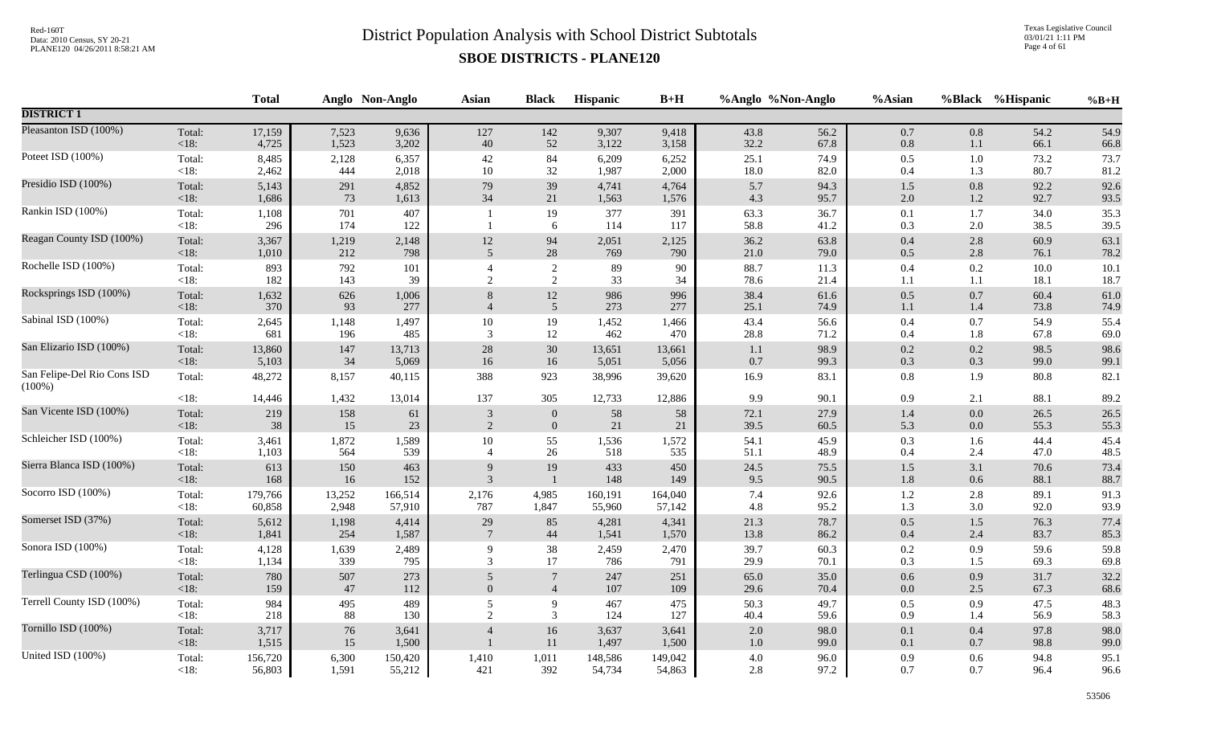Texas Legislative Council 03/01/21 1:11 PM Page 4 of 61

|                                          |                 | <b>Total</b>   |            | Anglo Non-Anglo | <b>Asian</b>    | <b>Black</b>          | Hispanic       | $B+H$          |              | %Anglo %Non-Anglo | %Asian         |            | %Black %Hispanic | $%B+H$       |
|------------------------------------------|-----------------|----------------|------------|-----------------|-----------------|-----------------------|----------------|----------------|--------------|-------------------|----------------|------------|------------------|--------------|
| <b>DISTRICT 1</b>                        |                 |                |            |                 |                 |                       |                |                |              |                   |                |            |                  |              |
| Pleasanton ISD (100%)                    | Total:          | 17,159         | 7,523      | 9,636           | 127             | 142                   | 9,307          | 9,418          | 43.8         | 56.2              | $0.7\,$        | 0.8        | 54.2             | 54.9         |
|                                          | $<18$ :         | 4,725          | 1,523      | 3,202           | 40              | 52                    | 3,122          | 3,158          | 32.2         | 67.8              | $0.8\,$        | 1.1        | 66.1             | 66.8         |
| Poteet ISD (100%)                        | Total:          | 8,485          | 2,128      | 6,357           | 42              | 84                    | 6,209          | 6,252          | 25.1         | 74.9              | $0.5\,$        | 1.0        | 73.2             | 73.7         |
|                                          | $<18$ :         | 2,462          | 444        | 2,018           | 10              | 32                    | 1,987          | 2,000          | 18.0         | 82.0              | 0.4            | 1.3        | 80.7             | 81.2         |
| Presidio ISD (100%)                      | Total:          | 5,143          | 291        | 4,852           | 79              | 39                    | 4,741          | 4,764          | 5.7          | 94.3              | 1.5            | $0.8\,$    | 92.2             | 92.6         |
|                                          | $<18$ :         | 1,686          | 73         | 1,613           | 34              | 21                    | 1,563          | 1,576          | 4.3          | 95.7              | 2.0            | 1.2        | 92.7             | 93.5         |
| Rankin ISD (100%)                        | Total:<br>< 18: | 1,108<br>296   | 701<br>174 | 407<br>122      |                 | 19<br>6               | 377<br>114     | 391<br>117     | 63.3<br>58.8 | 36.7<br>41.2      | 0.1<br>0.3     | 1.7<br>2.0 | 34.0<br>38.5     | 35.3<br>39.5 |
| Reagan County ISD (100%)                 | Total:          | 3,367          | 1,219      | 2,148           | 12              | 94                    | 2,051          | 2,125          | 36.2         | 63.8              | $0.4\,$        | 2.8        | 60.9             | 63.1         |
|                                          | $<18$ :         | 1,010          | 212        | 798             | 5               | 28                    | 769            | 790            | 21.0         | 79.0              | 0.5            | 2.8        | 76.1             | 78.2         |
| Rochelle ISD (100%)                      | Total:          | 893            | 792        | 101             | $\overline{4}$  | 2                     | 89             | 90             | 88.7         | 11.3              | $0.4\,$        | 0.2        | 10.0             | 10.1         |
|                                          | $<18$ :         | 182            | 143        | 39              | 2               | 2                     | 33             | 34             | 78.6         | 21.4              | 1.1            | $1.1\,$    | 18.1             | 18.7         |
| Rocksprings ISD (100%)                   | Total:<br><18:  | 1,632<br>370   | 626<br>93  | 1,006<br>277    | $\overline{4}$  | 12<br>$5\overline{)}$ | 986<br>273     | 996<br>277     | 38.4<br>25.1 | 61.6<br>74.9      | $0.5\,$<br>1.1 | 0.7<br>1.4 | 60.4<br>73.8     | 61.0<br>74.9 |
| Sabinal ISD (100%)                       | Total:          | 2,645          | 1,148      | 1,497           | $10\,$          | 19                    | 1,452          | 1,466          | 43.4         | 56.6              | $0.4\,$        | 0.7        | 54.9             | 55.4         |
|                                          | $<18$ :         | 681            | 196        | 485             | 3               | 12                    | 462            | 470            | 28.8         | 71.2              | 0.4            | 1.8        | 67.8             | 69.0         |
| San Elizario ISD (100%)                  | Total:          | 13,860         | 147        | 13,713          | 28              | $30\,$                | 13,651         | 13,661         | 1.1          | 98.9              | $0.2\,$        | 0.2        | 98.5             | 98.6         |
|                                          | <18:            | 5,103          | 34         | 5,069           | 16              | 16                    | 5,051          | 5,056          | 0.7          | 99.3              | 0.3            | 0.3        | 99.0             | 99.1         |
| San Felipe-Del Rio Cons ISD<br>$(100\%)$ | Total:          | 48,272         | 8,157      | 40,115          | 388             | 923                   | 38,996         | 39,620         | 16.9         | 83.1              | $0.8\,$        | 1.9        | 80.8             | 82.1         |
|                                          | <18:            | 14,446         | 1,432      | 13,014          | 137             | 305                   | 12,733         | 12,886         | 9.9          | 90.1              | 0.9            | 2.1        | 88.1             | 89.2         |
| San Vicente ISD (100%)                   | Total:          | 219            | 158        | 61              | 3               | $\mathbf{0}$          | 58             | 58             | 72.1         | 27.9              | 1.4            | $0.0\,$    | 26.5             | 26.5         |
|                                          | $<18$ :         | 38             | 15         | 23              | 2               | $\mathbf{0}$          | 21             | 21             | 39.5         | 60.5              | 5.3            | 0.0        | 55.3             | 55.3         |
| Schleicher ISD (100%)                    | Total:          | 3,461          | 1,872      | 1,589           | $10\,$          | 55                    | 1,536          | 1,572          | 54.1         | 45.9              | 0.3            | 1.6        | 44.4             | 45.4         |
|                                          | $<18$ :         | 1,103          | 564        | 539             | $\overline{4}$  | 26                    | 518            | 535            | 51.1         | 48.9              | 0.4            | 2.4        | 47.0             | 48.5         |
| Sierra Blanca ISD (100%)                 | Total:          | 613            | 150        | 463             | 9               | 19                    | 433            | 450            | 24.5         | 75.5              | $1.5\,$        | 3.1        | 70.6             | 73.4         |
|                                          | $<18$ :         | 168            | 16         | 152             | 3               | $\mathbf{1}$          | 148            | 149            | 9.5          | 90.5              | 1.8            | 0.6        | 88.1             | 88.7         |
| Socorro ISD (100%)                       | Total:          | 179,766        | 13,252     | 166,514         | 2,176           | 4,985                 | 160,191        | 164,040        | 7.4          | 92.6              | $1.2\,$        | 2.8        | 89.1             | 91.3         |
|                                          | <18:            | 60,858         | 2,948      | 57,910          | 787             | 1,847                 | 55,960         | 57,142         | 4.8          | 95.2              | 1.3            | 3.0        | 92.0             | 93.9         |
| Somerset ISD (37%)                       | Total:          | 5,612          | 1,198      | 4,414           | 29              | 85                    | 4,281          | 4,341          | 21.3         | 78.7              | $0.5\,$        | 1.5        | 76.3             | 77.4         |
|                                          | $<18$ :         | 1,841          | 254        | 1,587           | $7\phantom{.0}$ | 44                    | 1,541          | 1,570          | 13.8         | 86.2              | 0.4            | 2.4        | 83.7             | 85.3         |
| Sonora ISD (100%)                        | Total:          | 4,128          | 1,639      | 2,489           | 9               | 38                    | 2,459          | 2,470          | 39.7         | 60.3              | $0.2\,$        | 0.9        | 59.6             | 59.8         |
|                                          | $<18$ :         | 1,134          | 339        | 795             | 3               | 17                    | 786            | 791            | 29.9         | 70.1              | 0.3            | 1.5        | 69.3             | 69.8         |
| Terlingua CSD (100%)                     | Total:          | 780            | 507        | 273             | 5               | $7\phantom{.0}$       | 247            | 251            | 65.0         | 35.0              | 0.6            | 0.9        | 31.7             | 32.2         |
|                                          | $<18$ :         | 159            | 47         | 112             | $\mathbf{0}$    | $\overline{4}$        | 107            | 109            | 29.6         | 70.4              | $0.0\,$        | 2.5        | 67.3             | 68.6         |
| Terrell County ISD (100%)                | Total:          | 984            | 495        | 489             | 5               | $\overline{9}$        | 467            | 475            | 50.3         | 49.7              | $0.5\,$        | 0.9        | 47.5             | 48.3         |
|                                          | $<18$ :         | 218            | 88         | 130             | 2               | $\mathfrak{Z}$        | 124            | 127            | 40.4         | 59.6              | 0.9            | 1.4        | 56.9             | 58.3         |
| Tornillo ISD (100%)                      | Total:<br><18:  | 3,717<br>1,515 | 76<br>15   | 3,641<br>1,500  | $\overline{4}$  | 16<br>11              | 3,637<br>1,497 | 3,641<br>1,500 | 2.0<br>1.0   | 98.0<br>99.0      | $0.1\,$<br>0.1 | 0.4<br>0.7 | 97.8<br>98.8     | 98.0<br>99.0 |
| United ISD (100%)                        | Total:          | 156,720        | 6,300      | 150,420         | 1,410           | 1,011                 | 148,586        | 149,042        | $4.0\,$      | 96.0              | 0.9            | 0.6        | 94.8             | 95.1         |
|                                          | $<18$ :         | 56,803         | 1,591      | 55,212          | 421             | 392                   | 54,734         | 54,863         | 2.8          | 97.2              | 0.7            | 0.7        | 96.4             | 96.6         |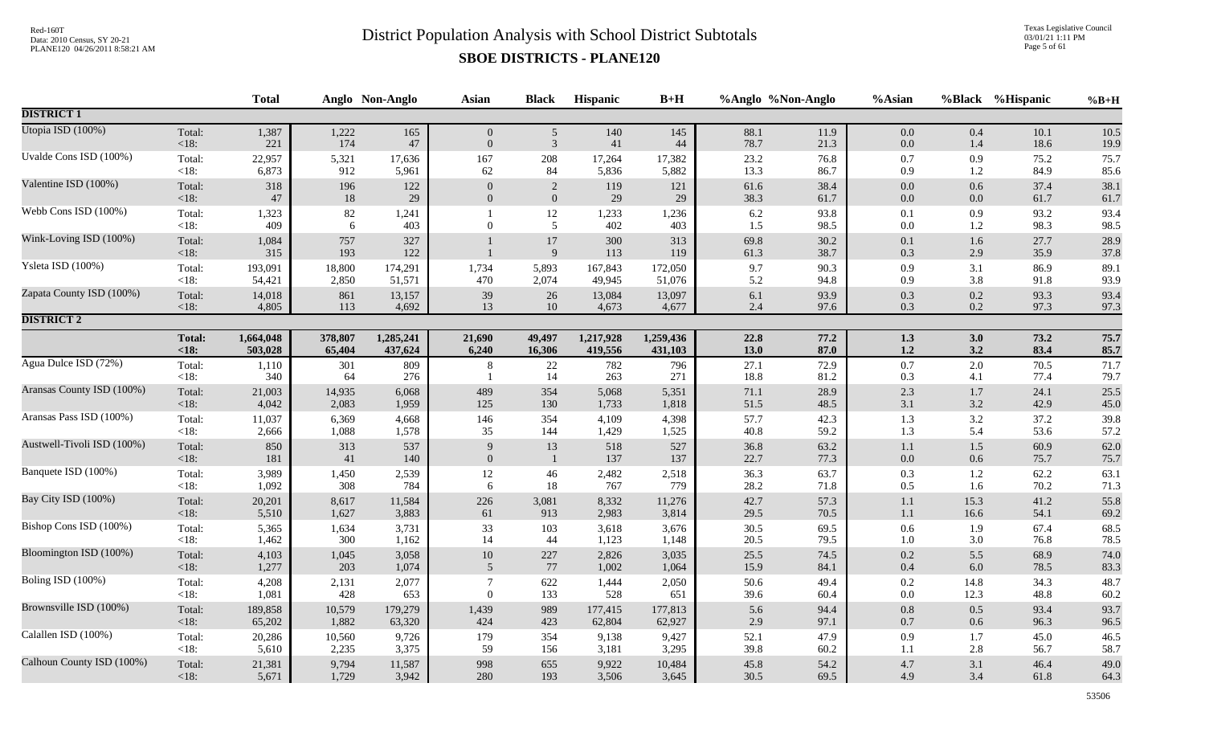Texas Legislative Council 03/01/21 1:11 PM Page 5 of 61

|                            |                   | <b>Total</b> |             | Anglo Non-Anglo | <b>Asian</b>   | <b>Black</b>   | Hispanic     | $B+H$        | %Anglo %Non-Anglo |              | %Asian             |            | %Black %Hispanic | $%B+H$       |
|----------------------------|-------------------|--------------|-------------|-----------------|----------------|----------------|--------------|--------------|-------------------|--------------|--------------------|------------|------------------|--------------|
| <b>DISTRICT 1</b>          |                   |              |             |                 |                |                |              |              |                   |              |                    |            |                  |              |
| Utopia ISD (100%)          | Total:            | 1,387        | 1,222       | 165             | $\overline{0}$ | $\mathfrak{S}$ | 140          | 145          | 88.1              | 11.9         | $0.0\,$            | 0.4        | 10.1             | 10.5         |
|                            | $<18$ :           | 221          | 174         | $47\,$          | $\overline{0}$ | $\mathfrak{Z}$ | 41           | 44           | 78.7              | 21.3         | $0.0\,$            | 1.4        | 18.6             | 19.9         |
| Uvalde Cons ISD (100%)     | Total:            | 22,957       | 5,321       | 17,636          | 167            | 208            | 17,264       | 17,382       | 23.2              | 76.8         | $0.7\,$            | 0.9        | 75.2             | 75.7         |
|                            | <18:              | 6,873        | 912         | 5,961           | 62             | 84             | 5,836        | 5,882        | 13.3              | 86.7         | 0.9                | 1.2        | 84.9             | 85.6         |
| Valentine ISD (100%)       | Total:            | 318          | 196         | 122             | $\overline{0}$ | 2              | 119          | 121          | 61.6              | 38.4         | 0.0                | 0.6        | 37.4             | 38.1         |
|                            | <18:              | 47           | 18          | 29              | $\Omega$       | $\mathbf{0}$   | 29           | 29           | 38.3              | 61.7         | $0.0\,$            | 0.0        | 61.7             | 61.7         |
| Webb Cons ISD (100%)       | Total:<br>$<18$ : | 1,323<br>409 | $82\,$<br>6 | 1,241<br>403    | $\Omega$       | 12<br>5        | 1,233<br>402 | 1,236<br>403 | 6.2<br>1.5        | 93.8<br>98.5 | 0.1<br>$0.0\,$     | 0.9<br>1.2 | 93.2<br>98.3     | 93.4<br>98.5 |
| Wink-Loving ISD (100%)     | Total:<br><18:    | 1,084<br>315 | 757<br>193  | 327<br>122      |                | $17\,$<br>9    | 300<br>113   | 313<br>119   | 69.8<br>61.3      | 30.2<br>38.7 | $0.1\,$<br>$0.3\,$ | 1.6<br>2.9 | 27.7<br>35.9     | 28.9<br>37.8 |
| Ysleta ISD (100%)          | Total:            | 193,091      | 18,800      | 174,291         | 1,734          | 5,893          | 167,843      | 172,050      | 9.7               | 90.3         | 0.9                | 3.1        | 86.9             | 89.1         |
|                            | <18:              | 54,421       | 2,850       | 51,571          | 470            | 2,074          | 49,945       | 51,076       | 5.2               | 94.8         | 0.9                | 3.8        | 91.8             | 93.9         |
| Zapata County ISD (100%)   | Total:            | 14,018       | 861         | 13,157          | 39             | 26             | 13,084       | 13,097       | $6.1\,$           | 93.9         | $0.3\,$            | 0.2        | 93.3             | 93.4         |
|                            | $<18$ :           | 4,805        | 113         | 4,692           | 13             | 10             | 4,673        | 4,677        | 2.4               | 97.6         | 0.3                | 0.2        | 97.3             | 97.3         |
| <b>DISTRICT 2</b>          |                   |              |             |                 |                |                |              |              |                   |              |                    |            |                  |              |
|                            | <b>Total:</b>     | 1,664,048    | 378,807     | 1,285,241       | 21,690         | 49,497         | 1,217,928    | 1,259,436    | 22.8              | 77.2         | 1.3                | 3.0        | 73.2             | 75.7         |
|                            | < 18:             | 503,028      | 65,404      | 437,624         | 6,240          | 16,306         | 419,556      | 431,103      | 13.0              | 87.0         | $1.2\,$            | 3.2        | 83.4             | 85.7         |
| Agua Dulce ISD (72%)       | Total:<br>$<18$ : | 1,110<br>340 | 301<br>64   | 809<br>276      | 8              | 22<br>14       | 782<br>263   | 796<br>271   | 27.1<br>18.8      | 72.9<br>81.2 | $0.7\,$<br>0.3     | 2.0<br>4.1 | 70.5<br>77.4     | 71.7<br>79.7 |
| Aransas County ISD (100%)  | Total:            | 21,003       | 14,935      | 6,068           | 489            | 354            | 5,068        | 5,351        | 71.1              | 28.9         | 2.3                | 1.7        | 24.1             | 25.5         |
|                            | $<18$ :           | 4,042        | 2,083       | 1,959           | 125            | 130            | 1,733        | 1,818        | 51.5              | 48.5         | 3.1                | 3.2        | 42.9             | 45.0         |
| Aransas Pass ISD (100%)    | Total:            | 11,037       | 6,369       | 4,668           | 146            | 354            | 4,109        | 4,398        | 57.7              | 42.3         | 1.3                | 3.2        | 37.2             | 39.8         |
|                            | $<18$ :           | 2,666        | 1,088       | 1,578           | 35             | 144            | 1,429        | 1,525        | 40.8              | 59.2         | 1.3                | 5.4        | 53.6             | 57.2         |
| Austwell-Tivoli ISD (100%) | Total:            | 850          | 313         | 537             | 9              | 13             | 518          | 527          | 36.8              | 63.2         | $1.1\,$            | 1.5        | 60.9             | 62.0         |
|                            | $<18$ :           | 181          | 41          | 140             | $\overline{0}$ | $\mathbf{1}$   | 137          | 137          | 22.7              | 77.3         | $0.0\,$            | $0.6\,$    | 75.7             | 75.7         |
| Banquete ISD (100%)        | Total:            | 3,989        | 1,450       | 2,539           | 12             | 46             | 2,482        | 2,518        | 36.3              | 63.7         | $0.3\,$            | 1.2        | 62.2             | 63.1         |
|                            | $<18$ :           | 1,092        | 308         | 784             | 6              | 18             | 767          | 779          | 28.2              | 71.8         | 0.5                | 1.6        | 70.2             | 71.3         |
| Bay City ISD (100%)        | Total:            | 20,201       | 8,617       | 11,584          | 226            | 3,081          | 8,332        | 11,276       | 42.7              | 57.3         | 1.1                | 15.3       | 41.2             | 55.8         |
|                            | <18:              | 5,510        | 1,627       | 3,883           | 61             | 913            | 2,983        | 3,814        | 29.5              | 70.5         | $1.1\,$            | 16.6       | 54.1             | 69.2         |
| Bishop Cons ISD (100%)     | Total:            | 5,365        | 1,634       | 3,731           | 33             | 103            | 3,618        | 3,676        | 30.5              | 69.5         | $0.6\,$            | 1.9        | 67.4             | 68.5         |
|                            | <18:              | 1,462        | 300         | 1,162           | 14             | 44             | 1,123        | 1,148        | 20.5              | 79.5         | 1.0                | 3.0        | 76.8             | 78.5         |
| Bloomington ISD (100%)     | Total:            | 4,103        | 1,045       | 3,058           | $10\,$         | $227\,$        | 2,826        | 3,035        | 25.5              | 74.5         | 0.2                | 5.5        | 68.9             | 74.0         |
|                            | $<18$ :           | 1,277        | 203         | 1,074           | 5              | 77             | 1,002        | 1,064        | 15.9              | 84.1         | $0.4\,$            | 6.0        | 78.5             | 83.3         |
| Boling ISD (100%)          | Total:            | 4,208        | 2,131       | 2,077           | $\overline{7}$ | 622            | 1,444        | 2,050        | 50.6              | 49.4         | $0.2\,$            | 14.8       | 34.3             | 48.7         |
|                            | $<18$ :           | 1,081        | 428         | 653             | $\theta$       | 133            | 528          | 651          | 39.6              | 60.4         | $0.0\,$            | 12.3       | 48.8             | 60.2         |
| Brownsville ISD (100%)     | Total:            | 189,858      | 10,579      | 179,279         | 1,439          | 989            | 177,415      | 177,813      | 5.6               | 94.4         | $0.8\,$            | 0.5        | 93.4             | 93.7         |
|                            | $<18$ :           | 65,202       | 1,882       | 63,320          | 424            | 423            | 62,804       | 62,927       | 2.9               | 97.1         | $0.7\,$            | 0.6        | 96.3             | 96.5         |
| Calallen ISD (100%)        | Total:            | 20,286       | 10,560      | 9,726           | 179            | 354            | 9,138        | 9,427        | 52.1              | 47.9         | 0.9                | 1.7        | 45.0             | 46.5         |
|                            | <18:              | 5,610        | 2,235       | 3,375           | 59             | 156            | 3,181        | 3,295        | 39.8              | 60.2         | 1.1                | 2.8        | 56.7             | 58.7         |
| Calhoun County ISD (100%)  | Total:            | 21,381       | 9,794       | 11,587          | 998            | 655            | 9,922        | 10,484       | 45.8              | 54.2         | 4.7                | 3.1        | 46.4             | 49.0         |
|                            | $<18$ :           | 5,671        | 1,729       | 3,942           | 280            | 193            | 3,506        | 3,645        | 30.5              | 69.5         | 4.9                | 3.4        | 61.8             | 64.3         |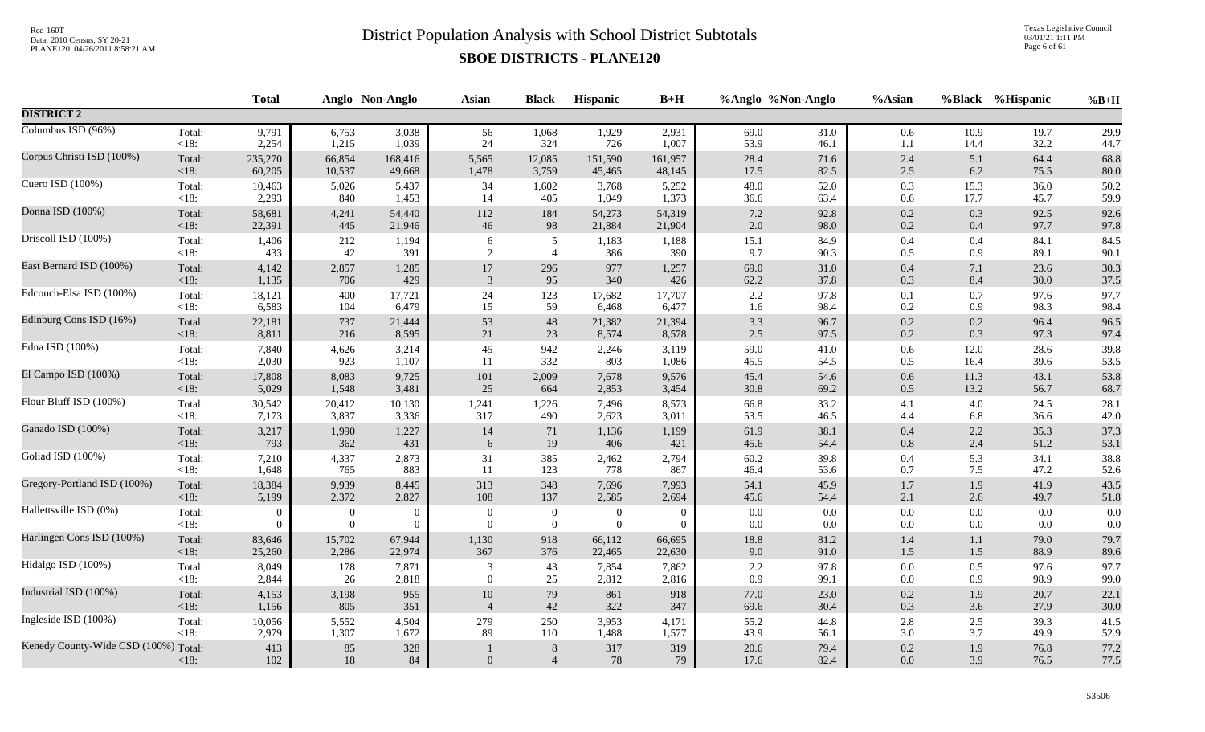Texas Legislative Council 03/01/21 1:11 PM Page 6 of 61

|                                      |         | <b>Total</b>   |              | Anglo Non-Anglo | <b>Asian</b>     | <b>Black</b>              | <b>Hispanic</b> | $B+H$     |              | %Anglo %Non-Anglo | %Asian             |            | %Black %Hispanic | $%B+H$       |
|--------------------------------------|---------|----------------|--------------|-----------------|------------------|---------------------------|-----------------|-----------|--------------|-------------------|--------------------|------------|------------------|--------------|
| <b>DISTRICT 2</b>                    |         |                |              |                 |                  |                           |                 |           |              |                   |                    |            |                  |              |
| Columbus ISD (96%)                   | Total:  | 9,791          | 6,753        | 3,038           | 56               | 1,068                     | 1,929           | 2,931     | 69.0         | 31.0              | 0.6                | 10.9       | 19.7             | 29.9         |
|                                      | $<18$ : | 2,254          | 1,215        | 1,039           | 24               | 324                       | 726             | 1,007     | 53.9         | 46.1              | 1.1                | 14.4       | 32.2             | 44.7         |
| Corpus Christi ISD (100%)            | Total:  | 235,270        | 66,854       | 168,416         | 5,565            | 12,085                    | 151,590         | 161,957   | 28.4         | 71.6              | 2.4                | 5.1        | 64.4             | 68.8         |
|                                      | < 18:   | 60,205         | 10,537       | 49,668          | 1,478            | 3,759                     | 45,465          | 48,145    | 17.5         | 82.5              | $2.5\,$            | 6.2        | 75.5             | 80.0         |
| Cuero ISD (100%)                     | Total:  | 10,463         | 5,026        | 5,437           | 34               | 1,602                     | 3,768           | 5,252     | 48.0         | 52.0              | $0.3\,$            | 15.3       | 36.0             | 50.2         |
|                                      | $<18$ : | 2,293          | 840          | 1,453           | 14               | 405                       | 1,049           | 1,373     | 36.6         | 63.4              | 0.6                | 17.7       | 45.7             | 59.9         |
| Donna ISD (100%)                     | Total:  | 58,681         | 4,241        | 54,440          | 112              | 184                       | 54,273          | 54,319    | $7.2\,$      | 92.8              | 0.2                | 0.3        | 92.5             | 92.6         |
|                                      | $<18$ : | 22,391         | 445          | 21,946          | $46\,$           | 98                        | 21,884          | 21,904    | $2.0\,$      | 98.0              | $0.2\,$            | $0.4\,$    | 97.7             | 97.8         |
| Driscoll ISD (100%)                  | Total:  | 1,406          | 212          | 1,194           | 6                | $\sqrt{5}$                | 1,183           | 1,188     | 15.1         | 84.9              | 0.4                | 0.4        | 84.1             | 84.5         |
|                                      | $<18$ : | 433            | 42           | 391             | $\sqrt{2}$       | $\overline{4}$            | 386             | 390       | 9.7          | 90.3              | 0.5                | 0.9        | 89.1             | 90.1         |
| East Bernard ISD (100%)              | Total:  | 4,142          | 2,857        | 1,285           | 17               | 296                       | 977             | 1,257     | 69.0         | 31.0              | 0.4                | 7.1        | 23.6             | 30.3         |
|                                      | < 18:   | 1,135          | 706          | 429             | 3                | 95                        | 340             | 426       | 62.2         | 37.8              | 0.3                | 8.4        | 30.0             | 37.5         |
| Edcouch-Elsa ISD (100%)              | Total:  | 18,121         | 400          | 17,721          | 24               | 123                       | 17,682          | 17,707    | $2.2\,$      | 97.8              | 0.1                | 0.7        | 97.6             | 97.7         |
|                                      | $<18$ : | 6,583          | 104          | 6,479           | 15               | 59                        | 6,468           | 6,477     | 1.6          | 98.4              | 0.2                | 0.9        | 98.3             | 98.4         |
| Edinburg Cons ISD (16%)              | Total:  | 22,181         | 737          | 21,444          | 53               | 48                        | 21,382          | 21,394    | 3.3          | 96.7              | $0.2\,$            | $0.2\,$    | 96.4             | 96.5         |
|                                      | $<18$ : | 8,811          | 216          | 8,595           | 21               | 23                        | 8,574           | 8,578     | 2.5          | 97.5              | $0.2\,$            | 0.3        | 97.3             | 97.4         |
| Edna ISD (100%)                      | Total:  | 7,840          | 4,626        | 3,214           | 45               | 942                       | 2,246           | 3,119     | 59.0         | 41.0              | $0.6\,$            | 12.0       | 28.6             | 39.8         |
|                                      | $<18$ : | 2,030          | 923          | 1,107           | 11               | 332                       | 803             | 1,086     | 45.5         | 54.5              | $0.5\,$            | 16.4       | 39.6             | 53.5         |
| El Campo ISD (100%)                  | Total:  | 17,808         | 8,083        | 9,725           | 101              | 2,009                     | 7,678           | 9,576     | 45.4         | 54.6              | $0.6\,$            | 11.3       | 43.1             | 53.8         |
|                                      | < 18:   | 5,029          | 1,548        | 3,481           | 25               | 664                       | 2,853           | 3,454     | 30.8         | 69.2              | $0.5\,$            | 13.2       | 56.7             | 68.7         |
| Flour Bluff ISD (100%)               | Total:  | 30,542         | 20,412       | 10,130          | 1,241            | 1,226                     | 7,496           | 8,573     | 66.8         | 33.2              | 4.1                | 4.0        | 24.5             | 28.1         |
|                                      | $<18$ : | 7,173          | 3,837        | 3,336           | 317              | 490                       | 2,623           | 3,011     | 53.5         | 46.5              | 4.4                | 6.8        | 36.6             | 42.0         |
| Ganado ISD (100%)                    | Total:  | 3,217          | 1,990        | 1,227           | 14               | 71                        | 1,136           | 1,199     | 61.9         | 38.1              | 0.4                | 2.2        | 35.3             | 37.3         |
|                                      | < 18:   | 793            | 362          | 431             | 6                | 19                        | 406             | 421       | 45.6         | 54.4              | $0.8\,$            | 2.4        | 51.2             | 53.1         |
| Goliad ISD (100%)                    | Total:  | 7,210          | 4,337        | 2,873           | 31               | 385                       | 2,462           | 2,794     | 60.2         | 39.8              | $0.4\,$            | 5.3        | 34.1             | 38.8         |
|                                      | < 18:   | 1,648          | 765          | 883             | 11               | 123                       | 778             | 867       | 46.4         | 53.6              | 0.7                | 7.5        | 47.2             | 52.6         |
| Gregory-Portland ISD (100%)          | Total:  | 18,384         | 9,939        | 8,445           | 313              | 348                       | 7,696           | 7,993     | 54.1         | 45.9              | $1.7\,$            | 1.9        | 41.9             | 43.5         |
|                                      | < 18:   | 5,199          | 2,372        | 2,827           | 108              | 137                       | 2,585           | 2,694     | 45.6         | 54.4              | 2.1                | 2.6        | 49.7             | 51.8         |
| Hallettsville ISD (0%)               | Total:  | $\overline{0}$ | $\mathbf{0}$ | $\theta$        | $\mathbf{0}$     | $\boldsymbol{0}$          | $\overline{0}$  | $\theta$  | $0.0\,$      | 0.0               | $0.0\,$            | 0.0        | 0.0              | 0.0          |
|                                      | < 18:   | $\Omega$       | $\mathbf{0}$ | $\overline{0}$  | $\mathbf{0}$     | $\overline{0}$            | $\theta$        | $\Omega$  | 0.0          | $0.0\,$           | $0.0\,$            | 0.0        | 0.0              | $0.0\,$      |
| Harlingen Cons ISD (100%)            | Total:  | 83,646         | 15,702       | 67,944          | 1,130            | 918                       | 66,112          | 66,695    | 18.8         | 81.2              | 1.4                | 1.1        | 79.0             | 79.7         |
|                                      | < 18:   | 25,260         | 2,286        | 22,974          | 367              | 376                       | 22,465          | 22,630    | 9.0          | 91.0              | 1.5                | $1.5$      | 88.9             | 89.6         |
| Hidalgo ISD (100%)                   | Total:  | 8,049          | 178          | 7,871           | 3                | 43                        | 7,854           | 7,862     | $2.2\,$      | 97.8              | $0.0\,$            | 0.5        | 97.6             | 97.7         |
|                                      | $<18$ : | 2,844          | 26           | 2,818           | $\mathbf{0}$     | 25                        | 2,812           | 2,816     | 0.9          | 99.1              | $0.0\,$            | 0.9        | 98.9             | 99.0         |
| Industrial ISD (100%)                | Total:  | 4,153          | 3,198        | 955             | $10\,$           | 79                        | 861             | 918       | 77.0         | 23.0              | $0.2\,$            | 1.9        | 20.7             | 22.1         |
|                                      | < 18:   | 1,156          | 805          | 351             | $\overline{4}$   | 42                        | 322             | 347       | 69.6         | 30.4              | 0.3                | 3.6        | 27.9             | 30.0         |
| Ingleside ISD (100%)                 | Total:  | 10,056         | 5,552        | 4,504           | 279              | 250                       | 3,953           | 4,171     | 55.2         | 44.8              | $2.8\,$            | 2.5        | 39.3             | 41.5         |
|                                      | $<18$ : | 2,979          | 1,307        | 1,672           | 89               | 110                       | 1,488           | 1,577     | 43.9         | 56.1              | 3.0                | 3.7        | 49.9             | 52.9         |
| Kenedy County-Wide CSD (100%) Total: | $<18$ : | 413<br>$102\,$ | 85<br>$18\,$ | 328<br>$84\,$   | $\boldsymbol{0}$ | $\,8\,$<br>$\overline{4}$ | 317<br>$78\,$   | 319<br>79 | 20.6<br>17.6 | 79.4<br>82.4      | $0.2\,$<br>$0.0\,$ | 1.9<br>3.9 | 76.8<br>76.5     | 77.2<br>77.5 |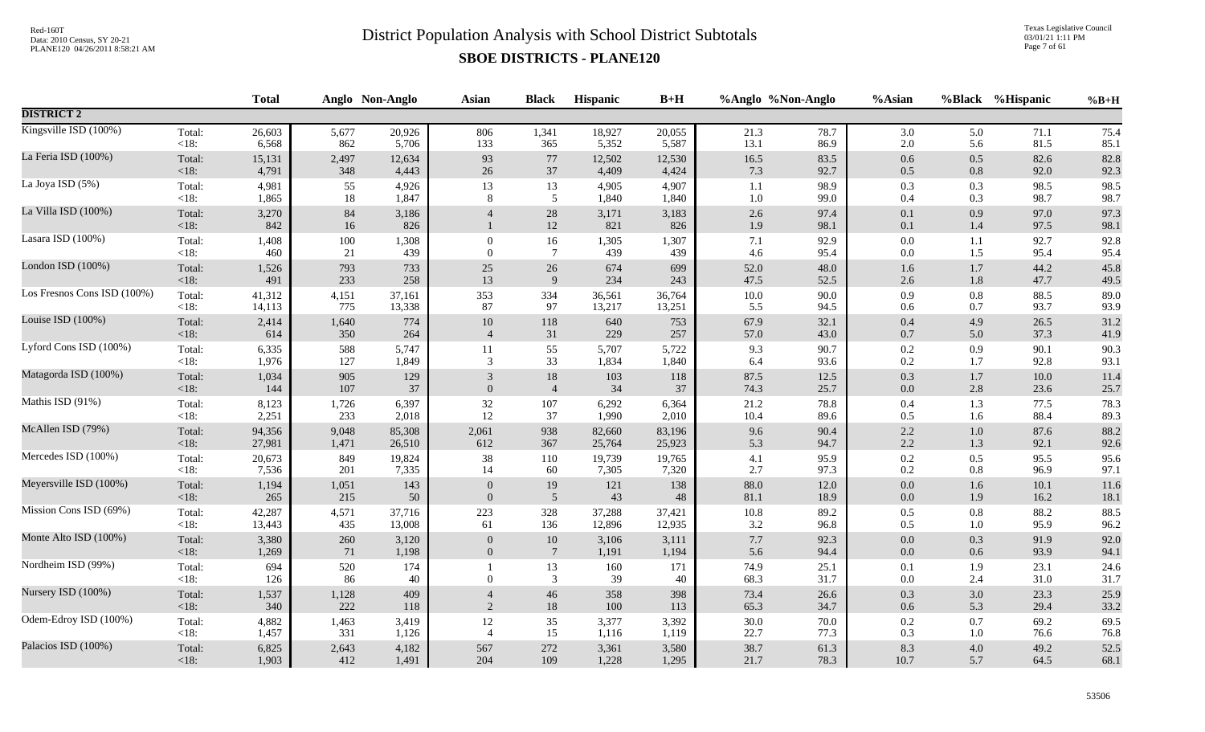Texas Legislative Council 03/01/21 1:11 PM Page 7 of 61

|                             |                   | <b>Total</b> |              | Anglo Non-Anglo | <b>Asian</b>     | <b>Black</b>       | Hispanic     | $B+H$        |                | %Anglo %Non-Anglo | %Asian             |            | %Black %Hispanic | $%B+H$       |
|-----------------------------|-------------------|--------------|--------------|-----------------|------------------|--------------------|--------------|--------------|----------------|-------------------|--------------------|------------|------------------|--------------|
| <b>DISTRICT 2</b>           |                   |              |              |                 |                  |                    |              |              |                |                   |                    |            |                  |              |
| Kingsville ISD (100%)       | Total:            | 26,603       | 5,677        | 20,926          | 806              | 1,341              | 18,927       | 20,055       | 21.3           | 78.7              | 3.0                | 5.0        | 71.1             | 75.4         |
|                             | $<18$ :           | 6,568        | 862          | 5,706           | 133              | 365                | 5,352        | 5,587        | 13.1           | 86.9              | $2.0\,$            | 5.6        | 81.5             | 85.1         |
| La Feria ISD (100%)         | Total:            | 15,131       | 2,497        | 12,634          | 93               | $77\,$             | 12,502       | 12,530       | 16.5           | 83.5              | $0.6\,$            | 0.5        | 82.6             | 82.8         |
|                             | $<18$ :           | 4,791        | 348          | 4,443           | 26               | 37                 | 4,409        | 4,424        | 7.3            | 92.7              | $0.5\,$            | 0.8        | 92.0             | 92.3         |
| La Joya ISD (5%)            | Total:            | 4,981        | 55           | 4,926           | 13               | 13                 | 4,905        | 4,907        | 1.1            | 98.9              | $0.3\,$            | 0.3        | 98.5             | 98.5         |
|                             | $<18$ :           | 1,865        | 18           | 1,847           | 8                | 5                  | 1,840        | 1,840        | 1.0            | 99.0              | 0.4                | 0.3        | 98.7             | 98.7         |
| La Villa ISD (100%)         | Total:<br>< 18:   | 3,270<br>842 | $84\,$<br>16 | 3,186<br>826    | $\overline{4}$   | $28\,$<br>$12\,$   | 3,171<br>821 | 3,183<br>826 | $2.6\,$<br>1.9 | 97.4<br>98.1      | $0.1\,$<br>$0.1\,$ | 0.9<br>1.4 | 97.0<br>97.5     | 97.3<br>98.1 |
| Lasara ISD (100%)           | Total:            | 1,408        | 100          | 1,308           | $\boldsymbol{0}$ | 16                 | 1,305        | 1,307        | 7.1            | 92.9              | $0.0\,$            | 1.1        | 92.7             | 92.8         |
|                             | $<18$ :           | 460          | 21           | 439             | $\overline{0}$   | $7\phantom{.0}$    | 439          | 439          | $4.6\,$        | 95.4              | $0.0\,$            | 1.5        | 95.4             | 95.4         |
| London ISD (100%)           | Total:            | 1,526        | 793          | 733             | $25\,$           | 26                 | 674          | 699          | 52.0           | 48.0              | 1.6                | 1.7        | 44.2             | 45.8         |
|                             | $<18$ :           | 491          | 233          | 258             | 13               | $\overline{9}$     | 234          | 243          | 47.5           | 52.5              | $2.6\,$            | 1.8        | 47.7             | 49.5         |
| Los Fresnos Cons ISD (100%) | Total:            | 41,312       | 4,151        | 37,161          | 353              | 334                | 36,561       | 36,764       | 10.0           | 90.0              | 0.9                | 0.8        | 88.5             | 89.0         |
|                             | $<18$ :           | 14,113       | 775          | 13,338          | 87               | 97                 | 13,217       | 13,251       | 5.5            | 94.5              | 0.6                | 0.7        | 93.7             | 93.9         |
| Louise ISD (100%)           | Total:            | 2,414        | 1,640        | 774             | $10\,$           | 118                | 640          | 753          | 67.9           | 32.1              | 0.4                | 4.9        | 26.5             | 31.2         |
|                             | $<18$ :           | 614          | 350          | 264             | $\overline{4}$   | 31                 | 229          | 257          | 57.0           | 43.0              | $0.7\,$            | 5.0        | 37.3             | 41.9         |
| Lyford Cons ISD (100%)      | Total:            | 6,335        | 588          | 5,747           | 11               | 55                 | 5,707        | 5,722        | 9.3            | 90.7              | $0.2\,$            | 0.9        | 90.1             | 90.3         |
|                             | $<18$ :           | 1,976        | 127          | 1,849           | 3                | 33                 | 1,834        | 1,840        | 6.4            | 93.6              | $0.2\,$            | 1.7        | 92.8             | 93.1         |
| Matagorda ISD (100%)        | Total:            | 1,034        | 905          | 129             | 3                | $18\,$             | 103          | 118          | 87.5           | 12.5              | $0.3\,$            | $1.7\,$    | 10.0             | 11.4         |
|                             | $<18$ :           | 144          | 107          | 37              | $\theta$         | $\overline{4}$     | 34           | 37           | 74.3           | 25.7              | $0.0\,$            | $2.8\,$    | 23.6             | 25.7         |
| Mathis ISD (91%)            | Total:            | 8,123        | 1,726        | 6,397           | $32\,$           | 107                | 6,292        | 6,364        | 21.2           | 78.8              | 0.4                | 1.3        | 77.5             | 78.3         |
|                             | $<18$ :           | 2,251        | 233          | 2,018           | $12\,$           | 37                 | 1,990        | 2,010        | 10.4           | 89.6              | $0.5\,$            | 1.6        | 88.4             | 89.3         |
| McAllen ISD (79%)           | Total:            | 94,356       | 9,048        | 85,308          | 2,061            | 938                | 82,660       | 83,196       | 9.6            | 90.4              | 2.2                | $1.0\,$    | 87.6             | 88.2         |
|                             | $<18$ :           | 27,981       | 1,471        | 26,510          | 612              | 367                | 25,764       | 25,923       | 5.3            | 94.7              | $2.2\,$            | 1.3        | 92.1             | 92.6         |
| Mercedes ISD (100%)         | Total:            | 20,673       | 849          | 19,824          | $38\,$           | 110                | 19,739       | 19,765       | 4.1            | 95.9              | $0.2\,$            | 0.5        | 95.5             | 95.6         |
|                             | <18:              | 7,536        | 201          | 7,335           | 14               | 60                 | 7,305        | 7,320        | 2.7            | 97.3              | 0.2                | 0.8        | 96.9             | 97.1         |
| Meyersville ISD (100%)      | Total:            | 1,194        | 1,051        | 143             | $\overline{0}$   | 19                 | 121          | 138          | 88.0           | 12.0              | $0.0\,$            | 1.6        | 10.1             | 11.6         |
|                             | $<18$ :           | 265          | 215          | 50              | $\Omega$         | $\overline{5}$     | 43           | 48           | 81.1           | 18.9              | $0.0\,$            | 1.9        | 16.2             | 18.1         |
| Mission Cons ISD (69%)      | Total:            | 42,287       | 4,571        | 37,716          | 223              | 328                | 37,288       | 37,421       | $10.8\,$       | 89.2              | $0.5\,$            | $0.8\,$    | 88.2             | 88.5         |
|                             | $<18$ :           | 13,443       | 435          | 13,008          | 61               | 136                | 12,896       | 12,935       | 3.2            | 96.8              | 0.5                | $1.0\,$    | 95.9             | 96.2         |
| Monte Alto ISD (100%)       | Total:            | 3,380        | 260          | 3,120           | $\mathbf{0}$     | $10\,$             | 3,106        | 3,111        | $7.7\,$        | 92.3              | $0.0\,$            | 0.3        | 91.9             | 92.0         |
|                             | $<18$ :           | 1,269        | 71           | 1,198           | $\Omega$         | $7\phantom{.0}$    | 1,191        | 1,194        | 5.6            | 94.4              | $0.0\,$            | 0.6        | 93.9             | 94.1         |
| Nordheim ISD (99%)          | Total:<br>$<18$ : | 694<br>126   | 520<br>86    | 174<br>40       | $\overline{0}$   | 13<br>$\mathbf{3}$ | 160<br>39    | 171<br>40    | 74.9<br>68.3   | 25.1<br>31.7      | 0.1<br>$0.0\,$     | 1.9<br>2.4 | 23.1<br>31.0     | 24.6<br>31.7 |
| Nursery ISD (100%)          | Total:            | 1,537        | 1,128        | 409             | $\overline{4}$   | 46                 | 358          | 398          | 73.4           | 26.6              | $0.3\,$            | 3.0        | 23.3             | 25.9         |
|                             | $<18$ :           | 340          | 222          | 118             | 2                | 18                 | 100          | 113          | 65.3           | 34.7              | 0.6                | 5.3        | 29.4             | 33.2         |
| Odem-Edroy ISD (100%)       | Total:            | 4,882        | 1,463        | 3,419           | $12\,$           | 35                 | 3,377        | 3,392        | 30.0           | 70.0              | $0.2\,$            | 0.7        | 69.2             | 69.5         |
|                             | $<18$ :           | 1,457        | 331          | 1,126           | $\overline{4}$   | 15                 | 1,116        | 1,119        | 22.7           | 77.3              | $0.3\,$            | 1.0        | 76.6             | 76.8         |
| Palacios ISD (100%)         | Total:            | 6,825        | 2,643        | 4,182           | 567              | 272                | 3,361        | 3,580        | 38.7           | 61.3              | 8.3                | $4.0\,$    | 49.2             | 52.5         |
|                             | $<18$ :           | 1,903        | 412          | 1,491           | 204              | 109                | 1,228        | 1,295        | 21.7           | 78.3              | 10.7               | 5.7        | 64.5             | 68.1         |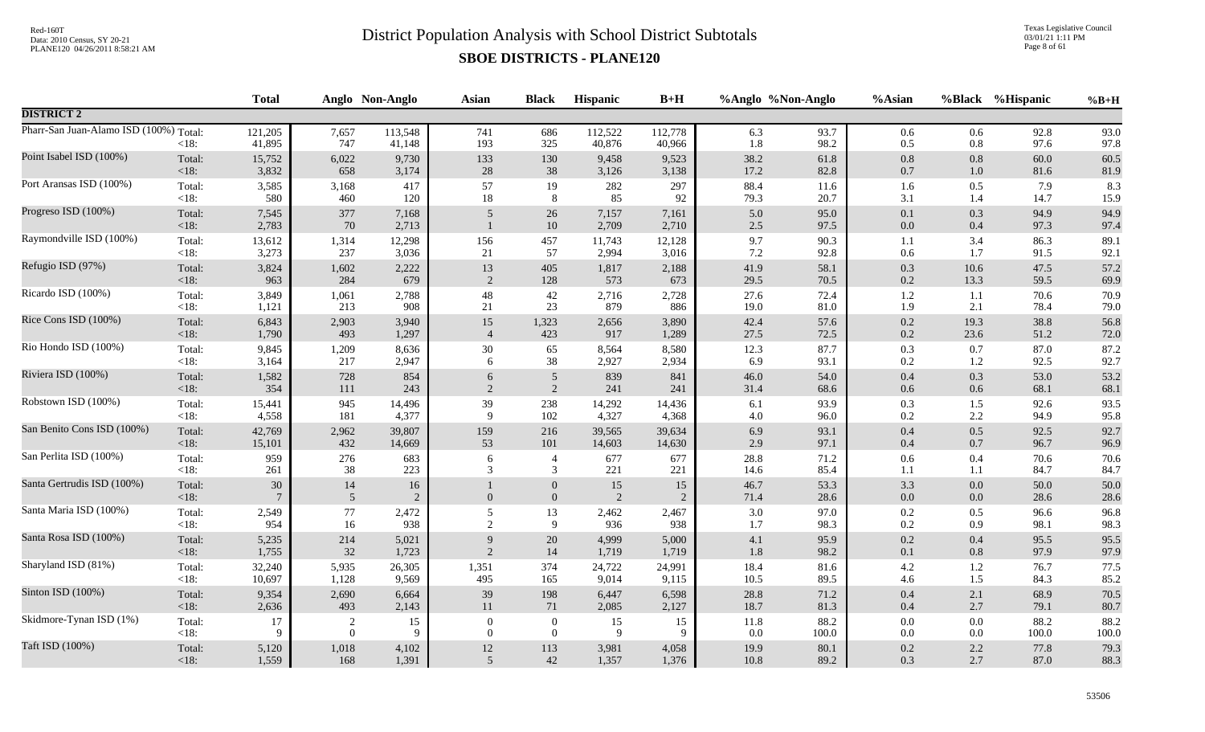Texas Legislative Council 03/01/21 1:11 PM Page 8 of 61

|                                        |                   | <b>Total</b>      |                | Anglo Non-Anglo      | <b>Asian</b>   | <b>Black</b>                     | Hispanic          | $B+H$                |                | %Anglo %Non-Anglo | %Asian             |                | %Black %Hispanic | $%B+H$       |
|----------------------------------------|-------------------|-------------------|----------------|----------------------|----------------|----------------------------------|-------------------|----------------------|----------------|-------------------|--------------------|----------------|------------------|--------------|
| <b>DISTRICT 2</b>                      |                   |                   |                |                      |                |                                  |                   |                      |                |                   |                    |                |                  |              |
| Pharr-San Juan-Alamo ISD (100%) Total: | $<18$ :           | 121,205<br>41,895 | 7,657<br>747   | 113,548<br>41,148    | 741<br>193     | 686<br>325                       | 112,522<br>40,876 | 112,778<br>40,966    | 6.3<br>1.8     | 93.7<br>98.2      | 0.6<br>0.5         | 0.6<br>$0.8\,$ | 92.8<br>97.6     | 93.0<br>97.8 |
| Point Isabel ISD (100%)                | Total:            | 15,752            | 6,022          | 9,730                | 133            | 130                              | 9,458             | 9,523                | 38.2           | 61.8              | $0.8\,$            | $0.8\,$        | 60.0             | 60.5         |
|                                        | <18:              | 3,832             | 658            | 3,174                | $28\,$         | $38\,$                           | 3,126             | 3,138                | 17.2           | 82.8              | $0.7\,$            | 1.0            | 81.6             | 81.9         |
| Port Aransas ISD (100%)                | Total:            | 3,585             | 3,168          | 417                  | 57             | 19                               | 282               | 297                  | 88.4           | 11.6              | 1.6                | 0.5            | 7.9              | 8.3          |
|                                        | $<18$ :           | 580               | 460            | 120                  | 18             | 8                                | 85                | 92                   | 79.3           | 20.7              | 3.1                | 1.4            | 14.7             | 15.9         |
| Progreso ISD (100%)                    | Total:<br>< 18:   | 7,545<br>2,783    | 377<br>70      | 7,168<br>2,713       | 5              | 26<br>$10\,$                     | 7,157<br>2,709    | 7,161<br>2,710       | 5.0<br>$2.5\,$ | 95.0<br>97.5      | $0.1\,$<br>$0.0\,$ | 0.3<br>$0.4\,$ | 94.9<br>97.3     | 94.9<br>97.4 |
| Raymondville ISD (100%)                | Total:            | 13,612            | 1,314          | 12,298               | 156            | 457                              | 11,743            | 12,128               | 9.7            | 90.3              | $1.1\,$            | 3.4            | 86.3             | 89.1         |
|                                        | $<18$ :           | 3,273             | 237            | 3,036                | 21             | 57                               | 2,994             | 3,016                | $7.2\,$        | 92.8              | 0.6                | 1.7            | 91.5             | 92.1         |
| Refugio ISD (97%)                      | Total:            | 3,824             | 1,602          | 2,222                | 13             | 405                              | 1,817             | 2,188                | 41.9           | 58.1              | $0.3\,$            | 10.6           | 47.5             | 57.2         |
|                                        | $<18$ :           | 963               | 284            | 679                  | 2              | 128                              | 573               | 673                  | 29.5           | 70.5              | 0.2                | 13.3           | 59.5             | 69.9         |
| Ricardo ISD (100%)                     | Total:            | 3,849             | 1,061          | 2,788                | 48             | $42\,$                           | 2,716             | 2,728                | 27.6           | 72.4              | $1.2\,$            | 1.1            | 70.6             | 70.9         |
|                                        | $<18$ :           | 1,121             | 213            | 908                  | 21             | 23                               | 879               | 886                  | 19.0           | 81.0              | 1.9                | 2.1            | 78.4             | 79.0         |
| Rice Cons ISD (100%)                   | Total:            | 6,843             | 2,903          | 3,940                | 15             | 1,323                            | 2,656             | 3,890                | 42.4           | 57.6              | $0.2\,$            | 19.3           | 38.8             | 56.8         |
|                                        | $<18$ :           | 1,790             | 493            | 1,297                | $\overline{4}$ | 423                              | 917               | 1,289                | 27.5           | 72.5              | $0.2\,$            | 23.6           | 51.2             | 72.0         |
| Rio Hondo ISD (100%)                   | Total:            | 9,845             | 1,209          | 8,636                | 30             | 65                               | 8,564             | 8,580                | 12.3           | 87.7              | 0.3                | 0.7            | 87.0             | 87.2         |
|                                        | <18:              | 3,164             | 217            | 2,947                | 6              | 38                               | 2,927             | 2,934                | 6.9            | 93.1              | 0.2                | 1.2            | 92.5             | 92.7         |
| Riviera ISD (100%)                     | Total:            | 1,582             | 728            | 854                  | 6              | $5\overline{)}$                  | 839               | 841                  | 46.0           | 54.0              | $0.4\,$            | 0.3            | 53.0             | 53.2         |
|                                        | $<18$ :           | 354               | 111            | 243                  | 2              | 2                                | 241               | 241                  | 31.4           | 68.6              | 0.6                | $0.6\,$        | 68.1             | 68.1         |
| Robstown ISD (100%)                    | Total:            | 15,441            | 945            | 14,496               | 39             | 238                              | 14,292            | 14,436               | 6.1            | 93.9              | 0.3                | 1.5            | 92.6             | 93.5         |
|                                        | $<18$ :           | 4,558             | 181            | 4,377                | 9              | 102                              | 4,327             | 4,368                | $4.0\,$        | 96.0              | 0.2                | 2.2            | 94.9             | 95.8         |
| San Benito Cons ISD (100%)             | Total:            | 42,769            | 2,962          | 39,807               | 159            | 216                              | 39,565            | 39,634               | 6.9            | 93.1              | $0.4\,$            | 0.5            | 92.5             | 92.7         |
|                                        | $<18$ :           | 15,101            | 432            | 14,669               | 53             | 101                              | 14,603            | 14,630               | 2.9            | 97.1              | 0.4                | 0.7            | 96.7             | 96.9         |
| San Perlita ISD (100%)                 | Total:            | 959               | 276            | 683                  | 6              | $\overline{4}$                   | 677               | 677                  | 28.8           | 71.2              | $0.6\,$            | 0.4            | 70.6             | 70.6         |
|                                        | $<18$ :           | 261               | 38             | 223                  | 3              | $\mathfrak{Z}$                   | 221               | 221                  | 14.6           | 85.4              | 1.1                | 1.1            | 84.7             | 84.7         |
| Santa Gertrudis ISD (100%)             | Total:<br>$<18$ : | 30                | 14<br>5        | 16<br>$\overline{2}$ | $\mathbf{0}$   | $\boldsymbol{0}$<br>$\mathbf{0}$ | 15<br>2           | 15<br>$\overline{2}$ | 46.7<br>71.4   | 53.3<br>28.6      | 3.3<br>0.0         | 0.0<br>0.0     | 50.0<br>28.6     | 50.0<br>28.6 |
| Santa Maria ISD (100%)                 | Total:            | 2,549             | $77\,$         | 2,472                | $\mathfrak{S}$ | 13                               | 2,462             | 2,467                | $3.0\,$        | 97.0              | 0.2                | 0.5            | 96.6             | 96.8         |
|                                        | <18:              | 954               | 16             | 938                  | 2              | 9                                | 936               | 938                  | 1.7            | 98.3              | 0.2                | 0.9            | 98.1             | 98.3         |
| Santa Rosa ISD (100%)                  | Total:            | 5,235             | 214            | 5,021                | 9              | $20\,$                           | 4,999             | 5,000                | 4.1            | 95.9              | $0.2\,$            | 0.4            | 95.5             | 95.5         |
|                                        | $<18$ :           | 1,755             | 32             | 1,723                | 2              | 14                               | 1,719             | 1,719                | 1.8            | 98.2              | 0.1                | 0.8            | 97.9             | 97.9         |
| Sharyland ISD (81%)                    | Total:            | 32,240            | 5,935          | 26,305               | 1,351          | 374                              | 24,722            | 24,991               | 18.4           | 81.6              | $4.2\,$            | 1.2            | 76.7             | 77.5         |
|                                        | $<18$ :           | 10,697            | 1,128          | 9,569                | 495            | 165                              | 9,014             | 9,115                | $10.5\,$       | 89.5              | 4.6                | 1.5            | 84.3             | 85.2         |
| Sinton ISD (100%)                      | Total:            | 9,354             | 2,690          | 6,664                | 39             | 198                              | 6,447             | 6,598                | 28.8           | 71.2              | $0.4\,$            | 2.1            | 68.9             | 70.5         |
|                                        | $<18$ :           | 2,636             | 493            | 2,143                | 11             | 71                               | 2,085             | 2,127                | 18.7           | 81.3              | 0.4                | 2.7            | 79.1             | 80.7         |
| Skidmore-Tynan ISD (1%)                | Total:            | 17                | $\overline{2}$ | 15                   | $\overline{0}$ | $\overline{0}$                   | 15                | 15                   | 11.8           | 88.2              | $0.0\,$            | 0.0            | 88.2             | 88.2         |
|                                        | <18:              | 9                 | $\overline{0}$ | 9                    | $\overline{0}$ | $\overline{0}$                   | 9                 | -9                   | 0.0            | 100.0             | $0.0\,$            | 0.0            | 100.0            | 100.0        |
| Taft ISD (100%)                        | Total:            | 5,120             | 1,018          | 4,102                | $12\,$         | 113                              | 3,981             | 4,058                | 19.9           | 80.1              | $0.2\,$            | 2.2            | 77.8             | 79.3         |
|                                        | < 18:             | 1,559             | 168            | 1,391                | 5              | $42\,$                           | 1,357             | 1,376                | $10.8\,$       | 89.2              | 0.3                | 2.7            | 87.0             | 88.3         |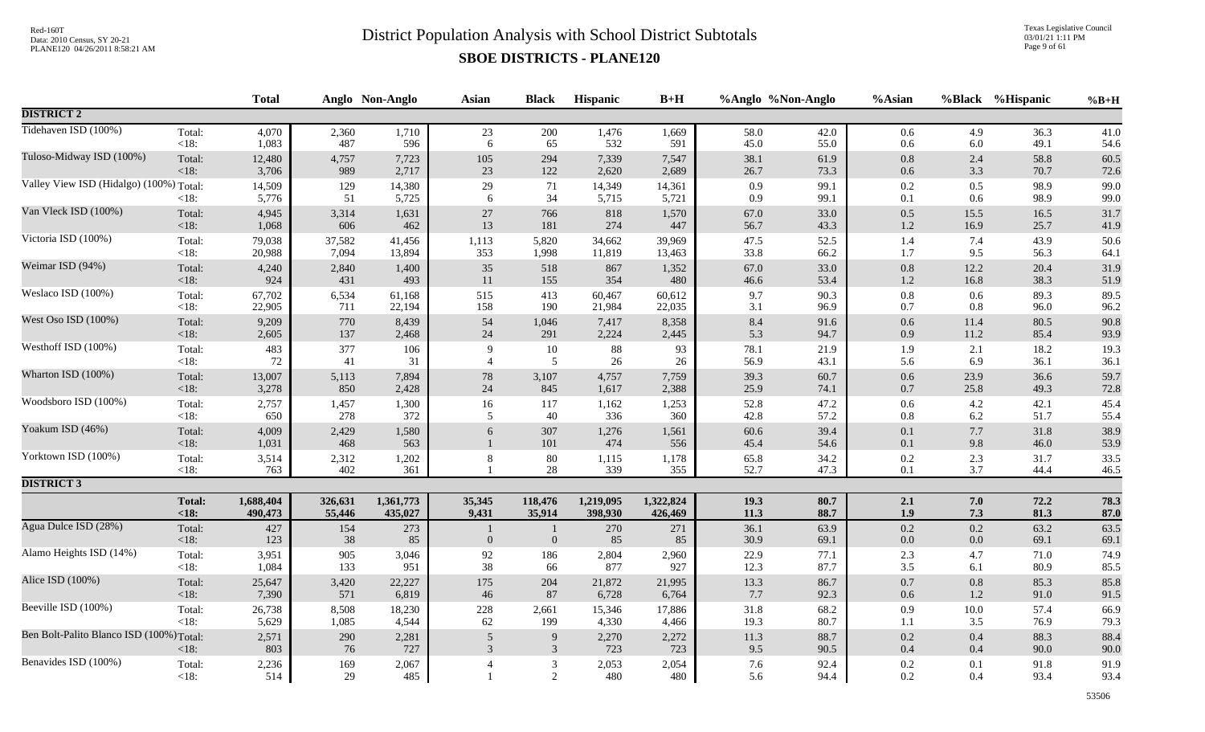Texas Legislative Council 03/01/21 1:11 PM Page 9 of 61

|                                          |                   | <b>Total</b>    |              | Anglo Non-Anglo | <b>Asian</b>        | <b>Black</b>                     | Hispanic        | $B+H$           | %Anglo %Non-Anglo |              | %Asian             |                    | %Black %Hispanic | $%B+H$       |
|------------------------------------------|-------------------|-----------------|--------------|-----------------|---------------------|----------------------------------|-----------------|-----------------|-------------------|--------------|--------------------|--------------------|------------------|--------------|
| <b>DISTRICT 2</b>                        |                   |                 |              |                 |                     |                                  |                 |                 |                   |              |                    |                    |                  |              |
| Tidehaven ISD (100%)                     | Total:            | 4,070           | 2,360        | 1,710           | 23                  | 200                              | 1,476           | 1,669           | 58.0              | 42.0         | 0.6                | 4.9                | 36.3             | 41.0         |
|                                          | <18:              | 1,083           | 487          | 596             | $\sqrt{6}$          | 65                               | 532             | 591             | 45.0              | 55.0         | 0.6                | $6.0\,$            | 49.1             | 54.6         |
| Tuloso-Midway ISD (100%)                 | Total:            | 12,480          | 4,757        | 7,723           | 105                 | 294                              | 7,339           | 7,547           | 38.1              | 61.9         | $0.8\,$            | 2.4                | 58.8             | 60.5         |
|                                          | < 18:             | 3,706           | 989          | 2,717           | $23\,$              | 122                              | 2,620           | 2,689           | 26.7              | 73.3         | $0.6\,$            | 3.3                | 70.7             | 72.6         |
| Valley View ISD (Hidalgo) (100%) Total:  | $<18$ :           | 14,509<br>5,776 | 129<br>51    | 14,380<br>5,725 | $29\,$<br>6         | 71<br>34                         | 14,349<br>5,715 | 14,361<br>5,721 | 0.9<br>0.9        | 99.1<br>99.1 | 0.2<br>$0.1\,$     | 0.5<br>0.6         | 98.9<br>98.9     | 99.0<br>99.0 |
| Van Vleck ISD (100%)                     | Total:            | 4,945           | 3,314        | 1,631           | $27\,$              | 766                              | 818             | 1,570           | 67.0              | 33.0         | 0.5                | 15.5               | 16.5             | 31.7         |
|                                          | $<18$ :           | 1,068           | 606          | 462             | 13                  | 181                              | 274             | 447             | 56.7              | 43.3         | $1.2\,$            | 16.9               | 25.7             | 41.9         |
| Victoria ISD (100%)                      | Total:            | 79,038          | 37,582       | 41,456          | 1,113               | 5,820                            | 34,662          | 39,969          | 47.5              | 52.5         | 1.4                | 7.4                | 43.9             | 50.6         |
|                                          | $<18$ :           | 20,988          | 7,094        | 13,894          | 353                 | 1,998                            | 11,819          | 13,463          | 33.8              | 66.2         | 1.7                | 9.5                | 56.3             | 64.1         |
| Weimar ISD (94%)                         | Total:            | 4,240           | 2,840        | 1,400           | 35                  | 518                              | 867             | 1,352           | 67.0              | 33.0         | $0.8\,$            | 12.2               | 20.4             | 31.9         |
|                                          | $<18$ :           | 924             | 431          | 493             | 11                  | 155                              | 354             | 480             | 46.6              | 53.4         | $1.2\,$            | 16.8               | 38.3             | 51.9         |
| Weslaco ISD (100%)                       | Total:            | 67,702          | 6,534        | 61,168          | 515                 | 413                              | 60,467          | 60,612          | 9.7               | 90.3         | $0.8\,$            | 0.6                | 89.3             | 89.5         |
|                                          | $<18$ :           | 22,905          | 711          | 22,194          | 158                 | 190                              | 21,984          | 22,035          | 3.1               | 96.9         | 0.7                | 0.8                | 96.0             | 96.2         |
| West Oso ISD (100%)                      | Total:            | 9,209           | 770          | 8,439           | 54                  | 1,046                            | 7,417           | 8,358           | 8.4               | 91.6         | $0.6\,$            | 11.4               | 80.5             | 90.8         |
|                                          | < 18:             | 2,605           | 137          | 2,468           | 24                  | 291                              | 2,224           | 2,445           | 5.3               | 94.7         | 0.9                | 11.2               | 85.4             | 93.9         |
| Westhoff ISD (100%)                      | Total:            | 483             | 377          | 106             | 9                   | 10                               | $88\,$          | 93              | 78.1              | 21.9         | 1.9                | 2.1                | 18.2             | 19.3         |
|                                          | <18:              | 72              | 41           | 31              | $\overline{4}$      | 5                                | 26              | 26              | 56.9              | 43.1         | 5.6                | 6.9                | 36.1             | 36.1         |
| Wharton ISD (100%)                       | Total:            | 13,007          | 5,113        | 7,894           | $78\,$              | 3,107                            | 4,757           | 7,759           | 39.3              | 60.7         | $0.6\,$            | 23.9               | 36.6             | 59.7         |
|                                          | $<18$ :           | 3,278           | 850          | 2,428           | $24\,$              | 845                              | 1,617           | 2,388           | 25.9              | 74.1         | $0.7\,$            | 25.8               | 49.3             | 72.8         |
| Woodsboro ISD (100%)                     | Total:            | 2,757           | 1,457        | 1,300           | 16                  | 117                              | 1,162           | 1,253           | 52.8              | 47.2         | $0.6\,$            | 4.2                | 42.1             | 45.4         |
|                                          | <18:              | 650             | 278          | 372             | 5                   | 40                               | 336             | 360             | 42.8              | 57.2         | $0.8\,$            | 6.2                | 51.7             | 55.4         |
| Yoakum ISD (46%)                         | Total:<br>$<18$ : | 4,009<br>1,031  | 2,429<br>468 | 1,580<br>563    | 6                   | 307<br>101                       | 1,276<br>474    | 1,561<br>556    | 60.6<br>45.4      | 39.4<br>54.6 | $0.1\,$<br>$0.1\,$ | 7.7<br>9.8         | 31.8<br>46.0     | 38.9<br>53.9 |
| Yorktown ISD (100%)                      | Total:<br><18:    | 3,514<br>763    | 2,312<br>402 | 1,202<br>361    | $\,8\,$             | 80<br>$28\,$                     | 1,115<br>339    | 1,178<br>355    | 65.8<br>52.7      | 34.2<br>47.3 | $0.2\,$<br>0.1     | 2.3<br>3.7         | 31.7<br>44.4     | 33.5<br>46.5 |
| <b>DISTRICT 3</b>                        |                   |                 |              |                 |                     |                                  |                 |                 |                   |              |                    |                    |                  |              |
|                                          | <b>Total:</b>     | 1,688,404       | 326,631      | 1,361,773       | 35,345              | 118,476                          | 1,219,095       | 1,322,824       | 19.3              | 80.7         | 2.1                | 7.0                | 72.2             | 78.3         |
|                                          | < 18:             | 490,473         | 55,446       | 435,027         | 9,431               | 35,914                           | 398,930         | 426,469         | 11.3              | 88.7         | 1.9                | 7.3                | 81.3             | 87.0         |
| Agua Dulce ISD (28%)                     | Total:<br>$<18$ : | 427<br>123      | 154<br>38    | 273<br>85       | $\mathbf{0}$        | $\mathbf{1}$<br>$\boldsymbol{0}$ | 270<br>85       | 271<br>85       | 36.1<br>30.9      | 63.9<br>69.1 | $0.2\,$<br>$0.0\,$ | $0.2\,$<br>$0.0\,$ | 63.2<br>69.1     | 63.5<br>69.1 |
| Alamo Heights ISD (14%)                  | Total:            | 3,951           | 905          | 3,046           | 92                  | 186                              | 2,804           | 2,960           | 22.9              | 77.1         | 2.3                | 4.7                | 71.0             | 74.9         |
|                                          | <18:              | 1,084           | 133          | 951             | 38                  | 66                               | 877             | 927             | 12.3              | 87.7         | 3.5                | 6.1                | 80.9             | 85.5         |
| Alice ISD (100%)                         | Total:            | 25,647          | 3,420        | 22,227          | 175                 | 204                              | 21,872          | 21,995          | 13.3              | 86.7         | $0.7\,$            | $0.8\,$            | 85.3             | 85.8         |
|                                          | $<18$ :           | 7,390           | 571          | 6,819           | $46\,$              | 87                               | 6,728           | 6,764           | 7.7               | 92.3         | $0.6\,$            | 1.2                | 91.0             | 91.5         |
| Beeville ISD (100%)                      | Total:            | 26,738          | 8,508        | 18,230          | 228                 | 2,661                            | 15,346          | 17,886          | 31.8              | 68.2         | 0.9                | $10.0\,$           | 57.4             | 66.9         |
|                                          | <18:              | 5,629           | 1,085        | 4,544           | 62                  | 199                              | 4,330           | 4,466           | 19.3              | 80.7         | 1.1                | 3.5                | 76.9             | 79.3         |
| Ben Bolt-Palito Blanco ISD (100%) Total: | < 18:             | 2,571<br>803    | 290<br>76    | 2,281<br>727    | $\overline{5}$<br>3 | $\overline{9}$<br>$\mathbf{3}$   | 2,270<br>723    | 2,272<br>723    | 11.3<br>9.5       | 88.7<br>90.5 | $0.2\,$<br>0.4     | 0.4<br>0.4         | 88.3<br>90.0     | 88.4<br>90.0 |
| Benavides ISD (100%)                     | Total:<br>< 18:   | 2,236<br>514    | 169<br>29    | 2,067<br>485    | $\overline{4}$      | $\mathfrak{Z}$<br>2              | 2,053<br>480    | 2,054<br>480    | 7.6<br>5.6        | 92.4<br>94.4 | $0.2\,$<br>0.2     | 0.1<br>0.4         | 91.8<br>93.4     | 91.9<br>93.4 |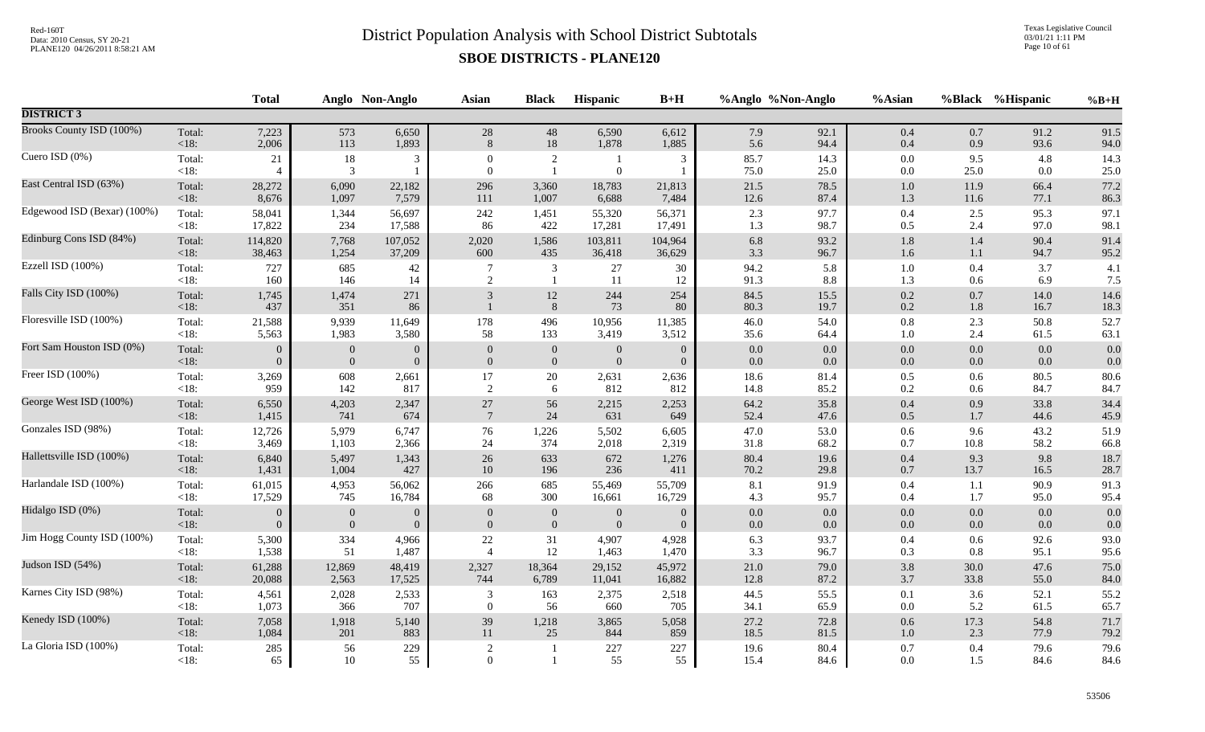Texas Legislative Council 03/01/21 1:11 PM Page 10 of 61

|                             |                   | <b>Total</b>         |                  | Anglo Non-Anglo | <b>Asian</b>                   | <b>Black</b>      | Hispanic         | $B+H$          |              | %Anglo %Non-Anglo | %Asian             |                    | %Black %Hispanic | $%B+H$           |
|-----------------------------|-------------------|----------------------|------------------|-----------------|--------------------------------|-------------------|------------------|----------------|--------------|-------------------|--------------------|--------------------|------------------|------------------|
| <b>DISTRICT 3</b>           |                   |                      |                  |                 |                                |                   |                  |                |              |                   |                    |                    |                  |                  |
| Brooks County ISD (100%)    | Total:            | 7,223                | 573              | 6,650           | 28                             | 48                | 6,590            | 6,612          | 7.9          | 92.1              | 0.4                | 0.7                | 91.2             | 91.5             |
|                             | $<18$ :           | 2,006                | 113              | 1,893           | 8                              | 18                | 1,878            | 1,885          | 5.6          | 94.4              | 0.4                | 0.9                | 93.6             | 94.0             |
| Cuero ISD (0%)              | Total:<br>$<18$ : | 21<br>$\overline{4}$ | 18<br>3          | 3               | $\mathbf{0}$<br>$\overline{0}$ | 2<br>$\mathbf{1}$ | $\mathbf{0}$     | 3              | 85.7<br>75.0 | 14.3<br>25.0      | $0.0\,$<br>$0.0\,$ | 9.5<br>25.0        | 4.8<br>$0.0\,$   | 14.3<br>$25.0\,$ |
| East Central ISD (63%)      | Total:            | 28,272               | 6,090            | 22,182          | 296                            | 3,360             | 18,783           | 21,813         | 21.5         | 78.5              | 1.0                | 11.9               | 66.4             | 77.2             |
|                             | $<18$ :           | 8,676                | 1,097            | 7,579           | 111                            | 1,007             | 6,688            | 7,484          | 12.6         | 87.4              | 1.3                | 11.6               | 77.1             | 86.3             |
| Edgewood ISD (Bexar) (100%) | Total:            | 58,041               | 1,344            | 56,697          | 242                            | 1,451             | 55,320           | 56,371         | 2.3          | 97.7              | $0.4\,$            | 2.5                | 95.3             | 97.1             |
|                             | $<18$ :           | 17,822               | 234              | 17,588          | 86                             | 422               | 17,281           | 17,491         | 1.3          | 98.7              | 0.5                | 2.4                | 97.0             | 98.1             |
| Edinburg Cons ISD (84%)     | Total:            | 114,820              | 7,768            | 107,052         | 2,020                          | 1,586             | 103,811          | 104,964        | $6.8\,$      | 93.2              | 1.8                | 1.4                | 90.4             | 91.4             |
|                             | $<18$ :           | 38,463               | 1,254            | 37,209          | 600                            | 435               | 36,418           | 36,629         | 3.3          | 96.7              | 1.6                | 1.1                | 94.7             | 95.2             |
| Ezzell ISD (100%)           | Total:            | 727                  | 685              | 42              | $\overline{7}$                 | 3                 | 27               | 30             | 94.2         | 5.8               | $1.0\,$            | 0.4                | 3.7              | 4.1              |
|                             | <18:              | 160                  | 146              | 14              | 2                              | $\overline{1}$    | 11               | 12             | 91.3         | $8.8\,$           | 1.3                | 0.6                | 6.9              | 7.5              |
| Falls City ISD (100%)       | Total:<br>$<18$ : | 1,745<br>437         | 1,474<br>351     | 271<br>86       | 3                              | 12<br>$\,$ 8 $\,$ | 244<br>73        | 254<br>80      | 84.5<br>80.3 | 15.5<br>19.7      | $0.2\,$<br>0.2     | $0.7\,$<br>$1.8\,$ | 14.0<br>16.7     | 14.6<br>18.3     |
| Floresville ISD (100%)      | Total:            | 21,588               | 9,939            | 11,649          | 178                            | 496               | 10,956           | 11,385         | 46.0         | 54.0              | $0.8\,$            | 2.3                | 50.8             | 52.7             |
|                             | <18:              | 5,563                | 1,983            | 3,580           | 58                             | 133               | 3,419            | 3,512          | 35.6         | 64.4              | 1.0                | 2.4                | 61.5             | 63.1             |
| Fort Sam Houston ISD (0%)   | Total:            | $\theta$             | $\boldsymbol{0}$ | $\mathbf{0}$    | $\boldsymbol{0}$               | $\boldsymbol{0}$  | $\boldsymbol{0}$ | $\overline{0}$ | $0.0\,$      | $0.0\,$           | $0.0\,$            | 0.0                | $0.0\,$          | 0.0              |
|                             | $<18$ :           | $\Omega$             | $\boldsymbol{0}$ | $\mathbf{0}$    | $\boldsymbol{0}$               | $\boldsymbol{0}$  | $\boldsymbol{0}$ | $\overline{0}$ | 0.0          | $0.0\,$           | $0.0\,$            | $0.0\,$            | 0.0              | 0.0              |
| Freer ISD (100%)            | Total:            | 3,269                | 608              | 2,661           | 17                             | 20                | 2,631            | 2,636          | 18.6         | 81.4              | 0.5                | 0.6                | 80.5             | 80.6             |
|                             | < 18:             | 959                  | 142              | 817             | $\overline{2}$                 | 6                 | 812              | 812            | 14.8         | 85.2              | 0.2                | 0.6                | 84.7             | 84.7             |
| George West ISD (100%)      | Total:            | 6,550                | 4,203            | 2,347           | $27\,$                         | 56                | 2,215            | 2,253          | 64.2         | 35.8              | $0.4\,$            | 0.9                | 33.8             | 34.4             |
|                             | < 18:             | 1,415                | 741              | 674             | $7\phantom{.0}$                | 24                | 631              | 649            | 52.4         | 47.6              | 0.5                | $1.7\,$            | 44.6             | 45.9             |
| Gonzales ISD (98%)          | Total:            | 12,726               | 5,979            | 6,747           | 76                             | 1,226             | 5,502            | 6,605          | 47.0         | 53.0              | 0.6                | 9.6                | 43.2             | 51.9             |
|                             | < 18:             | 3,469                | 1,103            | 2,366           | 24                             | 374               | 2,018            | 2,319          | 31.8         | 68.2              | 0.7                | 10.8               | 58.2             | 66.8             |
| Hallettsville ISD (100%)    | Total:            | 6,840                | 5,497            | 1,343           | $26\,$                         | 633               | 672              | 1,276          | 80.4         | 19.6              | $0.4\,$            | 9.3                | 9.8              | 18.7             |
|                             | <18:              | 1,431                | 1,004            | 427             | 10                             | 196               | 236              | 411            | 70.2         | 29.8              | $0.7\,$            | 13.7               | 16.5             | 28.7             |
| Harlandale ISD (100%)       | Total:            | 61,015               | 4,953            | 56,062          | 266                            | 685               | 55,469           | 55,709         | 8.1          | 91.9              | 0.4                | 1.1                | 90.9             | 91.3             |
|                             | $<18$ :           | 17,529               | 745              | 16,784          | 68                             | 300               | 16,661           | 16,729         | 4.3          | 95.7              | 0.4                | 1.7                | 95.0             | 95.4             |
| Hidalgo ISD (0%)            | Total:            | $\Omega$             | $\boldsymbol{0}$ | $\overline{0}$  | $\overline{0}$                 | $\mathbf{0}$      | $\mathbf{0}$     | $\overline{0}$ | 0.0          | 0.0               | $0.0\,$            | 0.0                | 0.0              | 0.0              |
|                             | < 18:             | $\Omega$             | $\mathbf{0}$     | $\overline{0}$  | $\mathbf{0}$                   | $\mathbf{0}$      | $\mathbf{0}$     | $\overline{0}$ | 0.0          | 0.0               | 0.0                | 0.0                | 0.0              | 0.0              |
| Jim Hogg County ISD (100%)  | Total:            | 5,300                | 334              | 4,966           | 22                             | 31                | 4,907            | 4,928          | 6.3          | 93.7              | 0.4                | 0.6                | 92.6             | 93.0             |
|                             | $<18$ :           | 1,538                | 51               | 1,487           | $\overline{4}$                 | 12                | 1,463            | 1,470          | 3.3          | 96.7              | 0.3                | 0.8                | 95.1             | 95.6             |
| Judson ISD (54%)            | Total:            | 61,288               | 12,869           | 48,419          | 2,327                          | 18,364            | 29,152           | 45,972         | 21.0         | 79.0              | $3.8\,$            | 30.0               | 47.6             | 75.0             |
|                             | < 18:             | 20,088               | 2,563            | 17,525          | 744                            | 6,789             | 11,041           | 16,882         | 12.8         | 87.2              | $3.7\,$            | 33.8               | 55.0             | 84.0             |
| Karnes City ISD (98%)       | Total:            | 4,561                | 2,028            | 2,533           | 3                              | 163               | 2,375            | 2,518          | 44.5         | 55.5              | $0.1\,$            | 3.6                | 52.1             | 55.2             |
|                             | $<18$ :           | 1,073                | 366              | 707             | $\overline{0}$                 | 56                | 660              | 705            | 34.1         | 65.9              | 0.0                | 5.2                | 61.5             | 65.7             |
| Kenedy ISD (100%)           | Total:            | 7,058                | 1,918            | 5,140           | 39                             | 1,218             | 3,865            | 5,058          | 27.2         | 72.8              | 0.6                | 17.3               | 54.8             | 71.7             |
|                             | < 18:             | 1,084                | 201              | 883             | 11                             | 25                | 844              | 859            | 18.5         | 81.5              | $1.0\,$            | 2.3                | 77.9             | 79.2             |
| La Gloria ISD (100%)        | Total:            | 285                  | 56               | 229             | $\sqrt{2}$                     | -1                | $227\,$          | 227            | 19.6         | 80.4              | $0.7\,$            | 0.4                | 79.6             | 79.6             |
|                             | $<18$ :           | 65                   | $10\,$           | 55              | $\Omega$                       | $\overline{1}$    | 55               | 55             | 15.4         | 84.6              | 0.0                | 1.5                | 84.6             | 84.6             |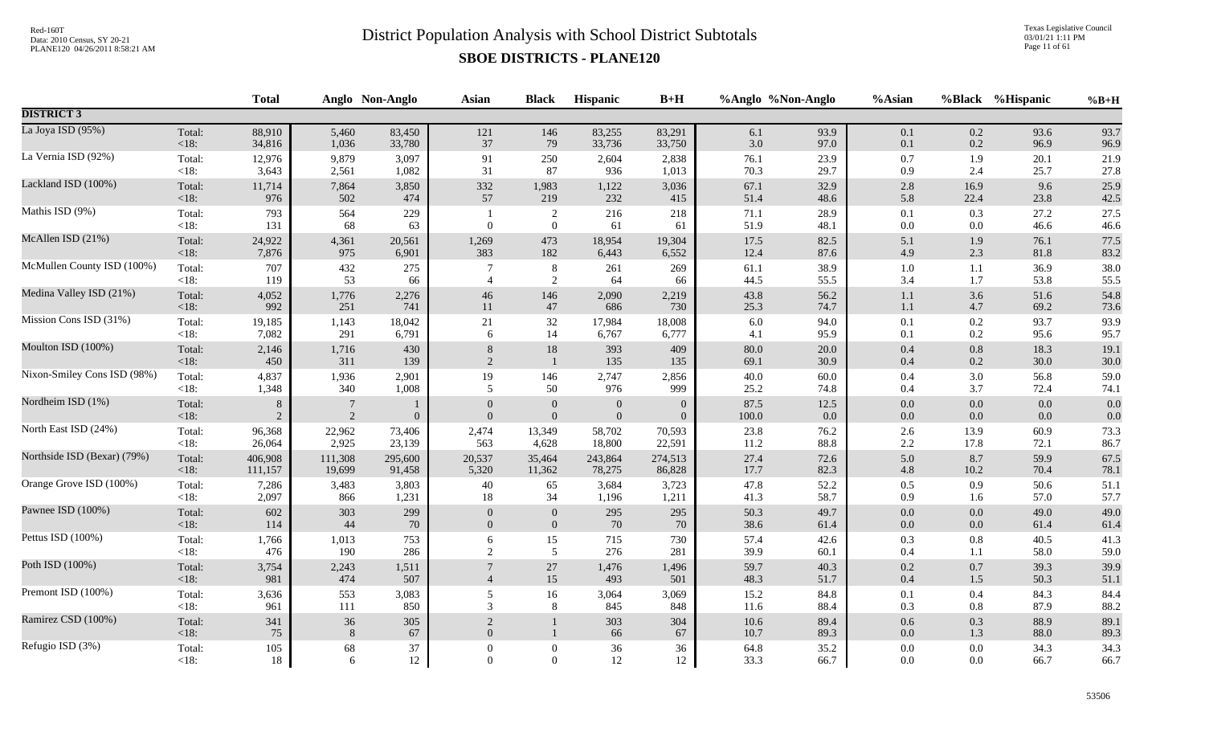Texas Legislative Council 03/01/21 1:11 PM Page 11 of 61

|                             |                 | <b>Total</b>        |                                  | Anglo Non-Anglo  | <b>Asian</b>                     | <b>Black</b>                 | Hispanic                         | $B+H$                          | %Anglo %Non-Anglo |                 | %Asian             |            | %Black %Hispanic | $%B+H$       |
|-----------------------------|-----------------|---------------------|----------------------------------|------------------|----------------------------------|------------------------------|----------------------------------|--------------------------------|-------------------|-----------------|--------------------|------------|------------------|--------------|
| <b>DISTRICT 3</b>           |                 |                     |                                  |                  |                                  |                              |                                  |                                |                   |                 |                    |            |                  |              |
| La Joya ISD (95%)           | Total:          | 88,910              | 5,460                            | 83,450           | 121                              | 146                          | 83,255                           | 83,291                         | 6.1               | 93.9            | 0.1                | 0.2        | 93.6             | 93.7         |
|                             | <18:            | 34,816              | 1,036                            | 33,780           | 37                               | 79                           | 33,736                           | 33,750                         | 3.0               | 97.0            | 0.1                | 0.2        | 96.9             | 96.9         |
| La Vernia ISD (92%)         | Total:          | 12,976              | 9,879                            | 3,097            | 91                               | 250                          | 2,604                            | 2,838                          | 76.1              | 23.9            | $0.7\,$            | 1.9        | 20.1             | 21.9         |
|                             | <18:            | 3,643               | 2,561                            | 1,082            | 31                               | 87                           | 936                              | 1,013                          | 70.3              | 29.7            | 0.9                | 2.4        | 25.7             | 27.8         |
| Lackland ISD (100%)         | Total:          | 11,714              | 7,864                            | 3,850            | 332                              | 1,983                        | 1,122                            | 3,036                          | 67.1              | 32.9            | $2.8\,$            | 16.9       | 9.6              | 25.9         |
|                             | $<18$ :         | 976                 | 502                              | 474              | 57                               | 219                          | 232                              | 415                            | 51.4              | 48.6            | 5.8                | 22.4       | 23.8             | 42.5         |
| Mathis ISD (9%)             | Total:<br>< 18: | 793<br>131          | 564<br>68                        | 229<br>63        | $\overline{0}$                   | 2<br>$\overline{0}$          | 216<br>61                        | 218<br>61                      | 71.1<br>51.9      | 28.9<br>48.1    | 0.1<br>0.0         | 0.3<br>0.0 | 27.2<br>46.6     | 27.5<br>46.6 |
| McAllen ISD (21%)           | Total:          | 24,922              | 4,361                            | 20,561           | 1,269                            | 473                          | 18,954                           | 19,304                         | 17.5              | 82.5            | 5.1                | 1.9        | 76.1             | 77.5         |
|                             | <18:            | 7,876               | 975                              | 6,901            | 383                              | 182                          | 6,443                            | 6,552                          | 12.4              | 87.6            | 4.9                | 2.3        | 81.8             | 83.2         |
| McMullen County ISD (100%)  | Total:          | 707                 | 432                              | 275              | $\overline{7}$                   | $8\,$                        | 261                              | 269                            | 61.1              | 38.9            | $1.0\,$            | 1.1        | 36.9             | 38.0         |
|                             | < 18:           | 119                 | 53                               | 66               | $\overline{4}$                   | 2                            | 64                               | 66                             | 44.5              | 55.5            | 3.4                | 1.7        | 53.8             | 55.5         |
| Medina Valley ISD (21%)     | Total:          | 4,052               | 1,776                            | 2,276            | $46\,$                           | 146                          | 2,090                            | 2,219                          | 43.8              | 56.2            | $1.1\,$            | 3.6        | 51.6             | 54.8         |
|                             | <18:            | 992                 | 251                              | 741              | $11\,$                           | 47                           | 686                              | 730                            | 25.3              | 74.7            | $1.1\,$            | 4.7        | 69.2             | 73.6         |
| Mission Cons ISD (31%)      | Total:          | 19,185              | 1,143                            | 18,042           | 21                               | 32                           | 17,984                           | 18,008                         | 6.0               | 94.0            | 0.1                | 0.2        | 93.7             | 93.9         |
|                             | < 18:           | 7,082               | 291                              | 6,791            | 6                                | 14                           | 6,767                            | 6,777                          | 4.1               | 95.9            | 0.1                | 0.2        | 95.6             | 95.7         |
| Moulton ISD (100%)          | Total:          | 2,146               | 1,716                            | 430              | 8                                | 18                           | 393                              | 409                            | 80.0              | 20.0            | 0.4                | 0.8        | 18.3             | 19.1         |
|                             | <18:            | 450                 | 311                              | 139              | 2                                | $\mathbf{1}$                 | 135                              | 135                            | 69.1              | 30.9            | 0.4                | 0.2        | 30.0             | 30.0         |
| Nixon-Smiley Cons ISD (98%) | Total:          | 4,837               | 1,936                            | 2,901            | 19                               | 146                          | 2,747                            | 2,856                          | 40.0              | 60.0            | $0.4\,$            | 3.0        | 56.8             | 59.0         |
|                             | $<18$ :         | 1,348               | 340                              | 1,008            | 5                                | 50                           | 976                              | 999                            | 25.2              | 74.8            | 0.4                | 3.7        | 72.4             | 74.1         |
| Nordheim ISD (1%)           | Total:<br><18:  | 8<br>$\overline{2}$ | $\overline{7}$<br>$\overline{2}$ | $\boldsymbol{0}$ | $\boldsymbol{0}$<br>$\mathbf{0}$ | $\mathbf{0}$<br>$\mathbf{0}$ | $\mathbf{0}$<br>$\boldsymbol{0}$ | $\mathbf{0}$<br>$\overline{0}$ | 87.5<br>100.0     | 12.5<br>$0.0\,$ | $0.0\,$<br>$0.0\,$ | 0.0<br>0.0 | 0.0<br>0.0       | 0.0<br>0.0   |
| North East ISD (24%)        | Total:          | 96,368              | 22,962                           | 73,406           | 2,474                            | 13,349                       | 58,702                           | 70,593                         | 23.8              | 76.2            | 2.6                | 13.9       | 60.9             | 73.3         |
|                             | $<18$ :         | 26,064              | 2,925                            | 23,139           | 563                              | 4,628                        | 18,800                           | 22,591                         | 11.2              | 88.8            | $2.2\,$            | 17.8       | 72.1             | 86.7         |
| Northside ISD (Bexar) (79%) | Total:          | 406,908             | 111,308                          | 295,600          | 20,537                           | 35,464                       | 243,864                          | 274,513                        | 27.4              | 72.6            | 5.0                | 8.7        | 59.9             | 67.5         |
|                             | <18:            | 111,157             | 19,699                           | 91,458           | 5,320                            | 11,362                       | 78,275                           | 86,828                         | 17.7              | 82.3            | $4.8\,$            | 10.2       | 70.4             | 78.1         |
| Orange Grove ISD (100%)     | Total:          | 7,286               | 3,483                            | 3,803            | 40                               | 65                           | 3,684                            | 3,723                          | 47.8              | 52.2            | 0.5                | 0.9        | 50.6             | 51.1         |
|                             | $<18$ :         | 2,097               | 866                              | 1,231            | 18                               | 34                           | 1,196                            | 1,211                          | 41.3              | 58.7            | 0.9                | 1.6        | 57.0             | 57.7         |
| Pawnee ISD (100%)           | Total:          | 602                 | 303                              | 299              | $\mathbf{0}$                     | $\mathbf{0}$                 | 295                              | 295                            | 50.3              | 49.7            | $0.0\,$            | 0.0        | 49.0             | 49.0         |
|                             | $<18$ :         | 114                 | 44                               | $70\,$           | $\overline{0}$                   | $\overline{0}$               | 70                               | 70                             | 38.6              | 61.4            | $0.0\,$            | 0.0        | 61.4             | 61.4         |
| Pettus ISD (100%)           | Total:          | 1,766               | 1,013                            | 753              | 6                                | 15                           | 715                              | 730                            | 57.4              | 42.6            | 0.3                | 0.8        | 40.5             | 41.3         |
|                             | <18:            | 476                 | 190                              | 286              | $\sqrt{2}$                       | $\overline{5}$               | 276                              | 281                            | 39.9              | 60.1            | $0.4\,$            | 1.1        | 58.0             | 59.0         |
| Poth ISD (100%)             | Total:<br>< 18: | 3,754<br>981        | 2,243<br>474                     | 1,511<br>507     | $\overline{4}$                   | $27\,$<br>15                 | 1,476<br>493                     | 1,496<br>501                   | 59.7<br>48.3      | 40.3<br>51.7    | 0.2<br>$0.4\,$     | 0.7<br>1.5 | 39.3<br>50.3     | 39.9<br>51.1 |
| Premont ISD (100%)          | Total:          | 3,636               | 553                              | 3,083            | 5                                | 16                           | 3,064                            | 3,069                          | 15.2              | 84.8            | 0.1                | 0.4        | 84.3             | 84.4         |
|                             | $<18$ :         | 961                 | 111                              | 850              | 3                                | 8                            | 845                              | 848                            | 11.6              | 88.4            | 0.3                | 0.8        | 87.9             | 88.2         |
| Ramirez CSD (100%)          | Total:          | 341                 | 36                               | 305              | $\sqrt{2}$                       | $\mathbf{1}$                 | 303                              | 304                            | 10.6              | 89.4            | 0.6                | 0.3        | 88.9             | 89.1         |
|                             | <18:            | 75                  | 8                                | 67               | $\theta$                         | $\mathbf{1}$                 | 66                               | 67                             | 10.7              | 89.3            | $0.0\,$            | 1.3        | 88.0             | 89.3         |
| Refugio ISD (3%)            | Total:          | 105                 | 68                               | $37\,$           | $\theta$                         | $\boldsymbol{0}$             | $36\,$                           | 36                             | 64.8              | 35.2            | $0.0\,$            | 0.0        | 34.3             | 34.3         |
|                             | $<18$ :         | 18                  | 6                                | 12               | $\Omega$                         | $\overline{0}$               | 12                               | 12                             | 33.3              | 66.7            | $0.0\,$            | $0.0\,$    | 66.7             | 66.7         |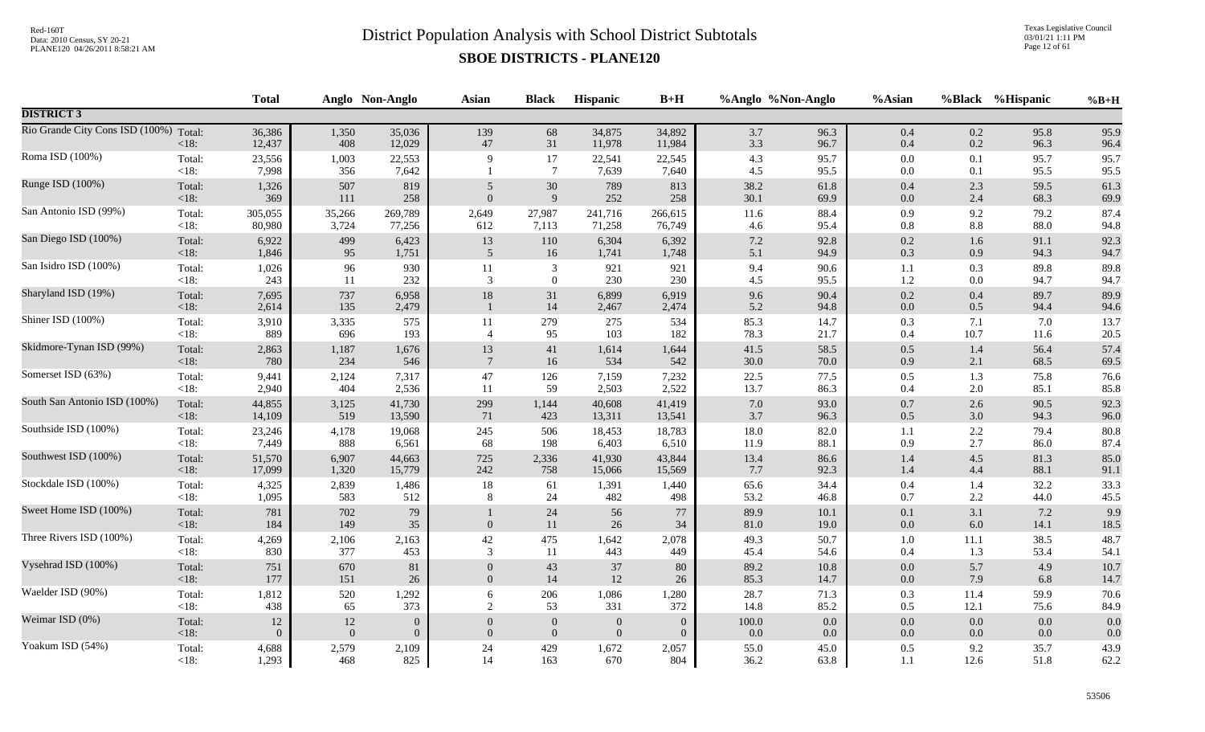Texas Legislative Council 03/01/21 1:11 PM Page 12 of 61

|                                        |                   | <b>Total</b>     |              | Anglo Non-Anglo  | Asian            | <b>Black</b>         | <b>Hispanic</b>  | $B+H$            | %Anglo %Non-Anglo |              | %Asian             |                | %Black %Hispanic | $%B+H$       |
|----------------------------------------|-------------------|------------------|--------------|------------------|------------------|----------------------|------------------|------------------|-------------------|--------------|--------------------|----------------|------------------|--------------|
| <b>DISTRICT 3</b>                      |                   |                  |              |                  |                  |                      |                  |                  |                   |              |                    |                |                  |              |
| Rio Grande City Cons ISD (100%) Total: | $<18$ :           | 36,386<br>12,437 | 1,350<br>408 | 35,036<br>12,029 | 139<br>$47\,$    | 68<br>31             | 34,875<br>11,978 | 34,892<br>11,984 | 3.7<br>3.3        | 96.3<br>96.7 | $0.4\,$<br>$0.4\,$ | 0.2<br>0.2     | 95.8<br>96.3     | 95.9<br>96.4 |
| Roma ISD (100%)                        | Total:<br><18:    | 23,556<br>7,998  | 1,003<br>356 | 22,553<br>7,642  | 9                | 17<br>$\overline{7}$ | 22,541<br>7,639  | 22,545<br>7,640  | 4.3<br>4.5        | 95.7<br>95.5 | 0.0<br>0.0         | 0.1<br>0.1     | 95.7<br>95.5     | 95.7<br>95.5 |
| Runge ISD (100%)                       | Total:            | 1,326            | 507          | 819              | $\overline{5}$   | $30\,$               | 789              | 813              | 38.2              | 61.8         | $0.4\,$            | 2.3            | 59.5             | 61.3         |
|                                        | < 18:             | 369              | 111          | 258              | $\overline{0}$   | $\overline{9}$       | 252              | 258              | 30.1              | 69.9         | $0.0\,$            | 2.4            | 68.3             | 69.9         |
| San Antonio ISD (99%)                  | Total:            | 305,055          | 35,266       | 269,789          | 2,649            | 27,987               | 241,716          | 266,615          | 11.6              | 88.4         | 0.9                | 9.2            | 79.2             | 87.4         |
|                                        | <18:              | 80,980           | 3,724        | 77,256           | 612              | 7,113                | 71,258           | 76,749           | 4.6               | 95.4         | $0.8\,$            | $8.8\,$        | 88.0             | 94.8         |
| San Diego ISD (100%)                   | Total:            | 6,922            | 499          | 6,423            | 13               | 110                  | 6,304            | 6,392            | $7.2\,$           | 92.8         | $0.2\,$            | 1.6            | 91.1             | 92.3         |
|                                        | < 18:             | 1,846            | 95           | 1,751            | $\mathfrak{S}$   | 16                   | 1,741            | 1,748            | 5.1               | 94.9         | 0.3                | 0.9            | 94.3             | 94.7         |
| San Isidro ISD (100%)                  | Total:            | 1,026            | 96           | 930              | 11               | $\mathfrak{Z}$       | 921              | 921              | 9.4               | 90.6         | 1.1                | 0.3            | 89.8             | 89.8         |
|                                        | $<18$ :           | 243              | 11           | 232              | 3                | $\mathbf{0}$         | 230              | 230              | 4.5               | 95.5         | 1.2                | $0.0\,$        | 94.7             | 94.7         |
| Sharyland ISD (19%)                    | Total:<br>< 18:   | 7,695<br>2,614   | 737<br>135   | 6,958<br>2,479   | $18\,$           | 31<br>14             | 6,899<br>2,467   | 6,919<br>2,474   | 9.6<br>5.2        | 90.4<br>94.8 | $0.2\,$<br>$0.0\,$ | 0.4<br>0.5     | 89.7<br>94.4     | 89.9<br>94.6 |
| Shiner ISD (100%)                      | Total:            | 3,910            | 3,335        | 575              | 11               | 279                  | 275              | 534              | 85.3              | 14.7         | 0.3                | 7.1            | 7.0              | 13.7         |
|                                        | <18:              | 889              | 696          | 193              | $\overline{4}$   | 95                   | 103              | 182              | 78.3              | 21.7         | 0.4                | 10.7           | 11.6             | 20.5         |
| Skidmore-Tynan ISD (99%)               | Total:            | 2,863            | 1,187        | 1,676            | 13               | 41                   | 1,614            | 1,644            | 41.5              | 58.5         | 0.5                | 1.4            | 56.4             | 57.4         |
|                                        | < 18:             | 780              | 234          | 546              | $7\phantom{.0}$  | 16                   | 534              | 542              | 30.0              | 70.0         | 0.9                | 2.1            | 68.5             | 69.5         |
| Somerset ISD (63%)                     | Total:            | 9,441            | 2,124        | 7,317            | 47               | 126                  | 7,159            | 7,232            | 22.5              | 77.5         | 0.5                | 1.3            | 75.8             | 76.6         |
|                                        | $< 18$ :          | 2,940            | 404          | 2,536            | 11               | 59                   | 2,503            | 2,522            | 13.7              | 86.3         | 0.4                | 2.0            | 85.1             | 85.8         |
| South San Antonio ISD (100%)           | Total:            | 44,855           | 3,125        | 41,730           | 299              | 1,144                | 40,608           | 41,419           | 7.0               | 93.0         | 0.7                | 2.6            | 90.5             | 92.3         |
|                                        | < 18:             | 14,109           | 519          | 13,590           | 71               | 423                  | 13,311           | 13,541           | 3.7               | 96.3         | 0.5                | 3.0            | 94.3             | 96.0         |
| Southside ISD (100%)                   | Total:            | 23,246           | 4,178        | 19,068           | 245              | 506                  | 18,453           | 18,783           | 18.0              | 82.0         | 1.1                | 2.2            | 79.4             | 80.8         |
|                                        | <18:              | 7,449            | 888          | 6,561            | 68               | 198                  | 6,403            | 6,510            | 11.9              | 88.1         | 0.9                | 2.7            | 86.0             | 87.4         |
| Southwest ISD (100%)                   | Total:            | 51,570           | 6,907        | 44,663           | 725              | 2,336                | 41,930           | 43,844           | 13.4              | 86.6         | 1.4                | 4.5            | 81.3             | 85.0         |
|                                        | < 18:             | 17,099           | 1,320        | 15,779           | 242              | 758                  | 15,066           | 15,569           | 7.7               | 92.3         | 1.4                | 4.4            | 88.1             | 91.1         |
| Stockdale ISD (100%)                   | Total:            | 4,325            | 2,839        | 1,486            | $18\,$           | 61                   | 1,391            | 1,440            | 65.6              | 34.4         | 0.4                | 1.4            | 32.2             | 33.3         |
|                                        | <18:              | 1,095            | 583          | 512              | 8                | 24                   | 482              | 498              | 53.2              | 46.8         | 0.7                | $2.2\,$        | 44.0             | 45.5         |
| Sweet Home ISD (100%)                  | Total:<br>$<18$ : | 781<br>184       | 702<br>149   | 79<br>35         | $\mathbf{0}$     | 24<br>$11\,$         | 56<br>$26\,$     | 77<br>34         | 89.9<br>81.0      | 10.1<br>19.0 | $0.1\,$<br>$0.0\,$ | 3.1<br>$6.0\,$ | 7.2<br>14.1      | 9.9<br>18.5  |
| Three Rivers ISD (100%)                | Total:            | 4,269            | 2,106        | 2,163            | 42               | 475                  | 1,642            | 2,078            | 49.3              | 50.7         | 1.0                | 11.1           | 38.5             | 48.7         |
|                                        | $<18$ :           | 830              | 377          | 453              | 3                | 11                   | 443              | 449              | 45.4              | 54.6         | 0.4                | 1.3            | 53.4             | 54.1         |
| Vysehrad ISD (100%)                    | Total:            | 751              | 670          | 81               | $\overline{0}$   | 43                   | 37               | 80               | 89.2              | 10.8         | 0.0                | 5.7            | 4.9              | 10.7         |
|                                        | < 18:             | 177              | 151          | 26               | $\overline{0}$   | 14                   | $12\,$           | 26               | 85.3              | 14.7         | $0.0\,$            | 7.9            | 6.8              | 14.7         |
| Waelder ISD (90%)                      | Total:            | 1,812            | 520          | 1,292            | 6                | $206\,$              | 1,086            | 1,280            | 28.7              | 71.3         | $0.3\,$            | 11.4           | 59.9             | 70.6         |
|                                        | <18:              | 438              | 65           | 373              | $\overline{2}$   | 53                   | 331              | 372              | 14.8              | 85.2         | 0.5                | 12.1           | 75.6             | 84.9         |
| Weimar ISD (0%)                        | Total:            | 12               | $12\,$       | $\boldsymbol{0}$ | $\boldsymbol{0}$ | $\boldsymbol{0}$     | $\boldsymbol{0}$ | $\mathbf{0}$     | $100.0\,$         | 0.0          | 0.0                | 0.0            | 0.0              | 0.0          |
|                                        | < 18:             | $\Omega$         | $\theta$     | $\overline{0}$   | $\overline{0}$   | $\boldsymbol{0}$     | $\overline{0}$   | $\Omega$         | 0.0               | $0.0\,$      | $0.0\,$            | $0.0\,$        | $0.0\,$          | 0.0          |
| Yoakum ISD (54%)                       | Total:            | 4,688            | 2,579        | 2,109            | 24               | 429                  | 1,672            | 2,057            | 55.0              | 45.0         | 0.5                | 9.2            | 35.7             | 43.9         |
|                                        | <18:              | 1,293            | 468          | 825              | 14               | 163                  | 670              | 804              | 36.2              | 63.8         | 1.1                | 12.6           | 51.8             | 62.2         |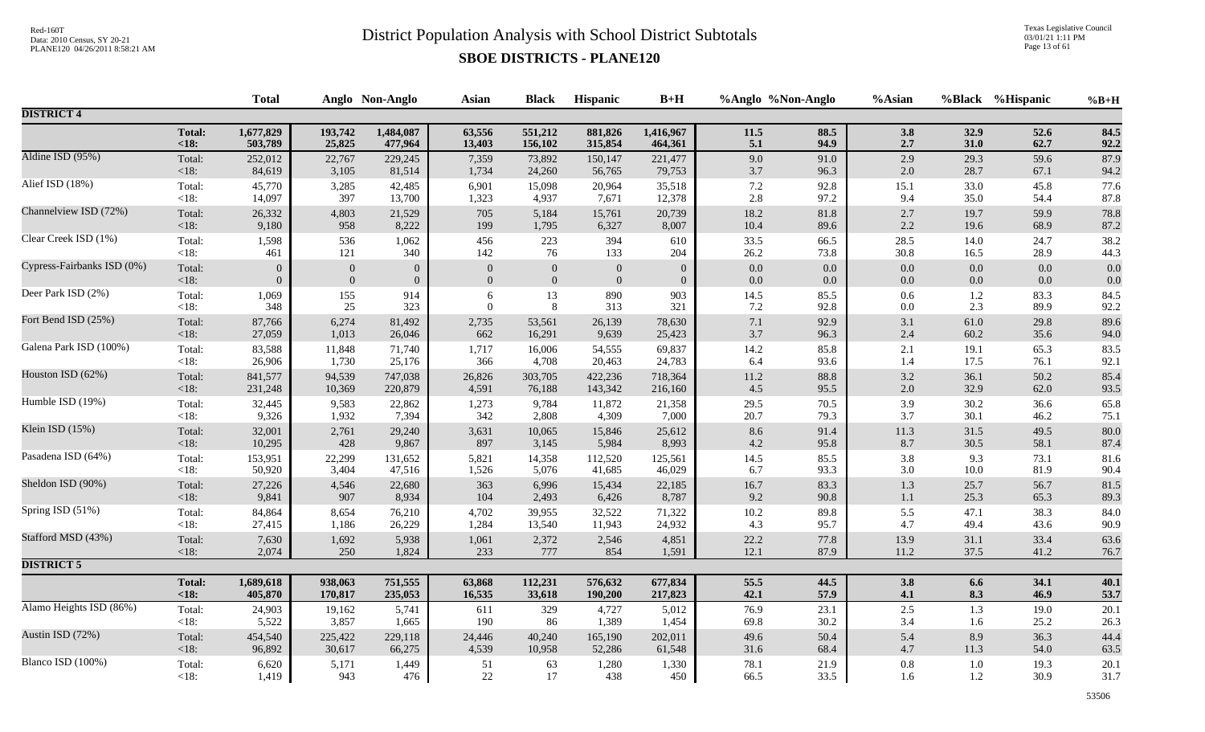Texas Legislative Council 03/01/21 1:11 PM Page 13 of 61

|                            |               | <b>Total</b> |              | Anglo Non-Anglo | <b>Asian</b>     | <b>Black</b>     | Hispanic         | $B+H$          | %Anglo %Non-Anglo |          | %Asian   |         | %Black %Hispanic | $%B+H$ |
|----------------------------|---------------|--------------|--------------|-----------------|------------------|------------------|------------------|----------------|-------------------|----------|----------|---------|------------------|--------|
| <b>DISTRICT 4</b>          |               |              |              |                 |                  |                  |                  |                |                   |          |          |         |                  |        |
|                            | <b>Total:</b> | 1,677,829    | 193,742      | 1,484,087       | 63,556           | 551,212          | 881,826          | 1,416,967      | 11.5              | 88.5     | 3.8      | 32.9    | 52.6             | 84.5   |
|                            | < 18:         | 503,789      | 25,825       | 477,964         | 13,403           | 156,102          | 315,854          | 464,361        | $5.1\,$           | 94.9     | 2.7      | 31.0    | 62.7             | 92.2   |
| Aldine ISD (95%)           | Total:        | 252,012      | 22,767       | 229,245         | 7,359            | 73,892           | 150,147          | 221,477        | 9.0               | 91.0     | 2.9      | 29.3    | 59.6             | 87.9   |
|                            | <18:          | 84,619       | 3,105        | 81,514          | 1,734            | 24,260           | 56,765           | 79,753         | $3.7\,$           | 96.3     | $2.0\,$  | 28.7    | 67.1             | 94.2   |
| Alief ISD (18%)            | Total:        | 45,770       | 3,285        | 42,485          | 6,901            | 15,098           | 20,964           | 35,518         | $7.2\,$           | 92.8     | 15.1     | 33.0    | 45.8             | 77.6   |
|                            | $<18$ :       | 14,097       | 397          | 13,700          | 1,323            | 4,937            | 7,671            | 12,378         | 2.8               | 97.2     | 9.4      | 35.0    | 54.4             | 87.8   |
| Channelview ISD (72%)      | Total:        | 26,332       | 4,803        | 21,529          | 705              | 5,184            | 15,761           | 20,739         | 18.2              | 81.8     | $2.7\,$  | 19.7    | 59.9             | 78.8   |
|                            | <18:          | 9,180        | 958          | 8,222           | 199              | 1,795            | 6,327            | 8,007          | $10.4\,$          | 89.6     | $2.2\,$  | 19.6    | 68.9             | 87.2   |
| Clear Creek ISD (1%)       | Total:        | 1,598        | 536          | 1,062           | 456              | 223              | 394              | 610            | 33.5              | 66.5     | 28.5     | 14.0    | 24.7             | 38.2   |
|                            | $<18$ :       | 461          | 121          | 340             | 142              | 76               | 133              | 204            | 26.2              | 73.8     | 30.8     | 16.5    | 28.9             | 44.3   |
| Cypress-Fairbanks ISD (0%) | Total:        | $\Omega$     | $\mathbf{0}$ | $\overline{0}$  | $\boldsymbol{0}$ | $\mathbf{0}$     | $\mathbf{0}$     | $\mathbf{0}$   | $0.0\,$           | $0.0\,$  | $0.0\,$  | 0.0     | 0.0              | 0.0    |
|                            | < 18:         | $\Omega$     | $\mathbf{0}$ | $\overline{0}$  | $\mathbf{0}$     | $\boldsymbol{0}$ | $\boldsymbol{0}$ | $\overline{0}$ | 0.0               | $0.0\,$  | 0.0      | 0.0     | 0.0              | 0.0    |
| Deer Park ISD (2%)         | Total:        | 1,069        | 155          | 914             | 6                | 13               | 890              | 903            | 14.5              | 85.5     | $0.6\,$  | $1.2\,$ | 83.3             | 84.5   |
|                            | $<18$ :       | 348          | 25           | 323             | $\overline{0}$   | 8                | 313              | 321            | 7.2               | 92.8     | $0.0\,$  | 2.3     | 89.9             | 92.2   |
| Fort Bend ISD (25%)        | Total:        | 87,766       | 6,274        | 81,492          | 2,735            | 53,561           | 26,139           | 78,630         | $7.1\,$           | 92.9     | $3.1\,$  | 61.0    | 29.8             | 89.6   |
|                            | < 18:         | 27,059       | 1,013        | 26,046          | 662              | 16,291           | 9,639            | 25,423         | 3.7               | 96.3     | 2.4      | 60.2    | 35.6             | 94.0   |
| Galena Park ISD (100%)     | Total:        | 83,588       | 11,848       | 71,740          | 1,717            | 16,006           | 54,555           | 69,837         | $14.2\,$          | 85.8     | 2.1      | 19.1    | 65.3             | 83.5   |
|                            | <18:          | 26,906       | 1,730        | 25,176          | 366              | 4,708            | 20,463           | 24,783         | 6.4               | 93.6     | 1.4      | 17.5    | 76.1             | 92.1   |
| Houston ISD (62%)          | Total:        | 841,577      | 94,539       | 747,038         | 26,826           | 303,705          | 422,236          | 718,364        | $11.2\,$          | 88.8     | $3.2\,$  | 36.1    | 50.2             | 85.4   |
|                            | $<18$ :       | 231,248      | 10,369       | 220,879         | 4,591            | 76,188           | 143,342          | 216,160        | 4.5               | 95.5     | 2.0      | 32.9    | 62.0             | 93.5   |
| Humble ISD (19%)           | Total:        | 32,445       | 9,583        | 22,862          | 1,273            | 9,784            | 11,872           | 21,358         | 29.5              | 70.5     | 3.9      | 30.2    | 36.6             | 65.8   |
|                            | $<18$ :       | 9,326        | 1,932        | 7,394           | 342              | 2,808            | 4,309            | 7,000          | 20.7              | 79.3     | 3.7      | 30.1    | 46.2             | 75.1   |
| Klein ISD (15%)            | Total:        | 32,001       | 2,761        | 29,240          | 3,631            | 10,065           | 15,846           | 25,612         | 8.6               | 91.4     | $11.3\,$ | 31.5    | 49.5             | 80.0   |
|                            | $<18$ :       | 10,295       | 428          | 9,867           | 897              | 3,145            | 5,984            | 8,993          | 4.2               | 95.8     | 8.7      | 30.5    | 58.1             | 87.4   |
| Pasadena ISD (64%)         | Total:        | 153,951      | 22,299       | 131,652         | 5,821            | 14,358           | 112,520          | 125,561        | 14.5              | 85.5     | $3.8\,$  | 9.3     | 73.1             | 81.6   |
|                            | $<18$ :       | 50,920       | 3,404        | 47,516          | 1,526            | 5,076            | 41,685           | 46,029         | 6.7               | 93.3     | $3.0\,$  | 10.0    | 81.9             | 90.4   |
| Sheldon ISD (90%)          | Total:        | 27,226       | 4,546        | 22,680          | 363              | 6,996            | 15,434           | 22,185         | $16.7\,$          | 83.3     | $1.3$    | 25.7    | 56.7             | 81.5   |
|                            | $<18$ :       | 9,841        | 907          | 8,934           | 104              | 2,493            | 6,426            | 8,787          | 9.2               | $90.8\,$ | $1.1\,$  | 25.3    | 65.3             | 89.3   |
| Spring ISD (51%)           | Total:        | 84,864       | 8,654        | 76,210          | 4,702            | 39,955           | 32,522           | 71,322         | 10.2              | 89.8     | 5.5      | 47.1    | 38.3             | 84.0   |
|                            | $<18$ :       | 27,415       | 1,186        | 26,229          | 1,284            | 13,540           | 11,943           | 24,932         | 4.3               | 95.7     | 4.7      | 49.4    | 43.6             | 90.9   |
| Stafford MSD (43%)         | Total:        | 7,630        | 1,692        | 5,938           | 1,061            | 2,372            | 2,546            | 4,851          | 22.2              | 77.8     | 13.9     | 31.1    | 33.4             | 63.6   |
|                            | $<18$ :       | 2,074        | 250          | 1,824           | 233              | 777              | 854              | 1,591          | 12.1              | 87.9     | 11.2     | 37.5    | 41.2             | 76.7   |
| <b>DISTRICT 5</b>          |               |              |              |                 |                  |                  |                  |                |                   |          |          |         |                  |        |
|                            | <b>Total:</b> | 1,689,618    | 938,063      | 751,555         | 63,868           | 112,231          | 576,632          | 677,834        | 55.5              | 44.5     | $3.8$    | 6.6     | 34.1             | 40.1   |
|                            | $18$          | 405,870      | 170,817      | 235,053         | 16,535           | 33,618           | 190,200          | 217,823        | 42.1              | 57.9     | 4.1      | 8.3     | 46.9             | 53.7   |
| Alamo Heights ISD (86%)    | Total:        | 24,903       | 19,162       | 5,741           | 611              | 329              | 4,727            | 5,012          | 76.9              | 23.1     | $2.5\,$  | 1.3     | 19.0             | 20.1   |
|                            | $<18$ :       | 5,522        | 3,857        | 1,665           | 190              | 86               | 1,389            | 1,454          | 69.8              | 30.2     | 3.4      | 1.6     | 25.2             | 26.3   |
| Austin ISD (72%)           | Total:        | 454,540      | 225,422      | 229,118         | 24,446           | 40,240           | 165,190          | 202,011        | 49.6              | 50.4     | 5.4      | 8.9     | 36.3             | 44.4   |
|                            | $<18$ :       | 96,892       | 30,617       | 66,275          | 4,539            | 10,958           | 52,286           | 61,548         | 31.6              | 68.4     | $4.7\,$  | 11.3    | 54.0             | 63.5   |
| Blanco ISD (100%)          | Total:        | 6,620        | 5,171        | 1,449           | 51               | 63               | 1,280            | 1,330          | 78.1              | 21.9     | $0.8\,$  | 1.0     | 19.3             | 20.1   |
|                            | < 18:         | 1,419        | 943          | 476             | 22               | 17               | 438              | 450            | 66.5              | 33.5     | 1.6      | 1.2     | 30.9             | 31.7   |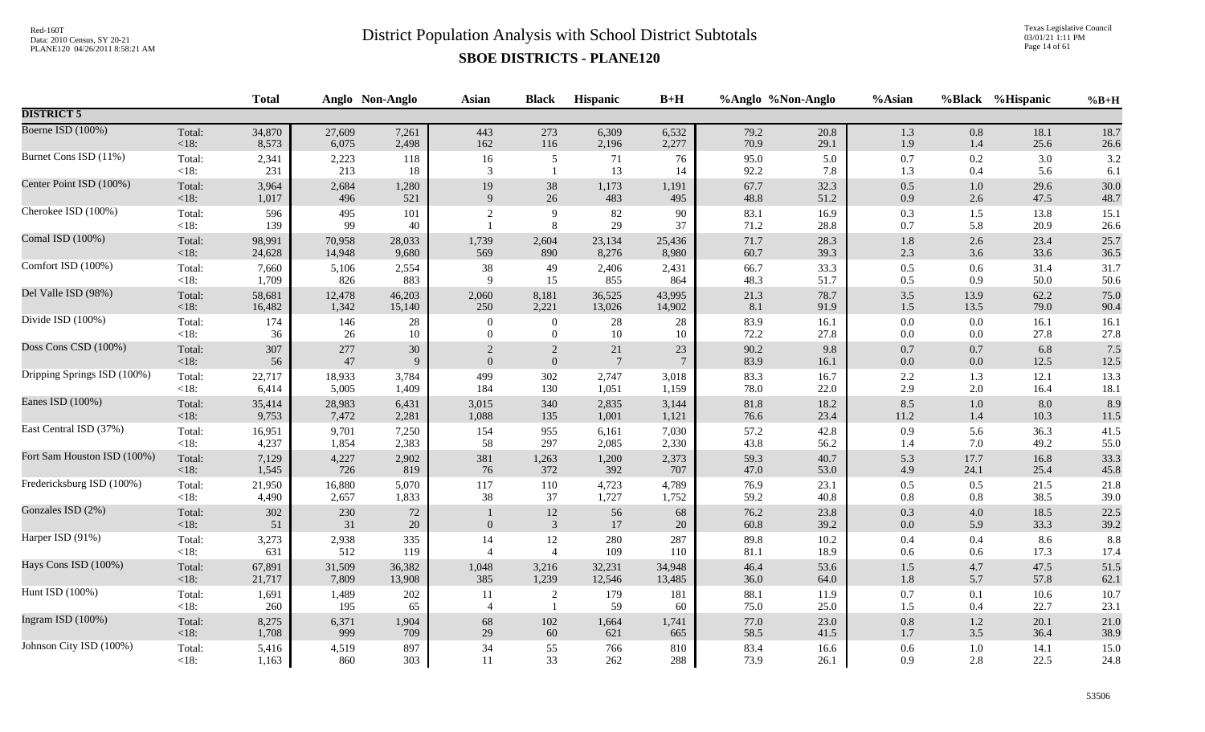Texas Legislative Council 03/01/21 1:11 PM Page 14 of 61

|                             |                   | <b>Total</b> |               | Anglo Non-Anglo | <b>Asian</b>   | <b>Black</b>         | Hispanic        | $B+H$           |              | %Anglo %Non-Anglo | %Asian             |                | %Black %Hispanic | $%B+H$       |
|-----------------------------|-------------------|--------------|---------------|-----------------|----------------|----------------------|-----------------|-----------------|--------------|-------------------|--------------------|----------------|------------------|--------------|
| <b>DISTRICT 5</b>           |                   |              |               |                 |                |                      |                 |                 |              |                   |                    |                |                  |              |
| Boerne ISD (100%)           | Total:            | 34,870       | 27,609        | 7,261           | 443            | 273                  | 6,309           | 6,532           | 79.2         | 20.8              | $1.3\,$            | 0.8            | 18.1             | 18.7         |
|                             | $<18$ :           | 8,573        | 6,075         | 2,498           | 162            | 116                  | 2,196           | 2,277           | 70.9         | 29.1              | 1.9                | 1.4            | 25.6             | 26.6         |
| Burnet Cons ISD (11%)       | Total:            | 2,341        | 2,223         | 118             | 16             | 5                    | 71              | 76              | 95.0         | 5.0               | $0.7\,$            | $0.2\,$        | 3.0              | 3.2          |
|                             | $<18$ :           | 231          | 213           | 18              | 3              | $\overline{1}$       | 13              | 14              | 92.2         | $7.8\,$           | 1.3                | 0.4            | 5.6              | 6.1          |
| Center Point ISD (100%)     | Total:            | 3,964        | 2,684         | 1,280           | 19             | 38                   | 1,173           | 1,191           | 67.7         | 32.3              | $0.5\,$            | $1.0\,$        | 29.6             | 30.0         |
|                             | $<18$ :           | 1,017        | 496           | 521             | 9              | 26                   | 483             | 495             | 48.8         | 51.2              | 0.9                | 2.6            | 47.5             | 48.7         |
| Cherokee ISD (100%)         | Total:<br>$<18$ : | 596<br>139   | 495<br>99     | 101<br>40       |                | 9<br>8               | $82\,$<br>29    | 90<br>37        | 83.1<br>71.2 | 16.9<br>28.8      | 0.3<br>$0.7\,$     | 1.5<br>5.8     | 13.8<br>20.9     | 15.1<br>26.6 |
| Comal ISD (100%)            | Total:            | 98,991       | 70,958        | 28,033          | 1,739          | 2,604                | 23,134          | 25,436          | 71.7         | 28.3              | $1.8\,$            | 2.6            | 23.4             | 25.7         |
|                             | <18:              | 24,628       | 14,948        | 9,680           | 569            | 890                  | 8,276           | 8,980           | 60.7         | 39.3              | 2.3                | 3.6            | 33.6             | 36.5         |
| Comfort ISD (100%)          | Total:            | 7,660        | 5,106         | 2,554           | 38             | 49                   | 2,406           | 2,431           | 66.7         | 33.3              | $0.5\,$            | 0.6            | 31.4             | 31.7         |
|                             | $<18$ :           | 1,709        | 826           | 883             | 9              | 15                   | 855             | 864             | 48.3         | 51.7              | 0.5                | 0.9            | 50.0             | 50.6         |
| Del Valle ISD (98%)         | Total:            | 58,681       | 12,478        | 46,203          | 2,060          | 8,181                | 36,525          | 43,995          | 21.3         | 78.7              | $3.5\,$            | 13.9           | 62.2             | 75.0         |
|                             | $<18$ :           | 16,482       | 1,342         | 15,140          | 250            | 2,221                | 13,026          | 14,902          | 8.1          | 91.9              | $1.5$              | 13.5           | 79.0             | 90.4         |
| Divide ISD (100%)           | Total:            | 174          | 146           | 28              | $\theta$       | $\overline{0}$       | 28              | 28              | 83.9         | 16.1              | $0.0\,$            | 0.0            | 16.1             | 16.1         |
|                             | $<18$ :           | 36           | 26            | 10              | $\overline{0}$ | $\overline{0}$       | 10              | 10              | 72.2         | 27.8              | $0.0\,$            | 0.0            | 27.8             | 27.8         |
| Doss Cons CSD (100%)        | Total:            | 307          | 277           | $30\,$          | 2              | $\overline{2}$       | 21              | 23              | 90.2         | 9.8               | $0.7\,$            | 0.7            | 6.8              | 7.5          |
|                             | < 18:             | 56           | 47            | 9               | $\overline{0}$ | $\boldsymbol{0}$     | $7\phantom{.0}$ | $7\phantom{.0}$ | 83.9         | 16.1              | $0.0\,$            | 0.0            | 12.5             | 12.5         |
| Dripping Springs ISD (100%) | Total:            | 22,717       | 18,933        | 3,784           | 499            | 302                  | 2,747           | 3,018           | 83.3         | 16.7              | $2.2\,$            | 1.3            | 12.1             | 13.3         |
|                             | $<18$ :           | 6,414        | 5,005         | 1,409           | 184            | 130                  | 1,051           | 1,159           | 78.0         | 22.0              | 2.9                | 2.0            | 16.4             | 18.1         |
| Eanes ISD (100%)            | Total:            | 35,414       | 28,983        | 6,431           | 3,015          | 340                  | 2,835           | 3,144           | 81.8         | 18.2              | $8.5\,$            | $1.0\,$        | 8.0              | 8.9          |
|                             | <18:              | 9,753        | 7,472         | 2,281           | 1,088          | 135                  | 1,001           | 1,121           | 76.6         | 23.4              | 11.2               | 1.4            | 10.3             | 11.5         |
| East Central ISD (37%)      | Total:            | 16,951       | 9,701         | 7,250           | 154            | 955                  | 6,161           | 7,030           | 57.2         | 42.8              | 0.9                | 5.6            | 36.3             | 41.5         |
|                             | <18:              | 4,237        | 1,854         | 2,383           | 58             | 297                  | 2,085           | 2,330           | 43.8         | 56.2              | 1.4                | 7.0            | 49.2             | 55.0         |
| Fort Sam Houston ISD (100%) | Total:            | 7,129        | 4,227         | 2,902           | 381            | 1,263                | 1,200           | 2,373           | 59.3         | 40.7              | 5.3                | 17.7           | 16.8             | 33.3         |
|                             | < 18:             | 1,545        | 726           | 819             | 76             | 372                  | 392             | 707             | 47.0         | 53.0              | 4.9                | 24.1           | 25.4             | 45.8         |
| Fredericksburg ISD (100%)   | Total:            | 21,950       | 16,880        | 5,070           | 117            | 110                  | 4,723           | 4,789           | 76.9         | 23.1              | $0.5\,$            | 0.5            | 21.5             | 21.8         |
|                             | $<18$ :           | 4,490        | 2,657         | 1,833           | 38             | 37                   | 1,727           | 1,752           | 59.2         | 40.8              | 0.8                | 0.8            | 38.5             | 39.0         |
| Gonzales ISD (2%)           | Total:<br>< 18:   | 302<br>51    | $230\,$<br>31 | $72\,$<br>20    | $\overline{0}$ | 12<br>$\mathbf{3}$   | 56<br>17        | 68<br>20        | 76.2<br>60.8 | 23.8<br>39.2      | 0.3<br>0.0         | $4.0\,$<br>5.9 | 18.5<br>33.3     | 22.5<br>39.2 |
| Harper ISD (91%)            | Total:<br>$<18$ : | 3,273<br>631 | 2,938<br>512  | 335<br>119      | 14             | 12<br>$\overline{4}$ | 280<br>109      | 287<br>110      | 89.8<br>81.1 | $10.2\,$<br>18.9  | $0.4\,$<br>$0.6\,$ | 0.4<br>$0.6\,$ | 8.6<br>17.3      | 8.8<br>17.4  |
| Hays Cons ISD (100%)        | Total:            | 67,891       | 31,509        | 36,382          | 1,048          | 3,216                | 32,231          | 34,948          | 46.4         | 53.6              | $1.5\,$            | 4.7            | 47.5             | 51.5         |
|                             | < 18:             | 21,717       | 7,809         | 13,908          | 385            | 1,239                | 12,546          | 13,485          | 36.0         | 64.0              | $1.8\,$            | 5.7            | 57.8             | 62.1         |
| Hunt ISD (100%)             | Total:            | 1,691        | 1,489         | 202             | 11             | $\sqrt{2}$           | 179             | 181             | 88.1         | 11.9              | $0.7\,$            | 0.1            | 10.6             | 10.7         |
|                             | <18:              | 260          | 195           | 65              | $\overline{4}$ | $\overline{1}$       | 59              | 60              | 75.0         | 25.0              | $1.5$              | 0.4            | 22.7             | 23.1         |
| Ingram ISD (100%)           | Total:            | 8,275        | 6,371         | 1,904           | 68             | $102\,$              | 1,664           | 1,741           | 77.0         | 23.0              | $0.8\,$            | $1.2\,$        | 20.1             | 21.0         |
|                             | <18:              | 1,708        | 999           | 709             | 29             | $60\,$               | 621             | 665             | 58.5         | 41.5              | $1.7\,$            | 3.5            | 36.4             | 38.9         |
| Johnson City ISD (100%)     | Total:            | 5,416        | 4,519         | 897             | 34             | 55                   | 766             | 810             | 83.4         | 16.6              | $0.6\,$            | 1.0            | 14.1             | 15.0         |
|                             | <18:              | 1,163        | 860           | 303             | 11             | 33                   | 262             | 288             | 73.9         | 26.1              | 0.9                | 2.8            | 22.5             | 24.8         |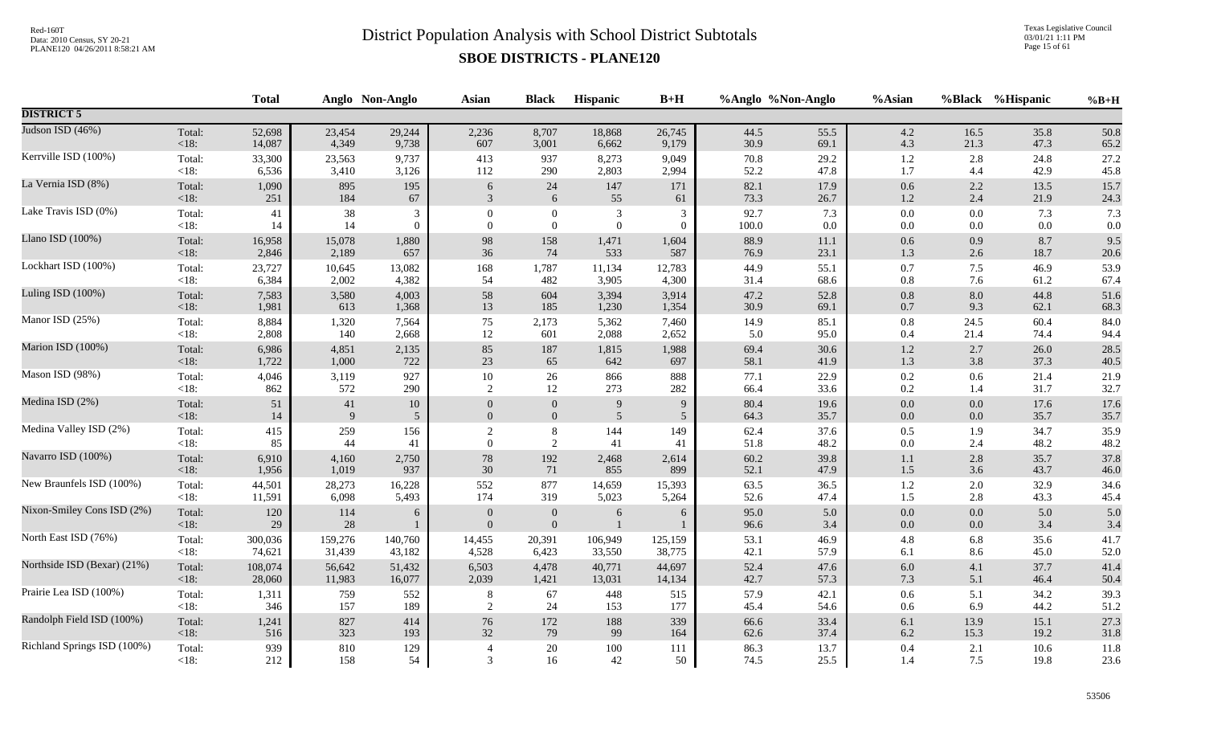Texas Legislative Council 03/01/21 1:11 PM Page 15 of 61

|                             |                | <b>Total</b>  |           | Anglo Non-Anglo | <b>Asian</b>             | <b>Black</b>                     | Hispanic            | $B+H$           |              | %Anglo %Non-Anglo | %Asian         |            | %Black %Hispanic | $%B+H$     |
|-----------------------------|----------------|---------------|-----------|-----------------|--------------------------|----------------------------------|---------------------|-----------------|--------------|-------------------|----------------|------------|------------------|------------|
| <b>DISTRICT 5</b>           |                |               |           |                 |                          |                                  |                     |                 |              |                   |                |            |                  |            |
| Judson ISD (46%)            | Total:         | 52,698        | 23,454    | 29,244          | 2,236                    | 8,707                            | 18,868              | 26,745          | 44.5         | 55.5              | $4.2\,$        | 16.5       | 35.8             | 50.8       |
|                             | <18:           | 14,087        | 4,349     | 9,738           | 607                      | 3,001                            | 6,662               | 9,179           | 30.9         | 69.1              | 4.3            | 21.3       | 47.3             | 65.2       |
| Kerrville ISD (100%)        | Total:         | 33,300        | 23,563    | 9,737           | 413                      | 937                              | 8,273               | 9,049           | 70.8         | 29.2              | $1.2\,$        | 2.8        | 24.8             | 27.2       |
|                             | $<18$ :        | 6,536         | 3,410     | 3,126           | 112                      | 290                              | 2,803               | 2,994           | 52.2         | 47.8              | 1.7            | 4.4        | 42.9             | 45.8       |
| La Vernia ISD (8%)          | Total:         | 1,090         | 895       | 195             | 6                        | $24\,$                           | $147\,$             | 171             | 82.1         | 17.9              | $0.6\,$        | $2.2\,$    | 13.5             | 15.7       |
|                             | <18:           | 251           | 184       | 67              | 3                        | 6                                | 55                  | 61              | 73.3         | 26.7              | 1.2            | 2.4        | 21.9             | 24.3       |
| Lake Travis ISD (0%)        | Total:         | 41            | 38        | 3               | $\theta$                 | $\boldsymbol{0}$                 | $\mathfrak{Z}$      | 3               | 92.7         | 7.3               | $0.0\,$        | 0.0        | 7.3              | 7.3        |
|                             | $<18$ :        | 14            | 14        | $\theta$        | $\overline{0}$           | $\mathbf{0}$                     | $\mathbf{0}$        | $\overline{0}$  | 100.0        | $0.0\,$           | $0.0\,$        | 0.0        | 0.0              | $0.0\,$    |
| Llano ISD (100%)            | Total:         | 16,958        | 15,078    | 1,880           | 98                       | 158                              | 1,471               | 1,604           | 88.9         | 11.1              | $0.6\,$        | 0.9        | 8.7              | 9.5        |
|                             | $<18$ :        | 2,846         | 2,189     | 657             | 36                       | 74                               | 533                 | 587             | 76.9         | 23.1              | 1.3            | 2.6        | 18.7             | 20.6       |
| Lockhart ISD (100%)         | Total:         | 23,727        | 10,645    | 13,082          | 168                      | 1,787                            | 11,134              | 12,783          | 44.9         | 55.1              | $0.7\,$        | 7.5        | 46.9             | 53.9       |
|                             | <18:           | 6,384         | 2,002     | 4,382           | 54                       | 482                              | 3,905               | 4,300           | 31.4         | 68.6              | $0.8\,$        | 7.6        | 61.2             | 67.4       |
| Luling ISD (100%)           | Total:         | 7,583         | 3,580     | 4,003           | 58                       | 604                              | 3,394               | 3,914           | 47.2         | 52.8              | $0.8\,$        | 8.0        | 44.8             | 51.6       |
|                             | <18:           | 1,981         | 613       | 1,368           | 13                       | 185                              | 1,230               | 1,354           | 30.9         | 69.1              | $0.7\,$        | 9.3        | 62.1             | 68.3       |
| Manor ISD (25%)             | Total:         | 8,884         | 1,320     | 7,564           | 75                       | 2,173                            | 5,362               | 7,460           | 14.9         | 85.1              | 0.8            | 24.5       | 60.4             | 84.0       |
|                             | $<18$ :        | 2,808         | 140       | 2,668           | 12                       | 601                              | 2,088               | 2,652           | 5.0          | 95.0              | 0.4            | 21.4       | 74.4             | 94.4       |
| Marion ISD (100%)           | Total:         | 6,986         | 4,851     | 2,135           | 85                       | 187                              | 1,815               | 1,988           | 69.4         | 30.6              | $1.2\,$        | 2.7        | 26.0             | 28.5       |
|                             | <18:           | 1,722         | 1,000     | 722             | 23                       | 65                               | 642                 | 697             | 58.1         | 41.9              | 1.3            | 3.8        | 37.3             | 40.5       |
| Mason ISD (98%)             | Total:         | 4,046         | 3,119     | 927             | $10\,$                   | $26\,$                           | 866                 | 888             | 77.1         | 22.9              | $0.2\,$        | 0.6        | 21.4             | 21.9       |
|                             | <18:           | 862           | 572       | 290             | 2                        | 12                               | 273                 | 282             | 66.4         | 33.6              | 0.2            | 1.4        | 31.7             | 32.7       |
| Medina ISD (2%)             | Total:         | 51            | 41        | $10\,$          | $\Omega$                 | $\boldsymbol{0}$                 | $\boldsymbol{9}$    | $\overline{9}$  | 80.4         | 19.6              | $0.0\,$        | 0.0        | 17.6             | 17.6       |
|                             | $<18$ :        | 14            | 9         | 5               | $\overline{0}$           | $\mathbf{0}$                     | 5                   | $5\overline{)}$ | 64.3         | 35.7              | $0.0\,$        | 0.0        | 35.7             | 35.7       |
| Medina Valley ISD (2%)      | Total:         | 415           | 259       | 156             | $\overline{2}$           | $\,8\,$                          | 144                 | 149             | 62.4         | 37.6              | 0.5            | 1.9        | 34.7             | 35.9       |
|                             | <18:           | 85            | 44        | 41              | $\theta$                 | 2                                | 41                  | 41              | 51.8         | 48.2              | $0.0\,$        | 2.4        | 48.2             | 48.2       |
| Navarro ISD (100%)          | Total:         | 6,910         | 4,160     | 2,750           | 78                       | 192                              | 2,468               | 2,614           | 60.2         | 39.8              | 1.1            | 2.8        | 35.7             | 37.8       |
|                             | <18:           | 1,956         | 1,019     | 937             | 30                       | 71                               | 855                 | 899             | 52.1         | 47.9              | $1.5\,$        | 3.6        | 43.7             | 46.0       |
| New Braunfels ISD (100%)    | Total:         | 44,501        | 28,273    | 16,228          | 552                      | 877                              | 14,659              | 15,393          | 63.5         | 36.5              | $1.2\,$        | 2.0        | 32.9             | 34.6       |
|                             | $<18$ :        | 11,591        | 6,098     | 5,493           | 174                      | 319                              | 5,023               | 5,264           | 52.6         | 47.4              | 1.5            | 2.8        | 43.3             | 45.4       |
| Nixon-Smiley Cons ISD (2%)  | Total:<br><18: | 120<br>$29\,$ | 114<br>28 | 6<br>1          | $\theta$<br>$\mathbf{0}$ | $\boldsymbol{0}$<br>$\mathbf{0}$ | 6<br>$\overline{1}$ | 6               | 95.0<br>96.6 | 5.0<br>3.4        | $0.0\,$<br>0.0 | 0.0<br>0.0 | 5.0<br>3.4       | 5.0<br>3.4 |
| North East ISD (76%)        | Total:         | 300,036       | 159,276   | 140,760         | 14,455                   | 20,391                           | 106,949             | 125,159         | 53.1         | 46.9              | 4.8            | 6.8        | 35.6             | 41.7       |
|                             | $<18$ :        | 74,621        | 31,439    | 43,182          | 4,528                    | 6,423                            | 33,550              | 38,775          | 42.1         | 57.9              | 6.1            | 8.6        | 45.0             | 52.0       |
| Northside ISD (Bexar) (21%) | Total:         | 108,074       | 56,642    | 51,432          | 6,503                    | 4,478                            | 40,771              | 44,697          | 52.4         | 47.6              | $6.0\,$        | 4.1        | 37.7             | 41.4       |
|                             | < 18:          | 28,060        | 11,983    | 16,077          | 2,039                    | 1,421                            | 13,031              | 14,134          | 42.7         | 57.3              | 7.3            | 5.1        | 46.4             | 50.4       |
| Prairie Lea ISD (100%)      | Total:         | 1,311         | 759       | 552             | $8\phantom{.0}$          | 67                               | 448                 | 515             | 57.9         | 42.1              | $0.6\,$        | 5.1        | 34.2             | 39.3       |
|                             | $<18$ :        | 346           | 157       | 189             | 2                        | 24                               | 153                 | 177             | 45.4         | 54.6              | 0.6            | 6.9        | 44.2             | 51.2       |
| Randolph Field ISD (100%)   | Total:         | 1,241         | 827       | 414             | 76                       | 172                              | 188                 | 339             | 66.6         | 33.4              | $6.1\,$        | 13.9       | 15.1             | 27.3       |
|                             | $<18$ :        | 516           | 323       | 193             | 32                       | 79                               | 99                  | 164             | 62.6         | 37.4              | $6.2\,$        | 15.3       | 19.2             | 31.8       |
| Richland Springs ISD (100%) | Total:         | 939           | $810\,$   | 129             | $\overline{4}$           | 20                               | $100\,$             | 111             | 86.3         | 13.7              | $0.4\,$        | 2.1        | 10.6             | 11.8       |
|                             | $<18$ :        | 212           | 158       | 54              | $\mathcal{R}$            | 16                               | $42\,$              | 50              | 74.5         | 25.5              | 1.4            | 7.5        | 19.8             | 23.6       |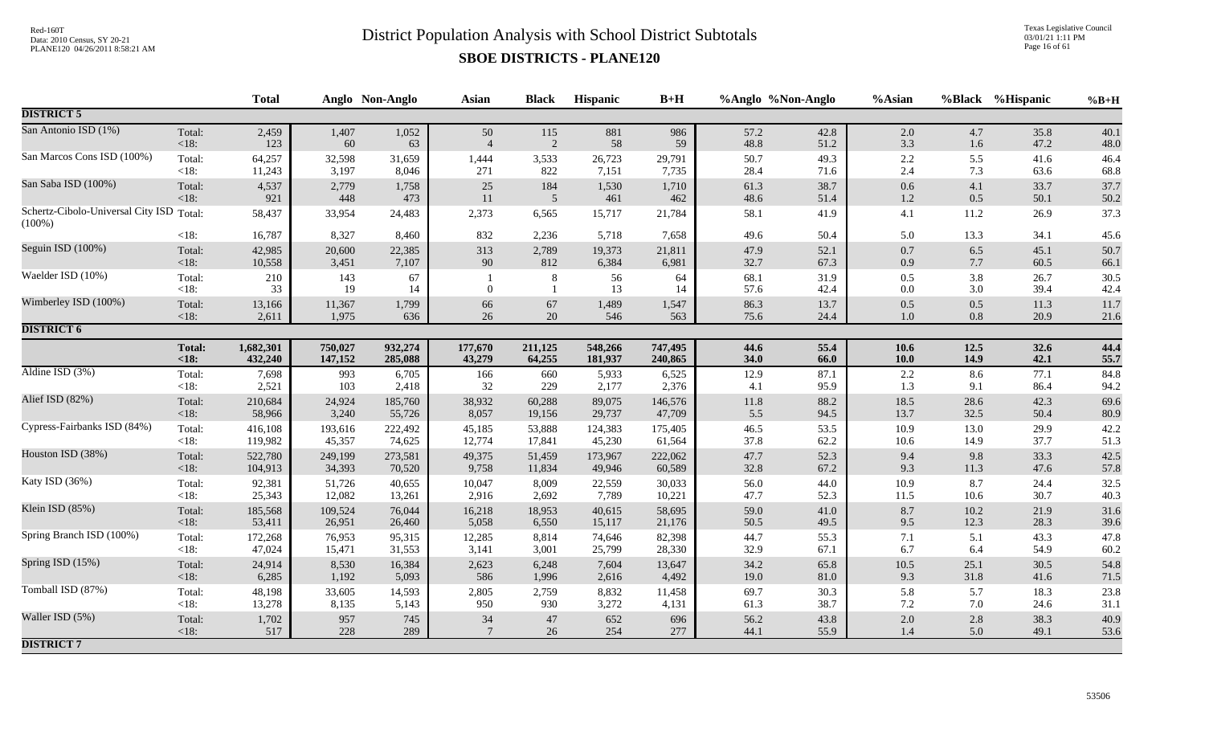Texas Legislative Council 03/01/21 1:11 PM Page 16 of 61

|                                                       |                   | <b>Total</b> |            | Anglo Non-Anglo | Asian          | <b>Black</b>   | Hispanic   | $B+H$      |              | %Anglo %Non-Anglo | %Asian             |            | %Black %Hispanic | $%B+H$       |
|-------------------------------------------------------|-------------------|--------------|------------|-----------------|----------------|----------------|------------|------------|--------------|-------------------|--------------------|------------|------------------|--------------|
| <b>DISTRICT 5</b>                                     |                   |              |            |                 |                |                |            |            |              |                   |                    |            |                  |              |
| San Antonio ISD (1%)                                  | Total:            | 2,459        | 1,407      | 1,052           | 50             | 115            | 881        | 986        | 57.2         | 42.8              | $2.0\,$            | 4.7        | 35.8             | 40.1         |
|                                                       | $<18$ :           | 123          | 60         | 63              | $\overline{4}$ | 2              | 58         | 59         | 48.8         | 51.2              | 3.3                | 1.6        | 47.2             | 48.0         |
| San Marcos Cons ISD (100%)                            | Total:            | 64,257       | 32,598     | 31,659          | 1,444          | 3,533          | 26,723     | 29,791     | 50.7         | 49.3              | $2.2\,$            | 5.5        | 41.6             | 46.4         |
|                                                       | $<18$ :           | 11,243       | 3,197      | 8,046           | 271            | 822            | 7,151      | 7,735      | 28.4         | 71.6              | 2.4                | 7.3        | 63.6             | 68.8         |
| San Saba ISD (100%)                                   | Total:            | 4,537        | 2,779      | 1,758           | $25\,$         | 184            | 1,530      | 1,710      | 61.3         | 38.7              | $0.6\,$            | 4.1        | 33.7             | 37.7         |
|                                                       | $<18$ :           | 921          | 448        | 473             | 11             | $\overline{5}$ | 461        | 462        | 48.6         | 51.4              | $1.2\,$            | 0.5        | 50.1             | 50.2         |
| Schertz-Cibolo-Universal City ISD Total:<br>$(100\%)$ |                   | 58,437       | 33,954     | 24,483          | 2,373          | 6,565          | 15,717     | 21,784     | 58.1         | 41.9              | 4.1                | 11.2       | 26.9             | 37.3         |
|                                                       | <18:              | 16,787       | 8,327      | 8,460           | 832            | 2,236          | 5,718      | 7,658      | 49.6         | 50.4              | 5.0                | 13.3       | 34.1             | 45.6         |
| Seguin ISD (100%)                                     | Total:            | 42,985       | 20,600     | 22,385          | 313            | 2,789          | 19,373     | 21,811     | 47.9         | 52.1              | $0.7\,$            | 6.5        | 45.1             | 50.7         |
|                                                       | $<18$ :           | 10,558       | 3,451      | 7,107           | 90             | 812            | 6,384      | 6,981      | 32.7         | 67.3              | $0.9\,$            | 7.7        | 60.5             | 66.1         |
| Waelder ISD (10%)                                     | Total:<br>$<18$ : | 210<br>33    | 143<br>19  | 67<br>14        | $\overline{0}$ | $\,8\,$<br>-1  | 56<br>13   | 64<br>14   | 68.1<br>57.6 | 31.9<br>42.4      | $0.5\,$<br>$0.0\,$ | 3.8<br>3.0 | 26.7<br>39.4     | 30.5<br>42.4 |
| Wimberley ISD (100%)                                  | Total:            | 13,166       | 11,367     | 1,799           | 66             | $67\,$         | 1,489      | 1,547      | 86.3         | 13.7              | $0.5\,$            | 0.5        | 11.3             | 11.7         |
|                                                       | $<18$ :           | 2,611        | 1,975      | 636             | 26             | $20\,$         | 546        | 563        | 75.6         | 24.4              | $1.0\,$            | $0.8\,$    | 20.9             | 21.6         |
| <b>DISTRICT 6</b>                                     |                   |              |            |                 |                |                |            |            |              |                   |                    |            |                  |              |
|                                                       | <b>Total:</b>     | 1,682,301    | 750,027    | 932,274         | 177,670        | 211,125        | 548,266    | 747,495    | 44.6         | 55.4              | 10.6               | 12.5       | 32.6             | 44.4         |
|                                                       | < 18:             | 432,240      | 147,152    | 285,088         | 43,279         | 64,255         | 181,937    | 240,865    | 34.0         | 66.0              | $10.0$             | 14.9       | 42.1             | 55.7         |
| Aldine ISD $(3%)$                                     | Total:            | 7,698        | 993        | 6,705           | 166            | 660            | 5,933      | 6,525      | 12.9         | 87.1              | 2.2                | 8.6        | 77.1             | 84.8         |
|                                                       | <18:              | 2,521        | 103        | 2,418           | 32             | 229            | 2,177      | 2,376      | 4.1          | 95.9              | 1.3                | 9.1        | 86.4             | 94.2         |
| Alief ISD (82%)                                       | Total:            | 210,684      | 24,924     | 185,760         | 38,932         | 60,288         | 89,075     | 146,576    | $11.8\,$     | 88.2              | 18.5               | 28.6       | 42.3             | 69.6         |
|                                                       | $<18$ :           | 58,966       | 3,240      | 55,726          | 8,057          | 19,156         | 29,737     | 47,709     | 5.5          | 94.5              | 13.7               | 32.5       | 50.4             | 80.9         |
| Cypress-Fairbanks ISD (84%)                           | Total:            | 416,108      | 193,616    | 222,492         | 45,185         | 53,888         | 124,383    | 175,405    | 46.5         | 53.5              | 10.9               | 13.0       | 29.9             | 42.2         |
|                                                       | <18:              | 119,982      | 45,357     | 74,625          | 12,774         | 17,841         | 45,230     | 61,564     | 37.8         | 62.2              | $10.6\,$           | 14.9       | 37.7             | 51.3         |
| Houston ISD (38%)                                     | Total:            | 522,780      | 249,199    | 273,581         | 49,375         | 51,459         | 173,967    | 222,062    | 47.7         | 52.3              | 9.4                | 9.8        | 33.3             | 42.5         |
|                                                       | $<18$ :           | 104,913      | 34,393     | 70,520          | 9,758          | 11,834         | 49,946     | 60,589     | 32.8         | 67.2              | 9.3                | 11.3       | 47.6             | 57.8         |
| Katy ISD (36%)                                        | Total:            | 92,381       | 51,726     | 40,655          | 10,047         | 8,009          | 22,559     | 30,033     | 56.0         | 44.0              | 10.9               | 8.7        | 24.4             | 32.5         |
|                                                       | <18:              | 25,343       | 12,082     | 13,261          | 2,916          | 2,692          | 7,789      | 10,221     | 47.7         | 52.3              | 11.5               | 10.6       | 30.7             | 40.3         |
| Klein ISD (85%)                                       | Total:            | 185,568      | 109,524    | 76,044          | 16,218         | 18,953         | 40,615     | 58,695     | 59.0         | 41.0              | 8.7                | 10.2       | 21.9             | 31.6         |
|                                                       | $<18$ :           | 53,411       | 26,951     | 26,460          | 5,058          | 6,550          | 15,117     | 21,176     | 50.5         | 49.5              | 9.5                | 12.3       | 28.3             | 39.6         |
| Spring Branch ISD (100%)                              | Total:            | 172,268      | 76,953     | 95,315          | 12,285         | 8,814          | 74,646     | 82,398     | 44.7         | 55.3              | 7.1                | 5.1        | 43.3             | 47.8         |
|                                                       | $<18$ :           | 47,024       | 15,471     | 31,553          | 3,141          | 3,001          | 25,799     | 28,330     | 32.9         | 67.1              | 6.7                | 6.4        | 54.9             | 60.2         |
| Spring ISD (15%)                                      | Total:            | 24,914       | 8,530      | 16,384          | 2,623          | 6,248          | 7,604      | 13,647     | 34.2         | 65.8              | $10.5\,$           | 25.1       | 30.5             | 54.8         |
|                                                       | $<18$ :           | 6,285        | 1,192      | 5,093           | 586            | 1,996          | 2,616      | 4,492      | 19.0         | 81.0              | 9.3                | 31.8       | 41.6             | 71.5         |
| Tomball ISD (87%)                                     | Total:            | 48,198       | 33,605     | 14,593          | 2,805          | 2,759          | 8,832      | 11,458     | 69.7         | 30.3              | 5.8                | 5.7        | 18.3             | 23.8         |
|                                                       | $<18$ :           | 13,278       | 8,135      | 5,143           | 950            | 930            | 3,272      | 4,131      | 61.3         | 38.7              | 7.2                | 7.0        | 24.6             | 31.1         |
| Waller ISD (5%)                                       | Total:<br>$<18$ : | 1,702<br>517 | 957<br>228 | 745<br>289      | $34\,$         | 47<br>$26\,$   | 652<br>254 | 696<br>277 | 56.2<br>44.1 | 43.8<br>55.9      | $2.0\,$<br>$1.4\,$ | 2.8<br>5.0 | 38.3<br>49.1     | 40.9<br>53.6 |
| <b>DISTRICT 7</b>                                     |                   |              |            |                 |                |                |            |            |              |                   |                    |            |                  |              |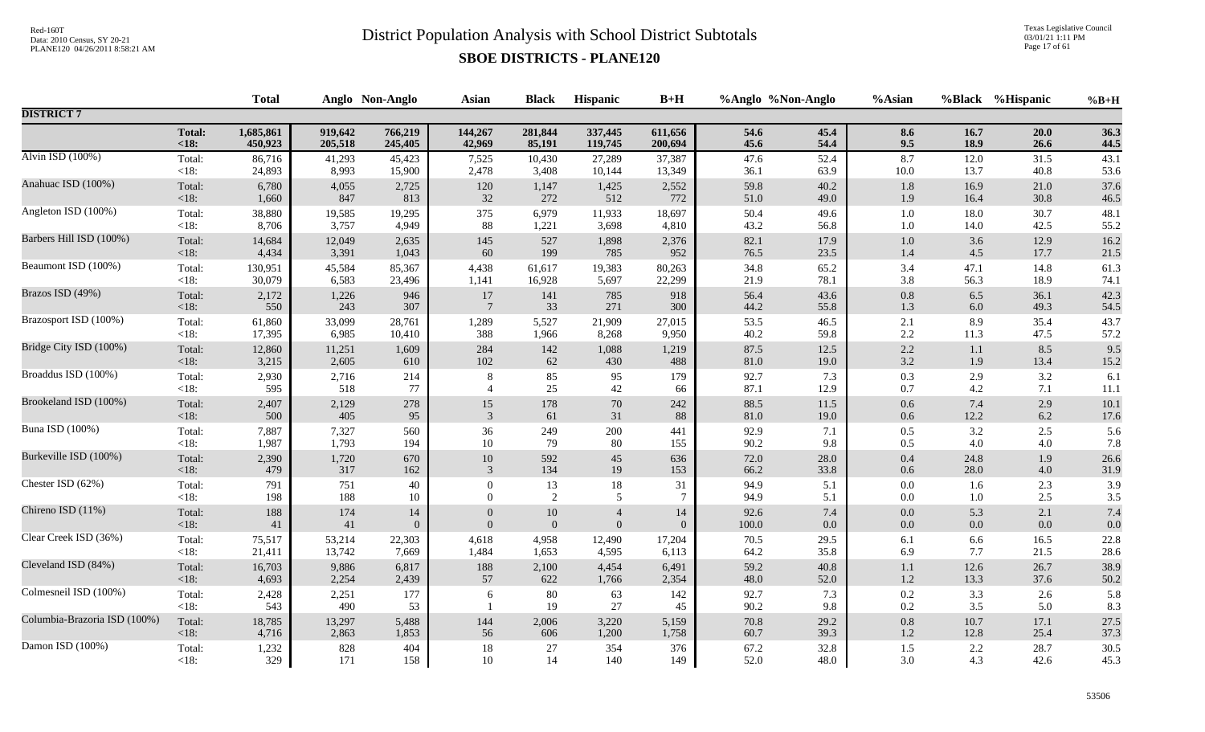Texas Legislative Council 03/01/21 1:11 PM Page 17 of 61

|                              |                | <b>Total</b> |              | Anglo Non-Anglo | <b>Asian</b>     | <b>Black</b> | Hispanic       | $B+H$          | %Anglo %Non-Anglo |            | %Asian     |            | %Black %Hispanic | $%B+H$     |
|------------------------------|----------------|--------------|--------------|-----------------|------------------|--------------|----------------|----------------|-------------------|------------|------------|------------|------------------|------------|
| <b>DISTRICT 7</b>            |                |              |              |                 |                  |              |                |                |                   |            |            |            |                  |            |
|                              | <b>Total:</b>  | 1,685,861    | 919,642      | 766,219         | 144,267          | 281,844      | 337,445        | 611,656        | 54.6              | 45.4       | 8.6        | 16.7       | 20.0             | 36.3       |
|                              | $18$           | 450,923      | 205,518      | 245,405         | 42,969           | 85,191       | 119,745        | 200,694        | 45.6              | 54.4       | 9.5        | 18.9       | 26.6             | 44.5       |
| Alvin ISD (100%)             | Total:         | 86,716       | 41,293       | 45,423          | 7,525            | 10,430       | 27,289         | 37,387         | 47.6              | 52.4       | 8.7        | 12.0       | 31.5             | 43.1       |
|                              | < 18:          | 24,893       | 8,993        | 15,900          | 2,478            | 3,408        | 10,144         | 13,349         | 36.1              | 63.9       | 10.0       | 13.7       | 40.8             | 53.6       |
| Anahuac ISD (100%)           | Total:         | 6,780        | 4,055        | 2,725           | 120              | 1,147        | 1,425          | 2,552          | 59.8              | 40.2       | 1.8        | 16.9       | 21.0             | 37.6       |
|                              | <18:           | 1,660        | 847          | 813             | 32               | 272          | 512            | 772            | 51.0              | 49.0       | 1.9        | 16.4       | 30.8             | 46.5       |
| Angleton ISD (100%)          | Total:         | 38,880       | 19,585       | 19,295          | 375              | 6,979        | 11,933         | 18,697         | 50.4              | 49.6       | $1.0\,$    | 18.0       | 30.7             | 48.1       |
|                              | $<18$ :        | 8,706        | 3,757        | 4,949           | 88               | 1,221        | 3,698          | 4,810          | 43.2              | 56.8       | $1.0\,$    | 14.0       | 42.5             | 55.2       |
| Barbers Hill ISD (100%)      | Total:         | 14,684       | 12,049       | 2,635           | 145              | 527          | 1,898          | 2,376          | 82.1              | 17.9       | $1.0\,$    | 3.6        | 12.9             | 16.2       |
|                              | <18:           | 4,434        | 3,391        | 1,043           | 60               | 199          | 785            | 952            | 76.5              | 23.5       | 1.4        | 4.5        | 17.7             | 21.5       |
| Beaumont ISD (100%)          | Total:         | 130,951      | 45,584       | 85,367          | 4,438            | 61,617       | 19,383         | 80,263         | 34.8              | 65.2       | 3.4        | 47.1       | 14.8             | 61.3       |
|                              | <18:           | 30,079       | 6,583        | 23,496          | 1,141            | 16,928       | 5,697          | 22,299         | 21.9              | 78.1       | $3.8\,$    | 56.3       | 18.9             | 74.1       |
| Brazos ISD (49%)             | Total:         | 2,172        | 1,226        | 946             | $17\,$           | 141          | 785            | 918            | 56.4              | 43.6       | $0.8\,$    | 6.5        | 36.1             | 42.3       |
|                              | <18:           | 550          | 243          | 307             | $7\phantom{.0}$  | 33           | 271            | 300            | 44.2              | 55.8       | 1.3        | 6.0        | 49.3             | 54.5       |
| Brazosport ISD (100%)        | Total:         | 61,860       | 33,099       | 28,761          | 1,289            | 5,527        | 21,909         | 27,015         | 53.5              | 46.5       | 2.1        | 8.9        | 35.4             | 43.7       |
|                              | $<18$ :        | 17,395       | 6,985        | 10,410          | 388              | 1,966        | 8,268          | 9,950          | 40.2              | 59.8       | $2.2\,$    | 11.3       | 47.5             | 57.2       |
| Bridge City ISD (100%)       | Total:         | 12,860       | 11,251       | 1,609           | 284              | 142          | 1,088          | 1,219          | 87.5              | 12.5       | 2.2        | 1.1        | 8.5              | 9.5        |
|                              | <18:           | 3,215        | 2,605        | 610             | 102              | 62           | 430            | 488            | 81.0              | 19.0       | $3.2\,$    | 1.9        | 13.4             | 15.2       |
| Broaddus ISD (100%)          | Total:         | 2,930        | 2,716        | 214             | 8                | 85           | 95             | 179            | 92.7              | 7.3        | 0.3        | 2.9        | 3.2              | 6.1        |
|                              | $<18$ :        | 595          | 518          | 77              | $\overline{4}$   | 25           | 42             | 66             | 87.1              | 12.9       | 0.7        | 4.2        | 7.1              | 11.1       |
| Brookeland ISD (100%)        | Total:         | 2,407        | 2,129        | 278             | 15               | 178          | $70\,$         | 242            | 88.5              | 11.5       | 0.6        | 7.4        | 2.9              | 10.1       |
|                              | <18:           | 500          | 405          | 95              | 3                | 61           | 31             | 88             | 81.0              | 19.0       | 0.6        | 12.2       | 6.2              | 17.6       |
| Buna ISD (100%)              | Total:         | 7,887        | 7,327        | 560             | 36               | 249          | 200            | 441            | 92.9              | 7.1        | 0.5        | 3.2        | 2.5              | 5.6        |
|                              | $<18$ :        | 1,987        | 1,793        | 194             | 10               | 79           | 80             | 155            | 90.2              | 9.8        | 0.5        | 4.0        | 4.0              | 7.8        |
| Burkeville ISD (100%)        | Total:         | 2,390        | 1,720        | 670             | $10\,$           | 592          | 45             | 636            | 72.0              | 28.0       | 0.4        | 24.8       | 1.9              | 26.6       |
|                              | <18:           | 479          | 317          | 162             | 3                | 134          | 19             | 153            | 66.2              | 33.8       | 0.6        | 28.0       | 4.0              | 31.9       |
| Chester ISD (62%)            | Total:         | 791          | 751          | 40              | $\boldsymbol{0}$ | 13           | 18             | 31             | 94.9              | 5.1        | $0.0\,$    | 1.6        | 2.3              | 3.9        |
|                              | $<18$ :        | 198          | 188          | 10              | $\Omega$         | 2            | 5              | $\overline{7}$ | 94.9              | 5.1        | $0.0\,$    | $1.0\,$    | 2.5              | 3.5        |
| Chireno ISD (11%)            | Total:         | 188          | 174          | 14              | $\theta$         | $10\,$       | $\overline{4}$ | 14             | 92.6              | $7.4\,$    | $0.0\,$    | 5.3        | 2.1              | 7.4        |
|                              | <18:           | 41           | 41           | $\theta$        | $\overline{0}$   | $\mathbf{0}$ | $\overline{0}$ | $\mathbf{0}$   | 100.0             | 0.0        | $0.0\,$    | 0.0        | 0.0              | 0.0        |
| Clear Creek ISD (36%)        | Total:         | 75,517       | 53,214       | 22,303          | 4,618            | 4,958        | 12,490         | 17,204         | 70.5              | 29.5       | 6.1        | 6.6        | 16.5             | 22.8       |
|                              | $<18$ :        | 21,411       | 13,742       | 7,669           | 1,484            | 1,653        | 4,595          | 6,113          | 64.2              | 35.8       | 6.9        | 7.7        | 21.5             | 28.6       |
| Cleveland ISD (84%)          | Total:         | 16,703       | 9,886        | 6,817           | 188              | 2,100        | 4,454          | 6,491          | 59.2              | 40.8       | 1.1        | 12.6       | 26.7             | 38.9       |
|                              | <18:           | 4,693        | 2,254        | 2,439           | 57               | 622          | 1,766          | 2,354          | 48.0              | 52.0       | $1.2\,$    | 13.3       | 37.6             | 50.2       |
| Colmesneil ISD (100%)        | Total:<br><18: | 2,428<br>543 | 2,251<br>490 | 177<br>53       | 6                | 80<br>19     | 63<br>27       | 142<br>45      | 92.7<br>90.2      | 7.3<br>9.8 | 0.2<br>0.2 | 3.3<br>3.5 | 2.6<br>5.0       | 5.8<br>8.3 |
| Columbia-Brazoria ISD (100%) | Total:         | 18,785       | 13,297       | 5,488           | 144              | 2,006        | 3,220          | 5,159          | 70.8              | 29.2       | $0.8\,$    | 10.7       | 17.1             | 27.5       |
|                              | $<18$ :        | 4,716        | 2,863        | 1,853           | 56               | 606          | 1,200          | 1,758          | 60.7              | 39.3       | 1.2        | 12.8       | 25.4             | 37.3       |
| Damon ISD (100%)             | Total:         | 1,232        | 828          | 404             | $18\,$           | 27           | 354            | 376            | 67.2              | 32.8       | $1.5$      | 2.2        | 28.7             | 30.5       |
|                              | $<18$ :        | 329          | 171          | 158             | 10               | 14           | 140            | 149            | 52.0              | 48.0       | 3.0        | 4.3        | 42.6             | 45.3       |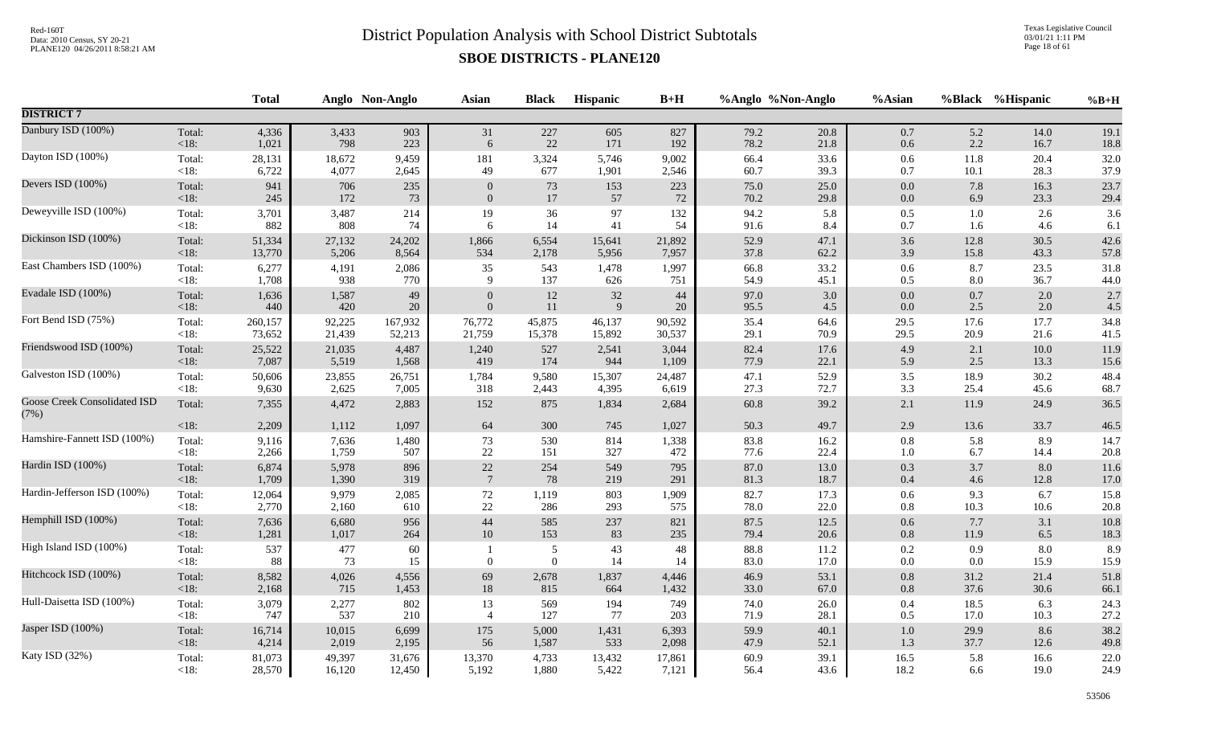Texas Legislative Council 03/01/21 1:11 PM Page 18 of 61

|                                             |                   | <b>Total</b> |           | Anglo Non-Anglo | <b>Asian</b>     | <b>Black</b>                 | Hispanic | $B+H$    |                  | %Anglo %Non-Anglo | %Asian             |                | %Black %Hispanic | $%B+H$      |
|---------------------------------------------|-------------------|--------------|-----------|-----------------|------------------|------------------------------|----------|----------|------------------|-------------------|--------------------|----------------|------------------|-------------|
| <b>DISTRICT 7</b>                           |                   |              |           |                 |                  |                              |          |          |                  |                   |                    |                |                  |             |
| Danbury ISD (100%)                          | Total:            | 4,336        | 3,433     | 903             | 31               | 227                          | 605      | 827      | 79.2             | 20.8              | 0.7                | 5.2            | 14.0             | 19.1        |
|                                             | <18:              | 1,021        | 798       | 223             | 6                | $22\,$                       | 171      | 192      | 78.2             | 21.8              | 0.6                | 2.2            | 16.7             | 18.8        |
| Dayton ISD (100%)                           | Total:            | 28,131       | 18,672    | 9,459           | 181              | 3,324                        | 5,746    | 9,002    | 66.4             | 33.6              | $0.6\,$            | 11.8           | 20.4             | 32.0        |
|                                             | $<18$ :           | 6,722        | 4,077     | 2,645           | 49               | 677                          | 1,901    | 2,546    | 60.7             | 39.3              | 0.7                | 10.1           | 28.3             | 37.9        |
| Devers ISD (100%)                           | Total:            | 941          | 706       | 235             | $\mathbf{0}$     | 73                           | 153      | 223      | 75.0             | 25.0              | 0.0                | 7.8            | 16.3             | 23.7        |
|                                             | $<18$ :           | 245          | 172       | 73              | $\Omega$         | 17                           | 57       | 72       | 70.2             | 29.8              | $0.0\,$            | 6.9            | 23.3             | 29.4        |
| Deweyville ISD (100%)                       | Total:            | 3,701        | 3,487     | 214             | 19               | 36                           | 97       | 132      | 94.2             | 5.8               | $0.5\,$            | 1.0            | 2.6              | 3.6         |
|                                             | < 18:             | 882          | 808       | 74              | 6                | 14                           | 41       | 54       | 91.6             | 8.4               | 0.7                | 1.6            | 4.6              | 6.1         |
| Dickinson ISD (100%)                        | Total:            | 51,334       | 27,132    | 24,202          | 1,866            | 6,554                        | 15,641   | 21,892   | 52.9             | 47.1              | $3.6$              | 12.8           | 30.5             | 42.6        |
|                                             | $<18$ :           | 13,770       | 5,206     | 8,564           | 534              | 2,178                        | 5,956    | 7,957    | 37.8             | 62.2              | 3.9                | 15.8           | 43.3             | 57.8        |
| East Chambers ISD (100%)                    | Total:            | 6,277        | 4,191     | 2,086           | 35               | 543                          | 1,478    | 1,997    | 66.8             | 33.2              | 0.6                | 8.7            | 23.5             | 31.8        |
|                                             | $<18$ :           | 1,708        | 938       | 770             | 9                | 137                          | 626      | 751      | 54.9             | 45.1              | 0.5                | $8.0\,$        | 36.7             | 44.0        |
| Evadale ISD (100%)                          | Total:            | 1,636        | 1,587     | 49              | $\overline{0}$   | 12                           | $32\,$   | 44       | 97.0             | 3.0               | $0.0\,$            | $0.7\,$        | 2.0              | 2.7         |
|                                             | <18:              | 440          | 420       | 20              | $\Omega$         | 11                           | 9        | 20       | 95.5             | 4.5               | $0.0\,$            | 2.5            | 2.0              | 4.5         |
| Fort Bend ISD (75%)                         | Total:            | 260,157      | 92,225    | 167,932         | 76,772           | 45,875                       | 46,137   | 90,592   | 35.4             | 64.6              | 29.5               | 17.6           | 17.7             | 34.8        |
|                                             | $<18$ :           | 73,652       | 21,439    | 52,213          | 21,759           | 15,378                       | 15,892   | 30,537   | 29.1             | 70.9              | 29.5               | 20.9           | 21.6             | 41.5        |
| Friendswood ISD (100%)                      | Total:            | 25,522       | 21,035    | 4,487           | 1,240            | 527                          | 2,541    | 3,044    | 82.4             | 17.6              | 4.9                | 2.1            | $10.0\,$         | 11.9        |
|                                             | <18:              | 7,087        | 5,519     | 1,568           | 419              | 174                          | 944      | 1,109    | 77.9             | 22.1              | 5.9                | 2.5            | 13.3             | 15.6        |
| Galveston ISD (100%)                        | Total:            | 50,606       | 23,855    | 26,751          | 1,784            | 9,580                        | 15,307   | 24,487   | 47.1             | 52.9              | $3.5\,$            | 18.9           | 30.2             | 48.4        |
|                                             | $<18$ :           | 9,630        | 2,625     | 7,005           | 318              | 2,443                        | 4,395    | 6,619    | 27.3             | 72.7              | 3.3                | 25.4           | 45.6             | 68.7        |
| <b>Goose Creek Consolidated ISD</b><br>(7%) | Total:            | 7,355        | 4,472     | 2,883           | 152              | 875                          | 1,834    | 2,684    | 60.8             | 39.2              | 2.1                | 11.9           | 24.9             | 36.5        |
|                                             | $<18$ :           | 2,209        | 1,112     | 1,097           | 64               | 300                          | 745      | 1,027    | 50.3             | 49.7              | $2.9\,$            | 13.6           | 33.7             | 46.5        |
| Hamshire-Fannett ISD (100%)                 | Total:            | 9,116        | 7,636     | 1,480           | 73               | 530                          | 814      | 1,338    | 83.8             | 16.2              | $0.8\,$            | 5.8            | 8.9              | 14.7        |
|                                             | $<18$ :           | 2,266        | 1,759     | 507             | $22\,$           | 151                          | 327      | 472      | 77.6             | 22.4              | $1.0\,$            | 6.7            | 14.4             | 20.8        |
| Hardin ISD (100%)                           | Total:            | 6,874        | 5,978     | 896             | $22\,$           | 254                          | 549      | 795      | 87.0             | 13.0              | 0.3                | 3.7            | 8.0              | 11.6        |
|                                             | <18:              | 1,709        | 1,390     | 319             | $7\phantom{.0}$  | 78                           | 219      | 291      | 81.3             | 18.7              | 0.4                | 4.6            | 12.8             | 17.0        |
| Hardin-Jefferson ISD (100%)                 | Total:            | 12,064       | 9,979     | 2,085           | $72\,$           | 1,119                        | 803      | 1,909    | 82.7             | 17.3              | $0.6\,$            | 9.3            | 6.7              | 15.8        |
|                                             | $<18$ :           | 2,770        | 2,160     | 610             | $22\,$           | 286                          | 293      | 575      | 78.0             | 22.0              | $0.8\,$            | 10.3           | 10.6             | 20.8        |
| Hemphill ISD (100%)                         | Total:            | 7,636        | 6,680     | 956             | 44               | 585                          | 237      | 821      | 87.5             | 12.5              | 0.6                | 7.7            | 3.1              | 10.8        |
|                                             | $<18$ :           | 1,281        | 1,017     | 264             | 10               | 153                          | 83       | 235      | 79.4             | 20.6              | 0.8                | 11.9           | 6.5              | 18.3        |
| High Island ISD (100%)                      | Total:<br>$<18$ : | 537<br>88    | 477<br>73 | 60<br>15        | $\boldsymbol{0}$ | $\sqrt{5}$<br>$\overline{0}$ | 43<br>14 | 48<br>14 | $88.8\,$<br>83.0 | 11.2<br>17.0      | $0.2\,$<br>$0.0\,$ | 0.9<br>$0.0\,$ | 8.0<br>15.9      | 8.9<br>15.9 |
| Hitchcock ISD (100%)                        | Total:            | 8,582        | 4,026     | 4,556           | 69               | 2,678                        | 1,837    | 4,446    | 46.9             | 53.1              | 0.8                | 31.2           | 21.4             | 51.8        |
|                                             | <18:              | 2,168        | 715       | 1,453           | 18               | 815                          | 664      | 1,432    | 33.0             | 67.0              | 0.8                | 37.6           | 30.6             | 66.1        |
| Hull-Daisetta ISD (100%)                    | Total:            | 3,079        | 2,277     | 802             | 13               | 569                          | 194      | 749      | 74.0             | 26.0              | 0.4                | 18.5           | 6.3              | 24.3        |
|                                             | $<18$ :           | 747          | 537       | 210             | $\overline{4}$   | 127                          | 77       | 203      | 71.9             | 28.1              | 0.5                | 17.0           | 10.3             | 27.2        |
| Jasper ISD (100%)                           | Total:            | 16,714       | 10,015    | 6,699           | 175              | 5,000                        | 1,431    | 6,393    | 59.9             | 40.1              | $1.0\,$            | 29.9           | 8.6              | 38.2        |
|                                             | $<18$ :           | 4,214        | 2,019     | 2,195           | 56               | 1,587                        | 533      | 2,098    | 47.9             | 52.1              | 1.3                | 37.7           | 12.6             | 49.8        |
| Katy ISD (32%)                              | Total:            | 81,073       | 49,397    | 31,676          | 13,370           | 4,733                        | 13,432   | 17,861   | 60.9             | 39.1              | 16.5               | 5.8            | 16.6             | 22.0        |
|                                             | $<18$ :           | 28,570       | 16,120    | 12,450          | 5,192            | 1,880                        | 5,422    | 7,121    | 56.4             | 43.6              | 18.2               | 6.6            | 19.0             | 24.9        |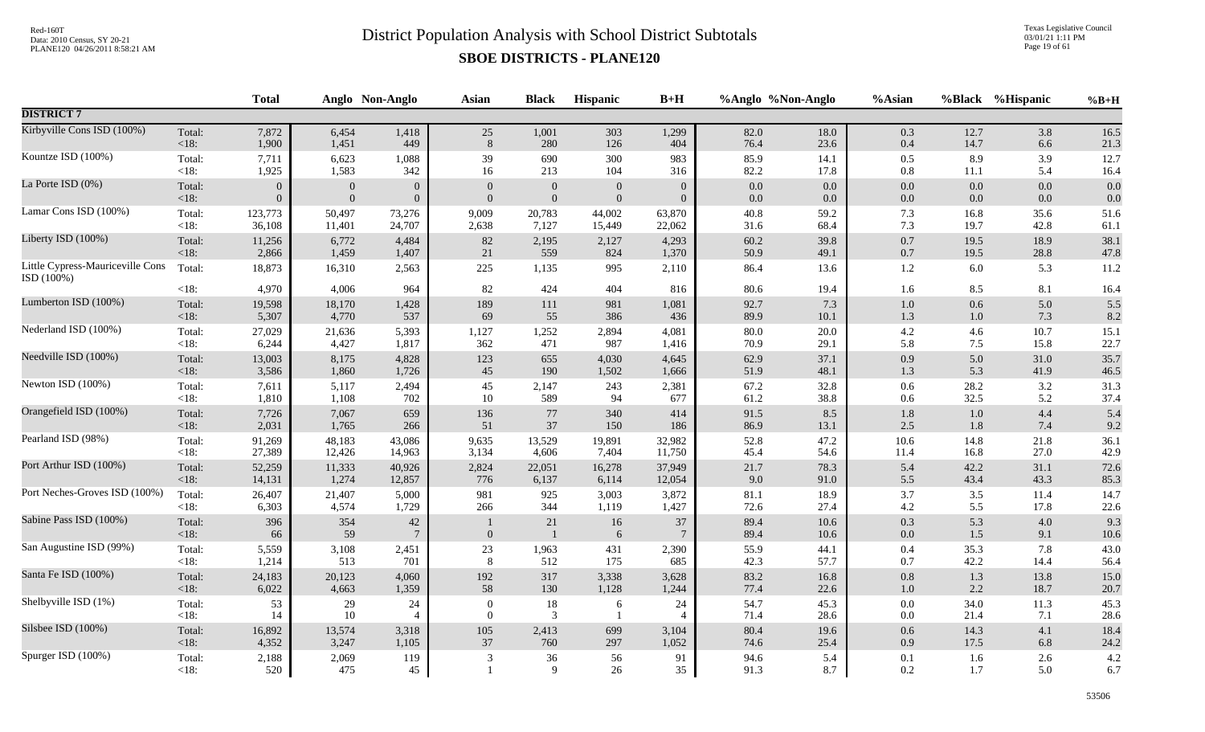Texas Legislative Council 03/01/21 1:11 PM Page 19 of 61

|                                                |                   | <b>Total</b>   |              | Anglo Non-Anglo       | Asian                    | <b>Black</b>         | Hispanic       | $B+H$                |              | %Anglo %Non-Anglo | %Asian         |              | %Black %Hispanic | $%B+H$       |
|------------------------------------------------|-------------------|----------------|--------------|-----------------------|--------------------------|----------------------|----------------|----------------------|--------------|-------------------|----------------|--------------|------------------|--------------|
| <b>DISTRICT 7</b>                              |                   |                |              |                       |                          |                      |                |                      |              |                   |                |              |                  |              |
| Kirbyville Cons ISD (100%)                     | Total:            | 7,872          | 6,454        | 1,418                 | 25                       | 1,001                | 303            | 1,299                | 82.0         | 18.0              | $0.3\,$        | 12.7         | 3.8              | 16.5         |
|                                                | <18:              | 1,900          | 1,451        | 449                   | 8                        | 280                  | 126            | 404                  | 76.4         | 23.6              | $0.4\,$        | 14.7         | 6.6              | 21.3         |
| Kountze ISD (100%)                             | Total:            | 7,711          | 6,623        | 1,088                 | 39                       | 690                  | 300            | 983                  | 85.9         | 14.1              | $0.5\,$        | 8.9          | 3.9              | 12.7         |
|                                                | $<18$ :           | 1,925          | 1,583        | 342                   | 16                       | 213                  | 104            | 316                  | 82.2         | 17.8              | 0.8            | $11.1\,$     | 5.4              | 16.4         |
| La Porte ISD (0%)                              | Total:            | $\mathbf{0}$   | $\theta$     | $\overline{0}$        | $\overline{0}$           | $\theta$             | $\overline{0}$ | $\theta$             | 0.0          | 0.0               | 0.0            | 0.0          | 0.0              | 0.0          |
|                                                | <18:              | $\overline{0}$ | $\mathbf{0}$ | $\overline{0}$        | $\Omega$                 | $\mathbf{0}$         | $\Omega$       | $\theta$             | $0.0\,$      | $0.0\,$           | $0.0\,$        | $0.0\,$      | 0.0              | 0.0          |
| Lamar Cons ISD (100%)                          | Total:            | 123,773        | 50,497       | 73,276                | 9,009                    | 20,783               | 44,002         | 63,870               | $40.8\,$     | 59.2              | 7.3            | 16.8         | 35.6             | 51.6         |
|                                                | $<18$ :           | 36,108         | 11,401       | 24,707                | 2,638                    | 7,127                | 15,449         | 22,062               | 31.6         | 68.4              | 7.3            | 19.7         | 42.8             | 61.1         |
| Liberty ISD (100%)                             | Total:            | 11,256         | 6,772        | 4,484                 | 82                       | 2,195                | 2,127          | 4,293                | 60.2         | 39.8              | 0.7            | 19.5         | 18.9             | 38.1         |
|                                                | $<18$ :           | 2,866          | 1,459        | 1,407                 | 21                       | 559                  | 824            | 1,370                | 50.9         | 49.1              | $0.7\,$        | 19.5         | 28.8             | 47.8         |
| Little Cypress-Mauriceville Cons<br>ISD (100%) | Total:            | 18,873         | 16,310       | 2,563                 | 225                      | 1,135                | 995            | 2,110                | 86.4         | 13.6              | $1.2\,$        | 6.0          | 5.3              | 11.2         |
|                                                | $<18$ :           | 4,970          | 4,006        | 964                   | 82                       | 424                  | 404            | 816                  | 80.6         | 19.4              | 1.6            | 8.5          | 8.1              | 16.4         |
| Lumberton ISD (100%)                           | Total:            | 19,598         | 18,170       | 1,428                 | 189                      | 111                  | 981            | 1,081                | 92.7         | 7.3               | $1.0\,$        | $0.6\,$      | 5.0              | 5.5          |
|                                                | $<18$ :           | 5,307          | 4,770        | 537                   | 69                       | 55                   | 386            | 436                  | 89.9         | 10.1              | 1.3            | 1.0          | 7.3              | 8.2          |
| Nederland ISD (100%)                           | Total:            | 27,029         | 21,636       | 5,393                 | 1,127                    | 1,252                | 2,894          | 4,081                | 80.0         | 20.0              | 4.2            | 4.6          | 10.7             | 15.1         |
|                                                | $<18$ :           | 6,244          | 4,427        | 1,817                 | 362                      | 471                  | 987            | 1,416                | 70.9         | 29.1              | 5.8            | 7.5          | 15.8             | 22.7         |
| Needville ISD (100%)                           | Total:            | 13,003         | 8,175        | 4,828                 | 123                      | 655                  | 4,030          | 4,645                | 62.9         | 37.1              | 0.9            | 5.0          | 31.0             | 35.7         |
|                                                | $<18$ :           | 3,586          | 1,860        | 1,726                 | 45                       | 190                  | 1,502          | 1,666                | 51.9         | 48.1              | 1.3            | 5.3          | 41.9             | 46.5         |
| Newton ISD (100%)                              | Total:            | 7,611          | 5,117        | 2,494                 | 45                       | 2,147                | 243            | 2,381                | 67.2         | 32.8              | $0.6\,$        | 28.2         | 3.2              | 31.3         |
|                                                | < 18:             | 1,810          | 1,108        | 702                   | 10                       | 589                  | 94             | 677                  | 61.2         | 38.8              | 0.6            | 32.5         | 5.2              | 37.4         |
| Orangefield ISD (100%)                         | Total:            | 7,726          | 7,067        | 659                   | 136                      | $77\,$               | 340            | 414                  | 91.5         | 8.5               | 1.8            | 1.0          | 4.4              | 5.4          |
|                                                | $<18$ :           | 2,031          | 1,765        | 266                   | 51                       | 37                   | 150            | 186                  | 86.9         | 13.1              | 2.5            | 1.8          | 7.4              | 9.2          |
| Pearland ISD (98%)                             | Total:            | 91,269         | 48,183       | 43,086                | 9,635                    | 13,529               | 19,891         | 32,982               | 52.8         | 47.2              | 10.6           | 14.8         | 21.8             | 36.1         |
|                                                | $<18$ :           | 27,389         | 12,426       | 14,963                | 3,134                    | 4,606                | 7,404          | 11,750               | 45.4         | 54.6              | 11.4           | 16.8         | 27.0             | 42.9         |
| Port Arthur ISD (100%)                         | Total:            | 52,259         | 11,333       | 40,926                | 2,824                    | 22,051               | 16,278         | 37,949               | 21.7         | 78.3              | 5.4            | 42.2         | 31.1             | 72.6         |
|                                                | <18:              | 14,131         | 1,274        | 12,857                | 776                      | 6,137                | 6,114          | 12,054               | 9.0          | 91.0              | 5.5            | 43.4         | 43.3             | 85.3         |
| Port Neches-Groves ISD (100%)                  | Total:            | 26,407         | 21,407       | 5,000                 | 981                      | 925                  | 3,003          | 3,872                | $81.1\,$     | 18.9              | 3.7            | 3.5          | 11.4             | 14.7         |
|                                                | $<18$ :           | 6,303          | 4,574        | 1,729                 | 266                      | 344                  | 1,119          | 1,427                | 72.6         | 27.4              | 4.2            | 5.5          | 17.8             | 22.6         |
| Sabine Pass ISD (100%)                         | Total:<br>$<18$ : | 396<br>66      | 354<br>59    | 42<br>$7\phantom{.0}$ | $\Omega$                 | 21<br>$\blacksquare$ | 16<br>6        | 37<br>7              | 89.4<br>89.4 | 10.6<br>10.6      | 0.3<br>0.0     | 5.3<br>1.5   | 4.0<br>9.1       | 9.3<br>10.6  |
| San Augustine ISD (99%)                        | Total:            | 5,559          | 3,108        | 2,451                 | 23                       | 1,963                | 431            | 2,390                | 55.9         | 44.1              | 0.4            | 35.3         | 7.8              | 43.0         |
|                                                | $<18$ :           | 1,214          | 513          | 701                   | 8                        | 512                  | 175            | 685                  | 42.3         | 57.7              | 0.7            | 42.2         | 14.4             | 56.4         |
| Santa Fe ISD (100%)                            | Total:            | 24,183         | 20,123       | 4,060                 | 192                      | 317                  | 3,338          | 3,628                | 83.2         | 16.8              | 0.8            | 1.3          | 13.8             | 15.0         |
|                                                | $<18$ :           | 6,022          | 4,663        | 1,359                 | 58                       | 130                  | 1,128          | 1,244                | 77.4         | 22.6              | 1.0            | 2.2          | 18.7             | 20.7         |
| Shelbyville ISD (1%)                           | Total:<br>$<18$ : | 53<br>14       | 29<br>10     | 24<br>$\overline{4}$  | $\mathbf{0}$<br>$\theta$ | 18<br>3              | 6              | 24<br>$\overline{4}$ | 54.7<br>71.4 | 45.3<br>28.6      | $0.0\,$<br>0.0 | 34.0<br>21.4 | 11.3<br>7.1      | 45.3<br>28.6 |
| Silsbee ISD (100%)                             | Total:            | 16,892         | 13,574       | 3,318                 | 105                      | 2,413                | 699            | 3,104                | 80.4         | 19.6              | 0.6            | 14.3         | 4.1              | 18.4         |
|                                                | <18:              | 4,352          | 3,247        | 1,105                 | 37                       | 760                  | 297            | 1,052                | 74.6         | 25.4              | 0.9            | 17.5         | 6.8              | 24.2         |
| Spurger ISD (100%)                             | Total:<br>$<18$ : | 2,188<br>520   | 2,069<br>475 | 119<br>45             | 3                        | 36<br>9              | 56<br>$26\,$   | 91<br>35             | 94.6<br>91.3 | 5.4<br>8.7        | 0.1<br>0.2     | 1.6<br>1.7   | 2.6<br>5.0       | 4.2<br>6.7   |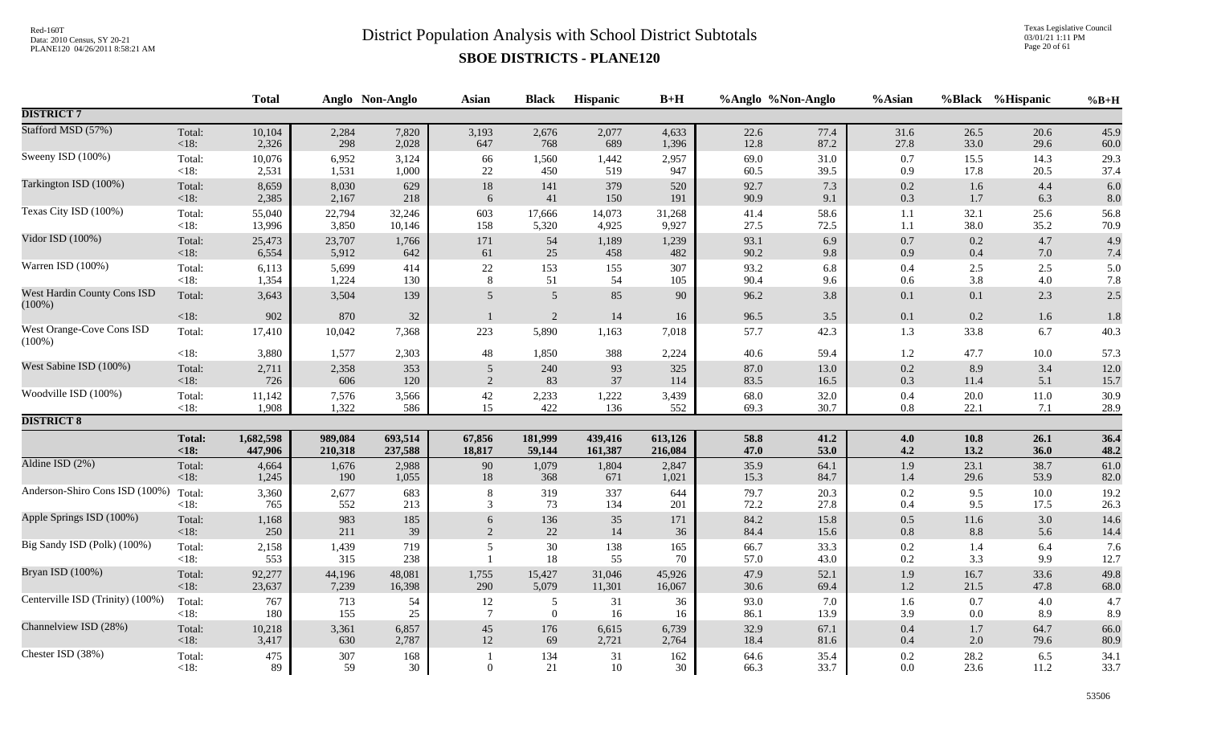Texas Legislative Council 03/01/21 1:11 PM Page 20 of 61

|                                          |                   | <b>Total</b> |              | Anglo Non-Anglo | Asian           | <b>Black</b>    | Hispanic     | $B+H$     |              | %Anglo %Non-Anglo | %Asian     |              | %Black %Hispanic | $%B+H$       |
|------------------------------------------|-------------------|--------------|--------------|-----------------|-----------------|-----------------|--------------|-----------|--------------|-------------------|------------|--------------|------------------|--------------|
| <b>DISTRICT 7</b>                        |                   |              |              |                 |                 |                 |              |           |              |                   |            |              |                  |              |
| Stafford MSD (57%)                       | Total:            | 10,104       | 2,284        | 7,820           | 3,193           | 2,676           | 2,077        | 4,633     | 22.6         | 77.4              | 31.6       | 26.5         | 20.6             | 45.9         |
|                                          | <18:              | 2,326        | 298          | 2,028           | 647             | 768             | 689          | 1,396     | 12.8         | 87.2              | 27.8       | 33.0         | 29.6             | 60.0         |
| Sweeny ISD (100%)                        | Total:            | 10,076       | 6,952        | 3,124           | 66              | 1,560           | 1,442        | 2,957     | 69.0         | 31.0              | 0.7        | 15.5         | 14.3             | 29.3         |
|                                          | $<18$ :           | 2,531        | 1,531        | 1,000           | $22\,$          | 450             | 519          | 947       | 60.5         | 39.5              | 0.9        | 17.8         | 20.5             | 37.4         |
| Tarkington ISD (100%)                    | Total:            | 8,659        | 8,030        | 629             | $18\,$          | 141             | 379          | 520       | 92.7         | 7.3               | $0.2\,$    | 1.6          | 4.4              | 6.0          |
|                                          | $<18$ :           | 2,385        | 2,167        | 218             | 6               | 41              | 150          | 191       | 90.9         | 9.1               | 0.3        | 1.7          | 6.3              | $8.0\,$      |
| Texas City ISD (100%)                    | Total:            | 55,040       | 22,794       | 32,246          | 603             | 17,666          | 14,073       | 31,268    | 41.4         | 58.6              | 1.1        | 32.1         | 25.6             | 56.8         |
|                                          | $<18$ :           | 13,996       | 3,850        | 10,146          | 158             | 5,320           | 4,925        | 9,927     | 27.5         | 72.5              | 1.1        | 38.0         | 35.2             | 70.9         |
| Vidor ISD (100%)                         | Total:            | 25,473       | 23,707       | 1,766           | 171             | 54              | 1,189        | 1,239     | 93.1         | 6.9               | 0.7        | $0.2\,$      | 4.7              | 4.9          |
|                                          | $<18$ :           | 6,554        | 5,912        | 642             | 61              | 25              | 458          | 482       | 90.2         | 9.8               | 0.9        | 0.4          | 7.0              | 7.4          |
| Warren ISD (100%)                        | Total:            | 6,113        | 5,699        | 414             | $22\,$          | 153             | 155          | 307       | 93.2         | 6.8               | $0.4\,$    | 2.5          | 2.5              | 5.0          |
|                                          | $<18$ :           | 1,354        | 1,224        | 130             | $\,8\,$         | 51              | 54           | 105       | 90.4         | 9.6               | 0.6        | 3.8          | 4.0              | 7.8          |
| West Hardin County Cons ISD<br>$(100\%)$ | Total:            | 3,643        | 3,504        | 139             | 5               | $5\overline{)}$ | 85           | 90        | 96.2         | 3.8               | 0.1        | 0.1          | 2.3              | 2.5          |
| West Orange-Cove Cons ISD                | <18:              | 902          | 870          | $32\,$          | $\overline{1}$  | $\sqrt{2}$      | $14\,$       | 16        | 96.5         | 3.5               | 0.1        | 0.2          | 1.6              | 1.8          |
| $(100\%)$                                | Total:            | 17,410       | 10,042       | 7,368           | 223             | 5,890           | 1,163        | 7,018     | 57.7         | 42.3              | 1.3        | 33.8         | 6.7              | 40.3         |
|                                          | $<18$ :           | 3,880        | 1,577        | 2,303           | 48              | 1,850           | 388          | 2,224     | 40.6         | 59.4              | 1.2        | 47.7         | 10.0             | 57.3         |
| West Sabine ISD (100%)                   | Total:            | 2,711        | 2,358        | 353             | 5               | 240             | 93           | 325       | 87.0         | 13.0              | $0.2\,$    | 8.9          | 3.4              | 12.0         |
|                                          | <18:              | 726          | 606          | 120             | 2               | 83              | 37           | 114       | 83.5         | 16.5              | 0.3        | 11.4         | 5.1              | 15.7         |
| Woodville ISD (100%)                     | Total:            | 11,142       | 7,576        | 3,566           | $42\,$          | 2,233           | 1,222        | 3,439     | 68.0         | 32.0              | 0.4        | 20.0         | $11.0\,$         | 30.9         |
|                                          | <18:              | 1,908        | 1,322        | 586             | 15              | 422             | 136          | 552       | 69.3         | 30.7              | $0.8\,$    | 22.1         | 7.1              | 28.9         |
| <b>DISTRICT 8</b>                        |                   |              |              |                 |                 |                 |              |           |              |                   |            |              |                  |              |
|                                          | <b>Total:</b>     | 1,682,598    | 989,084      | 693,514         | 67,856          | 181,999         | 439,416      | 613,126   | 58.8         | 41.2              | 4.0        | 10.8         | 26.1             | 36.4         |
|                                          | < 18:             | 447,906      | 210,318      | 237,588         | 18,817          | 59,144          | 161,387      | 216,084   | 47.0         | 53.0              | 4.2        | 13.2         | 36.0             | 48.2         |
| Aldine ISD (2%)                          | Total:            | 4,664        | 1,676        | 2,988           | 90              | 1,079           | 1,804        | 2,847     | 35.9         | 64.1              | 1.9        | 23.1         | 38.7             | 61.0         |
|                                          | $<18$ :           | 1,245        | 190          | 1,055           | $18\,$          | 368             | 671          | 1,021     | 15.3         | 84.7              | 1.4        | 29.6         | 53.9             | 82.0         |
| Anderson-Shiro Cons ISD (100%)           | Total:            | 3,360        | 2,677        | 683             | 8               | 319             | 337          | 644       | 79.7         | 20.3              | 0.2        | 9.5          | 10.0             | 19.2         |
|                                          | <18:              | 765          | 552          | 213             | 3               | 73              | 134          | 201       | 72.2         | 27.8              | 0.4        | 9.5          | 17.5             | 26.3         |
| Apple Springs ISD (100%)                 | Total:            | 1,168        | 983          | 185             | 6               | 136             | 35           | 171       | 84.2         | 15.8              | 0.5        | 11.6         | 3.0              | 14.6         |
|                                          | <18:              | 250          | 211          | 39              | 2               | 22              | 14           | 36        | 84.4         | 15.6              | 0.8        | 8.8          | 5.6              | 14.4         |
| Big Sandy ISD (Polk) (100%)              | Total:<br>$<18$ : | 2,158<br>553 | 1,439<br>315 | 719<br>238      | 5               | $30\,$<br>18    | 138<br>55    | 165<br>70 | 66.7<br>57.0 | 33.3<br>43.0      | 0.2<br>0.2 | 1.4<br>3.3   | 6.4<br>9.9       | 7.6<br>12.7  |
| Bryan ISD (100%)                         | Total:            | 92,277       | 44,196       | 48,081          | 1,755           | 15,427          | 31,046       | 45,926    | 47.9         | 52.1              | 1.9        | 16.7         | 33.6             | 49.8         |
|                                          | <18:              | 23,637       | 7,239        | 16,398          | 290             | 5,079           | 11,301       | 16,067    | 30.6         | 69.4              | $1.2\,$    | 21.5         | 47.8             | 68.0         |
| Centerville ISD (Trinity) (100%)         | Total:            | 767          | 713          | 54              | 12              | 5               | 31           | 36        | 93.0         | 7.0               | 1.6        | 0.7          | 4.0              | 4.7          |
|                                          | $<18$ :           | 180          | 155          | 25              | $7\phantom{.0}$ | $\mathbf{0}$    | 16           | 16        | 86.1         | 13.9              | 3.9        | 0.0          | 8.9              | 8.9          |
| Channelview ISD (28%)                    | Total:            | 10,218       | 3,361        | 6,857           | 45              | 176             | 6,615        | 6,739     | 32.9         | 67.1              | 0.4        | 1.7          | 64.7             | 66.0         |
|                                          | $<18$ :           | 3,417        | 630          | 2,787           | 12              | 69              | 2,721        | 2,764     | 18.4         | 81.6              | 0.4        | 2.0          | 79.6             | 80.9         |
| Chester ISD (38%)                        | Total:<br>$<18$ : | 475<br>89    | 307<br>59    | 168<br>30       | $\mathbf{0}$    | 134<br>21       | 31<br>$10\,$ | 162<br>30 | 64.6<br>66.3 | 35.4<br>33.7      | 0.2<br>0.0 | 28.2<br>23.6 | 6.5<br>11.2      | 34.1<br>33.7 |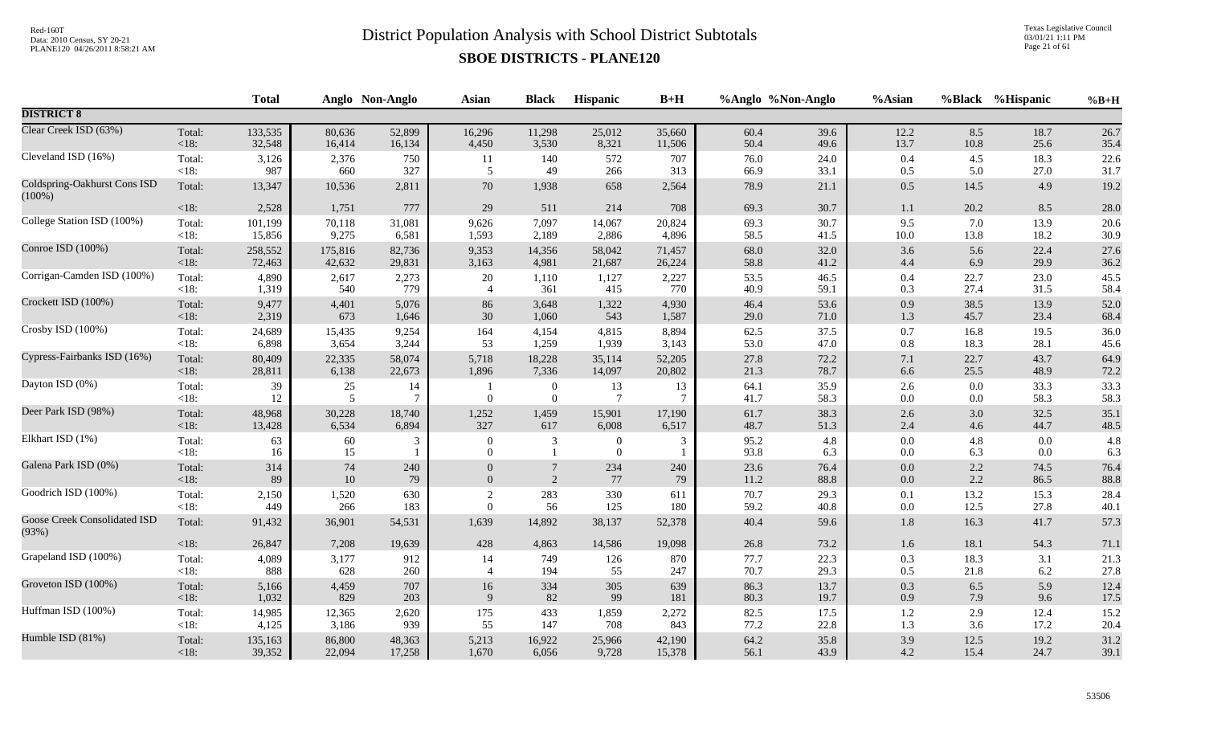Texas Legislative Council 03/01/21 1:11 PM Page 21 of 61

|                                              |                   | <b>Total</b> |             | Anglo Non-Anglo      | <b>Asian</b>               | <b>Black</b>                       | Hispanic                   | $B+H$   | %Anglo %Non-Anglo |              | %Asian         |            | %Black %Hispanic | $%B+H$       |
|----------------------------------------------|-------------------|--------------|-------------|----------------------|----------------------------|------------------------------------|----------------------------|---------|-------------------|--------------|----------------|------------|------------------|--------------|
| <b>DISTRICT 8</b>                            |                   |              |             |                      |                            |                                    |                            |         |                   |              |                |            |                  |              |
| Clear Creek ISD (63%)                        | Total:            | 133,535      | 80,636      | 52,899               | 16,296                     | 11,298                             | 25,012                     | 35,660  | 60.4              | 39.6         | 12.2           | 8.5        | 18.7             | 26.7         |
|                                              | < 18:             | 32,548       | 16,414      | 16,134               | 4,450                      | 3,530                              | 8,321                      | 11,506  | 50.4              | 49.6         | 13.7           | 10.8       | 25.6             | 35.4         |
| Cleveland ISD (16%)                          | Total:            | 3,126        | 2,376       | 750                  | 11                         | 140                                | 572                        | 707     | 76.0              | 24.0         | $0.4\,$        | 4.5        | 18.3             | 22.6         |
|                                              | $<18$ :           | 987          | 660         | 327                  | 5                          | 49                                 | 266                        | 313     | 66.9              | 33.1         | 0.5            | 5.0        | 27.0             | 31.7         |
| Coldspring-Oakhurst Cons ISD<br>$(100\%)$    | Total:            | 13,347       | 10,536      | 2,811                | 70                         | 1,938                              | 658                        | 2,564   | 78.9              | 21.1         | $0.5\,$        | 14.5       | 4.9              | 19.2         |
|                                              | $<18$ :           | 2,528        | 1,751       | 777                  | 29                         | 511                                | 214                        | 708     | 69.3              | 30.7         | $1.1\,$        | 20.2       | 8.5              | 28.0         |
| College Station ISD (100%)                   | Total:            | 101,199      | 70,118      | 31,081               | 9,626                      | 7,097                              | 14,067                     | 20,824  | 69.3              | 30.7         | 9.5            | 7.0        | 13.9             | 20.6         |
|                                              | $<18$ :           | 15,856       | 9,275       | 6,581                | 1,593                      | 2,189                              | 2,886                      | 4,896   | 58.5              | 41.5         | 10.0           | 13.8       | 18.2             | 30.9         |
| Conroe ISD (100%)                            | Total:            | 258,552      | 175,816     | 82,736               | 9,353                      | 14,356                             | 58,042                     | 71,457  | 68.0              | 32.0         | 3.6            | 5.6        | 22.4             | 27.6         |
|                                              | < 18:             | 72,463       | 42,632      | 29,831               | 3,163                      | 4,981                              | 21,687                     | 26,224  | 58.8              | 41.2         | $4.4\,$        | 6.9        | 29.9             | 36.2         |
| Corrigan-Camden ISD (100%)                   | Total:            | 4,890        | 2,617       | 2,273                | 20                         | 1,110                              | 1,127                      | 2,227   | 53.5              | 46.5         | 0.4            | 22.7       | 23.0             | 45.5         |
|                                              | $<18$ :           | 1,319        | 540         | 779                  | $\overline{4}$             | 361                                | 415                        | 770     | 40.9              | 59.1         | 0.3            | 27.4       | 31.5             | 58.4         |
| Crockett ISD (100%)                          | Total:            | 9,477        | 4,401       | 5,076                | 86                         | 3,648                              | 1,322                      | 4,930   | 46.4              | 53.6         | $0.9\,$        | 38.5       | 13.9             | 52.0         |
|                                              | < 18:             | 2,319        | 673         | 1,646                | 30                         | 1,060                              | 543                        | 1,587   | 29.0              | 71.0         | 1.3            | 45.7       | 23.4             | 68.4         |
| Crosby ISD (100%)                            | Total:            | 24,689       | 15,435      | 9,254                | 164                        | 4,154                              | 4,815                      | 8,894   | 62.5              | 37.5         | $0.7\,$        | 16.8       | 19.5             | 36.0         |
|                                              | < 18:             | 6,898        | 3,654       | 3,244                | 53                         | 1,259                              | 1,939                      | 3,143   | 53.0              | 47.0         | $0.8\,$        | 18.3       | 28.1             | 45.6         |
| Cypress-Fairbanks ISD (16%)                  | Total:            | 80,409       | 22,335      | 58,074               | 5,718                      | 18,228                             | 35,114                     | 52,205  | 27.8              | 72.2         | $7.1\,$        | 22.7       | 43.7             | 64.9         |
|                                              | <18:              | 28,811       | 6,138       | 22,673               | 1,896                      | 7,336                              | 14,097                     | 20,802  | 21.3              | 78.7         | 6.6            | 25.5       | 48.9             | 72.2         |
| Dayton ISD (0%)                              | Total:<br>$<18$ : | 39<br>12     | $25\,$<br>5 | 14<br>$\overline{7}$ | $\overline{0}$             | $\boldsymbol{0}$<br>$\overline{0}$ | 13<br>$7\phantom{.0}$      | 13<br>7 | 64.1<br>41.7      | 35.9<br>58.3 | $2.6\,$<br>0.0 | 0.0<br>0.0 | 33.3<br>58.3     | 33.3<br>58.3 |
| Deer Park ISD (98%)                          | Total:            | 48,968       | 30,228      | 18,740               | 1,252                      | 1,459                              | 15,901                     | 17,190  | 61.7              | 38.3         | $2.6\,$        | 3.0        | 32.5             | 35.1         |
|                                              | < 18:             | 13,428       | 6,534       | 6,894                | 327                        | 617                                | 6,008                      | 6,517   | 48.7              | 51.3         | 2.4            | 4.6        | 44.7             | 48.5         |
| Elkhart ISD (1%)                             | Total:<br>$<18$ : | 63<br>16     | 60<br>15    | 3                    | $\Omega$<br>$\overline{0}$ | 3<br>$\mathbf{1}$                  | $\Omega$<br>$\overline{0}$ | 3       | 95.2<br>93.8      | 4.8<br>6.3   | $0.0\,$<br>0.0 | 4.8<br>6.3 | 0.0<br>0.0       | 4.8<br>6.3   |
| Galena Park ISD (0%)                         | Total:            | 314          | 74          | 240                  | $\overline{0}$             | $\overline{7}$                     | 234                        | 240     | 23.6              | 76.4         | $0.0\,$        | $2.2\,$    | 74.5             | 76.4         |
|                                              | < 18:             | 89           | 10          | 79                   | $\Omega$                   | 2                                  | 77                         | 79      | 11.2              | 88.8         | $0.0\,$        | 2.2        | 86.5             | 88.8         |
| Goodrich ISD (100%)                          | Total:            | 2,150        | 1,520       | 630                  | $\sqrt{2}$                 | 283                                | 330                        | 611     | 70.7              | 29.3         | 0.1            | 13.2       | 15.3             | 28.4         |
|                                              | $<18$ :           | 449          | 266         | 183                  | $\overline{0}$             | 56                                 | 125                        | 180     | 59.2              | 40.8         | $0.0\,$        | 12.5       | 27.8             | 40.1         |
| <b>Goose Creek Consolidated ISD</b><br>(93%) | Total:            | 91,432       | 36,901      | 54,531               | 1,639                      | 14,892                             | 38,137                     | 52,378  | 40.4              | 59.6         | $1.8\,$        | 16.3       | 41.7             | 57.3         |
|                                              | < 18:             | 26,847       | 7,208       | 19,639               | 428                        | 4,863                              | 14,586                     | 19,098  | 26.8              | 73.2         | 1.6            | 18.1       | 54.3             | 71.1         |
| Grapeland ISD (100%)                         | Total:            | 4,089        | 3,177       | 912                  | 14                         | 749                                | 126                        | 870     | 77.7              | 22.3         | $0.3\,$        | 18.3       | 3.1              | 21.3         |
|                                              | < 18:             | 888          | 628         | 260                  | $\overline{4}$             | 194                                | 55                         | 247     | 70.7              | 29.3         | 0.5            | 21.8       | 6.2              | 27.8         |
| Groveton ISD (100%)                          | Total:            | 5,166        | 4,459       | 707                  | 16                         | 334                                | 305                        | 639     | 86.3              | 13.7         | $0.3\,$        | 6.5        | 5.9              | 12.4         |
|                                              | $<18$ :           | 1,032        | 829         | 203                  | $\mathbf Q$                | 82                                 | 99                         | 181     | 80.3              | 19.7         | 0.9            | 7.9        | 9.6              | 17.5         |
| Huffman ISD (100%)                           | Total:            | 14,985       | 12,365      | 2,620                | 175                        | 433                                | 1,859                      | 2,272   | 82.5              | 17.5         | $1.2\,$        | 2.9        | 12.4             | 15.2         |
|                                              | <18:              | 4,125        | 3,186       | 939                  | 55                         | 147                                | 708                        | 843     | 77.2              | 22.8         | 1.3            | 3.6        | 17.2             | 20.4         |
| Humble ISD (81%)                             | Total:            | 135,163      | 86,800      | 48,363               | 5,213                      | 16,922                             | 25,966                     | 42,190  | 64.2              | 35.8         | 3.9            | 12.5       | 19.2             | 31.2         |
|                                              | $<18$ :           | 39,352       | 22,094      | 17,258               | 1,670                      | 6,056                              | 9,728                      | 15,378  | 56.1              | 43.9         | 4.2            | 15.4       | 24.7             | 39.1         |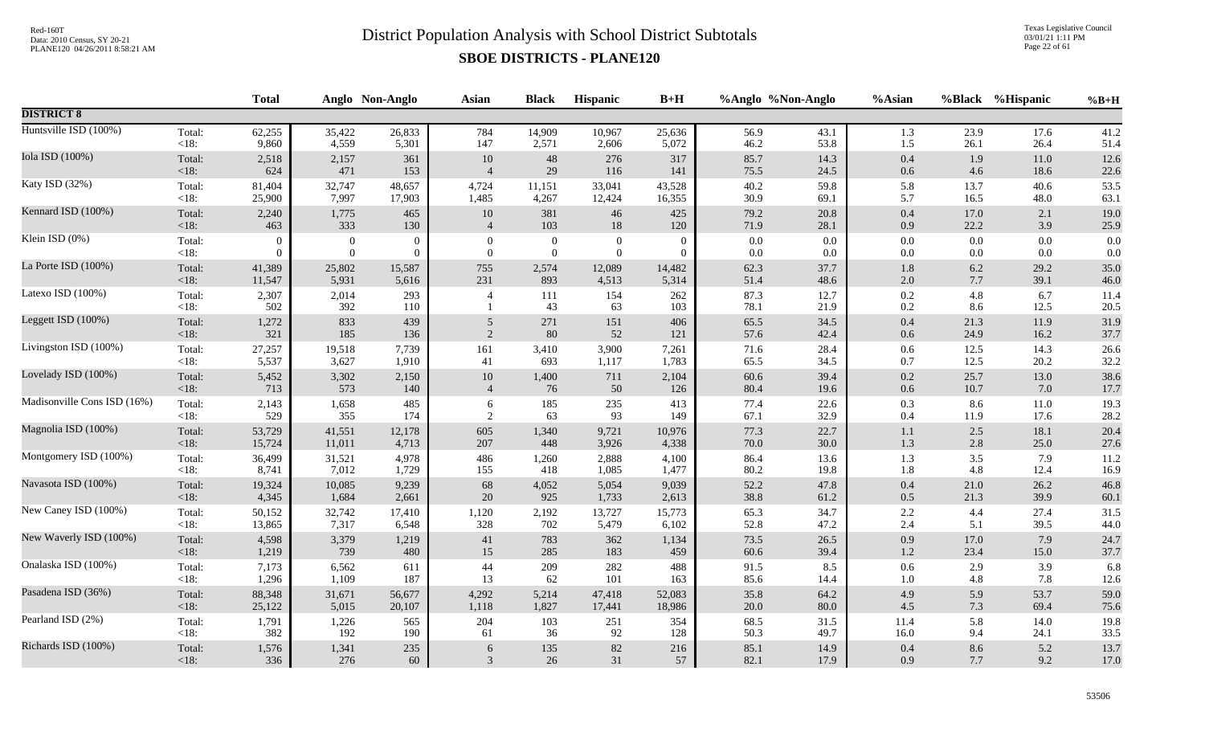Texas Legislative Council 03/01/21 1:11 PM Page 22 of 61

|                             |                | <b>Total</b> |                  | Anglo Non-Anglo | <b>Asian</b>     | <b>Black</b>     | Hispanic         | $B+H$        |              | %Anglo %Non-Anglo | %Asian         |            | %Black %Hispanic | $%B+H$       |
|-----------------------------|----------------|--------------|------------------|-----------------|------------------|------------------|------------------|--------------|--------------|-------------------|----------------|------------|------------------|--------------|
| <b>DISTRICT 8</b>           |                |              |                  |                 |                  |                  |                  |              |              |                   |                |            |                  |              |
| Huntsville ISD (100%)       | Total:         | 62,255       | 35,422           | 26,833          | 784              | 14,909           | 10,967           | 25,636       | 56.9         | 43.1              | 1.3            | 23.9       | 17.6             | 41.2         |
|                             | $<18$ :        | 9,860        | 4,559            | 5,301           | 147              | 2,571            | 2,606            | 5,072        | 46.2         | 53.8              | 1.5            | 26.1       | 26.4             | 51.4         |
| Iola ISD (100%)             | Total:         | 2,518        | 2,157            | 361             | $10\,$           | $48\,$           | 276              | 317          | 85.7         | 14.3              | $0.4\,$        | 1.9        | 11.0             | 12.6         |
|                             | <18:           | 624          | 471              | 153             | $\overline{4}$   | $29\,$           | 116              | 141          | 75.5         | 24.5              | $0.6\,$        | 4.6        | 18.6             | 22.6         |
| Katy ISD (32%)              | Total:         | 81,404       | 32,747           | 48,657          | 4,724            | 11,151           | 33,041           | 43,528       | 40.2         | 59.8              | 5.8            | 13.7       | 40.6             | 53.5         |
|                             | < 18:          | 25,900       | 7,997            | 17,903          | 1,485            | 4,267            | 12,424           | 16,355       | 30.9         | 69.1              | 5.7            | 16.5       | 48.0             | 63.1         |
| Kennard ISD $(100\%)$       | Total:         | 2,240        | 1,775            | 465             | $10\,$           | 381              | 46               | 425          | 79.2         | 20.8              | 0.4            | 17.0       | 2.1              | 19.0         |
|                             | <18:           | 463          | 333              | 130             | $\overline{4}$   | 103              | 18               | 120          | 71.9         | 28.1              | $0.9\,$        | 22.2       | 3.9              | 25.9         |
| Klein ISD (0%)              | Total:         | $\mathbf{0}$ | $\boldsymbol{0}$ | $\overline{0}$  | $\boldsymbol{0}$ | $\boldsymbol{0}$ | $\boldsymbol{0}$ | $\mathbf{0}$ | 0.0          | 0.0               | $0.0\,$        | 0.0        | 0.0              | 0.0          |
|                             | < 18:          | $\Omega$     | $\mathbf{0}$     | $\theta$        | $\overline{0}$   | $\boldsymbol{0}$ | $\overline{0}$   | $\Omega$     | 0.0          | 0.0               | $0.0\,$        | 0.0        | 0.0              | 0.0          |
| La Porte ISD (100%)         | Total:         | 41,389       | 25,802           | 15,587          | 755              | 2,574            | 12,089           | 14,482       | 62.3         | 37.7              | $1.8\,$        | $6.2\,$    | 29.2             | 35.0         |
|                             | $<18$ :        | 11,547       | 5,931            | 5,616           | 231              | 893              | 4,513            | 5,314        | 51.4         | 48.6              | $2.0\,$        | $7.7\,$    | 39.1             | 46.0         |
| Latexo ISD (100%)           | Total:<br><18: | 2,307<br>502 | 2,014<br>392     | 293<br>110      | $\overline{4}$   | 111<br>43        | 154<br>63        | 262<br>103   | 87.3<br>78.1 | 12.7<br>21.9      | $0.2\,$<br>0.2 | 4.8<br>8.6 | 6.7<br>12.5      | 11.4<br>20.5 |
| Leggett ISD (100%)          | Total:         | 1,272        | 833              | 439             | 5                | 271              | 151              | 406          | 65.5         | 34.5              | 0.4            | 21.3       | 11.9             | 31.9         |
|                             | <18:           | 321          | 185              | 136             | 2                | 80               | 52               | 121          | 57.6         | 42.4              | 0.6            | 24.9       | 16.2             | 37.7         |
| Livingston ISD (100%)       | Total:         | 27,257       | 19,518           | 7,739           | 161              | 3,410            | 3,900            | 7,261        | 71.6         | 28.4              | $0.6\,$        | 12.5       | 14.3             | 26.6         |
|                             | $<18$ :        | 5,537        | 3,627            | 1,910           | 41               | 693              | 1,117            | 1,783        | 65.5         | 34.5              | 0.7            | 12.5       | 20.2             | 32.2         |
| Lovelady ISD (100%)         | Total:         | 5,452        | 3,302            | 2,150           | $10\,$           | 1,400            | 711              | 2,104        | $60.6\,$     | 39.4              | $0.2\,$        | 25.7       | 13.0             | 38.6         |
|                             | $<18$ :        | 713          | 573              | 140             | $\overline{4}$   | 76               | 50               | 126          | 80.4         | 19.6              | $0.6\,$        | 10.7       | 7.0              | 17.7         |
| Madisonville Cons ISD (16%) | Total:         | 2,143        | 1,658            | 485             | 6                | 185              | 235              | 413          | 77.4         | 22.6              | 0.3            | 8.6        | 11.0             | 19.3         |
|                             | $<18$ :        | 529          | 355              | 174             | 2                | 63               | 93               | 149          | 67.1         | 32.9              | 0.4            | 11.9       | 17.6             | 28.2         |
| Magnolia ISD (100%)         | Total:         | 53,729       | 41,551           | 12,178          | 605              | 1,340            | 9,721            | 10,976       | 77.3         | 22.7              | 1.1            | 2.5        | 18.1             | 20.4         |
|                             | $<18$ :        | 15,724       | 11,011           | 4,713           | 207              | 448              | 3,926            | 4,338        | 70.0         | 30.0              | 1.3            | 2.8        | 25.0             | 27.6         |
| Montgomery ISD (100%)       | Total:         | 36,499       | 31,521           | 4,978           | 486              | 1,260            | 2,888            | 4,100        | 86.4         | 13.6              | 1.3            | 3.5        | 7.9              | 11.2         |
|                             | <18:           | 8,741        | 7,012            | 1,729           | 155              | 418              | 1,085            | 1,477        | 80.2         | 19.8              | 1.8            | 4.8        | 12.4             | 16.9         |
| Navasota ISD (100%)         | Total:         | 19,324       | 10,085           | 9,239           | 68               | 4,052            | 5,054            | 9,039        | 52.2         | 47.8              | $0.4\,$        | 21.0       | 26.2             | 46.8         |
|                             | <18:           | 4,345        | 1,684            | 2,661           | 20               | 925              | 1,733            | 2,613        | 38.8         | 61.2              | $0.5\,$        | 21.3       | 39.9             | 60.1         |
| New Caney ISD (100%)        | Total:         | 50,152       | 32,742           | 17,410          | 1,120            | 2,192            | 13,727           | 15,773       | 65.3         | 34.7              | $2.2\,$        | 4.4        | 27.4             | 31.5         |
|                             | $<18$ :        | 13,865       | 7,317            | 6,548           | 328              | 702              | 5,479            | 6,102        | 52.8         | 47.2              | 2.4            | 5.1        | 39.5             | 44.0         |
| New Waverly ISD (100%)      | Total:         | 4,598        | 3,379            | 1,219           | 41               | 783              | 362              | 1,134        | 73.5         | 26.5              | 0.9            | 17.0       | 7.9              | 24.7         |
|                             | $<18$ :        | 1,219        | 739              | 480             | 15               | 285              | 183              | 459          | 60.6         | 39.4              | $1.2\,$        | 23.4       | 15.0             | 37.7         |
| Onalaska ISD (100%)         | Total:         | 7,173        | 6,562            | 611             | 44               | 209              | 282              | 488          | 91.5         | 8.5               | $0.6\,$        | 2.9        | 3.9              | 6.8          |
|                             | $<18$ :        | 1,296        | 1,109            | 187             | 13               | 62               | 101              | 163          | 85.6         | 14.4              | $1.0\,$        | 4.8        | 7.8              | 12.6         |
| Pasadena ISD (36%)          | Total:         | 88,348       | 31,671           | 56,677          | 4,292            | 5,214            | 47,418           | 52,083       | 35.8         | 64.2              | 4.9            | 5.9        | 53.7             | 59.0         |
|                             | <18:           | 25,122       | 5,015            | 20,107          | 1,118            | 1,827            | 17,441           | 18,986       | 20.0         | 80.0              | 4.5            | 7.3        | 69.4             | 75.6         |
| Pearland ISD (2%)           | Total:         | 1,791        | 1,226            | 565             | 204              | 103              | 251              | 354          | 68.5         | 31.5              | 11.4           | 5.8        | 14.0             | 19.8         |
|                             | $<18$ :        | 382          | 192              | 190             | 61               | 36               | 92               | 128          | 50.3         | 49.7              | 16.0           | 9.4        | 24.1             | 33.5         |
| Richards ISD (100%)         | Total:         | 1,576        | 1,341            | 235             | 6                | 135              | $82\,$           | 216          | 85.1         | 14.9              | $0.4\,$        | 8.6        | 5.2              | 13.7         |
|                             | $<18$ :        | 336          | 276              | 60              | 3                | 26               | 31               | 57           | 82.1         | 17.9              | 0.9            | 7.7        | 9.2              | 17.0         |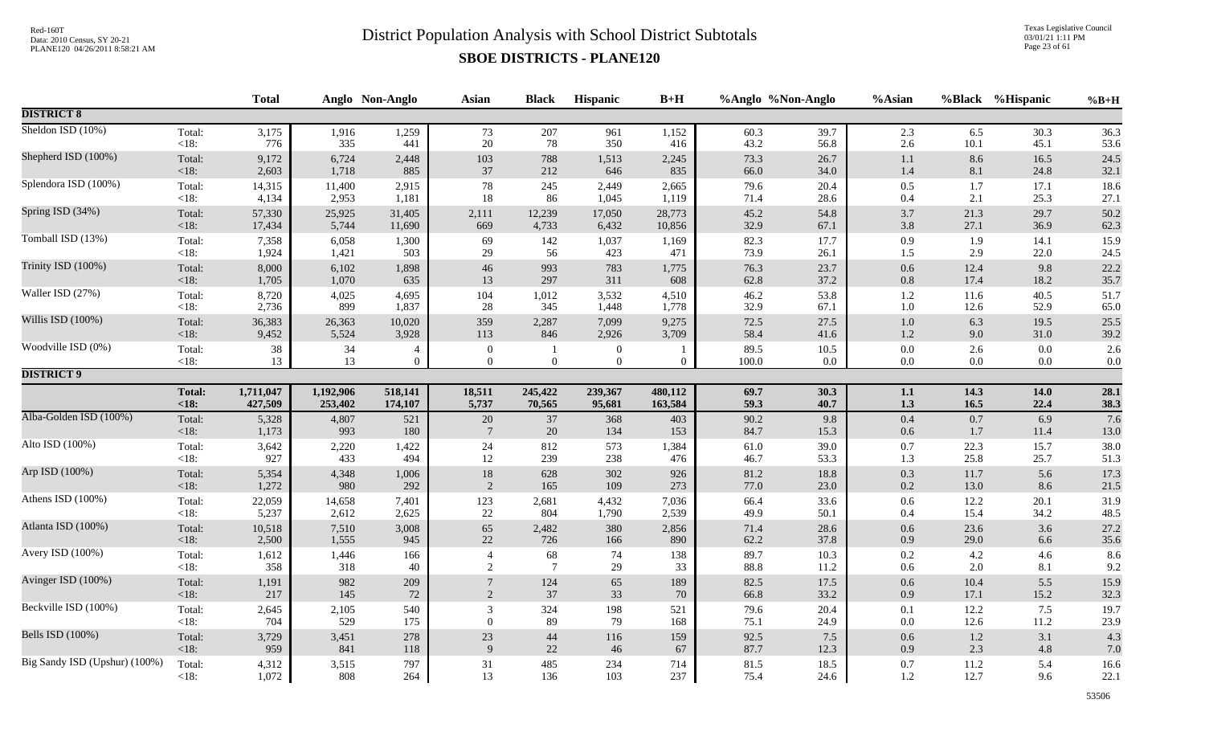Texas Legislative Council 03/01/21 1:11 PM Page 23 of 61

|                               |                        | <b>Total</b>         |                      | Anglo Non-Anglo                  | Asian                              | <b>Black</b>                 | Hispanic                         | $B+H$              | %Anglo %Non-Anglo |                 | %Asian             |              | %Black %Hispanic | $%B+H$             |
|-------------------------------|------------------------|----------------------|----------------------|----------------------------------|------------------------------------|------------------------------|----------------------------------|--------------------|-------------------|-----------------|--------------------|--------------|------------------|--------------------|
| <b>DISTRICT 8</b>             |                        |                      |                      |                                  |                                    |                              |                                  |                    |                   |                 |                    |              |                  |                    |
| Sheldon ISD (10%)             | Total:                 | 3,175                | 1,916                | 1,259                            | 73                                 | 207                          | 961                              | 1,152              | 60.3              | 39.7            | 2.3                | 6.5          | 30.3             | 36.3               |
|                               | $<18$ :                | 776                  | 335                  | 441                              | $20\,$                             | 78                           | 350                              | 416                | 43.2              | 56.8            | 2.6                | 10.1         | 45.1             | 53.6               |
| Shepherd ISD (100%)           | Total:                 | 9,172                | 6,724                | 2,448                            | 103                                | 788                          | 1,513                            | 2,245              | 73.3              | 26.7            | $1.1\,$            | 8.6          | 16.5             | 24.5               |
|                               | <18:                   | 2,603                | 1,718                | 885                              | 37                                 | 212                          | 646                              | 835                | 66.0              | 34.0            | 1.4                | 8.1          | 24.8             | 32.1               |
| Splendora ISD (100%)          | Total:                 | 14,315               | 11,400               | 2,915                            | 78                                 | 245                          | 2,449                            | 2,665              | 79.6              | 20.4            | $0.5\,$            | 1.7          | 17.1             | 18.6               |
|                               | <18:                   | 4,134                | 2,953                | 1,181                            | 18                                 | 86                           | 1,045                            | 1,119              | 71.4              | 28.6            | 0.4                | 2.1          | 25.3             | 27.1               |
| Spring ISD (34%)              | Total:                 | 57,330               | 25,925               | 31,405                           | 2,111                              | 12,239                       | 17,050                           | 28,773             | 45.2              | 54.8            | 3.7                | 21.3         | 29.7             | 50.2               |
|                               | <18:                   | 17,434               | 5,744                | 11,690                           | 669                                | 4,733                        | 6,432                            | 10,856             | 32.9              | 67.1            | 3.8                | 27.1         | 36.9             | 62.3               |
| Tomball ISD (13%)             | Total:                 | 7,358                | 6,058                | 1,300                            | 69                                 | 142                          | 1,037                            | 1,169              | 82.3              | 17.7            | 0.9                | 1.9          | 14.1             | 15.9               |
|                               | <18:                   | 1,924                | 1,421                | 503                              | 29                                 | 56                           | 423                              | 471                | 73.9              | 26.1            | 1.5                | 2.9          | 22.0             | 24.5               |
| Trinity ISD (100%)            | Total:                 | 8,000                | 6,102                | 1,898                            | 46                                 | 993                          | 783                              | 1,775              | 76.3              | 23.7            | $0.6\,$            | 12.4         | 9.8              | 22.2               |
|                               | <18:                   | 1,705                | 1,070                | 635                              | 13                                 | 297                          | 311                              | 608                | 62.8              | 37.2            | $0.8\,$            | 17.4         | 18.2             | 35.7               |
| Waller ISD (27%)              | Total:                 | 8,720                | 4,025                | 4,695                            | 104                                | 1,012                        | 3,532                            | 4,510              | 46.2              | 53.8            | $1.2\,$            | 11.6         | 40.5             | 51.7               |
|                               | $<18$ :                | 2,736                | 899                  | 1,837                            | 28                                 | 345                          | 1,448                            | 1,778              | 32.9              | 67.1            | 1.0                | 12.6         | 52.9             | 65.0               |
| Willis ISD (100%)             | Total:                 | 36,383               | 26,363               | 10,020                           | 359                                | 2,287                        | 7,099                            | 9,275              | $72.5\,$          | 27.5            | $1.0\,$            | 6.3          | 19.5             | 25.5               |
|                               | < 18:                  | 9,452                | 5,524                | 3,928                            | 113                                | 846                          | 2,926                            | 3,709              | 58.4              | 41.6            | $1.2\,$            | 9.0          | 31.0             | 39.2               |
| Woodville ISD (0%)            | Total:<br><18:         | $38\,$<br>13         | 34<br>13             | $\overline{4}$<br>$\overline{0}$ | $\boldsymbol{0}$<br>$\overline{0}$ | $\mathbf{1}$<br>$\mathbf{0}$ | $\boldsymbol{0}$<br>$\mathbf{0}$ | $\overline{0}$     | 89.5<br>100.0     | 10.5<br>$0.0\,$ | $0.0\,$<br>$0.0\,$ | 2.6<br>0.0   | 0.0<br>$0.0\,$   | 2.6<br>$0.0\,$     |
| <b>DISTRICT 9</b>             |                        |                      |                      |                                  |                                    |                              |                                  |                    |                   |                 |                    |              |                  |                    |
|                               | <b>Total:</b><br>< 18: | 1,711,047<br>427,509 | 1,192,906<br>253,402 | 518,141<br>174,107               | 18,511<br>5,737                    | 245,422<br>70,565            | 239,367<br>95,681                | 480,112<br>163,584 | 69.7<br>59.3      | 30.3<br>40.7    | $1.1\,$<br>1.3     | 14.3<br>16.5 | 14.0<br>22.4     | 28.1               |
| Alba-Golden ISD (100%)        | Total:                 | 5,328                | 4,807                | 521                              | 20                                 | 37                           | 368                              | 403                | 90.2              | 9.8             | 0.4                | 0.7          | 6.9              | $\frac{38.3}{7.6}$ |
|                               | < 18:                  | 1,173                | 993                  | 180                              | $7\phantom{.0}$                    | 20                           | 134                              | 153                | 84.7              | 15.3            | 0.6                | 1.7          | 11.4             | 13.0               |
| Alto ISD (100%)               | Total:                 | 3,642                | 2,220                | 1,422                            | 24                                 | 812                          | 573                              | 1,384              | 61.0              | 39.0            | 0.7                | 22.3         | 15.7             | 38.0               |
|                               | <18:                   | 927                  | 433                  | 494                              | 12                                 | 239                          | 238                              | 476                | 46.7              | 53.3            | 1.3                | 25.8         | 25.7             | 51.3               |
| Arp ISD (100%)                | Total:                 | 5,354                | 4,348                | 1,006                            | $18\,$                             | 628                          | 302                              | 926                | $81.2\,$          | 18.8            | $0.3\,$            | 11.7         | 5.6              | 17.3               |
|                               | <18:                   | 1,272                | 980                  | 292                              | 2                                  | 165                          | 109                              | 273                | 77.0              | 23.0            | $0.2\,$            | 13.0         | 8.6              | 21.5               |
| Athens ISD (100%)             | Total:                 | 22,059               | 14,658               | 7,401                            | 123                                | 2,681                        | 4,432                            | 7,036              | 66.4              | 33.6            | 0.6                | 12.2         | 20.1             | 31.9               |
|                               | <18:                   | 5,237                | 2,612                | 2,625                            | $22\,$                             | 804                          | 1,790                            | 2,539              | 49.9              | 50.1            | 0.4                | 15.4         | 34.2             | 48.5               |
| Atlanta ISD (100%)            | Total:                 | 10,518               | 7,510                | 3,008                            | 65                                 | 2,482                        | 380                              | 2,856              | 71.4              | 28.6            | $0.6\,$            | 23.6         | 3.6              | 27.2               |
|                               | < 18:                  | 2,500                | 1,555                | 945                              | 22                                 | 726                          | 166                              | 890                | 62.2              | 37.8            | 0.9                | 29.0         | 6.6              | 35.6               |
| Avery ISD (100%)              | Total:                 | 1,612                | 1,446                | 166                              | $\overline{4}$                     | 68                           | 74                               | 138                | 89.7              | 10.3            | $0.2\,$            | 4.2          | 4.6              | 8.6                |
|                               | <18:                   | 358                  | 318                  | 40                               | 2                                  | $7\phantom{.0}$              | 29                               | 33                 | 88.8              | 11.2            | 0.6                | 2.0          | 8.1              | 9.2                |
| Avinger ISD (100%)            | Total:<br><18:         | 1,191<br>217         | 982<br>145           | 209<br>$72\,$                    | $\overline{2}$                     | 124<br>$37\,$                | 65<br>33                         | 189<br>70          | 82.5<br>66.8      | 17.5<br>33.2    | 0.6<br>0.9         | 10.4<br>17.1 | 5.5<br>15.2      | 15.9<br>32.3       |
| Beckville ISD (100%)          | Total:                 | 2,645                | 2,105                | 540                              | 3                                  | 324                          | 198                              | 521                | 79.6              | 20.4            | 0.1                | 12.2         | 7.5              | 19.7               |
|                               | <18:                   | 704                  | 529                  | 175                              | $\overline{0}$                     | 89                           | 79                               | 168                | 75.1              | 24.9            | $0.0\,$            | 12.6         | 11.2             | 23.9               |
| Bells ISD (100%)              | Total:                 | 3,729                | 3,451                | 278                              | $23\,$                             | $44\,$                       | 116                              | 159                | 92.5              | 7.5             | 0.6                | $1.2\,$      | 3.1              | 4.3                |
|                               | $<18$ :                | 959                  | 841                  | 118                              | $\mathbf{Q}$                       | 22                           | 46                               | 67                 | 87.7              | 12.3            | 0.9                | 2.3          | 4.8              | 7.0                |
| Big Sandy ISD (Upshur) (100%) | Total:                 | 4,312                | 3,515                | 797                              | 31                                 | 485                          | 234                              | 714                | 81.5              | 18.5            | 0.7                | 11.2         | 5.4              | 16.6               |
|                               | $<18$ :                | 1,072                | 808                  | 264                              | 13                                 | 136                          | 103                              | 237                | 75.4              | 24.6            | 1.2                | 12.7         | 9.6              | 22.1               |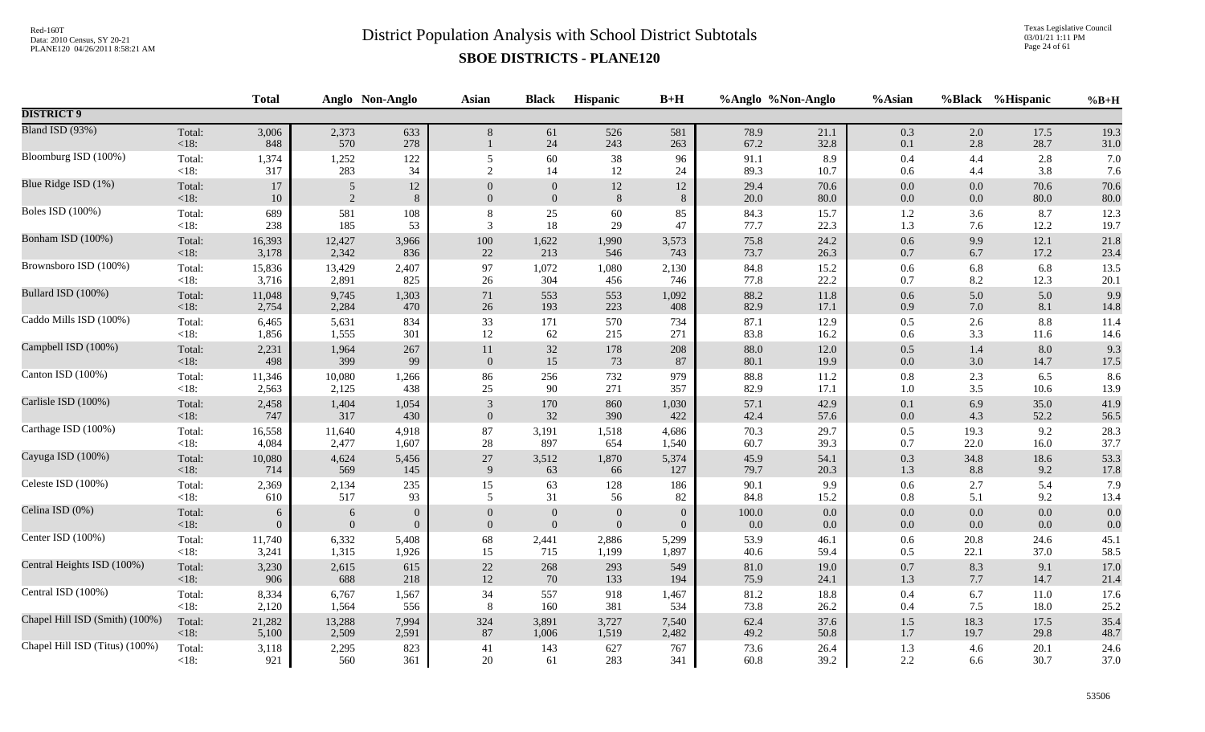Texas Legislative Council 03/01/21 1:11 PM Page 24 of 61

|                                |                   | <b>Total</b>   |                | Anglo Non-Anglo | <b>Asian</b>   | <b>Black</b>     | Hispanic         | $B+H$        |              | %Anglo %Non-Anglo | %Asian     |            | %Black %Hispanic | $%B+H$       |
|--------------------------------|-------------------|----------------|----------------|-----------------|----------------|------------------|------------------|--------------|--------------|-------------------|------------|------------|------------------|--------------|
| <b>DISTRICT 9</b>              |                   |                |                |                 |                |                  |                  |              |              |                   |            |            |                  |              |
| Bland ISD (93%)                | Total:<br>$<18$ : | 3,006<br>848   | 2,373<br>570   | 633<br>278      | 8              | 61<br>$24\,$     | 526<br>243       | 581<br>263   | 78.9<br>67.2 | 21.1<br>32.8      | 0.3<br>0.1 | 2.0<br>2.8 | 17.5<br>28.7     | 19.3<br>31.0 |
| Bloomburg ISD (100%)           | Total:            | 1,374          | 1,252          | 122             | 5              | 60               | 38               | 96           | 91.1         | 8.9               | $0.4\,$    | 4.4        | 2.8              | 7.0          |
|                                | $<18$ :           | 317            | 283            | 34              | $\overline{2}$ | 14               | 12               | 24           | 89.3         | 10.7              | $0.6\,$    | 4.4        | 3.8              | 7.6          |
| Blue Ridge ISD (1%)            | Total:            | 17             | 5              | 12              | $\overline{0}$ | $\overline{0}$   | 12               | 12           | 29.4         | 70.6              | $0.0\,$    | 0.0        | 70.6             | 70.6         |
|                                | $<18$ :           | $10\,$         | $\overline{2}$ | 8               | $\overline{0}$ | $\mathbf{0}$     | $\,8\,$          | $\,8\,$      | 20.0         | 80.0              | $0.0\,$    | 0.0        | 80.0             | $80.0\,$     |
| <b>Boles ISD</b> (100%)        | Total:            | 689            | 581            | 108             | 8              | 25               | 60               | 85           | 84.3         | 15.7              | $1.2\,$    | 3.6        | 8.7              | 12.3         |
|                                | <18:              | 238            | 185            | 53              | 3              | $18\,$           | 29               | 47           | 77.7         | 22.3              | 1.3        | 7.6        | 12.2             | 19.7         |
| Bonham ISD (100%)              | Total:            | 16,393         | 12,427         | 3,966           | 100            | 1,622            | 1,990            | 3,573        | 75.8         | 24.2              | $0.6\,$    | 9.9        | 12.1             | 21.8         |
|                                | $<18$ :           | 3,178          | 2,342          | 836             | 22             | 213              | 546              | 743          | 73.7         | 26.3              | $0.7\,$    | 6.7        | 17.2             | 23.4         |
| Brownsboro ISD (100%)          | Total:            | 15,836         | 13,429         | 2,407           | 97             | 1,072            | 1,080            | 2,130        | 84.8         | 15.2              | 0.6        | 6.8        | 6.8              | 13.5         |
|                                | $<18$ :           | 3,716          | 2,891          | 825             | 26             | 304              | 456              | 746          | 77.8         | 22.2              | 0.7        | 8.2        | 12.3             | 20.1         |
| Bullard ISD (100%)             | Total:            | 11,048         | 9,745          | 1,303           | 71             | 553              | 553              | 1,092        | 88.2         | 11.8              | 0.6        | 5.0        | 5.0              | 9.9          |
|                                | $<18$ :           | 2,754          | 2,284          | 470             | 26             | 193              | 223              | 408          | 82.9         | 17.1              | $0.9\,$    | 7.0        | 8.1              | 14.8         |
| Caddo Mills ISD (100%)         | Total:            | 6,465          | 5,631          | 834             | 33             | 171              | 570              | 734          | 87.1         | 12.9              | 0.5        | 2.6        | 8.8              | 11.4         |
|                                | $<18$ :           | 1,856          | 1,555          | 301             | 12             | 62               | 215              | 271          | 83.8         | 16.2              | 0.6        | 3.3        | 11.6             | 14.6         |
| Campbell ISD (100%)            | Total:            | 2,231          | 1,964          | 267             | $11\,$         | $32\,$           | 178              | 208          | 88.0         | 12.0              | $0.5\,$    | 1.4        | 8.0              | 9.3          |
|                                | $<18$ :           | 498            | 399            | 99              | $\mathbf{0}$   | 15               | 73               | 87           | 80.1         | 19.9              | $0.0\,$    | 3.0        | 14.7             | 17.5         |
| Canton ISD (100%)              | Total:            | 11,346         | 10,080         | 1,266           | 86             | 256              | 732              | 979          | 88.8         | 11.2              | $0.8\,$    | 2.3        | 6.5              | 8.6          |
|                                | $<18$ :           | 2,563          | 2,125          | 438             | 25             | 90               | 271              | 357          | 82.9         | 17.1              | $1.0\,$    | 3.5        | 10.6             | 13.9         |
| Carlisle ISD (100%)            | Total:            | 2,458          | 1,404          | 1,054           | $\mathfrak{Z}$ | 170              | 860              | 1,030        | 57.1         | 42.9              | $0.1\,$    | 6.9        | 35.0             | 41.9         |
|                                | <18:              | 747            | 317            | 430             | $\mathbf{0}$   | 32               | 390              | 422          | 42.4         | 57.6              | $0.0\,$    | 4.3        | 52.2             | 56.5         |
| Carthage ISD (100%)            | Total:            | 16,558         | 11,640         | 4,918           | 87             | 3,191            | 1,518            | 4,686        | 70.3         | 29.7              | $0.5\,$    | 19.3       | 9.2              | 28.3         |
|                                | $<18$ :           | 4,084          | 2,477          | 1,607           | 28             | 897              | 654              | 1,540        | 60.7         | 39.3              | 0.7        | 22.0       | 16.0             | 37.7         |
| Cayuga ISD (100%)              | Total:            | 10,080         | 4,624          | 5,456           | $27\,$         | 3,512            | 1,870            | 5,374        | 45.9         | 54.1              | $0.3\,$    | 34.8       | 18.6             | 53.3         |
|                                | <18:              | 714            | 569            | 145             | 9              | 63               | 66               | 127          | 79.7         | 20.3              | 1.3        | 8.8        | 9.2              | 17.8         |
| Celeste ISD (100%)             | Total:            | 2,369          | 2,134          | 235             | 15             | 63               | 128              | 186          | 90.1         | 9.9               | $0.6\,$    | 2.7        | 5.4              | 7.9          |
|                                | $<18$ :           | 610            | 517            | 93              | 5              | 31               | 56               | 82           | 84.8         | 15.2              | $0.8\,$    | 5.1        | 9.2              | 13.4         |
| Celina ISD (0%)                | Total:            | 6              | 6              | $\overline{0}$  | $\Omega$       | $\boldsymbol{0}$ | $\boldsymbol{0}$ | $\Omega$     | $100.0\,$    | $0.0\,$           | $0.0\,$    | 0.0        | 0.0              | 0.0          |
|                                | $<18$ :           | $\overline{0}$ | $\mathbf{0}$   | $\overline{0}$  | $\overline{0}$ | $\mathbf{0}$     | $\overline{0}$   | $\mathbf{0}$ | 0.0          | 0.0               | $0.0\,$    | 0.0        | 0.0              | 0.0          |
| Center ISD (100%)              | Total:            | 11,740         | 6,332          | 5,408           | 68             | 2,441            | 2,886            | 5,299        | 53.9         | 46.1              | $0.6\,$    | 20.8       | 24.6             | 45.1         |
|                                | $<18$ :           | 3,241          | 1,315          | 1,926           | 15             | 715              | 1,199            | 1,897        | 40.6         | 59.4              | $0.5\,$    | 22.1       | 37.0             | 58.5         |
| Central Heights ISD (100%)     | Total:            | 3,230          | 2,615          | 615             | 22             | 268              | 293              | 549          | 81.0         | 19.0              | $0.7\,$    | 8.3        | 9.1              | 17.0         |
|                                | < 18:             | 906            | 688            | 218             | $12\,$         | 70               | 133              | 194          | 75.9         | 24.1              | $1.3\,$    | 7.7        | 14.7             | 21.4         |
| Central ISD (100%)             | Total:            | 8,334          | 6,767          | 1,567           | 34             | 557              | 918              | 1,467        | 81.2         | 18.8              | $0.4\,$    | 6.7        | 11.0             | 17.6         |
|                                | $<18$ :           | 2,120          | 1,564          | 556             | 8              | 160              | 381              | 534          | 73.8         | 26.2              | $0.4\,$    | 7.5        | 18.0             | 25.2         |
| Chapel Hill ISD (Smith) (100%) | Total:            | 21,282         | 13,288         | 7,994           | 324            | 3,891            | 3,727            | 7,540        | 62.4         | 37.6              | $1.5\,$    | 18.3       | 17.5             | 35.4         |
|                                | <18:              | 5,100          | 2,509          | 2,591           | 87             | 1,006            | 1,519            | 2,482        | 49.2         | 50.8              | $1.7\,$    | 19.7       | 29.8             | 48.7         |
| Chapel Hill ISD (Titus) (100%) | Total:            | 3,118          | 2,295          | 823             | $41\,$         | 143              | 627              | 767          | 73.6         | 26.4              | $1.3\,$    | 4.6        | 20.1             | 24.6         |
|                                | $<18$ :           | 921            | 560            | 361             | 20             | 61               | 283              | 341          | 60.8         | 39.2              | 2.2        | 6.6        | 30.7             | 37.0         |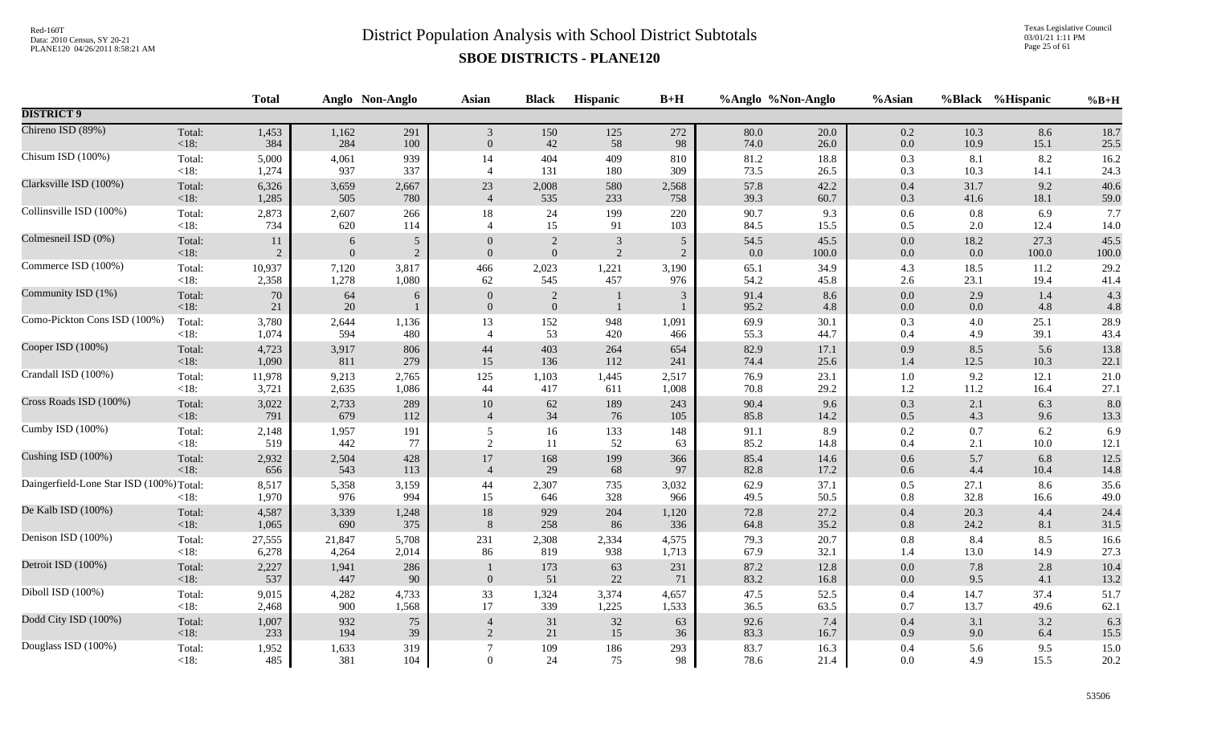Texas Legislative Council 03/01/21 1:11 PM Page 25 of 61

|                                          |                   | <b>Total</b>   |                | Anglo Non-Anglo | Asian          | <b>Black</b>     | Hispanic     | $B+H$          |              | %Anglo %Non-Anglo | %Asian             |              | %Black %Hispanic | $%B+H$       |
|------------------------------------------|-------------------|----------------|----------------|-----------------|----------------|------------------|--------------|----------------|--------------|-------------------|--------------------|--------------|------------------|--------------|
| <b>DISTRICT 9</b>                        |                   |                |                |                 |                |                  |              |                |              |                   |                    |              |                  |              |
| Chireno ISD (89%)                        | Total:            | 1,453          | 1,162          | 291             | $\mathfrak{Z}$ | 150              | 125          | 272            | 80.0         | 20.0              | 0.2                | 10.3         | 8.6              | 18.7         |
|                                          | <18:              | 384            | 284            | 100             | $\overline{0}$ | 42               | 58           | 98             | 74.0         | 26.0              | $0.0\,$            | 10.9         | 15.1             | 25.5         |
| Chisum ISD (100%)                        | Total:            | 5,000          | 4,061          | 939             | 14             | 404              | 409          | 810            | 81.2         | 18.8              | 0.3                | 8.1          | 8.2              | 16.2         |
|                                          | $<18$ :           | 1,274          | 937            | 337             | $\overline{4}$ | 131              | 180          | 309            | 73.5         | 26.5              | 0.3                | 10.3         | 14.1             | 24.3         |
| Clarksville ISD (100%)                   | Total:            | 6,326          | 3,659          | 2,667           | 23             | 2,008            | 580          | 2,568          | 57.8         | 42.2              | $0.4\,$            | 31.7         | 9.2              | 40.6         |
|                                          | $<18$ :           | 1,285          | 505            | 780             | $\overline{4}$ | 535              | 233          | 758            | 39.3         | 60.7              | 0.3                | 41.6         | 18.1             | 59.0         |
| Collinsville ISD (100%)                  | Total:            | 2,873          | 2,607          | 266             | 18             | $24\,$           | 199          | 220            | 90.7         | 9.3               | $0.6\,$            | 0.8          | 6.9              | 7.7          |
|                                          | $<18$ :           | 734            | 620            | 114             | $\overline{4}$ | 15               | 91           | 103            | 84.5         | 15.5              | 0.5                | 2.0          | 12.4             | 14.0         |
| Colmesneil ISD (0%)                      | Total:            | 11             | 6              | 5               | $\theta$       | $\overline{2}$   | $\sqrt{3}$   | 5              | 54.5         | 45.5              | $0.0\,$            | 18.2         | 27.3             | 45.5         |
|                                          | $<18$ :           | $\overline{2}$ | $\overline{0}$ | $\overline{2}$  | $\Omega$       | $\boldsymbol{0}$ | $\sqrt{2}$   | $\overline{2}$ | 0.0          | 100.0             | $0.0\,$            | 0.0          | 100.0            | 100.0        |
| Commerce ISD (100%)                      | Total:            | 10,937         | 7,120          | 3,817           | 466            | 2,023            | 1,221        | 3,190          | 65.1         | 34.9              | 4.3                | 18.5         | 11.2             | 29.2         |
|                                          | <18:              | 2,358          | 1,278          | 1,080           | 62             | 545              | 457          | 976            | 54.2         | 45.8              | 2.6                | 23.1         | 19.4             | 41.4         |
| Community ISD (1%)                       | Total:            | $70\,$         | 64             | 6               | $\overline{0}$ | $\overline{2}$   | -1           | $\mathbf{3}$   | 91.4         | 8.6               | $0.0\,$            | 2.9          | 1.4              | 4.3          |
|                                          | <18:              | 21             | 20             | $\mathbf{1}$    | $\overline{0}$ | $\mathbf{0}$     | $\mathbf{1}$ | 1              | 95.2         | 4.8               | 0.0                | 0.0          | 4.8              | 4.8          |
| Como-Pickton Cons ISD (100%)             | Total:            | 3,780          | 2,644          | 1,136           | 13             | 152              | 948          | 1,091          | 69.9         | 30.1              | 0.3                | 4.0          | 25.1             | 28.9         |
|                                          | $<18$ :           | 1,074          | 594            | 480             | $\overline{4}$ | 53               | 420          | 466            | 55.3         | 44.7              | 0.4                | 4.9          | 39.1             | 43.4         |
| Cooper ISD (100%)                        | Total:            | 4,723          | 3,917          | 806             | $44\,$         | 403              | 264          | 654            | 82.9         | 17.1              | 0.9                | 8.5          | 5.6              | 13.8         |
|                                          | <18:              | 1,090          | 811            | 279             | 15             | 136              | 112          | 241            | 74.4         | 25.6              | 1.4                | 12.5         | 10.3             | 22.1         |
| Crandall ISD (100%)                      | Total:            | 11,978         | 9,213          | 2,765           | 125            | 1,103            | 1,445        | 2,517          | 76.9         | 23.1              | $1.0\,$            | 9.2          | 12.1             | 21.0         |
|                                          | <18:              | 3,721          | 2,635          | 1,086           | 44             | 417              | 611          | 1,008          | 70.8         | 29.2              | $1.2\,$            | 11.2         | 16.4             | 27.1         |
| Cross Roads ISD (100%)                   | Total:            | 3,022          | 2,733          | 289             | $10\,$         | 62               | 189          | 243            | 90.4         | 9.6               | 0.3                | 2.1          | 6.3              | 8.0          |
|                                          | <18:              | 791            | 679            | 112             | $\overline{4}$ | 34               | 76           | 105            | 85.8         | 14.2              | $0.5\,$            | 4.3          | 9.6              | 13.3         |
| Cumby ISD (100%)                         | Total:            | 2,148          | 1,957          | 191             | 5              | 16               | 133          | 148            | 91.1         | 8.9               | 0.2                | 0.7          | 6.2              | 6.9          |
|                                          | <18:              | 519            | 442            | 77              | 2              | 11               | 52           | 63             | 85.2         | 14.8              | 0.4                | 2.1          | 10.0             | 12.1         |
| Cushing ISD (100%)                       | Total:            | 2,932          | 2,504          | 428             | $17\,$         | 168              | 199          | 366            | 85.4         | 14.6              | $0.6\,$            | 5.7          | 6.8              | 12.5         |
|                                          | $<18$ :           | 656            | 543            | 113             | $\overline{4}$ | 29               | 68           | 97             | 82.8         | 17.2              | 0.6                | 4.4          | 10.4             | 14.8         |
| Daingerfield-Lone Star ISD (100%) Total: | $<18$ :           | 8,517<br>1,970 | 5,358<br>976   | 3,159<br>994    | 44<br>15       | 2,307<br>646     | 735<br>328   | 3,032<br>966   | 62.9<br>49.5 | 37.1<br>50.5      | 0.5<br>0.8         | 27.1<br>32.8 | 8.6<br>16.6      | 35.6<br>49.0 |
| De Kalb ISD (100%)                       | Total:            | 4,587          | 3,339          | 1,248           | $18\,$         | 929              | 204          | 1,120          | 72.8         | 27.2              | 0.4                | 20.3         | 4.4              | 24.4         |
|                                          | $<18$ :           | 1,065          | 690            | 375             | 8              | 258              | 86           | 336            | 64.8         | 35.2              | 0.8                | 24.2         | 8.1              | 31.5         |
| Denison ISD (100%)                       | Total:            | 27,555         | 21,847         | 5,708           | 231            | 2,308            | 2,334        | 4,575          | 79.3         | 20.7              | 0.8                | 8.4          | 8.5              | 16.6         |
|                                          | $<18$ :           | 6,278          | 4,264          | 2,014           | 86             | 819              | 938          | 1,713          | 67.9         | 32.1              | 1.4                | 13.0         | 14.9             | 27.3         |
| Detroit ISD (100%)                       | Total:<br><18:    | 2,227<br>537   | 1,941<br>447   | 286<br>90       | $\overline{0}$ | 173<br>51        | 63<br>22     | 231<br>71      | 87.2<br>83.2 | 12.8<br>16.8      | $0.0\,$<br>$0.0\,$ | 7.8<br>9.5   | 2.8<br>4.1       | 10.4<br>13.2 |
| Diboll ISD (100%)                        | Total:            | 9,015          | 4,282          | 4,733           | 33             | 1,324            | 3,374        | 4,657          | 47.5         | 52.5              | $0.4\,$            | 14.7         | 37.4             | 51.7         |
|                                          | $<18$ :           | 2,468          | 900            | 1,568           | 17             | 339              | 1,225        | 1,533          | 36.5         | 63.5              | 0.7                | 13.7         | 49.6             | 62.1         |
| Dodd City ISD (100%)                     | Total:            | 1,007          | 932            | $75\,$          | $\overline{4}$ | $31\,$           | 32           | 63             | 92.6         | 7.4               | $0.4\,$            | 3.1          | 3.2              | 6.3          |
|                                          | <18:              | 233            | 194            | 39              | 2              | $21\,$           | 15           | 36             | 83.3         | 16.7              | 0.9                | 9.0          | 6.4              | $15.5\,$     |
| Douglass ISD (100%)                      | Total:<br>$<18$ : | 1,952<br>485   | 1,633<br>381   | 319<br>104      | $\Omega$       | 109<br>24        | 186<br>75    | 293<br>98      | 83.7<br>78.6 | 16.3<br>21.4      | $0.4\,$<br>0.0     | 5.6<br>4.9   | 9.5<br>15.5      | 15.0<br>20.2 |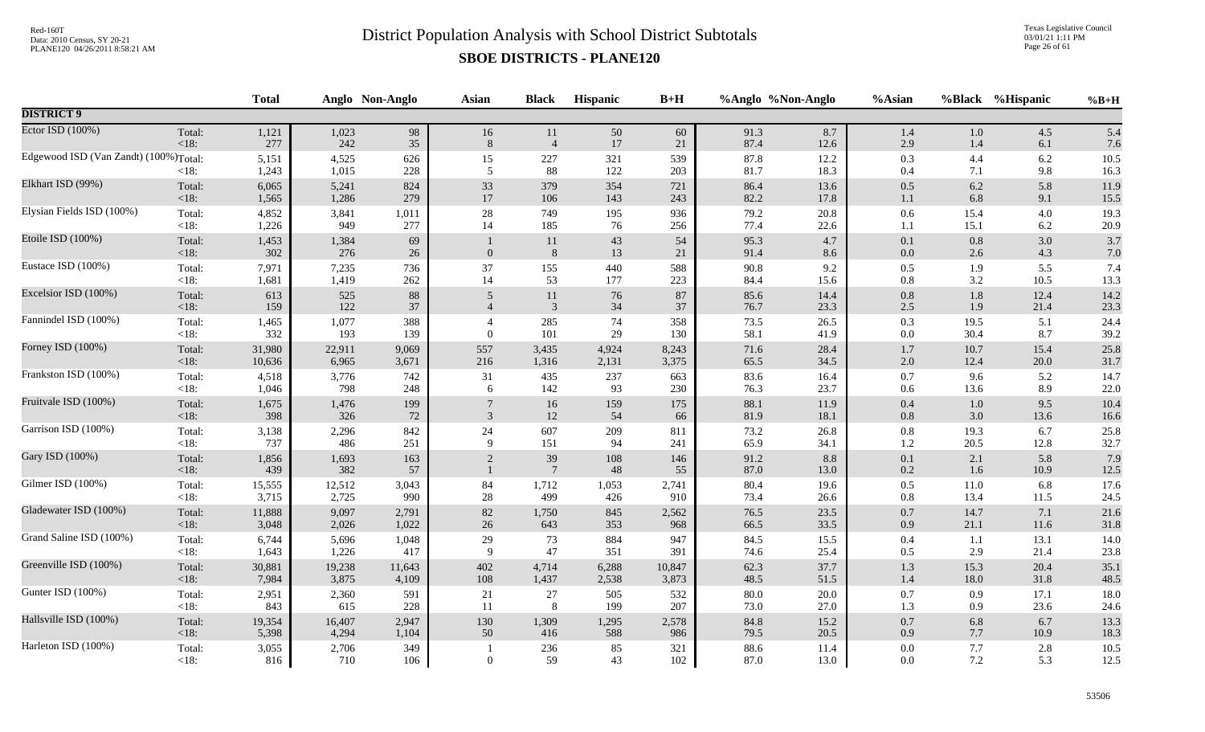Texas Legislative Council 03/01/21 1:11 PM Page 26 of 61

|                                                    |                 | <b>Total</b>   |                | Anglo Non-Anglo | <b>Asian</b>   | <b>Black</b>     | <b>Hispanic</b> | $B+H$      | %Anglo %Non-Anglo |              | %Asian             | %Black         | %Hispanic  | $%B+H$           |
|----------------------------------------------------|-----------------|----------------|----------------|-----------------|----------------|------------------|-----------------|------------|-------------------|--------------|--------------------|----------------|------------|------------------|
| <b>DISTRICT 9</b>                                  |                 |                |                |                 |                |                  |                 |            |                   |              |                    |                |            |                  |
| Ector ISD (100%)                                   | Total:          | 1,121          | 1,023          | 98              | 16             | 11               | $50\,$          | 60         | 91.3              | 8.7          | $1.4\,$            | $1.0\,$        | 4.5        | 5.4              |
|                                                    | $<18$ :         | 277            | 242            | 35              | $\,8\,$        | $\overline{4}$   | $17\,$          | 21         | 87.4              | 12.6         | 2.9                | 1.4            | 6.1        | 7.6              |
| Edgewood ISD (Van Zandt) (100%) <sub>Total</sub> : | $<18$ :         | 5,151<br>1,243 | 4,525<br>1,015 | 626<br>228      | 15<br>5        | $227\,$<br>88    | 321<br>122      | 539<br>203 | 87.8<br>$81.7\,$  | 12.2<br>18.3 | 0.3<br>$0.4\,$     | 4.4<br>7.1     | 6.2<br>9.8 | $10.5\,$<br>16.3 |
| Elkhart ISD (99%)                                  | Total:          | 6,065          | 5,241          | 824             | 33             | 379              | 354             | 721        | 86.4              | 13.6         | $0.5\,$            | 6.2            | 5.8        | 11.9             |
|                                                    | < 18:           | 1,565          | 1,286          | 279             | 17             | 106              | 143             | 243        | 82.2              | 17.8         | 1.1                | 6.8            | 9.1        | 15.5             |
| Elysian Fields ISD (100%)                          | Total:          | 4,852          | 3,841          | 1,011           | 28             | 749              | 195             | 936        | 79.2              | 20.8         | $0.6\,$            | 15.4           | 4.0        | 19.3             |
|                                                    | <18:            | 1,226          | 949            | 277             | 14             | 185              | 76              | 256        | 77.4              | 22.6         | $1.1\,$            | 15.1           | 6.2        | 20.9             |
| Etoile ISD (100%)                                  | Total:<br>< 18: | 1,453<br>302   | 1,384<br>276   | 69<br>$26\,$    | $\mathbf{0}$   | $11\,$<br>$\, 8$ | $43\,$<br>13    | 54<br>21   | 95.3<br>91.4      | 4.7<br>8.6   | $0.1\,$<br>$0.0\,$ | $0.8\,$<br>2.6 | 3.0<br>4.3 | 3.7<br>7.0       |
| Eustace ISD (100%)                                 | Total:          | 7,971          | 7,235          | 736             | 37             | 155              | 440             | 588        | 90.8              | 9.2          | 0.5                | 1.9            | 5.5        | 7.4              |
|                                                    | $<18$ :         | 1,681          | 1,419          | 262             | 14             | 53               | 177             | 223        | 84.4              | 15.6         | $0.8\,$            | 3.2            | 10.5       | 13.3             |
| Excelsior ISD (100%)                               | Total:          | 613            | 525            | $88\,$          | $\mathfrak{S}$ | 11               | 76              | 87         | 85.6              | 14.4         | $0.8\,$            | 1.8            | 12.4       | 14.2             |
|                                                    | < 18:           | 159            | 122            | 37              | $\overline{4}$ | $\overline{3}$   | $34\,$          | 37         | 76.7              | 23.3         | 2.5                | 1.9            | 21.4       | 23.3             |
| Fannindel ISD (100%)                               | Total:          | 1,465          | 1,077          | 388             | $\overline{4}$ | 285              | 74              | 358        | 73.5              | 26.5         | 0.3                | 19.5           | 5.1        | 24.4             |
|                                                    | $<18$ :         | 332            | 193            | 139             | $\Omega$       | 101              | 29              | 130        | 58.1              | 41.9         | $0.0\,$            | 30.4           | 8.7        | 39.2             |
| Forney ISD (100%)                                  | Total:          | 31,980         | 22,911         | 9,069           | 557            | 3,435            | 4,924           | 8,243      | 71.6              | 28.4         | $1.7\,$            | 10.7           | 15.4       | 25.8             |
|                                                    | < 18:           | 10,636         | 6,965          | 3,671           | 216            | 1,316            | 2,131           | 3,375      | 65.5              | 34.5         | $2.0\,$            | 12.4           | 20.0       | 31.7             |
| Frankston ISD (100%)                               | Total:          | 4,518          | 3,776          | 742             | 31             | 435              | 237             | 663        | 83.6              | 16.4         | 0.7                | 9.6            | 5.2        | 14.7             |
|                                                    | $<18$ :         | 1,046          | 798            | 248             | 6              | 142              | 93              | 230        | 76.3              | 23.7         | $0.6\,$            | 13.6           | 8.9        | 22.0             |
| Fruitvale ISD (100%)                               | Total:          | 1,675          | 1,476          | 199             | $\overline{7}$ | 16               | 159             | 175        | 88.1              | 11.9         | $0.4\,$            | $1.0\,$        | 9.5        | 10.4             |
|                                                    | < 18:           | 398            | 326            | 72              | $\mathfrak{Z}$ | 12               | 54              | 66         | 81.9              | 18.1         | $0.8\,$            | 3.0            | 13.6       | 16.6             |
| Garrison ISD (100%)                                | Total:          | 3,138          | 2,296          | 842             | 24             | 607              | 209             | 811        | 73.2              | 26.8         | $0.8\,$            | 19.3           | 6.7        | 25.8             |
|                                                    | $<18$ :         | 737            | 486            | 251             | 9              | 151              | 94              | 241        | 65.9              | 34.1         | 1.2                | 20.5           | 12.8       | 32.7             |
| Gary ISD (100%)                                    | Total:          | 1,856          | 1,693          | 163             | 2              | 39               | 108             | 146        | 91.2              | 8.8          | $0.1\,$            | 2.1            | 5.8        | 7.9              |
|                                                    | < 18:           | 439            | 382            | 57              | $\mathbf{1}$   | $7\phantom{.0}$  | 48              | 55         | 87.0              | 13.0         | $0.2\,$            | 1.6            | 10.9       | 12.5             |
| Gilmer ISD (100%)                                  | Total:          | 15,555         | 12,512         | 3,043           | 84             | 1,712            | 1,053           | 2,741      | 80.4              | 19.6         | $0.5\,$            | 11.0           | 6.8        | 17.6             |
|                                                    | $<18$ :         | 3,715          | 2,725          | 990             | $28\,$         | 499              | 426             | 910        | 73.4              | 26.6         | 0.8                | 13.4           | 11.5       | 24.5             |
| Gladewater ISD (100%)                              | Total:          | 11,888         | 9,097          | 2,791           | $82\,$         | 1,750            | 845             | 2,562      | 76.5              | 23.5         | 0.7                | 14.7           | 7.1        | 21.6             |
|                                                    | <18:            | 3,048          | 2,026          | 1,022           | 26             | 643              | 353             | 968        | 66.5              | 33.5         | $0.9\,$            | 21.1           | 11.6       | 31.8             |
| Grand Saline ISD (100%)                            | Total:          | 6,744          | 5,696          | 1,048           | 29             | 73               | 884             | 947        | 84.5              | 15.5         | $0.4\,$            | 1.1            | 13.1       | 14.0             |
|                                                    | <18:            | 1,643          | 1,226          | 417             | 9              | 47               | 351             | 391        | 74.6              | 25.4         | 0.5                | 2.9            | 21.4       | 23.8             |
| Greenville ISD (100%)                              | Total:          | 30,881         | 19,238         | 11,643          | 402            | 4,714            | 6,288           | 10,847     | 62.3              | 37.7         | 1.3                | 15.3           | 20.4       | 35.1             |
|                                                    | < 18:           | 7,984          | 3,875          | 4,109           | 108            | 1,437            | 2,538           | 3,873      | 48.5              | 51.5         | $1.4\,$            | 18.0           | 31.8       | 48.5             |
| Gunter ISD (100%)                                  | Total:          | 2,951          | 2,360          | 591             | 21             | 27               | 505             | 532        | 80.0              | 20.0         | 0.7                | 0.9            | 17.1       | 18.0             |
|                                                    | <18:            | 843            | 615            | 228             | 11             | $8\phantom{.}8$  | 199             | 207        | 73.0              | 27.0         | 1.3                | 0.9            | 23.6       | 24.6             |
| Hallsville ISD (100%)                              | Total:          | 19,354         | 16,407         | 2,947           | 130            | 1,309            | 1,295           | 2,578      | 84.8              | 15.2         | $0.7\,$            | 6.8            | 6.7        | 13.3             |
|                                                    | < 18:           | 5,398          | 4,294          | 1,104           | 50             | 416              | 588             | 986        | 79.5              | 20.5         | $0.9\,$            | 7.7            | 10.9       | 18.3             |
| Harleton ISD (100%)                                | Total:<br><18:  | 3,055<br>816   | 2,706<br>710   | 349<br>106      | $\Omega$       | 236<br>59        | 85<br>43        | 321<br>102 | 88.6<br>87.0      | 11.4<br>13.0 | $0.0\,$<br>$0.0\,$ | 7.7<br>$7.2\,$ | 2.8<br>5.3 | 10.5<br>12.5     |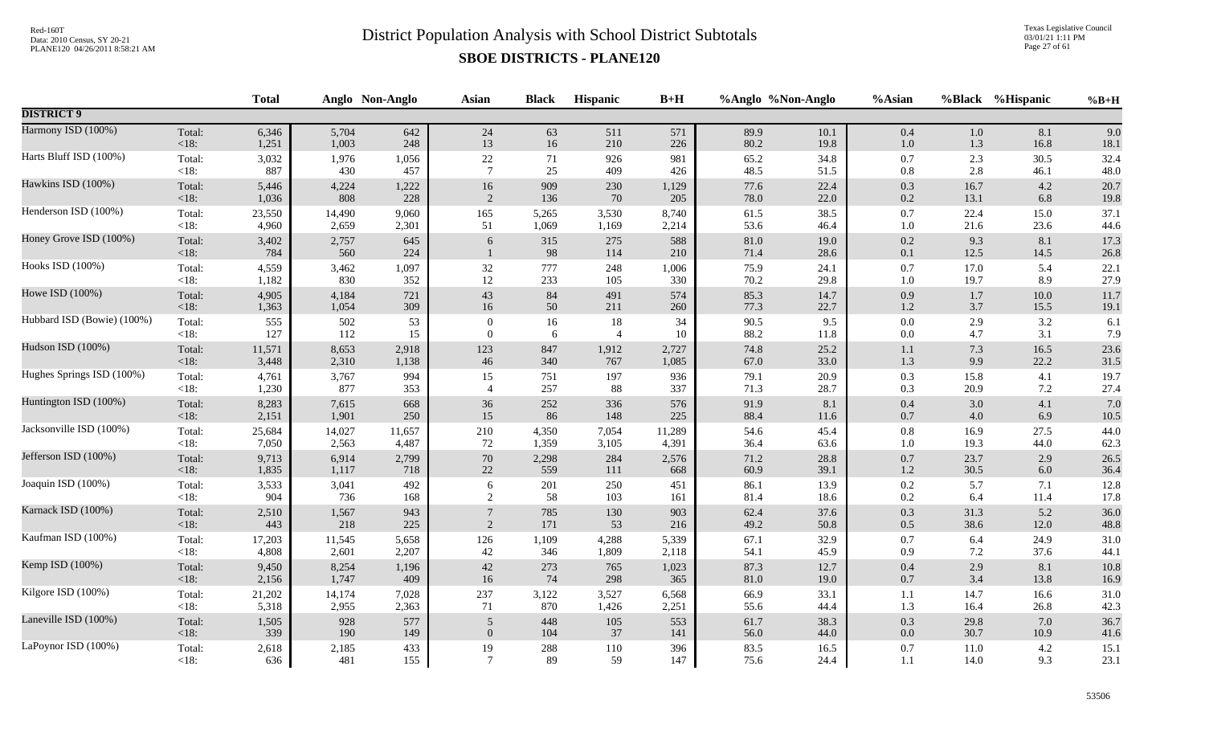Texas Legislative Council 03/01/21 1:11 PM Page 27 of 61

|                            |                | <b>Total</b> |              | Anglo Non-Anglo | <b>Asian</b>     | <b>Black</b> | <b>Hispanic</b> | $B+H$      | %Anglo %Non-Anglo |              | %Asian         |             | %Black %Hispanic | $%B+H$       |
|----------------------------|----------------|--------------|--------------|-----------------|------------------|--------------|-----------------|------------|-------------------|--------------|----------------|-------------|------------------|--------------|
| <b>DISTRICT 9</b>          |                |              |              |                 |                  |              |                 |            |                   |              |                |             |                  |              |
| Harmony ISD (100%)         | Total:         | 6,346        | 5,704        | 642             | 24               | 63           | 511             | 571        | 89.9              | 10.1         | $0.4\,$        | $1.0\,$     | 8.1              | 9.0          |
|                            | <18:           | 1,251        | 1,003        | 248             | 13               | 16           | 210             | 226        | 80.2              | 19.8         | $1.0\,$        | 1.3         | 16.8             | $18.1\,$     |
| Harts Bluff ISD (100%)     | Total:         | 3,032        | 1,976        | 1,056           | $22\,$           | 71           | 926             | 981        | 65.2              | 34.8         | 0.7            | 2.3         | 30.5             | 32.4         |
|                            | $<18$ :        | 887          | 430          | 457             | $7\phantom{.0}$  | 25           | 409             | 426        | 48.5              | 51.5         | $0.8\,$        | 2.8         | 46.1             | 48.0         |
| Hawkins ISD (100%)         | Total:         | 5,446        | 4,224        | 1,222           | 16               | 909          | 230             | 1,129      | 77.6              | 22.4         | 0.3            | 16.7        | 4.2              | 20.7         |
|                            | <18:           | 1,036        | 808          | 228             | 2                | 136          | 70              | 205        | 78.0              | 22.0         | 0.2            | 13.1        | 6.8              | 19.8         |
| Henderson ISD (100%)       | Total:         | 23,550       | 14,490       | 9,060           | 165              | 5,265        | 3,530           | 8,740      | 61.5              | 38.5         | 0.7            | 22.4        | 15.0             | 37.1         |
|                            | $<18$ :        | 4,960        | 2,659        | 2,301           | 51               | 1,069        | 1,169           | 2,214      | 53.6              | 46.4         | $1.0\,$        | 21.6        | 23.6             | 44.6         |
| Honey Grove ISD (100%)     | Total:<br><18: | 3,402<br>784 | 2,757<br>560 | 645<br>224      | 6                | 315<br>98    | 275<br>114      | 588<br>210 | $81.0\,$<br>71.4  | 19.0<br>28.6 | 0.2<br>$0.1\,$ | 9.3<br>12.5 | 8.1<br>14.5      | 17.3<br>26.8 |
| Hooks ISD (100%)           | Total:         | 4,559        | 3,462        | 1,097           | 32               | 777          | 248             | 1,006      | 75.9              | 24.1         | 0.7            | 17.0        | 5.4              | 22.1         |
|                            | $<18$ :        | 1,182        | 830          | 352             | 12               | 233          | 105             | 330        | 70.2              | 29.8         | $1.0\,$        | 19.7        | 8.9              | 27.9         |
| Howe ISD (100%)            | Total:         | 4,905        | 4,184        | 721             | 43               | $84\,$       | 491             | 574        | 85.3              | 14.7         | 0.9            | 1.7         | $10.0$           | 11.7         |
|                            | < 18:          | 1,363        | 1,054        | 309             | 16               | 50           | 211             | 260        | 77.3              | 22.7         | $1.2\,$        | 3.7         | 15.5             | 19.1         |
| Hubbard ISD (Bowie) (100%) | Total:         | 555          | 502          | 53              | $\boldsymbol{0}$ | 16           | 18              | 34         | 90.5              | 9.5          | 0.0            | 2.9         | 3.2              | 6.1          |
|                            | $<18$ :        | 127          | 112          | 15              | $\theta$         | 6            | $\overline{4}$  | 10         | 88.2              | 11.8         | $0.0\,$        | 4.7         | 3.1              | 7.9          |
| Hudson ISD (100%)          | Total:         | 11,571       | 8,653        | 2,918           | 123              | 847          | 1,912           | 2,727      | 74.8              | 25.2         | $1.1\,$        | 7.3         | 16.5             | 23.6         |
|                            | <18:           | 3,448        | 2,310        | 1,138           | $46\,$           | 340          | 767             | 1,085      | 67.0              | 33.0         | 1.3            | 9.9         | 22.2             | 31.5         |
| Hughes Springs ISD (100%)  | Total:         | 4,761        | 3,767        | 994             | 15               | 751          | 197             | 936        | 79.1              | 20.9         | $0.3\,$        | 15.8        | 4.1              | 19.7         |
|                            | $<18$ :        | 1,230        | 877          | 353             | $\overline{4}$   | 257          | 88              | 337        | 71.3              | 28.7         | 0.3            | 20.9        | 7.2              | 27.4         |
| Huntington ISD (100%)      | Total:         | 8,283        | 7,615        | 668             | 36               | 252          | 336             | 576        | 91.9              | 8.1          | 0.4            | 3.0         | 4.1              | 7.0          |
|                            | <18:           | 2,151        | 1,901        | 250             | 15               | 86           | 148             | 225        | 88.4              | 11.6         | $0.7\,$        | 4.0         | 6.9              | 10.5         |
| Jacksonville ISD (100%)    | Total:         | 25,684       | 14,027       | 11,657          | 210              | 4,350        | 7,054           | 11,289     | 54.6              | 45.4         | $0.8\,$        | 16.9        | 27.5             | 44.0         |
|                            | $<18$ :        | 7,050        | 2,563        | 4,487           | 72               | 1,359        | 3,105           | 4,391      | 36.4              | 63.6         | $1.0\,$        | 19.3        | 44.0             | 62.3         |
| Jefferson ISD (100%)       | Total:         | 9,713        | 6,914        | 2,799           | $70\,$           | 2,298        | 284             | 2,576      | 71.2              | 28.8         | $0.7\,$        | 23.7        | 2.9              | 26.5         |
|                            | <18:           | 1,835        | 1,117        | 718             | 22               | 559          | 111             | 668        | 60.9              | 39.1         | $1.2\,$        | 30.5        | 6.0              | 36.4         |
| Joaquin ISD (100%)         | Total:         | 3,533        | 3,041        | 492             | 6                | 201          | 250             | 451        | 86.1              | 13.9         | $0.2\,$        | 5.7         | 7.1              | 12.8         |
|                            | $<18$ :        | 904          | 736          | 168             | 2                | 58           | 103             | 161        | 81.4              | 18.6         | 0.2            | 6.4         | 11.4             | 17.8         |
| Karnack ISD (100%)         | Total:         | 2,510        | 1,567        | 943             | $\overline{7}$   | 785          | 130             | 903        | 62.4              | 37.6         | $0.3\,$        | 31.3        | 5.2              | 36.0         |
|                            | <18:           | 443          | 218          | 225             | 2                | 171          | 53              | 216        | 49.2              | 50.8         | $0.5\,$        | 38.6        | 12.0             | 48.8         |
| Kaufman ISD (100%)         | Total:         | 17,203       | 11,545       | 5,658           | 126              | 1,109        | 4,288           | 5,339      | 67.1              | 32.9         | 0.7            | 6.4         | 24.9             | 31.0         |
|                            | $<18$ :        | 4,808        | 2,601        | 2,207           | 42               | 346          | 1,809           | 2,118      | 54.1              | 45.9         | 0.9            | 7.2         | 37.6             | 44.1         |
| Kemp ISD (100%)            | Total:         | 9,450        | 8,254        | 1,196           | $42\,$           | 273          | 765             | 1,023      | 87.3              | 12.7         | 0.4            | 2.9         | 8.1              | 10.8         |
|                            | <18:           | 2,156        | 1,747        | 409             | 16               | 74           | 298             | 365        | $81.0\,$          | 19.0         | $0.7\,$        | 3.4         | 13.8             | 16.9         |
| Kilgore ISD (100%)         | Total:         | 21,202       | 14,174       | 7,028           | 237              | 3,122        | 3,527           | 6,568      | 66.9              | 33.1         | $1.1\,$        | 14.7        | 16.6             | 31.0         |
|                            | $<18$ :        | 5,318        | 2,955        | 2,363           | 71               | 870          | 1,426           | 2,251      | 55.6              | 44.4         | 1.3            | 16.4        | 26.8             | 42.3         |
| Laneville ISD (100%)       | Total:         | 1,505        | 928          | 577             | 5                | 448          | $105\,$         | 553        | 61.7              | 38.3         | 0.3            | 29.8        | 7.0              | 36.7         |
|                            | $<18$ :        | 339          | 190          | 149             | $\mathbf{0}$     | 104          | 37              | 141        | 56.0              | 44.0         | $0.0\,$        | 30.7        | 10.9             | 41.6         |
| LaPoynor ISD (100%)        | Total:         | 2,618        | 2,185        | 433             | 19               | 288          | 110             | 396        | 83.5              | 16.5         | 0.7            | 11.0        | 4.2              | 15.1         |
|                            | $<18$ :        | 636          | 481          | 155             | $\tau$           | 89           | 59              | 147        | 75.6              | 24.4         | 1.1            | 14.0        | 9.3              | 23.1         |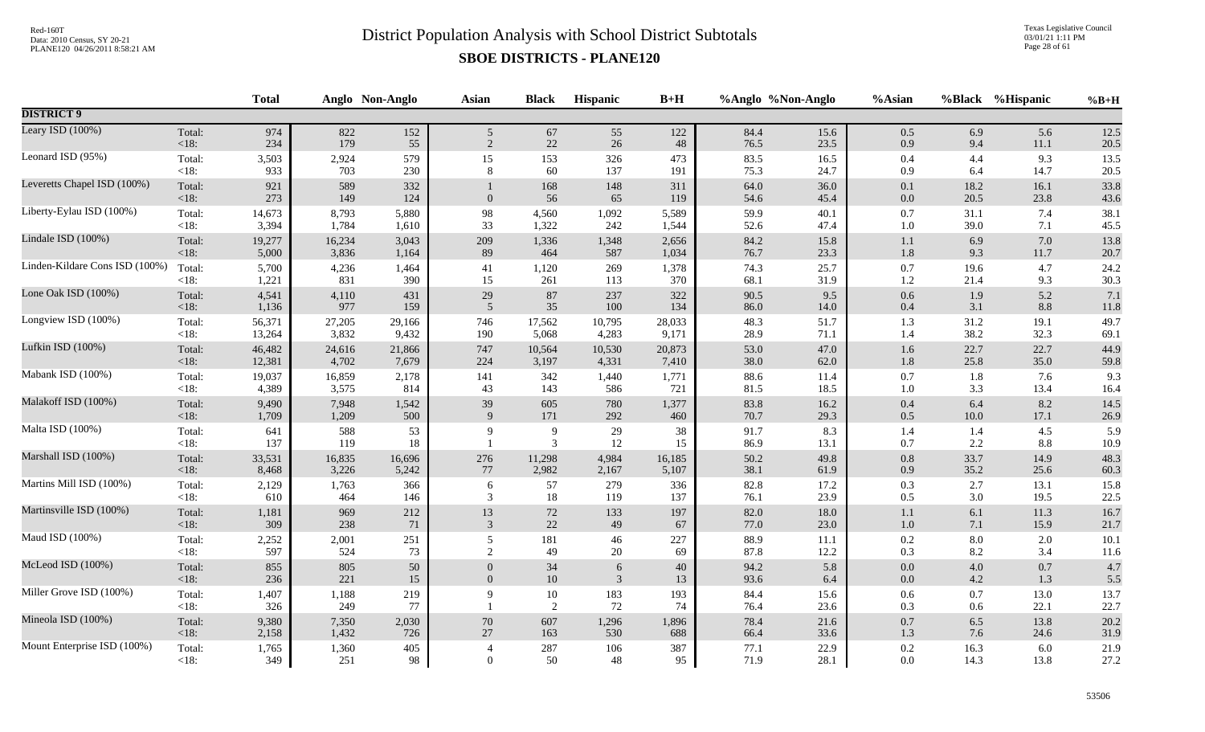Texas Legislative Council 03/01/21 1:11 PM Page 28 of 61

|                                |                   | <b>Total</b> |              | Anglo Non-Anglo | <b>Asian</b>   | <b>Black</b>        | Hispanic     | $B+H$      |              | %Anglo %Non-Anglo | %Asian         |              | %Black %Hispanic | $%B+H$       |
|--------------------------------|-------------------|--------------|--------------|-----------------|----------------|---------------------|--------------|------------|--------------|-------------------|----------------|--------------|------------------|--------------|
| <b>DISTRICT 9</b>              |                   |              |              |                 |                |                     |              |            |              |                   |                |              |                  |              |
| Leary ISD (100%)               | Total:            | 974          | 822          | 152             | 5 <sup>5</sup> | 67                  | 55           | 122        | 84.4         | 15.6              | $0.5\,$        | 6.9          | 5.6              | 12.5         |
|                                | <18:              | 234          | 179          | 55              | $\overline{2}$ | $22\,$              | 26           | 48         | 76.5         | 23.5              | 0.9            | 9.4          | $11.1\,$         | 20.5         |
| Leonard ISD (95%)              | Total:            | 3,503        | 2,924        | 579             | 15             | 153                 | 326          | 473        | 83.5         | 16.5              | 0.4            | 4.4          | 9.3              | 13.5         |
|                                | $<18$ :           | 933          | 703          | 230             | 8              | 60                  | 137          | 191        | 75.3         | 24.7              | 0.9            | 6.4          | 14.7             | 20.5         |
| Leveretts Chapel ISD (100%)    | Total:<br>$<18$ : | 921<br>273   | 589<br>149   | 332<br>124      | $\overline{0}$ | 168<br>56           | 148<br>65    | 311<br>119 | 64.0<br>54.6 | 36.0<br>45.4      | 0.1<br>$0.0\,$ | 18.2<br>20.5 | 16.1<br>23.8     | 33.8<br>43.6 |
| Liberty-Eylau ISD (100%)       | Total:            | 14,673       | 8,793        | 5,880           | 98             | 4,560               | 1,092        | 5,589      | 59.9         | 40.1              | $0.7\,$        | 31.1         | 7.4              | 38.1         |
|                                | $<18$ :           | 3,394        | 1,784        | 1,610           | 33             | 1,322               | 242          | 1,544      | 52.6         | 47.4              | 1.0            | 39.0         | 7.1              | 45.5         |
| Lindale ISD (100%)             | Total:            | 19,277       | 16,234       | 3,043           | 209            | 1,336               | 1,348        | 2,656      | 84.2         | 15.8              | $1.1\,$        | 6.9          | 7.0              | 13.8         |
|                                | <18:              | 5,000        | 3,836        | 1,164           | 89             | 464                 | 587          | 1,034      | 76.7         | 23.3              | 1.8            | 9.3          | 11.7             | 20.7         |
| Linden-Kildare Cons ISD (100%) | Total:            | 5,700        | 4,236        | 1,464           | 41             | 1,120               | 269          | 1,378      | 74.3         | 25.7              | $0.7\,$        | 19.6         | 4.7              | 24.2         |
|                                | $<18$ :           | 1,221        | 831          | 390             | 15             | 261                 | 113          | 370        | 68.1         | 31.9              | 1.2            | 21.4         | 9.3              | 30.3         |
| Lone Oak ISD (100%)            | Total:            | 4,541        | 4,110        | 431             | $29\,$         | 87                  | 237          | 322        | 90.5         | 9.5               | 0.6            | 1.9          | 5.2              | 7.1          |
|                                | <18:              | 1,136        | 977          | 159             | 5              | 35                  | 100          | 134        | 86.0         | 14.0              | 0.4            | 3.1          | 8.8              | $11.8\,$     |
| Longview ISD (100%)            | Total:            | 56,371       | 27,205       | 29,166          | 746            | 17,562              | 10,795       | 28,033     | 48.3         | 51.7              | 1.3            | 31.2         | 19.1             | 49.7         |
|                                | $<18$ :           | 13,264       | 3,832        | 9,432           | 190            | 5,068               | 4,283        | 9,171      | 28.9         | 71.1              | 1.4            | 38.2         | 32.3             | 69.1         |
| Lufkin ISD (100%)              | Total:            | 46,482       | 24,616       | 21,866          | 747            | 10,564              | 10,530       | 20,873     | 53.0         | 47.0              | $1.6\,$        | 22.7         | 22.7             | 44.9         |
|                                | $<18$ :           | 12,381       | 4,702        | 7,679           | 224            | 3,197               | 4,331        | 7,410      | 38.0         | 62.0              | 1.8            | 25.8         | 35.0             | 59.8         |
| Mabank ISD (100%)              | Total:            | 19,037       | 16,859       | 2,178           | 141            | 342                 | 1,440        | 1,771      | 88.6         | 11.4              | $0.7\,$        | 1.8          | 7.6              | 9.3          |
|                                | <18:              | 4,389        | 3,575        | 814             | 43             | 143                 | 586          | 721        | 81.5         | 18.5              | 1.0            | 3.3          | 13.4             | 16.4         |
| Malakoff ISD (100%)            | Total:            | 9,490        | 7,948        | 1,542           | 39             | 605                 | 780          | 1,377      | 83.8         | 16.2              | $0.4\,$        | 6.4          | 8.2              | 14.5         |
|                                | $<18$ :           | 1,709        | 1,209        | 500             | 9              | 171                 | 292          | 460        | 70.7         | 29.3              | $0.5\,$        | $10.0\,$     | 17.1             | 26.9         |
| Malta ISD (100%)               | Total:<br><18:    | 641<br>137   | 588<br>119   | 53<br>18        | 9              | 9<br>$\overline{3}$ | 29<br>$12\,$ | 38<br>15   | 91.7<br>86.9 | 8.3<br>13.1       | 1.4<br>0.7     | 1.4<br>2.2   | 4.5<br>8.8       | 5.9<br>10.9  |
| Marshall ISD (100%)            | Total:            | 33,531       | 16,835       | 16,696          | 276            | 11,298              | 4,984        | 16,185     | 50.2         | 49.8              | $0.8\,$        | 33.7         | 14.9             | 48.3         |
|                                | <18:              | 8,468        | 3,226        | 5,242           | 77             | 2,982               | 2,167        | 5,107      | 38.1         | 61.9              | 0.9            | 35.2         | 25.6             | 60.3         |
| Martins Mill ISD (100%)        | Total:            | 2,129        | 1,763        | 366             | 6              | 57                  | 279          | 336        | 82.8         | 17.2              | 0.3            | 2.7          | 13.1             | 15.8         |
|                                | $<18$ :           | 610          | 464          | 146             | 3              | 18                  | 119          | 137        | 76.1         | 23.9              | 0.5            | 3.0          | 19.5             | 22.5         |
| Martinsville ISD (100%)        | Total:            | 1,181        | 969          | 212             | 13             | 72                  | 133          | 197        | 82.0         | 18.0              | 1.1            | 6.1          | 11.3             | 16.7         |
|                                | <18:              | 309          | 238          | 71              | 3              | $22\,$              | 49           | 67         | 77.0         | 23.0              | 1.0            | 7.1          | 15.9             | 21.7         |
| Maud ISD (100%)                | Total:            | 2,252        | 2,001        | 251             | 5              | 181                 | 46           | 227        | 88.9         | 11.1              | 0.2            | 8.0          | 2.0              | 10.1         |
|                                | <18:              | 597          | 524          | 73              | 2              | 49                  | 20           | 69         | 87.8         | 12.2              | 0.3            | 8.2          | 3.4              | 11.6         |
| McLeod ISD (100%)              | Total:            | 855          | 805          | $50\,$          | $\theta$       | 34                  | $\sqrt{6}$   | 40         | 94.2         | 5.8               | $0.0\,$        | 4.0          | 0.7              | 4.7          |
|                                | <18:              | 236          | 221          | 15              | $\overline{0}$ | $10\,$              | 3            | 13         | 93.6         | 6.4               | $0.0\,$        | 4.2          | 1.3              | 5.5          |
| Miller Grove ISD (100%)        | Total:<br>$<18$ : | 1,407<br>326 | 1,188<br>249 | 219<br>77       | $\mathbf Q$    | $10\,$<br>2         | 183<br>72    | 193<br>74  | 84.4<br>76.4 | 15.6<br>23.6      | $0.6\,$<br>0.3 | 0.7<br>0.6   | 13.0<br>22.1     | 13.7<br>22.7 |
| Mineola ISD (100%)             | Total:            | 9,380        | 7,350        | 2,030           | $70\,$         | 607                 | 1,296        | 1,896      | 78.4         | 21.6              | $0.7\,$        | 6.5          | 13.8             | 20.2         |
|                                | $<18$ :           | 2,158        | 1,432        | 726             | 27             | 163                 | 530          | 688        | 66.4         | 33.6              | $1.3\,$        | 7.6          | 24.6             | 31.9         |
| Mount Enterprise ISD (100%)    | Total:            | 1,765        | 1,360        | 405             | $\overline{4}$ | 287                 | 106          | 387        | 77.1         | 22.9              | 0.2            | 16.3         | 6.0              | 21.9         |
|                                | $<18$ :           | 349          | 251          | 98              | $\Omega$       | 50                  | 48           | 95         | 71.9         | 28.1              | 0.0            | 14.3         | 13.8             | 27.2         |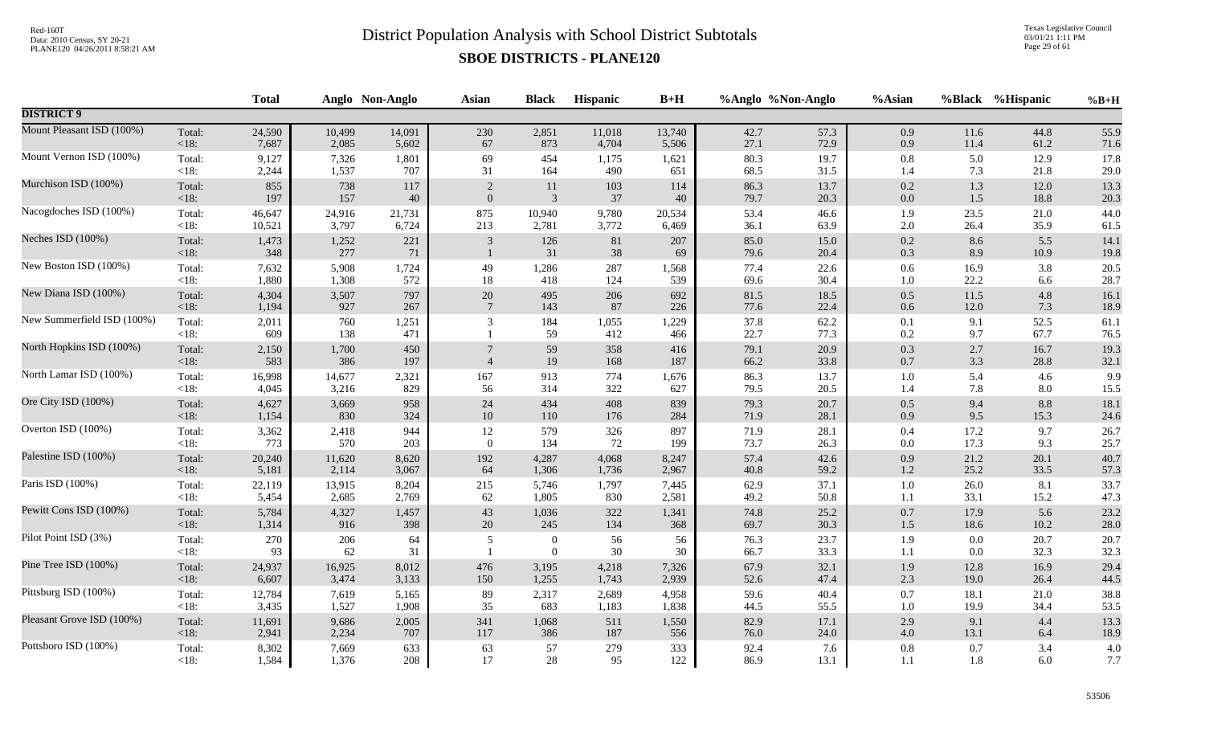Texas Legislative Council 03/01/21 1:11 PM Page 29 of 61

|                            |                   | <b>Total</b> |              | Anglo Non-Anglo | <b>Asian</b>     | <b>Black</b>                         | Hispanic     | $B+H$        |              | %Anglo %Non-Anglo | %Asian             |            | %Black %Hispanic | $%B+H$       |
|----------------------------|-------------------|--------------|--------------|-----------------|------------------|--------------------------------------|--------------|--------------|--------------|-------------------|--------------------|------------|------------------|--------------|
| <b>DISTRICT 9</b>          |                   |              |              |                 |                  |                                      |              |              |              |                   |                    |            |                  |              |
| Mount Pleasant ISD (100%)  | Total:            | 24,590       | 10,499       | 14,091          | 230              | 2,851                                | 11,018       | 13,740       | 42.7         | 57.3              | 0.9                | 11.6       | 44.8             | 55.9         |
|                            | $<18$ :           | 7,687        | 2,085        | 5,602           | $67\,$           | 873                                  | 4,704        | 5,506        | 27.1         | 72.9              | 0.9                | 11.4       | 61.2             | 71.6         |
| Mount Vernon ISD (100%)    | Total:            | 9,127        | 7,326        | 1,801           | 69               | 454                                  | 1,175        | 1,621        | 80.3         | 19.7              | $0.8\,$            | 5.0        | 12.9             | 17.8         |
|                            | $<18$ :           | 2,244        | 1,537        | 707             | 31               | 164                                  | 490          | 651          | 68.5         | 31.5              | 1.4                | 7.3        | 21.8             | 29.0         |
| Murchison ISD (100%)       | Total:            | 855          | 738          | 117             | $\overline{2}$   | 11                                   | 103          | 114          | 86.3         | 13.7              | $0.2\,$            | 1.3        | 12.0             | 13.3         |
|                            | $<18$ :           | 197          | 157          | 40              | $\boldsymbol{0}$ | $\mathfrak{Z}$                       | 37           | 40           | 79.7         | 20.3              | $0.0\,$            | $1.5$      | 18.8             | 20.3         |
| Nacogdoches ISD (100%)     | Total:            | 46,647       | 24,916       | 21,731          | 875              | 10,940                               | 9,780        | 20,534       | 53.4         | 46.6              | 1.9                | 23.5       | 21.0             | 44.0         |
|                            | $<18$ :           | 10,521       | 3,797        | 6,724           | 213              | 2,781                                | 3,772        | 6,469        | 36.1         | 63.9              | $2.0\,$            | 26.4       | 35.9             | 61.5         |
| Neches ISD (100%)          | Total:            | 1,473        | 1,252        | 221             | $\mathfrak{Z}$   | 126                                  | 81           | 207          | 85.0         | 15.0              | $0.2\,$            | 8.6        | 5.5              | 14.1         |
|                            | $<18$ :           | 348          | 277          | 71              | $\overline{1}$   | 31                                   | $38\,$       | 69           | 79.6         | 20.4              | $0.3\,$            | 8.9        | 10.9             | 19.8         |
| New Boston ISD (100%)      | Total:            | 7,632        | 5,908        | 1,724           | 49               | 1,286                                | 287          | 1,568        | 77.4         | 22.6              | $0.6\,$            | 16.9       | 3.8              | 20.5         |
|                            | <18:              | 1,880        | 1,308        | 572             | 18               | 418                                  | 124          | 539          | 69.6         | 30.4              | $1.0\,$            | 22.2       | 6.6              | 28.7         |
| New Diana ISD (100%)       | Total:            | 4,304        | 3,507        | 797             | $20\,$           | 495                                  | 206          | 692          | 81.5         | 18.5              | $0.5\,$            | 11.5       | 4.8              | 16.1         |
|                            | $<18$ :           | 1,194        | 927          | 267             | $7\phantom{.0}$  | 143                                  | 87           | 226          | 77.6         | 22.4              | $0.6\,$            | $12.0\,$   | 7.3              | 18.9         |
| New Summerfield ISD (100%) | Total:<br><18:    | 2,011<br>609 | 760<br>138   | 1,251<br>471    | 3                | 184<br>59                            | 1,055<br>412 | 1,229<br>466 | 37.8<br>22.7 | 62.2<br>77.3      | 0.1<br>0.2         | 9.1<br>9.7 | 52.5<br>67.7     | 61.1<br>76.5 |
| North Hopkins ISD (100%)   | Total:<br>$<18$ : | 2,150<br>583 | 1,700<br>386 | 450<br>197      | $\overline{4}$   | 59<br>19                             | 358<br>168   | 416<br>187   | 79.1<br>66.2 | 20.9<br>33.8      | $0.3\,$<br>$0.7\,$ | 2.7<br>3.3 | 16.7<br>28.8     | 19.3<br>32.1 |
| North Lamar ISD (100%)     | Total:            | 16,998       | 14,677       | 2,321           | 167              | 913                                  | 774          | 1,676        | 86.3         | 13.7              | $1.0\,$            | 5.4        | 4.6              | 9.9          |
|                            | <18:              | 4,045        | 3,216        | 829             | 56               | 314                                  | 322          | 627          | 79.5         | 20.5              | 1.4                | 7.8        | 8.0              | 15.5         |
| Ore City ISD (100%)        | Total:            | 4,627        | 3,669        | 958             | $24\,$           | 434                                  | 408          | 839          | 79.3         | 20.7              | $0.5\,$            | 9.4        | 8.8              | 18.1         |
|                            | $<18$ :           | 1,154        | 830          | 324             | $10\,$           | 110                                  | 176          | 284          | 71.9         | 28.1              | 0.9                | 9.5        | 15.3             | 24.6         |
| Overton ISD (100%)         | Total:            | 3,362        | 2,418        | 944             | $12\,$           | 579                                  | 326          | 897          | 71.9         | 28.1              | $0.4\,$            | 17.2       | 9.7              | 26.7         |
|                            | <18:              | 773          | 570          | 203             | $\overline{0}$   | 134                                  | 72           | 199          | 73.7         | 26.3              | $0.0\,$            | 17.3       | 9.3              | 25.7         |
| Palestine ISD (100%)       | Total:            | 20,240       | 11,620       | 8,620           | 192              | 4,287                                | 4,068        | 8,247        | 57.4         | 42.6              | 0.9                | 21.2       | 20.1             | 40.7         |
|                            | $<18$ :           | 5,181        | 2,114        | 3,067           | 64               | 1,306                                | 1,736        | 2,967        | 40.8         | 59.2              | $1.2\,$            | 25.2       | 33.5             | 57.3         |
| Paris ISD (100%)           | Total:            | 22,119       | 13,915       | 8,204           | 215              | 5,746                                | 1,797        | 7,445        | 62.9         | 37.1              | $1.0\,$            | 26.0       | 8.1              | 33.7         |
|                            | $<18$ :           | 5,454        | 2,685        | 2,769           | 62               | 1,805                                | 830          | 2,581        | 49.2         | 50.8              | 1.1                | 33.1       | 15.2             | 47.3         |
| Pewitt Cons ISD (100%)     | Total:            | 5,784        | 4,327        | 1,457           | 43               | 1,036                                | 322          | 1,341        | 74.8         | 25.2              | $0.7\,$            | 17.9       | 5.6              | 23.2         |
|                            | $<18$ :           | 1,314        | 916          | 398             | 20               | 245                                  | 134          | 368          | 69.7         | 30.3              | $1.5\,$            | 18.6       | 10.2             | $28.0\,$     |
| Pilot Point ISD (3%)       | Total:<br>$<18$ : | 270<br>93    | 206<br>62    | 64<br>31        | $\overline{5}$   | $\boldsymbol{0}$<br>$\boldsymbol{0}$ | 56<br>$30\,$ | 56<br>30     | 76.3<br>66.7 | 23.7<br>33.3      | 1.9<br>1.1         | 0.0<br>0.0 | 20.7<br>32.3     | 20.7<br>32.3 |
| Pine Tree ISD (100%)       | Total:            | 24,937       | 16,925       | 8,012           | 476              | 3,195                                | 4,218        | 7,326        | 67.9         | 32.1              | 1.9                | 12.8       | 16.9             | 29.4         |
|                            | $<18$ :           | 6,607        | 3,474        | 3,133           | 150              | 1,255                                | 1,743        | 2,939        | 52.6         | 47.4              | $2.3\,$            | 19.0       | 26.4             | 44.5         |
| Pittsburg ISD (100%)       | Total:            | 12,784       | 7,619        | 5,165           | 89               | 2,317                                | 2,689        | 4,958        | 59.6         | 40.4              | $0.7\,$            | 18.1       | 21.0             | 38.8         |
|                            | $<18$ :           | 3,435        | 1,527        | 1,908           | 35               | 683                                  | 1,183        | 1,838        | 44.5         | 55.5              | $1.0\,$            | 19.9       | 34.4             | 53.5         |
| Pleasant Grove ISD (100%)  | Total:            | 11,691       | 9,686        | 2,005           | 341              | 1,068                                | 511          | 1,550        | 82.9         | 17.1              | 2.9                | 9.1        | 4.4              | 13.3         |
|                            | $<18$ :           | 2,941        | 2,234        | 707             | 117              | 386                                  | 187          | 556          | 76.0         | 24.0              | $4.0\,$            | 13.1       | 6.4              | 18.9         |
| Pottsboro ISD (100%)       | Total:            | 8,302        | 7,669        | 633             | 63               | 57                                   | 279          | 333          | 92.4         | 7.6               | $0.8\,$            | 0.7        | 3.4              | 4.0          |
|                            | <18:              | 1,584        | 1,376        | 208             | 17               | 28                                   | 95           | 122          | 86.9         | 13.1              | 1.1                | 1.8        | 6.0              | 7.7          |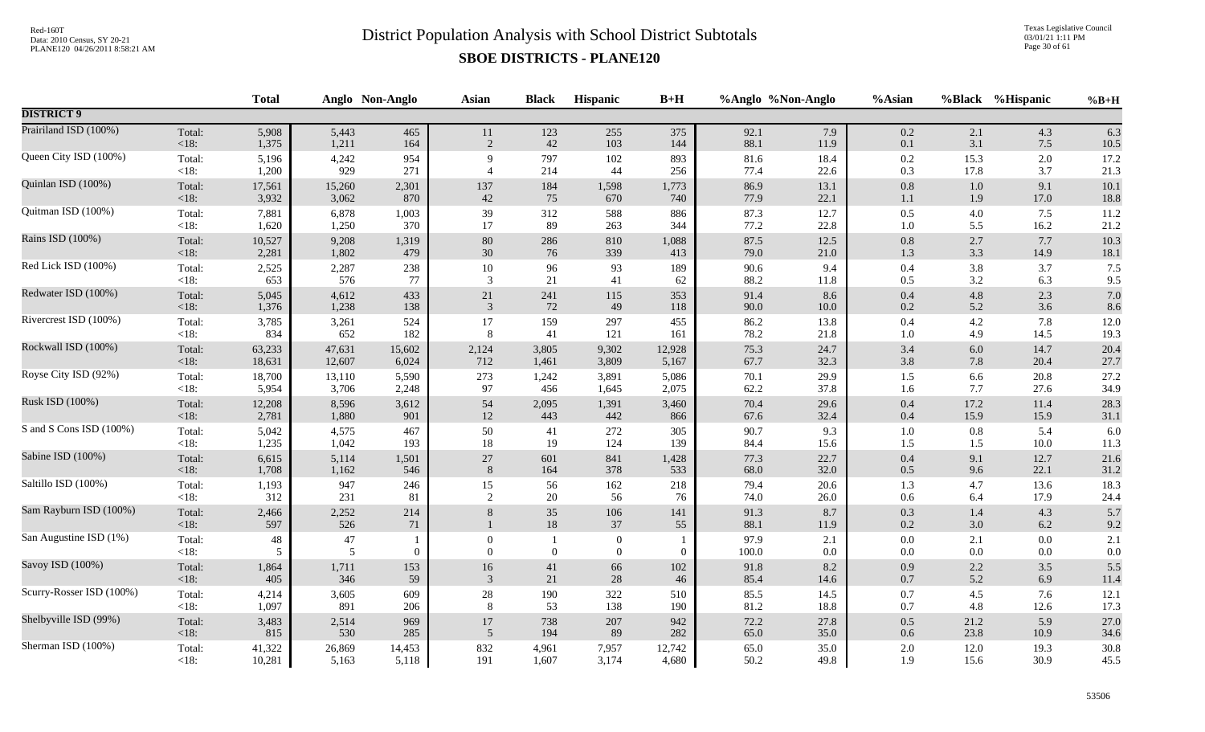Texas Legislative Council 03/01/21 1:11 PM Page 30 of 61

|                          |                 | <b>Total</b> |              | Anglo Non-Anglo | <b>Asian</b>                 | <b>Black</b> | Hispanic                             | $B+H$        |               | %Anglo %Non-Anglo | %Asian             |            | %Black %Hispanic | $%B+H$         |
|--------------------------|-----------------|--------------|--------------|-----------------|------------------------------|--------------|--------------------------------------|--------------|---------------|-------------------|--------------------|------------|------------------|----------------|
| <b>DISTRICT 9</b>        |                 |              |              |                 |                              |              |                                      |              |               |                   |                    |            |                  |                |
| Prairiland ISD (100%)    | Total:          | 5,908        | 5,443        | 465             | $11\,$                       | 123          | 255                                  | 375          | 92.1          | 7.9               | $0.2\,$            | 2.1        | 4.3              | 6.3            |
|                          | <18:            | 1,375        | 1,211        | 164             | 2                            | 42           | 103                                  | 144          | 88.1          | 11.9              | $0.1\,$            | 3.1        | 7.5              | 10.5           |
| Queen City ISD (100%)    | Total:          | 5,196        | 4,242        | 954             | 9                            | 797          | 102                                  | 893          | 81.6          | 18.4              | $0.2\,$            | 15.3       | 2.0              | 17.2           |
|                          | $<18$ :         | 1,200        | 929          | 271             | $\overline{4}$               | 214          | 44                                   | 256          | 77.4          | 22.6              | $0.3\,$            | 17.8       | 3.7              | 21.3           |
| Quinlan ISD (100%)       | Total:          | 17,561       | 15,260       | 2,301           | 137                          | 184          | 1,598                                | 1,773        | 86.9          | 13.1              | $0.8\,$            | $1.0\,$    | 9.1              | 10.1           |
|                          | <18:            | 3,932        | 3,062        | 870             | 42                           | 75           | 670                                  | 740          | 77.9          | 22.1              | 1.1                | 1.9        | 17.0             | 18.8           |
| Quitman ISD (100%)       | Total:          | 7,881        | 6,878        | 1,003           | 39                           | 312          | 588                                  | 886          | 87.3          | 12.7              | $0.5\,$            | 4.0        | 7.5              | 11.2           |
|                          | <18:            | 1,620        | 1,250        | 370             | 17                           | 89           | 263                                  | 344          | 77.2          | 22.8              | $1.0\,$            | 5.5        | 16.2             | 21.2           |
| Rains ISD (100%)         | Total:          | 10,527       | 9,208        | 1,319           | 80                           | 286          | 810                                  | 1,088        | 87.5          | 12.5              | $0.8\,$            | 2.7        | 7.7              | 10.3           |
|                          | $<18$ :         | 2,281        | 1,802        | 479             | $30\,$                       | 76           | 339                                  | 413          | 79.0          | 21.0              | $1.3\,$            | 3.3        | 14.9             | $18.1\,$       |
| Red Lick ISD (100%)      | Total:          | 2,525        | 2,287        | 238             | $10\,$                       | 96           | 93                                   | 189          | 90.6          | 9.4               | $0.4\,$            | 3.8        | 3.7              | 7.5            |
|                          | $<18$ :         | 653          | 576          | 77              | $\mathfrak{Z}$               | $21\,$       | 41                                   | 62           | 88.2          | 11.8              | $0.5\,$            | 3.2        | 6.3              | 9.5            |
| Redwater ISD (100%)      | Total:          | 5,045        | 4,612        | 433             | 21                           | 241          | 115                                  | 353          | 91.4          | 8.6               | $0.4\,$            | $4.8\,$    | 2.3              | 7.0            |
|                          | <18:            | 1,376        | 1,238        | 138             | $\mathfrak{Z}$               | $72\,$       | 49                                   | 118          | 90.0          | $10.0\,$          | $0.2\,$            | 5.2        | 3.6              | 8.6            |
| Rivercrest ISD (100%)    | Total:          | 3,785        | 3,261        | 524             | 17                           | 159          | 297                                  | 455          | 86.2          | 13.8              | $0.4\,$            | 4.2        | 7.8              | 12.0           |
|                          | <18:            | 834          | 652          | 182             | 8                            | 41           | 121                                  | 161          | 78.2          | 21.8              | 1.0                | 4.9        | 14.5             | 19.3           |
| Rockwall ISD (100%)      | Total:          | 63,233       | 47,631       | 15,602          | 2,124                        | 3,805        | 9,302                                | 12,928       | 75.3          | 24.7              | $3.4\,$            | $6.0\,$    | 14.7             | 20.4           |
|                          | $<18$ :         | 18,631       | 12,607       | 6,024           | 712                          | 1,461        | 3,809                                | 5,167        | 67.7          | 32.3              | $3.8\,$            | 7.8        | 20.4             | 27.7           |
| Royse City ISD (92%)     | Total:          | 18,700       | 13,110       | 5,590           | 273                          | 1,242        | 3,891                                | 5,086        | 70.1          | 29.9              | 1.5                | 6.6        | 20.8             | 27.2           |
|                          | <18:            | 5,954        | 3,706        | 2,248           | 97                           | 456          | 1,645                                | 2,075        | 62.2          | 37.8              | 1.6                | 7.7        | 27.6             | 34.9           |
| Rusk ISD (100%)          | Total:          | 12,208       | 8,596        | 3,612           | 54                           | 2,095        | 1,391                                | 3,460        | 70.4          | 29.6              | $0.4\,$            | 17.2       | 11.4             | 28.3           |
|                          | $<18$ :         | 2,781        | 1,880        | 901             | $12\,$                       | 443          | 442                                  | 866          | 67.6          | 32.4              | $0.4\,$            | 15.9       | 15.9             | 31.1           |
| S and S Cons ISD (100%)  | Total:          | 5,042        | 4,575        | 467             | 50                           | 41           | 272                                  | 305          | 90.7          | 9.3               | $1.0\,$            | 0.8        | 5.4              | 6.0            |
|                          | <18:            | 1,235        | 1,042        | 193             | 18                           | 19           | 124                                  | 139          | 84.4          | 15.6              | 1.5                | 1.5        | 10.0             | 11.3           |
| Sabine ISD (100%)        | Total:          | 6,615        | 5,114        | 1,501           | $27\,$                       | 601          | 841                                  | 1,428        | 77.3          | 22.7              | $0.4\,$            | 9.1        | 12.7             | 21.6           |
|                          | <18:            | 1,708        | 1,162        | 546             | 8                            | 164          | 378                                  | 533          | 68.0          | 32.0              | $0.5\,$            | 9.6        | 22.1             | 31.2           |
| Saltillo ISD (100%)      | Total:          | 1,193        | 947          | 246             | 15                           | 56           | 162                                  | 218          | 79.4          | 20.6              | 1.3                | 4.7        | 13.6             | 18.3           |
|                          | <18:            | 312          | 231          | 81              | $\overline{2}$               | 20           | 56                                   | 76           | 74.0          | 26.0              | $0.6\,$            | 6.4        | 17.9             | 24.4           |
| Sam Rayburn ISD (100%)   | Total:<br><18:  | 2,466<br>597 | 2,252<br>526 | 214<br>$71\,$   | 8                            | 35<br>$18\,$ | 106<br>37                            | 141<br>55    | 91.3<br>88.1  | 8.7<br>11.9       | $0.3\,$<br>$0.2\,$ | 1.4<br>3.0 | 4.3<br>6.2       | 5.7<br>9.2     |
| San Augustine ISD (1%)   | Total:<br>< 18: | 48<br>5      | 47<br>5      | $\mathbf{0}$    | $\mathbf{0}$<br>$\mathbf{0}$ | $\mathbf{0}$ | $\boldsymbol{0}$<br>$\boldsymbol{0}$ | $\mathbf{0}$ | 97.9<br>100.0 | 2.1<br>0.0        | $0.0\,$<br>$0.0\,$ | 2.1<br>0.0 | 0.0<br>0.0       | 2.1<br>$0.0\,$ |
| Savoy ISD (100%)         | Total:          | 1,864        | 1,711        | 153             | 16                           | $41\,$       | 66                                   | 102          | 91.8          | 8.2               | $0.9\,$            | $2.2\,$    | 3.5              | 5.5            |
|                          | $<18$ :         | 405          | 346          | 59              | 3                            | $21\,$       | $28\,$                               | 46           | 85.4          | 14.6              | $0.7\,$            | 5.2        | 6.9              | 11.4           |
| Scurry-Rosser ISD (100%) | Total:          | 4,214        | 3,605        | 609             | $28\,$                       | 190          | 322                                  | 510          | 85.5          | 14.5              | $0.7\,$            | 4.5        | 7.6              | 12.1           |
|                          | $<18$ :         | 1,097        | 891          | 206             | 8                            | 53           | 138                                  | 190          | 81.2          | 18.8              | 0.7                | 4.8        | 12.6             | 17.3           |
| Shelbyville ISD (99%)    | Total:          | 3,483        | 2,514        | 969             | 17                           | 738          | 207                                  | 942          | 72.2          | 27.8              | $0.5\,$            | 21.2       | 5.9              | 27.0           |
|                          | $<18$ :         | 815          | 530          | 285             | 5                            | 194          | 89                                   | 282          | 65.0          | 35.0              | $0.6\,$            | 23.8       | 10.9             | 34.6           |
| Sherman ISD (100%)       | Total:          | 41,322       | 26,869       | 14,453          | 832                          | 4,961        | 7,957                                | 12,742       | 65.0          | 35.0              | $2.0\,$            | 12.0       | 19.3             | 30.8           |
|                          | $<18$ :         | 10,281       | 5,163        | 5,118           | 191                          | 1,607        | 3,174                                | 4,680        | 50.2          | 49.8              | 1.9                | 15.6       | 30.9             | 45.5           |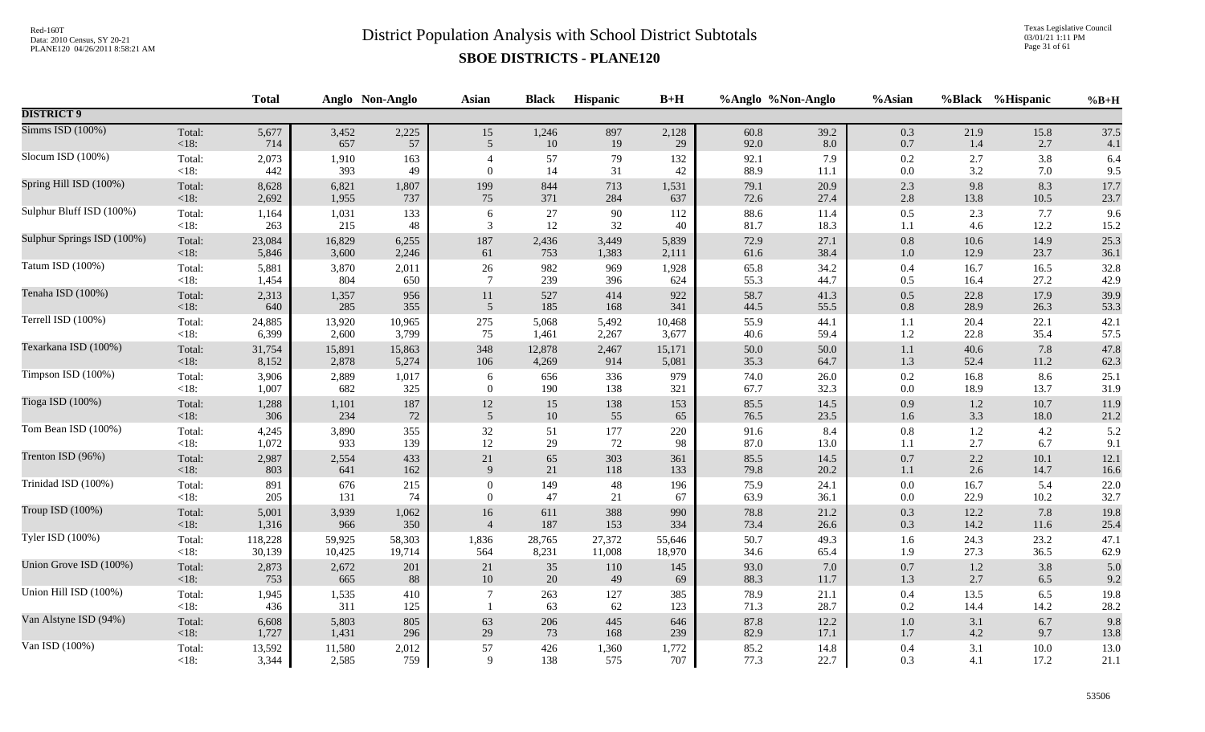Texas Legislative Council 03/01/21 1:11 PM Page 31 of 61

|                            |                   | <b>Total</b> |              | Anglo Non-Anglo | <b>Asian</b>     | <b>Black</b> | Hispanic  | $B+H$      |              | %Anglo %Non-Anglo | %Asian     |              | %Black %Hispanic | $%B+H$       |
|----------------------------|-------------------|--------------|--------------|-----------------|------------------|--------------|-----------|------------|--------------|-------------------|------------|--------------|------------------|--------------|
| <b>DISTRICT 9</b>          |                   |              |              |                 |                  |              |           |            |              |                   |            |              |                  |              |
| Simms ISD (100%)           | Total:            | 5,677        | 3,452        | 2,225           | 15               | 1,246        | 897       | 2,128      | 60.8         | 39.2              | 0.3        | 21.9         | 15.8             | 37.5         |
|                            | $<18$ :           | 714          | 657          | 57              | 5                | $10\,$       | 19        | 29         | 92.0         | $8.0\,$           | $0.7\,$    | 1.4          | 2.7              | 4.1          |
| Slocum ISD (100%)          | Total:            | 2,073        | 1,910        | 163             | $\overline{4}$   | 57           | 79        | 132        | 92.1         | 7.9               | $0.2\,$    | 2.7          | 3.8              | 6.4          |
|                            | $<18$ :           | 442          | 393          | 49              | $\theta$         | 14           | 31        | 42         | 88.9         | 11.1              | 0.0        | 3.2          | 7.0              | 9.5          |
| Spring Hill ISD (100%)     | Total:            | 8,628        | 6,821        | 1,807           | 199              | 844          | 713       | 1,531      | 79.1         | 20.9              | $2.3\,$    | 9.8          | 8.3              | 17.7         |
|                            | $<18$ :           | 2,692        | 1,955        | 737             | 75               | 371          | 284       | 637        | 72.6         | 27.4              | $2.8\,$    | 13.8         | 10.5             | 23.7         |
| Sulphur Bluff ISD (100%)   | Total:            | 1,164        | 1,031        | 133             | 6                | $27\,$       | 90        | 112        | 88.6         | 11.4              | 0.5        | 2.3          | 7.7              | 9.6          |
|                            | <18:              | 263          | 215          | 48              | 3                | 12           | 32        | 40         | 81.7         | 18.3              | 1.1        | 4.6          | 12.2             | 15.2         |
| Sulphur Springs ISD (100%) | Total:            | 23,084       | 16,829       | 6,255           | 187              | 2,436        | 3,449     | 5,839      | 72.9         | 27.1              | $0.8\,$    | $10.6$       | 14.9             | 25.3         |
|                            | <18:              | 5,846        | 3,600        | 2,246           | 61               | 753          | 1,383     | 2,111      | 61.6         | 38.4              | 1.0        | 12.9         | 23.7             | 36.1         |
| Tatum ISD (100%)           | Total:            | 5,881        | 3,870        | 2,011           | 26               | 982          | 969       | 1,928      | 65.8         | 34.2              | $0.4\,$    | 16.7         | 16.5             | 32.8         |
|                            | $<18$ :           | 1,454        | 804          | 650             | $7\phantom{.0}$  | 239          | 396       | 624        | 55.3         | 44.7              | 0.5        | 16.4         | 27.2             | 42.9         |
| Tenaha ISD (100%)          | Total:            | 2,313        | 1,357        | 956             | $11\,$           | 527          | 414       | 922        | 58.7         | 41.3              | $0.5\,$    | 22.8         | 17.9             | 39.9         |
|                            | $<18$ :           | 640          | 285          | 355             | 5                | 185          | 168       | 341        | 44.5         | 55.5              | $0.8\,$    | 28.9         | 26.3             | 53.3         |
| Terrell ISD (100%)         | Total:            | 24,885       | 13,920       | 10,965          | 275              | 5,068        | 5,492     | 10,468     | 55.9         | 44.1              | 1.1        | 20.4         | 22.1             | 42.1         |
|                            | $<18$ :           | 6,399        | 2,600        | 3,799           | 75               | 1,461        | 2,267     | 3,677      | 40.6         | 59.4              | 1.2        | 22.8         | 35.4             | 57.5         |
| Texarkana ISD (100%)       | Total:            | 31,754       | 15,891       | 15,863          | 348              | 12,878       | 2,467     | 15,171     | 50.0         | 50.0              | $1.1\,$    | 40.6         | 7.8              | 47.8         |
|                            | $<18$ :           | 8,152        | 2,878        | 5,274           | 106              | 4,269        | 914       | 5,081      | 35.3         | 64.7              | 1.3        | 52.4         | 11.2             | 62.3         |
| Timpson ISD (100%)         | Total:            | 3,906        | 2,889        | 1,017           | 6                | 656          | 336       | 979        | 74.0         | 26.0              | $0.2\,$    | 16.8         | 8.6              | 25.1         |
|                            | $<18$ :           | 1,007        | 682          | 325             | $\overline{0}$   | 190          | 138       | 321        | 67.7         | 32.3              | 0.0        | 18.9         | 13.7             | 31.9         |
| Tioga ISD (100%)           | Total:            | 1,288        | 1,101        | 187             | $12\,$           | 15           | 138       | 153        | 85.5         | 14.5              | 0.9        | $1.2\,$      | 10.7             | 11.9         |
|                            | $<18$ :           | 306          | 234          | 72              | 5                | $10\,$       | 55        | 65         | 76.5         | 23.5              | 1.6        | 3.3          | 18.0             | 21.2         |
| Tom Bean ISD (100%)        | Total:            | 4,245        | 3,890        | 355             | 32               | 51           | 177       | 220        | 91.6         | 8.4               | $0.8\,$    | $1.2\,$      | 4.2              | 5.2          |
|                            | $<18$ :           | 1,072        | 933          | 139             | 12               | 29           | 72        | 98         | 87.0         | 13.0              | 1.1        | 2.7          | 6.7              | 9.1          |
| Trenton ISD (96%)          | Total:            | 2,987        | 2,554        | 433             | $21\,$           | 65           | 303       | 361        | 85.5         | 14.5              | $0.7\,$    | 2.2          | 10.1             | 12.1         |
|                            | < 18:             | 803          | 641          | 162             | 9                | $21\,$       | 118       | 133        | 79.8         | 20.2              | $1.1\,$    | 2.6          | 14.7             | 16.6         |
| Trinidad ISD (100%)        | Total:            | 891          | 676          | 215             | $\boldsymbol{0}$ | 149          | 48        | 196        | 75.9         | 24.1              | $0.0\,$    | 16.7         | 5.4              | 22.0         |
|                            | $<18$ :           | 205          | 131          | 74              | $\overline{0}$   | 47           | 21        | 67         | 63.9         | 36.1              | $0.0\,$    | 22.9         | 10.2             | 32.7         |
| Troup ISD (100%)           | Total:            | 5,001        | 3,939        | 1,062           | 16               | 611          | 388       | 990        | 78.8         | 21.2              | 0.3        | 12.2         | 7.8              | 19.8         |
|                            | <18:              | 1,316        | 966          | 350             | $\overline{4}$   | 187          | 153       | 334        | 73.4         | 26.6              | $0.3\,$    | 14.2         | 11.6             | 25.4         |
| Tyler ISD (100%)           | Total:            | 118,228      | 59,925       | 58,303          | 1,836            | 28,765       | 27,372    | 55,646     | 50.7         | 49.3              | 1.6        | 24.3         | 23.2             | 47.1         |
|                            | $<18$ :           | 30,139       | 10,425       | 19,714          | 564              | 8,231        | 11,008    | 18,970     | 34.6         | 65.4              | 1.9        | 27.3         | 36.5             | 62.9         |
| Union Grove ISD (100%)     | Total:            | 2,873        | 2,672        | 201             | 21               | $35\,$       | 110       | 145        | 93.0         | $7.0\,$           | 0.7        | $1.2\,$      | 3.8              | 5.0          |
|                            | <18:              | 753          | 665          | 88              | 10               | 20           | 49        | 69         | 88.3         | 11.7              | 1.3        | 2.7          | 6.5              | 9.2          |
| Union Hill ISD (100%)      | Total:<br>$<18$ : | 1,945<br>436 | 1,535<br>311 | 410<br>125      | $\overline{7}$   | 263<br>63    | 127<br>62 | 385<br>123 | 78.9<br>71.3 | 21.1<br>28.7      | 0.4<br>0.2 | 13.5<br>14.4 | 6.5<br>14.2      | 19.8<br>28.2 |
| Van Alstyne ISD (94%)      | Total:            | 6,608        | 5,803        | 805             | 63               | 206          | 445       | 646        | 87.8         | 12.2              | $1.0\,$    | 3.1          | 6.7              | 9.8          |
|                            | $<18$ :           | 1,727        | 1,431        | 296             | 29               | 73           | 168       | 239        | 82.9         | 17.1              | 1.7        | 4.2          | 9.7              | 13.8         |
| Van ISD (100%)             | Total:            | 13,592       | 11,580       | 2,012           | 57               | 426          | 1,360     | 1,772      | 85.2         | 14.8              | $0.4\,$    | 3.1          | 10.0             | 13.0         |
|                            | $<18$ :           | 3,344        | 2,585        | 759             | 9                | 138          | 575       | 707        | 77.3         | 22.7              | 0.3        | 4.1          | 17.2             | 21.1         |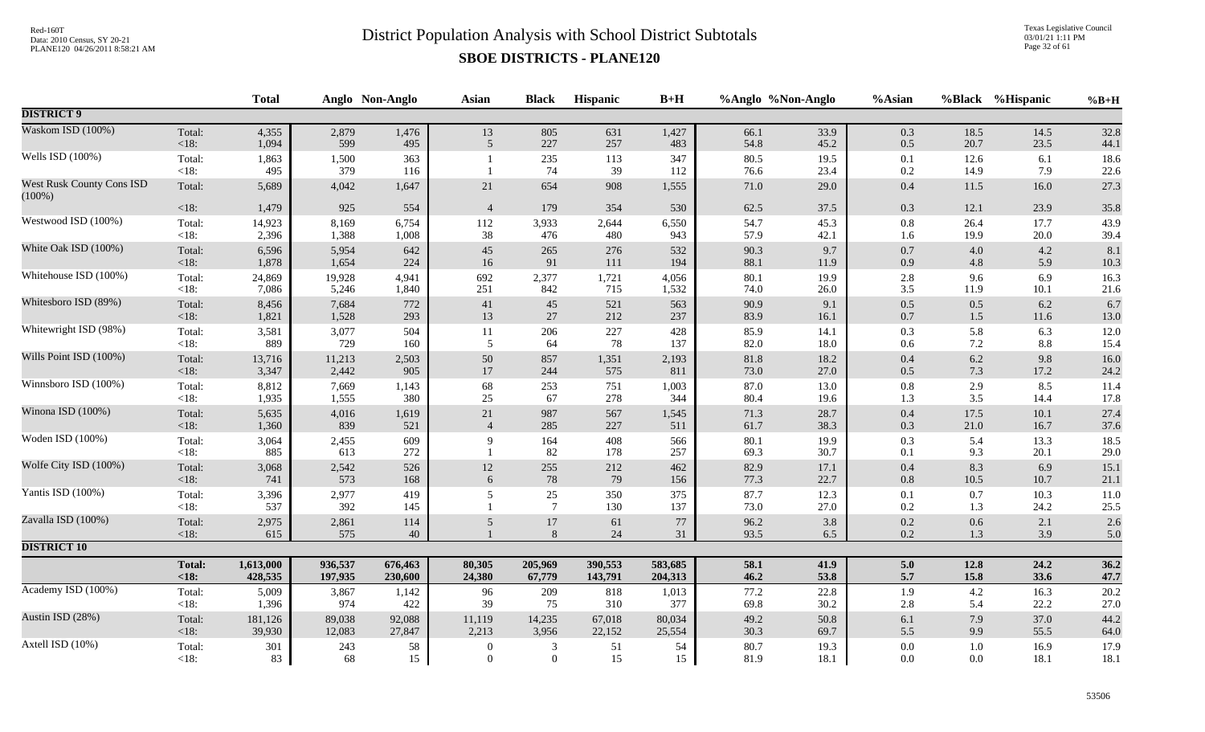Texas Legislative Council 03/01/21 1:11 PM Page 32 of 61

|                                               |                   | <b>Total</b> |              | Anglo Non-Anglo | <b>Asian</b>   | <b>Black</b>              | Hispanic   | $B+H$      |              | %Anglo %Non-Anglo | %Asian             |              | %Black %Hispanic | $%B+H$       |
|-----------------------------------------------|-------------------|--------------|--------------|-----------------|----------------|---------------------------|------------|------------|--------------|-------------------|--------------------|--------------|------------------|--------------|
| <b>DISTRICT 9</b>                             |                   |              |              |                 |                |                           |            |            |              |                   |                    |              |                  |              |
| Waskom ISD (100%)                             | Total:            | 4,355        | 2,879        | 1,476           | 13             | 805                       | 631        | 1,427      | 66.1         | 33.9              | 0.3                | 18.5         | 14.5             | 32.8         |
|                                               | <18:              | 1,094        | 599          | 495             | 5              | 227                       | 257        | 483        | 54.8         | 45.2              | $0.5\,$            | 20.7         | 23.5             | 44.1         |
| Wells ISD (100%)                              | Total:<br>$<18$ : | 1,863<br>495 | 1,500<br>379 | 363<br>116      |                | 235<br>74                 | 113<br>39  | 347<br>112 | 80.5<br>76.6 | 19.5<br>23.4      | $0.1\,$<br>0.2     | 12.6<br>14.9 | 6.1<br>7.9       | 18.6<br>22.6 |
| <b>West Rusk County Cons ISD</b><br>$(100\%)$ | Total:            | 5,689        | 4,042        | 1,647           | $21\,$         | 654                       | 908        | 1,555      | $71.0\,$     | 29.0              | $0.4\,$            | 11.5         | 16.0             | 27.3         |
|                                               | $<18$ :           | 1,479        | 925          | 554             | $\overline{4}$ | 179                       | 354        | 530        | 62.5         | 37.5              | 0.3                | 12.1         | 23.9             | 35.8         |
| Westwood ISD (100%)                           | Total:            | 14,923       | 8,169        | 6,754           | 112            | 3,933                     | 2,644      | 6,550      | 54.7         | 45.3              | $0.8\,$            | 26.4         | 17.7             | 43.9         |
|                                               | $<18$ :           | 2,396        | 1,388        | 1,008           | $38\,$         | 476                       | 480        | 943        | 57.9         | 42.1              | 1.6                | 19.9         | 20.0             | 39.4         |
| White Oak ISD (100%)                          | Total:            | 6,596        | 5,954        | 642             | $45\,$         | 265                       | 276        | 532        | 90.3         | 9.7               | $0.7\,$            | 4.0          | 4.2              | 8.1          |
|                                               | $<18$ :           | 1,878        | 1,654        | 224             | $16\,$         | 91                        | $111\,$    | 194        | 88.1         | 11.9              | 0.9                | 4.8          | 5.9              | 10.3         |
| Whitehouse ISD (100%)                         | Total:            | 24,869       | 19,928       | 4,941           | 692            | 2,377                     | 1,721      | 4,056      | 80.1         | 19.9              | $2.8\,$            | 9.6          | 6.9              | 16.3         |
|                                               | < 18:             | 7,086        | 5,246        | 1,840           | 251            | 842                       | 715        | 1,532      | 74.0         | 26.0              | 3.5                | 11.9         | 10.1             | 21.6         |
| Whitesboro ISD (89%)                          | Total:            | 8,456        | 7,684        | 772             | 41             | $45\,$                    | 521        | 563        | 90.9         | 9.1               | 0.5                | 0.5          | 6.2              | 6.7          |
|                                               | $<18$ :           | 1,821        | 1,528        | 293             | 13             | 27                        | 212        | 237        | 83.9         | 16.1              | $0.7\,$            | 1.5          | 11.6             | 13.0         |
| Whitewright ISD (98%)                         | Total:            | 3,581        | 3,077        | 504             | $11\,$         | 206                       | 227        | 428        | 85.9         | 14.1              | $0.3\,$            | 5.8          | 6.3              | 12.0         |
|                                               | $<18$ :           | 889          | 729          | 160             | 5              | 64                        | 78         | 137        | 82.0         | 18.0              | 0.6                | $7.2\,$      | 8.8              | 15.4         |
| Wills Point ISD (100%)                        | Total:            | 13,716       | 11,213       | 2,503           | 50             | 857                       | 1,351      | 2,193      | 81.8         | 18.2              | $0.4\,$            | $6.2\,$      | 9.8              | 16.0         |
|                                               | <18:              | 3,347        | 2,442        | 905             | 17             | 244                       | 575        | 811        | 73.0         | 27.0              | 0.5                | 7.3          | 17.2             | 24.2         |
| Winnsboro ISD (100%)                          | Total:            | 8,812        | 7,669        | 1,143           | 68             | 253                       | 751        | 1,003      | 87.0         | 13.0              | $\rm 0.8$          | 2.9          | 8.5              | 11.4         |
|                                               | $<18$ :           | 1,935        | 1,555        | 380             | $25\,$         | 67                        | 278        | 344        | 80.4         | 19.6              | 1.3                | 3.5          | 14.4             | 17.8         |
| Winona ISD (100%)                             | Total:            | 5,635        | 4,016        | 1,619           | $21\,$         | 987                       | 567        | 1,545      | 71.3         | 28.7              | 0.4                | 17.5         | 10.1             | 27.4         |
|                                               | $<18$ :           | 1,360        | 839          | 521             | $\overline{4}$ | 285                       | 227        | 511        | 61.7         | 38.3              | 0.3                | 21.0         | 16.7             | 37.6         |
| Woden ISD (100%)                              | Total:<br><18:    | 3,064<br>885 | 2,455<br>613 | 609<br>272      | 9              | 164<br>82                 | 408<br>178 | 566<br>257 | 80.1<br>69.3 | 19.9<br>30.7      | 0.3<br>$0.1\,$     | 5.4<br>9.3   | 13.3<br>20.1     | 18.5<br>29.0 |
| Wolfe City ISD (100%)                         | Total:            | 3,068        | 2,542        | 526             | $12\,$         | 255                       | 212        | 462        | 82.9         | 17.1              | 0.4                | 8.3          | 6.9              | 15.1         |
|                                               | < 18:             | 741          | 573          | 168             | 6              | $78\,$                    | 79         | 156        | 77.3         | 22.7              | 0.8                | 10.5         | 10.7             | 21.1         |
| Yantis ISD (100%)                             | Total:<br>$<18$ : | 3,396<br>537 | 2,977<br>392 | 419<br>145      | 5              | $25\,$<br>$7\phantom{.0}$ | 350<br>130 | 375<br>137 | 87.7<br>73.0 | 12.3<br>27.0      | $0.1\,$<br>$0.2\,$ | 0.7<br>1.3   | 10.3<br>24.2     | 11.0<br>25.5 |
| Zavalla ISD (100%)                            | Total:<br><18:    | 2,975<br>615 | 2,861<br>575 | 114<br>40       | 5              | $17\,$<br>$\,8\,$         | 61<br>24   | 77<br>31   | 96.2<br>93.5 | 3.8<br>6.5        | $0.2\,$<br>$0.2\,$ | 0.6<br>1.3   | 2.1<br>3.9       | 2.6<br>5.0   |
| <b>DISTRICT 10</b>                            |                   |              |              |                 |                |                           |            |            |              |                   |                    |              |                  |              |
|                                               | Total:            | 1,613,000    | 936,537      | 676,463         | 80,305         | 205,969                   | 390,553    | 583,685    | 58.1         | 41.9              | 5.0                | 12.8         | 24.2             | 36.2         |
|                                               | < 18:             | 428,535      | 197,935      | 230,600         | 24,380         | 67,779                    | 143,791    | 204,313    | 46.2         | 53.8              | 5.7                | 15.8         | 33.6             | 47.7         |
| Academy ISD (100%)                            | Total:            | 5,009        | 3,867        | 1,142           | 96             | 209                       | 818        | 1,013      | 77.2         | 22.8              | 1.9                | 4.2          | 16.3             | 20.2         |
|                                               | $<18$ :           | 1,396        | 974          | 422             | 39             | 75                        | 310        | 377        | 69.8         | 30.2              | $2.8\,$            | 5.4          | 22.2             | 27.0         |
| Austin ISD (28%)                              | Total:            | 181,126      | 89,038       | 92,088          | 11,119         | 14,235                    | 67,018     | 80,034     | 49.2         | 50.8              | $6.1\,$            | 7.9          | 37.0             | 44.2         |
|                                               | <18:              | 39,930       | 12,083       | 27,847          | 2,213          | 3,956                     | 22,152     | 25,554     | 30.3         | 69.7              | 5.5                | 9.9          | 55.5             | 64.0         |
| Axtell ISD (10%)                              | Total:            | 301          | 243          | 58              | $\overline{0}$ | $\mathfrak{Z}$            | 51         | 54         | 80.7         | 19.3              | $0.0\,$            | $1.0\,$      | 16.9             | 17.9         |
|                                               | < 18:             | 83           | 68           | 15              | $\theta$       | $\overline{0}$            | 15         | 15         | 81.9         | 18.1              | $0.0\,$            | $0.0\,$      | 18.1             | 18.1         |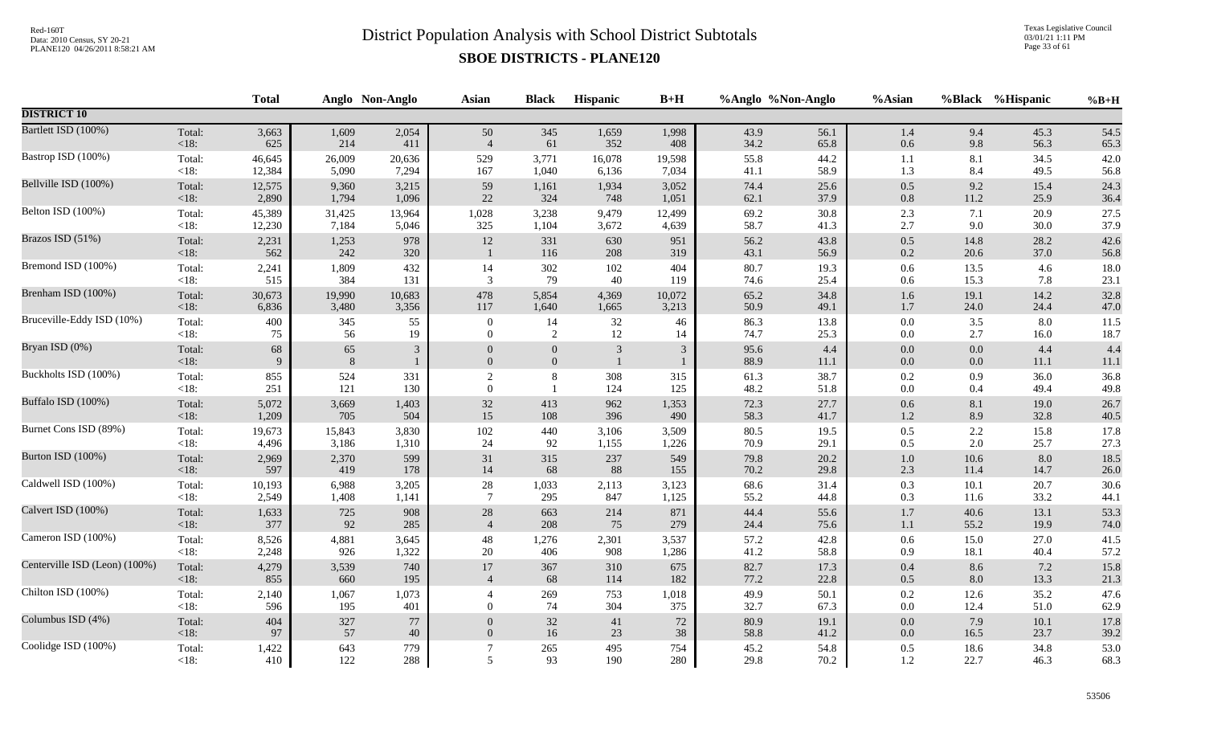Texas Legislative Council 03/01/21 1:11 PM Page 33 of 61

|                               |                | <b>Total</b> |              | Anglo Non-Anglo | <b>Asian</b>   | <b>Black</b>     | Hispanic     | $B+H$          |              | %Anglo %Non-Anglo | %Asian         |              | %Black %Hispanic | $%B+H$       |
|-------------------------------|----------------|--------------|--------------|-----------------|----------------|------------------|--------------|----------------|--------------|-------------------|----------------|--------------|------------------|--------------|
| <b>DISTRICT 10</b>            |                |              |              |                 |                |                  |              |                |              |                   |                |              |                  |              |
| Bartlett ISD (100%)           | Total:         | 3,663        | 1,609        | 2,054           | 50             | 345              | 1,659        | 1,998          | 43.9         | 56.1              | $1.4\,$        | 9.4          | 45.3             | 54.5         |
|                               | < 18:          | 625          | 214          | 411             | $\overline{4}$ | 61               | 352          | 408            | 34.2         | 65.8              | $0.6\,$        | 9.8          | 56.3             | 65.3         |
| Bastrop ISD (100%)            | Total:         | 46,645       | 26,009       | 20,636          | 529            | 3,771            | 16,078       | 19,598         | 55.8         | 44.2              | 1.1            | 8.1          | 34.5             | 42.0         |
|                               | $<18$ :        | 12,384       | 5,090        | 7,294           | 167            | 1,040            | 6,136        | 7,034          | 41.1         | 58.9              | 1.3            | 8.4          | 49.5             | 56.8         |
| Bellville ISD (100%)          | Total:         | 12,575       | 9,360        | 3,215           | 59             | 1,161            | 1,934        | 3,052          | 74.4         | 25.6              | $0.5\,$        | 9.2          | 15.4             | 24.3         |
|                               | $<18$ :        | 2,890        | 1,794        | 1,096           | 22             | 324              | 748          | 1,051          | 62.1         | 37.9              | $0.8\,$        | 11.2         | 25.9             | 36.4         |
| Belton ISD (100%)             | Total:         | 45,389       | 31,425       | 13,964          | 1,028          | 3,238            | 9,479        | 12,499         | 69.2         | 30.8              | 2.3            | 7.1          | 20.9             | 27.5         |
|                               | $<18$ :        | 12,230       | 7,184        | 5,046           | 325            | 1,104            | 3,672        | 4,639          | 58.7         | 41.3              | 2.7            | 9.0          | 30.0             | 37.9         |
| Brazos ISD (51%)              | Total:<br><18: | 2,231<br>562 | 1,253<br>242 | 978<br>320      | 12             | 331<br>116       | 630<br>208   | 951<br>319     | 56.2<br>43.1 | 43.8<br>56.9      | $0.5\,$<br>0.2 | 14.8<br>20.6 | 28.2<br>37.0     | 42.6<br>56.8 |
| Bremond ISD (100%)            | Total:         | 2,241        | 1,809        | 432             | 14             | 302              | 102          | 404            | 80.7         | 19.3              | 0.6            | 13.5         | 4.6              | 18.0         |
|                               | $<18$ :        | 515          | 384          | 131             | 3              | 79               | 40           | 119            | 74.6         | 25.4              | 0.6            | 15.3         | 7.8              | 23.1         |
| Brenham ISD (100%)            | Total:         | 30,673       | 19,990       | 10,683          | 478            | 5,854            | 4,369        | 10,072         | 65.2         | 34.8              | 1.6            | 19.1         | 14.2             | 32.8         |
|                               | < 18:          | 6,836        | 3,480        | 3,356           | 117            | 1,640            | 1,665        | 3,213          | 50.9         | 49.1              | $1.7\,$        | 24.0         | 24.4             | 47.0         |
| Bruceville-Eddy ISD (10%)     | Total:         | 400          | 345          | 55              | $\overline{0}$ | 14               | 32           | 46             | 86.3         | 13.8              | $0.0\,$        | 3.5          | 8.0              | 11.5         |
|                               | <18:           | 75           | 56           | 19              | $\overline{0}$ | 2                | 12           | 14             | 74.7         | 25.3              | $0.0\,$        | 2.7          | 16.0             | 18.7         |
| Bryan ISD (0%)                | Total:         | 68           | 65           | $\mathfrak{Z}$  | $\mathbf{0}$   | $\boldsymbol{0}$ | 3            | 3 <sup>1</sup> | 95.6         | 4.4               | $0.0\,$        | 0.0          | 4.4              | 4.4          |
|                               | < 18:          | 9            | 8            | $\mathbf{1}$    | $\overline{0}$ | $\mathbf{0}$     | $\mathbf{1}$ | $\mathbf{1}$   | 88.9         | 11.1              | $0.0\,$        | 0.0          | 11.1             | 11.1         |
| Buckholts ISD (100%)          | Total:         | 855          | 524          | 331             | $\sqrt{2}$     | $8\,$            | 308          | 315            | 61.3         | 38.7              | $0.2\,$        | 0.9          | 36.0             | 36.8         |
|                               | $<18$ :        | 251          | 121          | 130             | $\mathbf{0}$   | $\overline{1}$   | 124          | 125            | 48.2         | 51.8              | $0.0\,$        | 0.4          | 49.4             | 49.8         |
| Buffalo ISD (100%)            | Total:         | 5,072        | 3,669        | 1,403           | $32\,$         | 413              | 962          | 1,353          | 72.3         | 27.7              | $0.6\,$        | 8.1          | 19.0             | 26.7         |
|                               | <18:           | 1,209        | 705          | 504             | 15             | 108              | 396          | 490            | 58.3         | 41.7              | 1.2            | 8.9          | 32.8             | 40.5         |
| Burnet Cons ISD (89%)         | Total:         | 19,673       | 15,843       | 3,830           | 102            | 440              | 3,106        | 3,509          | 80.5         | 19.5              | $0.5\,$        | 2.2          | 15.8             | 17.8         |
|                               | <18:           | 4,496        | 3,186        | 1,310           | 24             | 92               | 1,155        | 1,226          | 70.9         | 29.1              | 0.5            | 2.0          | 25.7             | 27.3         |
| Burton ISD (100%)             | Total:         | 2,969        | 2,370        | 599             | 31             | 315              | 237          | 549            | 79.8         | 20.2              | $1.0\,$        | 10.6         | 8.0              | 18.5         |
|                               | < 18:          | 597          | 419          | 178             | 14             | 68               | $88\,$       | 155            | 70.2         | 29.8              | $2.3\,$        | 11.4         | 14.7             | 26.0         |
| Caldwell ISD (100%)           | Total:         | 10,193       | 6,988        | 3,205           | $28\,$         | 1,033            | 2,113        | 3,123          | 68.6         | 31.4              | 0.3            | 10.1         | 20.7             | 30.6         |
|                               | $<18$ :        | 2,549        | 1,408        | 1,141           | $\overline{7}$ | 295              | 847          | 1,125          | 55.2         | 44.8              | 0.3            | 11.6         | 33.2             | 44.1         |
| Calvert ISD (100%)            | Total:         | 1,633        | 725          | 908             | $28\,$         | 663              | 214          | 871            | 44.4         | 55.6              | $1.7\,$        | 40.6         | 13.1             | 53.3         |
|                               | <18:           | 377          | 92           | 285             | $\overline{4}$ | 208              | 75           | 279            | 24.4         | 75.6              | $1.1\,$        | 55.2         | 19.9             | 74.0         |
| Cameron ISD (100%)            | Total:         | 8,526        | 4,881        | 3,645           | 48             | 1,276            | 2,301        | 3,537          | 57.2         | 42.8              | $0.6\,$        | 15.0         | 27.0             | 41.5         |
|                               | $<18$ :        | 2,248        | 926          | 1,322           | 20             | 406              | 908          | 1,286          | 41.2         | 58.8              | 0.9            | 18.1         | 40.4             | 57.2         |
| Centerville ISD (Leon) (100%) | Total:         | 4,279        | 3,539        | 740             | 17             | 367              | 310          | 675            | 82.7         | 17.3              | $0.4\,$        | 8.6          | 7.2              | 15.8         |
|                               | $<18$ :        | 855          | 660          | 195             | $\overline{4}$ | 68               | 114          | 182            | 77.2         | 22.8              | $0.5\,$        | 8.0          | 13.3             | 21.3         |
| Chilton ISD (100%)            | Total:         | 2,140        | 1,067        | 1,073           | $\overline{4}$ | 269              | 753          | 1,018          | 49.9         | 50.1              | 0.2            | 12.6         | 35.2             | 47.6         |
|                               | $<18$ :        | 596          | 195          | 401             | $\theta$       | 74               | 304          | 375            | 32.7         | 67.3              | $0.0\,$        | 12.4         | 51.0             | 62.9         |
| Columbus ISD (4%)             | Total:         | 404          | 327          | 77              | $\Omega$       | 32               | 41           | $72\,$         | 80.9         | 19.1              | $0.0\,$        | 7.9          | 10.1             | 17.8         |
|                               | $<18$ :        | 97           | 57           | $40\,$          | $\overline{0}$ | 16               | 23           | 38             | 58.8         | 41.2              | $0.0\,$        | 16.5         | 23.7             | 39.2         |
| Coolidge ISD (100%)           | Total:         | 1,422        | 643          | 779             | 7              | 265              | 495          | 754            | 45.2         | 54.8              | $0.5\,$        | 18.6         | 34.8             | 53.0         |
|                               | <18:           | 410          | 122          | 288             | 5              | 93               | 190          | 280            | 29.8         | 70.2              | 1.2            | 22.7         | 46.3             | 68.3         |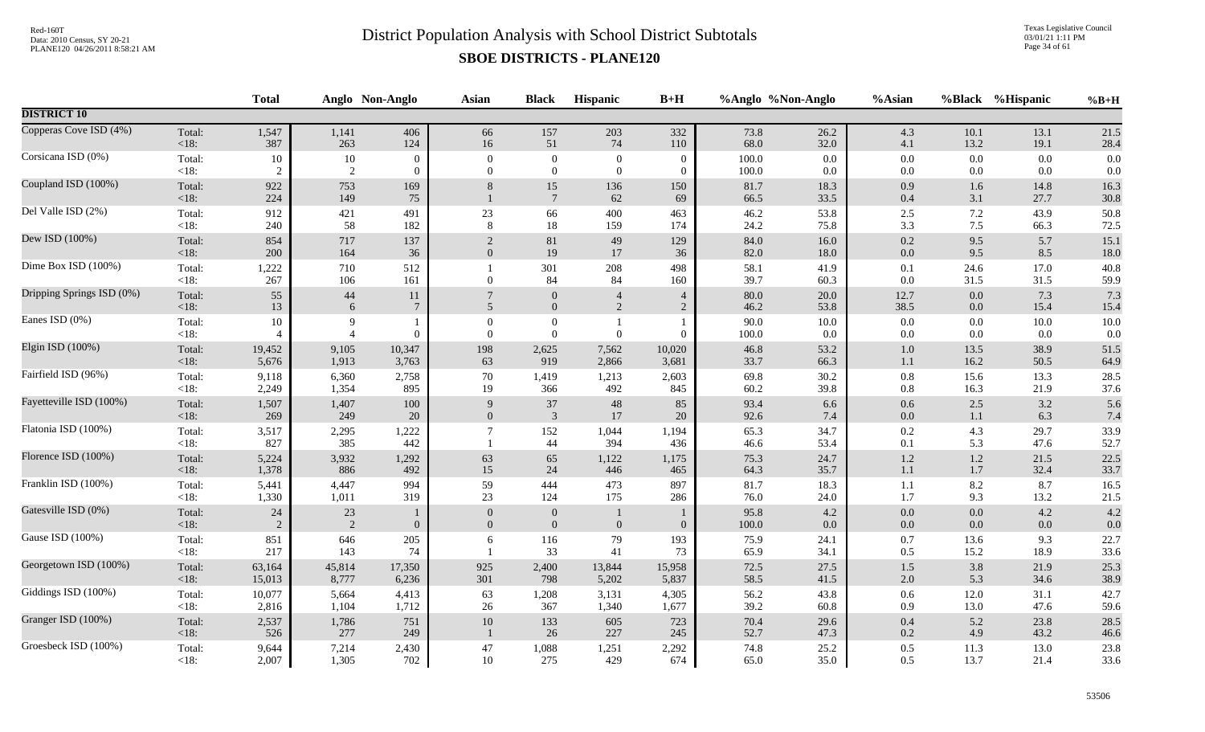Texas Legislative Council 03/01/21 1:11 PM Page 34 of 61

|                           |                   | <b>Total</b>         |                      | Anglo Non-Anglo       | <b>Asian</b>                     | <b>Black</b>                       | <b>Hispanic</b>              | $B+H$                            | %Anglo %Non-Anglo |                 | %Asian             | <b>%Black</b>      | %Hispanic    | $%B+H$          |
|---------------------------|-------------------|----------------------|----------------------|-----------------------|----------------------------------|------------------------------------|------------------------------|----------------------------------|-------------------|-----------------|--------------------|--------------------|--------------|-----------------|
| <b>DISTRICT 10</b>        |                   |                      |                      |                       |                                  |                                    |                              |                                  |                   |                 |                    |                    |              |                 |
| Copperas Cove ISD (4%)    | Total:            | 1,547                | 1,141                | 406                   | 66                               | 157                                | 203                          | 332                              | 73.8              | 26.2            | 4.3                | 10.1               | 13.1         | 21.5            |
|                           | <18:              | 387                  | 263                  | 124                   | 16                               | 51                                 | 74                           | 110                              | 68.0              | 32.0            | 4.1                | 13.2               | 19.1         | 28.4            |
| Corsicana ISD (0%)        | Total:            | 10                   | 10                   | $\theta$              | $\mathbf{0}$                     | $\boldsymbol{0}$                   | $\overline{0}$               | $\Omega$                         | 100.0             | 0.0             | $0.0\,$            | 0.0                | 0.0          | 0.0             |
|                           | $<18$ :           | 2                    | 2                    | $\mathbf{0}$          | $\theta$                         | $\mathbf{0}$                       | $\overline{0}$               | $\overline{0}$                   | 100.0             | $0.0\,$         | $0.0\,$            | 0.0                | 0.0          | 0.0             |
| Coupland ISD (100%)       | Total:<br>$<18$ : | 922<br>224           | 753<br>149           | 169<br>75             | 8                                | 15<br>$7\phantom{.0}$              | 136<br>62                    | 150<br>69                        | 81.7<br>66.5      | 18.3<br>33.5    | 0.9<br>0.4         | 1.6<br>3.1         | 14.8<br>27.7 | 16.3<br>30.8    |
| Del Valle ISD (2%)        | Total:            | 912                  | 421                  | 491                   | 23                               | 66                                 | 400                          | 463                              | 46.2              | 53.8            | 2.5                | 7.2                | 43.9         | 50.8            |
|                           | < 18:             | 240                  | 58                   | 182                   | 8                                | 18                                 | 159                          | 174                              | 24.2              | 75.8            | 3.3                | 7.5                | 66.3         | 72.5            |
| Dew ISD (100%)            | Total:            | 854                  | 717                  | 137                   | $\overline{2}$                   | $81\,$                             | 49                           | 129                              | 84.0              | 16.0            | 0.2                | 9.5                | 5.7          | 15.1            |
|                           | < 18:             | 200                  | 164                  | 36                    | $\overline{0}$                   | 19                                 | 17                           | 36                               | 82.0              | 18.0            | 0.0                | 9.5                | 8.5          | 18.0            |
| Dime Box ISD (100%)       | Total:<br>$<18$ : | 1,222<br>267         | 710<br>106           | 512<br>161            | $\mathbf{0}$                     | 301<br>84                          | 208<br>84                    | 498<br>160                       | 58.1<br>39.7      | 41.9<br>60.3    | 0.1<br>0.0         | 24.6<br>31.5       | 17.0<br>31.5 | 40.8<br>59.9    |
| Dripping Springs ISD (0%) | Total:<br>< 18:   | 55<br>13             | 44<br>6              | 11<br>$7\phantom{.0}$ | $\overline{5}$                   | $\mathbf{0}$<br>$\mathbf{0}$       | $\overline{4}$<br>$\sqrt{2}$ | $\overline{4}$<br>$\overline{2}$ | 80.0<br>46.2      | 20.0<br>53.8    | 12.7<br>38.5       | $0.0\,$<br>$0.0\,$ | 7.3<br>15.4  | 7.3<br>15.4     |
| Eanes ISD (0%)            | Total:<br>$<18$ : | 10<br>$\overline{4}$ | 9<br>$\overline{4}$  | $\overline{0}$        | $\mathbf{0}$<br>$\theta$         | $\boldsymbol{0}$<br>$\overline{0}$ | $\theta$                     | $\theta$                         | 90.0<br>100.0     | $10.0\,$<br>0.0 | 0.0<br>0.0         | 0.0<br>0.0         | 10.0<br>0.0  | $10.0\,$<br>0.0 |
| Elgin ISD (100%)          | Total:            | 19,452               | 9,105                | 10,347                | 198                              | 2,625                              | 7,562                        | 10,020                           | 46.8              | 53.2            | $1.0\,$            | 13.5               | 38.9         | 51.5            |
|                           | <18:              | 5,676                | 1,913                | 3,763                 | 63                               | 919                                | 2,866                        | 3,681                            | 33.7              | 66.3            | $1.1\,$            | 16.2               | 50.5         | 64.9            |
| Fairfield ISD (96%)       | Total:            | 9,118                | 6,360                | 2,758                 | $70\,$                           | 1,419                              | 1,213                        | 2,603                            | 69.8              | 30.2            | $0.8\,$            | 15.6               | 13.3         | 28.5            |
|                           | <18:              | 2,249                | 1,354                | 895                   | 19                               | 366                                | 492                          | 845                              | 60.2              | 39.8            | $0.8\,$            | 16.3               | 21.9         | 37.6            |
| Fayetteville ISD (100%)   | Total:            | 1,507                | 1,407                | 100                   | 9                                | 37                                 | 48                           | 85                               | 93.4              | 6.6             | $0.6\,$            | 2.5                | 3.2          | 5.6             |
|                           | <18:              | 269                  | 249                  | 20                    | $\boldsymbol{0}$                 | $\overline{3}$                     | 17                           | 20                               | 92.6              | 7.4             | $0.0\,$            | $1.1\,$            | 6.3          | 7.4             |
| Flatonia ISD (100%)       | Total:<br><18:    | 3,517<br>827         | 2,295<br>385         | 1,222<br>442          |                                  | 152<br>44                          | 1,044<br>394                 | 1,194<br>436                     | 65.3<br>46.6      | 34.7<br>53.4    | 0.2<br>0.1         | 4.3<br>5.3         | 29.7<br>47.6 | 33.9<br>52.7    |
| Florence ISD (100%)       | Total:            | 5,224                | 3,932                | 1,292                 | 63                               | 65                                 | 1,122                        | 1,175                            | 75.3              | 24.7            | $1.2\,$            | $1.2\,$            | 21.5         | 22.5            |
|                           | <18:              | 1,378                | 886                  | 492                   | 15                               | 24                                 | 446                          | 465                              | 64.3              | 35.7            | 1.1                | 1.7                | 32.4         | 33.7            |
| Franklin ISD (100%)       | Total:            | 5,441                | 4,447                | 994                   | 59                               | 444                                | 473                          | 897                              | 81.7              | 18.3            | 1.1                | 8.2                | 8.7          | 16.5            |
|                           | $<18$ :           | 1,330                | 1,011                | 319                   | 23                               | 124                                | 175                          | 286                              | 76.0              | 24.0            | 1.7                | 9.3                | 13.2         | 21.5            |
| Gatesville ISD (0%)       | Total:<br><18:    | 24<br>$\overline{2}$ | 23<br>$\overline{2}$ | 1<br>$\overline{0}$   | $\overline{0}$<br>$\overline{0}$ | $\overline{0}$<br>$\overline{0}$   | $\mathbf{0}$                 | $\overline{0}$                   | 95.8<br>100.0     | 4.2<br>$0.0\,$  | $0.0\,$<br>$0.0\,$ | $0.0\,$<br>0.0     | 4.2<br>0.0   | 4.2<br>0.0      |
| Gause ISD (100%)          | Total:<br>$<18$ : | 851<br>217           | 646<br>143           | 205<br>74             | 6                                | 116<br>33                          | 79<br>41                     | 193<br>73                        | 75.9<br>65.9      | 24.1<br>34.1    | 0.7<br>0.5         | 13.6<br>15.2       | 9.3<br>18.9  | 22.7<br>33.6    |
| Georgetown ISD (100%)     | Total:            | 63,164               | 45,814               | 17,350                | 925                              | 2,400                              | 13,844                       | 15,958                           | 72.5              | 27.5            | 1.5                | 3.8                | 21.9         | 25.3            |
|                           | <18:              | 15,013               | 8,777                | 6,236                 | 301                              | 798                                | 5,202                        | 5,837                            | 58.5              | 41.5            | $2.0\,$            | 5.3                | 34.6         | 38.9            |
| Giddings ISD (100%)       | Total:            | 10,077               | 5,664                | 4,413                 | 63                               | 1,208                              | 3,131                        | 4,305                            | 56.2              | 43.8            | $0.6\,$            | 12.0               | 31.1         | 42.7            |
|                           | $<18$ :           | 2,816                | 1,104                | 1,712                 | 26                               | 367                                | 1,340                        | 1,677                            | 39.2              | 60.8            | 0.9                | 13.0               | 47.6         | 59.6            |
| Granger ISD (100%)        | Total:<br>$<18$ : | 2,537<br>526         | 1,786<br>277         | 751<br>249            | $10\,$                           | 133<br>26                          | 605<br>227                   | 723<br>245                       | 70.4<br>52.7      | 29.6<br>47.3    | 0.4<br>$0.2\,$     | 5.2<br>4.9         | 23.8<br>43.2 | 28.5<br>46.6    |
| Groesbeck ISD (100%)      | Total:            | 9,644                | 7,214                | 2,430                 | 47                               | 1,088                              | 1,251                        | 2,292                            | 74.8              | 25.2            | 0.5                | 11.3               | 13.0         | 23.8            |
|                           | $<18$ :           | 2,007                | 1,305                | 702                   | $10\,$                           | 275                                | 429                          | 674                              | 65.0              | 35.0            | 0.5                | 13.7               | 21.4         | 33.6            |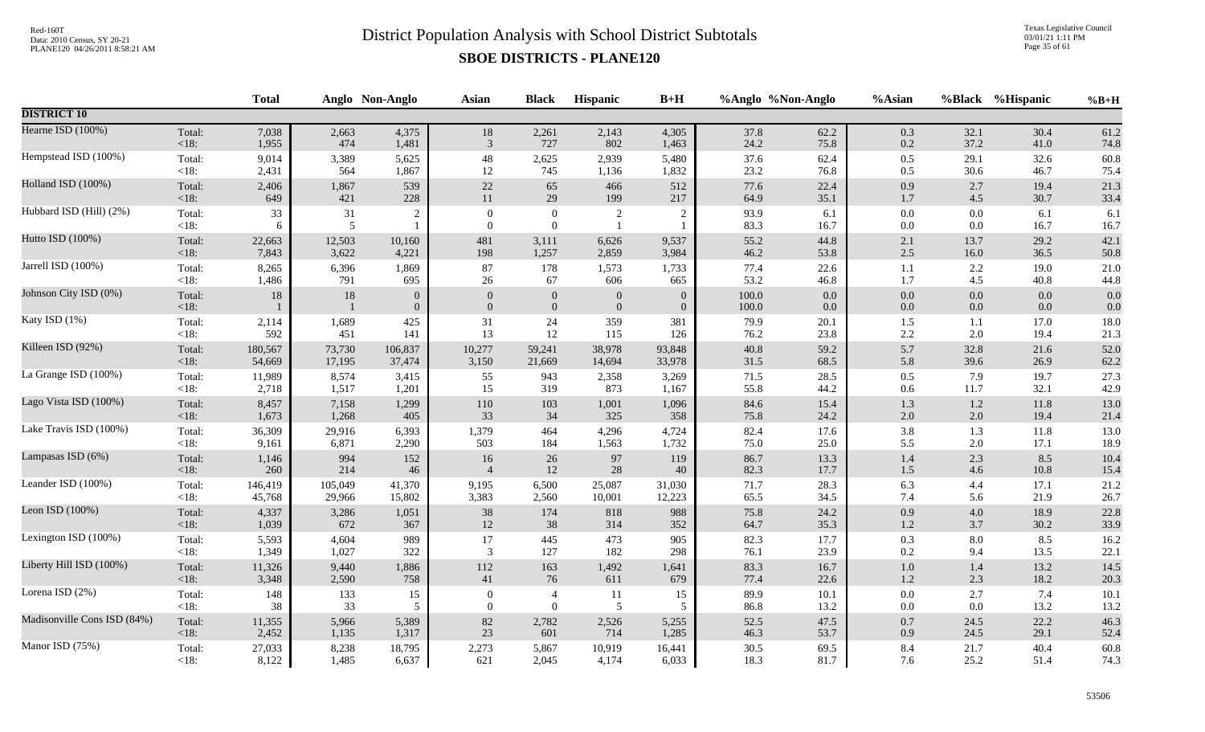Texas Legislative Council 03/01/21 1:11 PM Page 35 of 61

|                             |                   | <b>Total</b> |                          | Anglo Non-Anglo                | <b>Asian</b>                 | <b>Black</b>                       | Hispanic                         | $B+H$                              |                | %Anglo %Non-Anglo | %Asian             |                    | %Black %Hispanic | $%B+H$      |
|-----------------------------|-------------------|--------------|--------------------------|--------------------------------|------------------------------|------------------------------------|----------------------------------|------------------------------------|----------------|-------------------|--------------------|--------------------|------------------|-------------|
| <b>DISTRICT 10</b>          |                   |              |                          |                                |                              |                                    |                                  |                                    |                |                   |                    |                    |                  |             |
| Hearne ISD (100%)           | Total:            | 7,038        | 2,663                    | 4,375                          | $18\,$                       | 2,261                              | 2,143                            | 4,305                              | 37.8           | 62.2              | 0.3                | 32.1               | 30.4             | 61.2        |
|                             | $<18$ :           | 1,955        | 474                      | 1,481                          | 3                            | 727                                | 802                              | 1,463                              | 24.2           | 75.8              | 0.2                | 37.2               | 41.0             | 74.8        |
| Hempstead ISD (100%)        | Total:            | 9,014        | 3,389                    | 5,625                          | $\sqrt{48}$                  | 2,625                              | 2,939                            | 5,480                              | 37.6           | 62.4              | $0.5\,$            | 29.1               | 32.6             | 60.8        |
|                             | $<18$ :           | 2,431        | 564                      | 1,867                          | 12                           | 745                                | 1,136                            | 1,832                              | 23.2           | 76.8              | 0.5                | 30.6               | 46.7             | 75.4        |
| Holland ISD (100%)          | Total:            | 2,406        | 1,867                    | 539                            | $22\,$                       | 65                                 | 466                              | 512                                | 77.6           | 22.4              | 0.9                | 2.7                | 19.4             | 21.3        |
|                             | <18:              | 649          | 421                      | 228                            | 11                           | 29                                 | 199                              | 217                                | 64.9           | 35.1              | 1.7                | 4.5                | 30.7             | 33.4        |
| Hubbard ISD (Hill) (2%)     | Total:<br>$<18$ : | 33<br>6      | 31<br>5                  | $\sqrt{2}$                     | $\boldsymbol{0}$<br>$\Omega$ | $\boldsymbol{0}$<br>$\overline{0}$ | $\overline{c}$<br>$\mathbf{1}$   | $\overline{c}$                     | 93.9<br>83.3   | 6.1<br>16.7       | $0.0\,$<br>$0.0\,$ | 0.0<br>0.0         | 6.1<br>16.7      | 6.1<br>16.7 |
| Hutto ISD (100%)            | Total:            | 22,663       | 12,503                   | 10,160                         | 481                          | 3,111                              | 6,626                            | 9,537                              | 55.2           | 44.8              | $2.1\,$            | 13.7               | 29.2             | 42.1        |
|                             | < 18:             | 7,843        | 3,622                    | 4,221                          | 198                          | 1,257                              | 2,859                            | 3,984                              | 46.2           | 53.8              | 2.5                | 16.0               | 36.5             | 50.8        |
| Jarrell ISD (100%)          | Total:            | 8,265        | 6,396                    | 1,869                          | 87                           | 178                                | 1,573                            | 1,733                              | 77.4           | 22.6              | 1.1                | 2.2                | 19.0             | 21.0        |
|                             | <18:              | 1,486        | 791                      | 695                            | 26                           | 67                                 | 606                              | 665                                | 53.2           | 46.8              | 1.7                | 4.5                | 40.8             | 44.8        |
| Johnson City ISD (0%)       | Total:<br><18:    | $18\,$       | $18\,$<br>$\overline{1}$ | $\mathbf{0}$<br>$\overline{0}$ | $\theta$<br>$\mathbf{0}$     | $\boldsymbol{0}$<br>$\mathbf{0}$   | $\mathbf{0}$<br>$\boldsymbol{0}$ | $\boldsymbol{0}$<br>$\overline{0}$ | 100.0<br>100.0 | 0.0<br>$0.0\,$    | $0.0\,$<br>0.0     | $0.0\,$<br>$0.0\,$ | 0.0<br>0.0       | 0.0<br>0.0  |
| Katy ISD (1%)               | Total:            | 2,114        | 1,689                    | 425                            | 31                           | $24\,$                             | 359                              | 381                                | 79.9           | 20.1              | 1.5                | 1.1                | 17.0             | 18.0        |
|                             | $<18$ :           | 592          | 451                      | 141                            | 13                           | 12                                 | 115                              | 126                                | 76.2           | 23.8              | 2.2                | 2.0                | 19.4             | 21.3        |
| Killeen ISD (92%)           | Total:            | 180,567      | 73,730                   | 106,837                        | 10,277                       | 59,241                             | 38,978                           | 93,848                             | 40.8           | 59.2              | 5.7                | 32.8               | 21.6             | 52.0        |
|                             | <18:              | 54,669       | 17,195                   | 37,474                         | 3,150                        | 21,669                             | 14,694                           | 33,978                             | 31.5           | 68.5              | 5.8                | 39.6               | 26.9             | 62.2        |
| La Grange ISD (100%)        | Total:            | 11,989       | 8,574                    | 3,415                          | 55                           | 943                                | 2,358                            | 3,269                              | 71.5           | 28.5              | $0.5\,$            | 7.9                | 19.7             | 27.3        |
|                             | <18:              | 2,718        | 1,517                    | 1,201                          | 15                           | 319                                | 873                              | 1,167                              | 55.8           | 44.2              | 0.6                | 11.7               | 32.1             | 42.9        |
| Lago Vista ISD (100%)       | Total:            | 8,457        | 7,158                    | 1,299                          | 110                          | 103                                | 1,001                            | 1,096                              | 84.6           | 15.4              | 1.3                | $1.2\,$            | 11.8             | 13.0        |
|                             | <18:              | 1,673        | 1,268                    | 405                            | 33                           | 34                                 | 325                              | 358                                | 75.8           | 24.2              | $2.0\,$            | 2.0                | 19.4             | 21.4        |
| Lake Travis ISD (100%)      | Total:            | 36,309       | 29,916                   | 6,393                          | 1,379                        | 464                                | 4,296                            | 4,724                              | 82.4           | 17.6              | 3.8                | 1.3                | 11.8             | 13.0        |
|                             | $<18$ :           | 9,161        | 6,871                    | 2,290                          | 503                          | 184                                | 1,563                            | 1,732                              | 75.0           | 25.0              | 5.5                | 2.0                | 17.1             | 18.9        |
| Lampasas ISD (6%)           | Total:            | 1,146        | 994                      | 152                            | 16                           | 26                                 | 97                               | 119                                | 86.7           | 13.3              | 1.4                | 2.3                | 8.5              | 10.4        |
|                             | <18:              | 260          | 214                      | 46                             | $\overline{4}$               | 12                                 | 28                               | 40                                 | 82.3           | 17.7              | $1.5\,$            | 4.6                | 10.8             | 15.4        |
| Leander ISD (100%)          | Total:            | 146,419      | 105,049                  | 41,370                         | 9,195                        | 6,500                              | 25,087                           | 31,030                             | 71.7           | 28.3              | 6.3                | 4.4                | 17.1             | 21.2        |
|                             | $<18$ :           | 45,768       | 29,966                   | 15,802                         | 3,383                        | 2,560                              | 10,001                           | 12,223                             | 65.5           | 34.5              | 7.4                | 5.6                | 21.9             | 26.7        |
| Leon ISD (100%)             | Total:            | 4,337        | 3,286                    | 1,051                          | 38                           | 174                                | 818                              | 988                                | 75.8           | 24.2              | 0.9                | 4.0                | 18.9             | 22.8        |
|                             | <18:              | 1,039        | 672                      | 367                            | 12                           | $38\,$                             | 314                              | 352                                | 64.7           | 35.3              | $1.2\,$            | 3.7                | 30.2             | 33.9        |
| Lexington ISD (100%)        | Total:            | 5,593        | 4,604                    | 989                            | 17                           | 445                                | 473                              | 905                                | 82.3           | 17.7              | 0.3                | 8.0                | 8.5              | 16.2        |
|                             | $<18$ :           | 1,349        | 1,027                    | 322                            | 3                            | 127                                | 182                              | 298                                | 76.1           | 23.9              | 0.2                | 9.4                | 13.5             | 22.1        |
| Liberty Hill ISD (100%)     | Total:            | 11,326       | 9,440                    | 1,886                          | 112                          | 163                                | 1,492                            | 1,641                              | 83.3           | 16.7              | $1.0\,$            | 1.4                | 13.2             | 14.5        |
|                             | < 18:             | 3,348        | 2,590                    | 758                            | 41                           | 76                                 | 611                              | 679                                | 77.4           | 22.6              | $1.2\,$            | 2.3                | 18.2             | 20.3        |
| Lorena ISD (2%)             | Total:            | 148          | 133                      | 15                             | $\mathbf{0}$                 | $\overline{4}$                     | <b>11</b>                        | 15                                 | 89.9           | $10.1$            | $0.0\,$            | 2.7                | 7.4              | 10.1        |
|                             | $<18$ :           | 38           | 33                       | 5                              | $\overline{0}$               | $\overline{0}$                     | 5                                | 5                                  | 86.8           | 13.2              | $0.0\,$            | 0.0                | 13.2             | 13.2        |
| Madisonville Cons ISD (84%) | Total:            | 11,355       | 5,966                    | 5,389                          | $82\,$                       | 2,782                              | 2,526                            | 5,255                              | 52.5           | 47.5              | $0.7\,$            | 24.5               | 22.2             | 46.3        |
|                             | <18:              | 2,452        | 1,135                    | 1,317                          | 23                           | 601                                | 714                              | 1,285                              | 46.3           | 53.7              | 0.9                | 24.5               | 29.1             | 52.4        |
| Manor ISD (75%)             | Total:            | 27,033       | 8,238                    | 18,795                         | 2,273                        | 5,867                              | 10,919                           | 16,441                             | 30.5           | 69.5              | 8.4                | 21.7               | 40.4             | 60.8        |
|                             | $<18$ :           | 8,122        | 1,485                    | 6,637                          | 621                          | 2,045                              | 4,174                            | 6,033                              | 18.3           | 81.7              | 7.6                | 25.2               | 51.4             | 74.3        |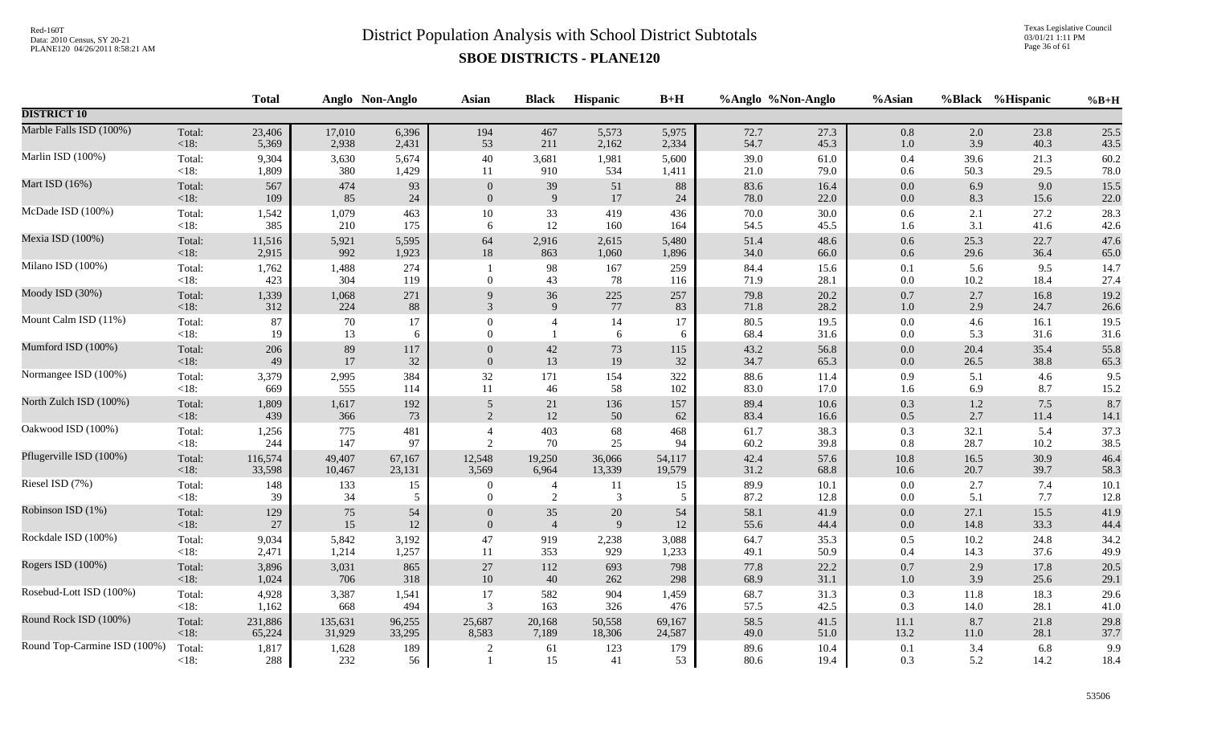Texas Legislative Council 03/01/21 1:11 PM Page 36 of 61

|                              |                   | <b>Total</b> |              | Anglo Non-Anglo | <b>Asian</b>     | <b>Black</b>   | Hispanic         | $B+H$      |              | %Anglo %Non-Anglo | %Asian     |             | %Black %Hispanic | $%B+H$       |
|------------------------------|-------------------|--------------|--------------|-----------------|------------------|----------------|------------------|------------|--------------|-------------------|------------|-------------|------------------|--------------|
| <b>DISTRICT 10</b>           |                   |              |              |                 |                  |                |                  |            |              |                   |            |             |                  |              |
| Marble Falls ISD (100%)      | Total:            | 23,406       | 17,010       | 6,396           | 194              | 467            | 5,573            | 5,975      | 72.7         | 27.3              | $0.8\,$    | 2.0         | 23.8             | 25.5         |
|                              | $<18$ :           | 5,369        | 2,938        | 2,431           | 53               | 211            | 2,162            | 2,334      | 54.7         | 45.3              | $1.0\,$    | 3.9         | 40.3             | 43.5         |
| Marlin ISD (100%)            | Total:            | 9,304        | 3,630        | 5,674           | 40               | 3,681          | 1,981            | 5,600      | 39.0         | 61.0              | 0.4        | 39.6        | 21.3             | 60.2         |
|                              | <18:              | 1,809        | 380          | 1,429           | 11               | 910            | 534              | 1,411      | 21.0         | 79.0              | 0.6        | 50.3        | 29.5             | 78.0         |
| Mart ISD (16%)               | Total:            | 567          | 474          | 93              | $\theta$         | 39             | 51               | 88         | 83.6         | 16.4              | $0.0\,$    | 6.9         | 9.0              | 15.5         |
|                              | $<18$ :           | 109          | 85           | 24              | $\overline{0}$   | $\overline{9}$ | 17               | 24         | 78.0         | 22.0              | $0.0\,$    | 8.3         | 15.6             | 22.0         |
| McDade ISD (100%)            | Total:            | 1,542        | 1,079        | 463             | $10\,$           | 33             | 419              | 436        | 70.0         | 30.0              | 0.6        | 2.1         | 27.2             | 28.3         |
|                              | $<18$ :           | 385          | 210          | 175             | 6                | 12             | 160              | 164        | 54.5         | 45.5              | 1.6        | 3.1         | 41.6             | 42.6         |
| Mexia ISD (100%)             | Total:            | 11,516       | 5,921        | 5,595           | 64               | 2,916          | 2,615            | 5,480      | 51.4         | 48.6              | $0.6\,$    | 25.3        | 22.7             | 47.6         |
|                              | <18:              | 2,915        | 992          | 1,923           | $18\,$           | 863            | 1,060            | 1,896      | 34.0         | 66.0              | $0.6\,$    | 29.6        | 36.4             | 65.0         |
| Milano ISD (100%)            | Total:<br>$<18$ : | 1,762<br>423 | 1,488<br>304 | 274<br>119      | $\overline{0}$   | 98<br>43       | 167<br>78        | 259<br>116 | 84.4<br>71.9 | 15.6<br>28.1      | 0.1<br>0.0 | 5.6<br>10.2 | 9.5<br>18.4      | 14.7<br>27.4 |
| Moody ISD (30%)              | Total:            | 1,339        | 1,068        | 271             | 9                | 36             | $225\,$          | 257        | 79.8         | 20.2              | $0.7\,$    | 2.7         | 16.8             | 19.2         |
|                              | <18:              | 312          | 224          | 88              | 3                | 9              | 77               | 83         | 71.8         | 28.2              | $1.0\,$    | 2.9         | 24.7             | 26.6         |
| Mount Calm ISD (11%)         | Total:            | 87           | 70           | 17              | $\theta$         | $\overline{4}$ | 14               | 17         | 80.5         | 19.5              | $0.0\,$    | 4.6         | 16.1             | 19.5         |
|                              | $<18$ :           | 19           | 13           | 6               | $\Omega$         | $\overline{1}$ | 6                | 6          | 68.4         | 31.6              | 0.0        | 5.3         | 31.6             | 31.6         |
| Mumford ISD (100%)           | Total:            | 206          | 89           | 117             | $\Omega$         | $42\,$         | $73\,$           | 115        | 43.2         | 56.8              | $0.0\,$    | 20.4        | 35.4             | 55.8         |
|                              | $<18$ :           | 49           | 17           | 32              | $\Omega$         | 13             | 19               | 32         | 34.7         | 65.3              | $0.0\,$    | 26.5        | 38.8             | 65.3         |
| Normangee ISD (100%)         | Total:            | 3,379        | 2,995        | 384             | $32\,$           | 171            | 154              | 322        | 88.6         | 11.4              | 0.9        | 5.1         | 4.6              | 9.5          |
|                              | $<18$ :           | 669          | 555          | 114             | 11               | 46             | 58               | 102        | 83.0         | 17.0              | 1.6        | 6.9         | 8.7              | 15.2         |
| North Zulch ISD (100%)       | Total:            | 1,809        | 1,617        | 192             | 5                | 21             | 136              | 157        | 89.4         | 10.6              | 0.3        | $1.2\,$     | $7.5$            | 8.7          |
|                              | $<18$ :           | 439          | 366          | 73              | 2                | 12             | 50               | 62         | 83.4         | 16.6              | 0.5        | 2.7         | 11.4             | 14.1         |
| Oakwood ISD (100%)           | Total:            | 1,256        | 775          | 481             | $\overline{4}$   | 403            | 68               | 468        | 61.7         | 38.3              | 0.3        | 32.1        | 5.4              | 37.3         |
|                              | $<18$ :           | 244          | 147          | 97              | 2                | 70             | 25               | 94         | 60.2         | 39.8              | 0.8        | 28.7        | 10.2             | 38.5         |
| Pflugerville ISD (100%)      | Total:            | 116,574      | 49,407       | 67,167          | 12,548           | 19,250         | 36,066           | 54,117     | 42.4         | 57.6              | 10.8       | 16.5        | 30.9             | 46.4         |
|                              | <18:              | 33,598       | 10,467       | 23,131          | 3,569            | 6,964          | 13,339           | 19,579     | 31.2         | 68.8              | $10.6\,$   | 20.7        | 39.7             | 58.3         |
| Riesel ISD (7%)              | Total:            | 148          | 133          | 15              | $\boldsymbol{0}$ | $\overline{4}$ | 11               | 15         | 89.9         | 10.1              | 0.0        | 2.7         | 7.4              | 10.1         |
|                              | < 18:             | 39           | 34           | 5               | $\Omega$         | 2              | 3                | 5          | 87.2         | 12.8              | 0.0        | 5.1         | 7.7              | 12.8         |
| Robinson ISD (1%)            | Total:            | 129          | 75           | 54              | $\overline{0}$   | 35             | $20\,$           | 54         | 58.1         | 41.9              | 0.0        | 27.1        | 15.5             | 41.9         |
|                              | <18:              | $27\,$       | $15\,$       | $12\,$          | $\mathbf{0}$     | $\overline{4}$ | $\boldsymbol{9}$ | 12         | 55.6         | 44.4              | $0.0\,$    | 14.8        | 33.3             | 44.4         |
| Rockdale ISD (100%)          | Total:            | 9,034        | 5,842        | 3,192           | $47\,$           | 919            | 2,238            | 3,088      | 64.7         | 35.3              | $0.5\,$    | 10.2        | 24.8             | 34.2         |
|                              | <18:              | 2,471        | 1,214        | 1,257           | 11               | 353            | 929              | 1,233      | 49.1         | 50.9              | 0.4        | 14.3        | 37.6             | 49.9         |
| Rogers ISD (100%)            | Total:            | 3,896        | 3,031        | 865             | 27               | 112            | 693              | 798        | 77.8         | 22.2              | $0.7\,$    | 2.9         | 17.8             | 20.5         |
|                              | $<18$ :           | 1,024        | 706          | 318             | $10\,$           | $40\,$         | 262              | 298        | 68.9         | 31.1              | $1.0\,$    | 3.9         | 25.6             | 29.1         |
| Rosebud-Lott ISD (100%)      | Total:            | 4,928        | 3,387        | 1,541           | 17               | 582            | 904              | 1,459      | 68.7         | 31.3              | 0.3        | 11.8        | 18.3             | 29.6         |
|                              | $<18$ :           | 1,162        | 668          | 494             | 3                | 163            | 326              | 476        | 57.5         | 42.5              | 0.3        | 14.0        | 28.1             | $41.0\,$     |
| Round Rock ISD (100%)        | Total:            | 231,886      | 135,631      | 96,255          | 25,687           | 20,168         | 50,558           | 69,167     | 58.5         | 41.5              | 11.1       | 8.7         | 21.8             | 29.8         |
|                              | $<18$ :           | 65,224       | 31,929       | 33,295          | 8,583            | 7,189          | 18,306           | 24,587     | 49.0         | 51.0              | 13.2       | 11.0        | 28.1             | 37.7         |
| Round Top-Carmine ISD (100%) | Total:<br>< 18:   | 1,817<br>288 | 1,628<br>232 | 189<br>56       |                  | 61<br>15       | 123<br>41        | 179<br>53  | 89.6<br>80.6 | 10.4<br>19.4      | 0.1<br>0.3 | 3.4<br>5.2  | 6.8<br>14.2      | 9.9<br>18.4  |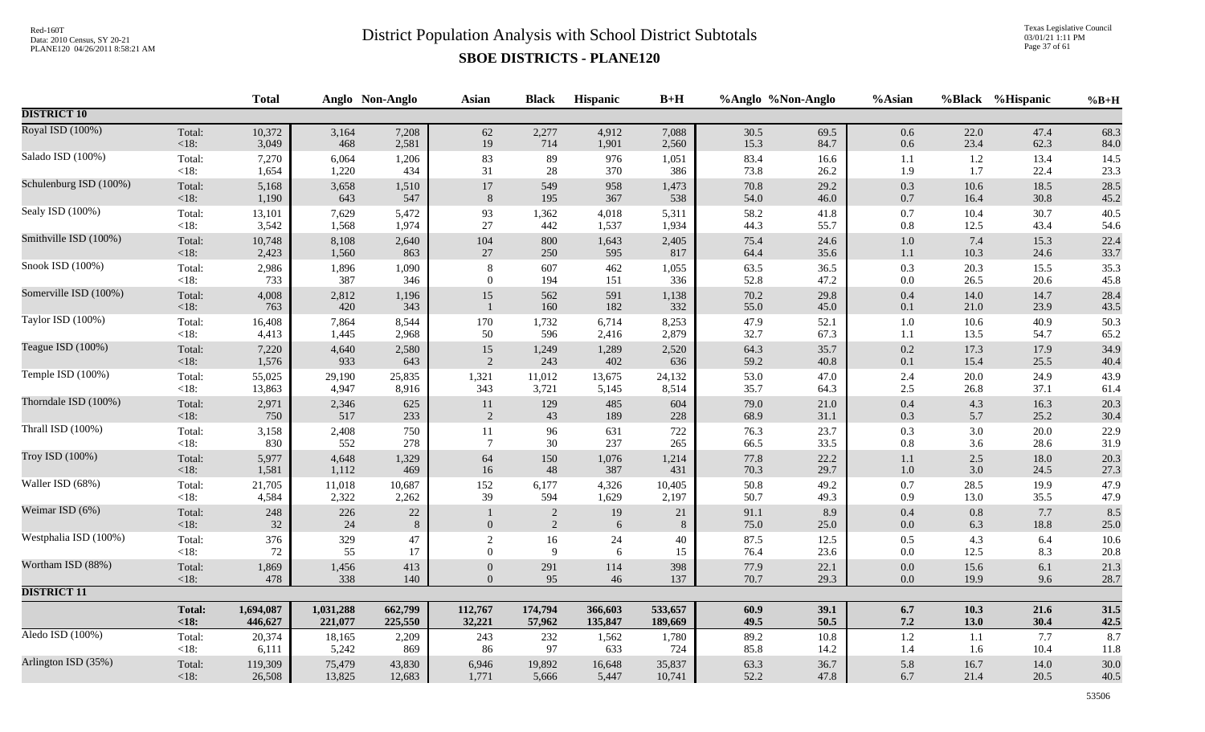Texas Legislative Council 03/01/21 1:11 PM Page 37 of 61

|                        |                 | <b>Total</b> |              | Anglo Non-Anglo | <b>Asian</b>     | <b>Black</b>                 | Hispanic   | $B+H$         | %Anglo %Non-Anglo |              | %Asian             | %Black       | %Hispanic    | $%B+H$       |
|------------------------|-----------------|--------------|--------------|-----------------|------------------|------------------------------|------------|---------------|-------------------|--------------|--------------------|--------------|--------------|--------------|
| <b>DISTRICT 10</b>     |                 |              |              |                 |                  |                              |            |               |                   |              |                    |              |              |              |
| Royal ISD (100%)       | Total:          | 10,372       | 3,164        | 7,208           | $62\,$           | 2,277                        | 4,912      | 7,088         | 30.5              | 69.5         | $0.6\,$            | 22.0         | 47.4         | 68.3         |
|                        | < 18:           | 3,049        | 468          | 2,581           | 19               | 714                          | 1,901      | 2,560         | 15.3              | 84.7         | $0.6\,$            | 23.4         | 62.3         | 84.0         |
| Salado ISD (100%)      | Total:          | 7,270        | 6,064        | 1,206           | 83               | $89\,$                       | 976        | 1,051         | 83.4              | 16.6         | $1.1\,$            | 1.2          | 13.4         | 14.5         |
|                        | < 18:           | 1,654        | 1,220        | 434             | 31               | 28                           | 370        | 386           | 73.8              | 26.2         | 1.9                | 1.7          | 22.4         | 23.3         |
| Schulenburg ISD (100%) | Total:          | 5,168        | 3,658        | 1,510           | 17               | 549                          | 958        | 1,473         | 70.8              | 29.2         | 0.3                | $10.6\,$     | 18.5         | 28.5         |
|                        | $<18$ :         | 1,190        | 643          | 547             | 8                | 195                          | 367        | 538           | 54.0              | 46.0         | 0.7                | 16.4         | 30.8         | 45.2         |
| Sealy ISD (100%)       | Total:          | 13,101       | 7,629        | 5,472           | 93               | 1,362                        | 4,018      | 5,311         | 58.2              | 41.8         | 0.7                | 10.4         | 30.7         | 40.5         |
|                        | $<18$ :         | 3,542        | 1,568        | 1,974           | 27               | 442                          | 1,537      | 1,934         | 44.3              | 55.7         | $0.8\,$            | 12.5         | 43.4         | 54.6         |
| Smithville ISD (100%)  | Total:          | 10,748       | 8,108        | 2,640           | 104              | 800                          | 1,643      | 2,405         | 75.4              | 24.6         | $1.0\,$            | 7.4          | 15.3         | 22.4         |
|                        | $<18$ :         | 2,423        | 1,560        | 863             | $27\,$           | 250                          | 595        | 817           | 64.4              | 35.6         | 1.1                | 10.3         | 24.6         | 33.7         |
| Snook ISD (100%)       | Total:          | 2,986        | 1,896        | 1,090           | 8                | 607                          | 462        | 1,055         | 63.5              | 36.5         | $0.3\,$            | 20.3         | 15.5         | 35.3         |
|                        | $<18$ :         | 733          | 387          | 346             | $\boldsymbol{0}$ | 194                          | 151        | 336           | 52.8              | 47.2         | $0.0\,$            | 26.5         | 20.6         | 45.8         |
| Somerville ISD (100%)  | Total:<br><18:  | 4,008<br>763 | 2,812<br>420 | 1,196<br>343    | 15               | 562<br>160                   | 591<br>182 | 1,138<br>332  | 70.2<br>55.0      | 29.8<br>45.0 | $0.4\,$<br>$0.1\,$ | 14.0<br>21.0 | 14.7<br>23.9 | 28.4<br>43.5 |
| Taylor ISD (100%)      | Total:          | 16,408       | 7,864        | 8,544           | 170              | 1,732                        | 6,714      | 8,253         | 47.9              | 52.1         | $1.0\,$            | $10.6\,$     | 40.9         | 50.3         |
|                        | $<18$ :         | 4,413        | 1,445        | 2,968           | 50               | 596                          | 2,416      | 2,879         | 32.7              | 67.3         | $1.1\,$            | 13.5         | 54.7         | 65.2         |
| Teague ISD (100%)      | Total:          | 7,220        | 4,640        | 2,580           | 15               | 1,249                        | 1,289      | 2,520         | 64.3              | 35.7         | $0.2\,$            | 17.3         | 17.9         | 34.9         |
|                        | $<18$ :         | 1,576        | 933          | 643             | 2                | 243                          | 402        | 636           | 59.2              | 40.8         | $0.1\,$            | 15.4         | 25.5         | 40.4         |
| Temple ISD (100%)      | Total:          | 55,025       | 29,190       | 25,835          | 1,321            | 11,012                       | 13,675     | 24,132        | 53.0              | 47.0         | 2.4                | 20.0         | 24.9         | 43.9         |
|                        | <18:            | 13,863       | 4,947        | 8,916           | 343              | 3,721                        | 5,145      | 8,514         | 35.7              | 64.3         | 2.5                | 26.8         | 37.1         | 61.4         |
| Thorndale ISD (100%)   | Total:          | 2,971        | 2,346        | 625             | 11               | 129                          | 485        | 604           | 79.0              | 21.0         | 0.4                | 4.3          | 16.3         | 20.3         |
|                        | < 18:           | 750          | 517          | 233             | $\sqrt{2}$       | 43                           | 189        | 228           | 68.9              | 31.1         | $0.3\,$            | 5.7          | 25.2         | 30.4         |
| Thrall ISD (100%)      | Total:          | 3,158        | 2,408        | 750             | 11               | 96                           | 631        | 722           | 76.3              | 23.7         | 0.3                | 3.0          | 20.0         | 22.9         |
|                        | $<18$ :         | 830          | 552          | 278             | $\overline{7}$   | 30                           | 237        | 265           | 66.5              | 33.5         | 0.8                | 3.6          | 28.6         | 31.9         |
| Troy ISD (100%)        | Total:          | 5,977        | 4,648        | 1,329           | 64               | 150                          | 1,076      | 1,214         | 77.8              | 22.2         | 1.1                | 2.5          | 18.0         | 20.3         |
|                        | < 18:           | 1,581        | 1,112        | 469             | 16               | 48                           | 387        | 431           | 70.3              | 29.7         | $1.0\,$            | 3.0          | 24.5         | 27.3         |
| Waller ISD (68%)       | Total:          | 21,705       | 11,018       | 10,687          | 152              | 6,177                        | 4,326      | 10,405        | 50.8              | 49.2         | 0.7                | 28.5         | 19.9         | 47.9         |
|                        | $<18$ :         | 4,584        | 2,322        | 2,262           | 39               | 594                          | 1,629      | 2,197         | 50.7              | 49.3         | 0.9                | 13.0         | 35.5         | 47.9         |
| Weimar ISD (6%)        | Total:<br>< 18: | 248<br>32    | 226<br>24    | $22\,$<br>$8\,$ | $\overline{0}$   | $\sqrt{2}$<br>$\overline{2}$ | 19<br>6    | 21<br>$\,8\,$ | 91.1<br>75.0      | 8.9<br>25.0  | $0.4\,$<br>$0.0\,$ | 0.8<br>6.3   | 7.7<br>18.8  | 8.5<br>25.0  |
| Westphalia ISD (100%)  | Total:          | 376          | 329          | 47              | $\overline{c}$   | 16                           | 24         | 40            | 87.5              | 12.5         | $0.5\,$            | 4.3          | 6.4          | 10.6         |
|                        | <18:            | 72           | 55           | 17              | $\theta$         | 9                            | 6          | 15            | 76.4              | 23.6         | $0.0\,$            | 12.5         | 8.3          | 20.8         |
| Wortham ISD (88%)      | Total:          | 1,869        | 1,456        | 413             | $\mathbf{0}$     | 291                          | 114        | 398           | 77.9              | 22.1         | $0.0\,$            | 15.6         | 6.1          | 21.3         |
|                        | $<18$ :         | 478          | 338          | 140             | $\Omega$         | 95                           | 46         | 137           | 70.7              | 29.3         | $0.0\,$            | 19.9         | 9.6          | 28.7         |
| <b>DISTRICT 11</b>     |                 |              |              |                 |                  |                              |            |               |                   |              |                    |              |              |              |
|                        | <b>Total:</b>   | 1,694,087    | 1,031,288    | 662,799         | 112,767          | 174,794                      | 366,603    | 533,657       | $60.9$            | 39.1         | $6.7\,$            | 10.3         | 21.6         | 31.5         |
|                        | <18:            | 446,627      | 221,077      | 225,550         | 32,221           | 57,962                       | 135,847    | 189,669       | 49.5              | 50.5         | $7.2\,$            | 13.0         | 30.4         | 42.5         |
| Aledo ISD (100%)       | Total:          | 20,374       | 18,165       | 2,209           | 243              | 232                          | 1,562      | 1,780         | 89.2              | 10.8         | 1.2                | 1.1          | 7.7          | 8.7          |
|                        | $<18$ :         | 6,111        | 5,242        | 869             | 86               | 97                           | 633        | 724           | 85.8              | 14.2         | 1.4                | 1.6          | 10.4         | 11.8         |
| Arlington ISD (35%)    | Total:          | 119,309      | 75,479       | 43,830          | 6,946            | 19,892                       | 16,648     | 35,837        | 63.3              | 36.7         | 5.8                | 16.7         | 14.0         | 30.0         |
|                        | $<18$ :         | 26,508       | 13,825       | 12,683          | 1,771            | 5,666                        | 5,447      | 10,741        | 52.2              | 47.8         | 6.7                | 21.4         | 20.5         | 40.5         |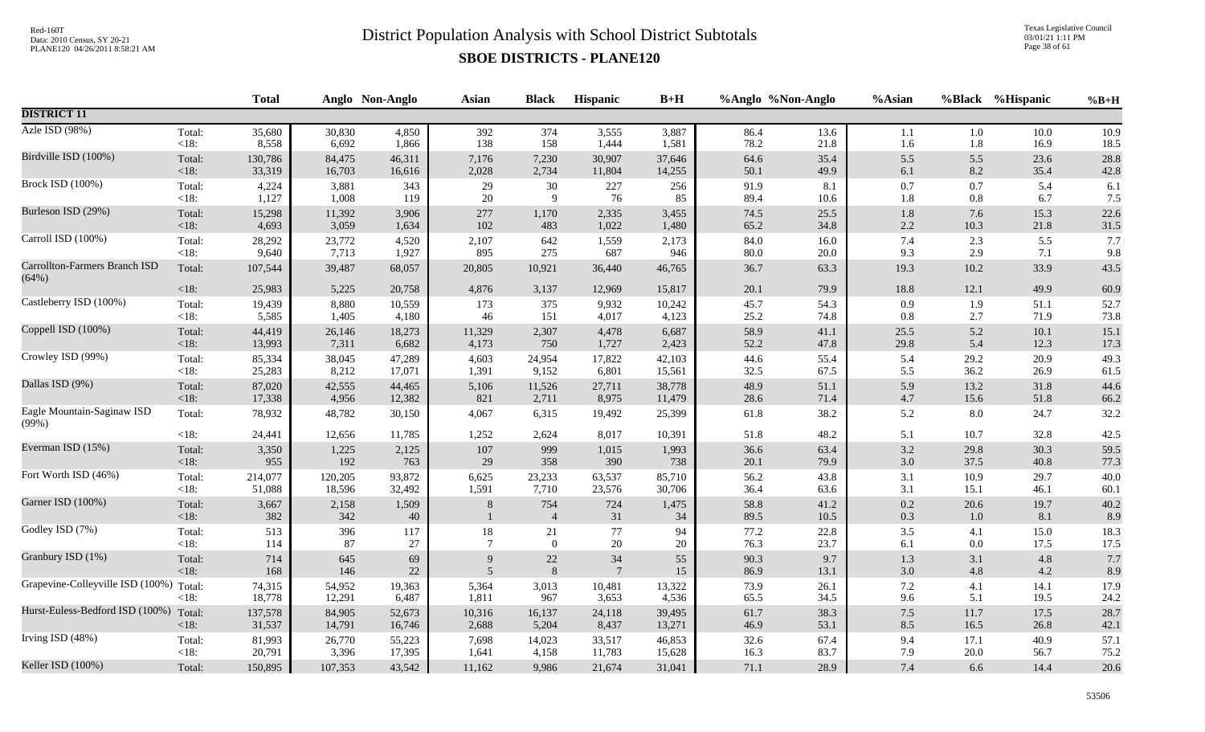Texas Legislative Council 03/01/21 1:11 PM Page 38 of 61

|                                         |                   | <b>Total</b>     |                  | Anglo Non-Anglo | <b>Asian</b>   | <b>Black</b>          | Hispanic        | $B+H$           |              | %Anglo %Non-Anglo | %Asian         |             | %Black %Hispanic | $%B+H$       |
|-----------------------------------------|-------------------|------------------|------------------|-----------------|----------------|-----------------------|-----------------|-----------------|--------------|-------------------|----------------|-------------|------------------|--------------|
| <b>DISTRICT 11</b>                      |                   |                  |                  |                 |                |                       |                 |                 |              |                   |                |             |                  |              |
| Azle ISD (98%)                          | Total:            | 35,680           | 30,830           | 4,850           | 392            | 374                   | 3,555           | 3,887           | 86.4         | 13.6              | 1.1            | $1.0\,$     | 10.0             | 10.9         |
|                                         | <18:              | 8,558            | 6,692            | 1,866           | 138            | 158                   | 1,444           | 1,581           | 78.2         | 21.8              | 1.6            | $1.8\,$     | 16.9             | 18.5         |
| Birdville ISD (100%)                    | Total:            | 130,786          | 84,475           | 46,311          | 7,176          | 7,230                 | 30,907          | 37,646          | 64.6         | 35.4              | 5.5            | 5.5         | 23.6             | 28.8         |
|                                         | $<18$ :           | 33,319           | 16,703           | 16,616          | 2,028          | 2,734                 | 11,804          | 14,255          | 50.1         | 49.9              | 6.1            | 8.2         | 35.4             | 42.8         |
| <b>Brock ISD (100%)</b>                 | Total:            | 4,224            | 3,881            | 343             | 29             | $30\,$                | 227             | 256             | 91.9         | 8.1               | $0.7\,$        | 0.7         | 5.4              | 6.1          |
|                                         | <18:              | 1,127            | 1,008            | 119             | 20             | 9                     | 76              | 85              | 89.4         | 10.6              | 1.8            | $0.8\,$     | 6.7              | 7.5          |
| Burleson ISD (29%)                      | Total:            | 15,298           | 11,392           | 3,906           | 277            | 1,170                 | 2,335           | 3,455           | 74.5         | 25.5              | 1.8            | 7.6         | 15.3             | 22.6         |
|                                         | <18:              | 4,693            | 3,059            | 1,634           | 102            | 483                   | 1,022           | 1,480           | 65.2         | 34.8              | 2.2            | 10.3        | 21.8             | 31.5         |
| Carroll ISD (100%)                      | Total:            | 28,292           | 23,772           | 4,520           | 2,107          | 642                   | 1,559           | 2,173           | 84.0         | 16.0              | 7.4            | 2.3         | 5.5              | 7.7          |
|                                         | $<18$ :           | 9,640            | 7,713            | 1,927           | 895            | 275                   | 687             | 946             | 80.0         | $20.0\,$          | 9.3            | 2.9         | 7.1              | 9.8          |
| Carrollton-Farmers Branch ISD<br>(64%)  | Total:            | 107,544          | 39,487           | 68,057          | 20,805         | 10,921                | 36,440          | 46,765          | 36.7         | 63.3              | 19.3           | $10.2\,$    | 33.9             | 43.5         |
|                                         | $<18$ :           | 25,983           | 5,225            | 20,758          | 4,876          | 3,137                 | 12,969          | 15,817          | 20.1         | 79.9              | 18.8           | 12.1        | 49.9             | 60.9         |
| Castleberry ISD (100%)                  | Total:            | 19,439           | 8,880            | 10,559          | 173            | 375                   | 9,932           | 10,242          | 45.7         | 54.3              | 0.9            | 1.9         | 51.1             | 52.7         |
|                                         | <18:              | 5,585            | 1,405            | 4,180           | 46             | 151                   | 4,017           | 4,123           | 25.2         | 74.8              | $0.8\,$        | 2.7         | 71.9             | 73.8         |
| Coppell ISD (100%)                      | Total:            | 44,419           | 26,146           | 18,273          | 11,329         | 2,307                 | 4,478           | 6,687           | 58.9         | 41.1              | 25.5           | 5.2         | 10.1             | 15.1         |
|                                         | $<18$ :           | 13,993           | 7,311            | 6,682           | 4,173          | 750                   | 1,727           | 2,423           | 52.2         | 47.8              | 29.8           | 5.4         | 12.3             | 17.3         |
| Crowley ISD (99%)                       | Total:            | 85,334           | 38,045           | 47,289          | 4,603          | 24,954                | 17,822          | 42,103          | 44.6         | 55.4              | 5.4            | 29.2        | 20.9             | 49.3         |
|                                         | $<18$ :           | 25,283           | 8,212            | 17,071          | 1,391          | 9,152                 | 6,801           | 15,561          | 32.5         | 67.5              | 5.5            | 36.2        | 26.9             | 61.5         |
| Dallas ISD (9%)                         | Total:            | 87,020           | 42,555           | 44,465          | 5,106          | 11,526                | 27,711          | 38,778          | 48.9         | 51.1              | 5.9            | 13.2        | 31.8             | 44.6         |
|                                         | $<18$ :           | 17,338           | 4,956            | 12,382          | 821            | 2,711                 | 8,975           | 11,479          | 28.6         | 71.4              | $4.7\,$        | 15.6        | 51.8             | 66.2         |
| Eagle Mountain-Saginaw ISD<br>(99%)     | Total:            | 78,932           | 48,782           | 30,150          | 4,067          | 6,315                 | 19,492          | 25,399          | 61.8         | 38.2              | 5.2            | 8.0         | 24.7             | 32.2         |
|                                         | <18:              | 24,441           | 12,656           | 11,785          | 1,252          | 2,624                 | 8,017           | 10,391          | 51.8         | 48.2              | 5.1            | 10.7        | 32.8             | 42.5         |
| Everman ISD (15%)                       | Total:            | 3,350            | 1,225            | 2,125           | 107            | 999                   | 1,015           | 1,993           | 36.6         | 63.4              | $3.2\,$        | 29.8        | 30.3             | 59.5         |
|                                         | $<18$ :           | 955              | 192              | 763             | 29             | 358                   | 390             | 738             | 20.1         | 79.9              | 3.0            | 37.5        | 40.8             | 77.3         |
| Fort Worth ISD (46%)                    | Total:            | 214,077          | 120,205          | 93,872          | 6,625          | 23,233                | 63,537          | 85,710          | 56.2         | 43.8              | 3.1            | 10.9        | 29.7             | 40.0         |
|                                         | <18:              | 51,088           | 18,596           | 32,492          | 1,591          | 7,710                 | 23,576          | 30,706          | 36.4         | 63.6              | 3.1            | 15.1        | 46.1             | 60.1         |
| Garner ISD (100%)                       | Total:<br>$<18$ : | 3,667<br>382     | 2,158<br>342     | 1,509<br>40     | 8              | 754<br>$\overline{4}$ | 724<br>31       | 1,475<br>34     | 58.8<br>89.5 | 41.2<br>10.5      | $0.2\,$<br>0.3 | 20.6<br>1.0 | 19.7<br>8.1      | 40.2<br>8.9  |
| Godley ISD (7%)                         | Total:            | 513              | 396              | 117             | 18             | 21                    | 77              | 94              | 77.2         | 22.8              | 3.5            | 4.1         | 15.0             | 18.3         |
|                                         | $<18$ :           | 114              | 87               | 27              | $\overline{7}$ | $\overline{0}$        | 20              | 20              | 76.3         | 23.7              | 6.1            | 0.0         | 17.5             | 17.5         |
| Granbury ISD (1%)                       | Total:            | 714              | 645              | 69              | 9              | $22\,$                | $34\,$          | 55              | 90.3         | 9.7               | $1.3$          | 3.1         | 4.8              | 7.7          |
|                                         | $<18$ :           | 168              | 146              | $22\,$          | 5              | $\,8\,$               | $7\phantom{.0}$ | 15              | 86.9         | 13.1              | 3.0            | 4.8         | 4.2              | 8.9          |
| Grapevine-Colleyville ISD (100%) Total: | <18:              | 74,315<br>18,778 | 54,952<br>12,291 | 19,363<br>6,487 | 5,364<br>1,811 | 3,013<br>967          | 10,481<br>3,653 | 13,322<br>4,536 | 73.9<br>65.5 | 26.1<br>34.5      | $7.2\,$<br>9.6 | 4.1<br>5.1  | 14.1<br>19.5     | 17.9<br>24.2 |
| Hurst-Euless-Bedford ISD (100%)         | Total:            | 137,578          | 84,905           | 52,673          | 10,316         | 16,137                | 24,118          | 39,495          | 61.7         | 38.3              | $7.5\,$        | 11.7        | 17.5             | 28.7         |
|                                         | $<18$ :           | 31,537           | 14,791           | 16,746          | 2,688          | 5,204                 | 8,437           | 13,271          | 46.9         | 53.1              | 8.5            | 16.5        | 26.8             | 42.1         |
| Irving ISD (48%)                        | Total:            | 81,993           | 26,770           | 55,223          | 7,698          | 14,023                | 33,517          | 46,853          | 32.6         | 67.4              | 9.4            | 17.1        | 40.9             | 57.1         |
|                                         | $<18$ :           | 20,791           | 3,396            | 17,395          | 1,641          | 4,158                 | 11,783          | 15,628          | 16.3         | 83.7              | 7.9            | 20.0        | 56.7             | 75.2         |
| Keller ISD (100%)                       | Total:            | 150,895          | 107,353          | 43,542          | 11,162         | 9,986                 | 21,674          | 31,041          | 71.1         | 28.9              | 7.4            | 6.6         | 14.4             | 20.6         |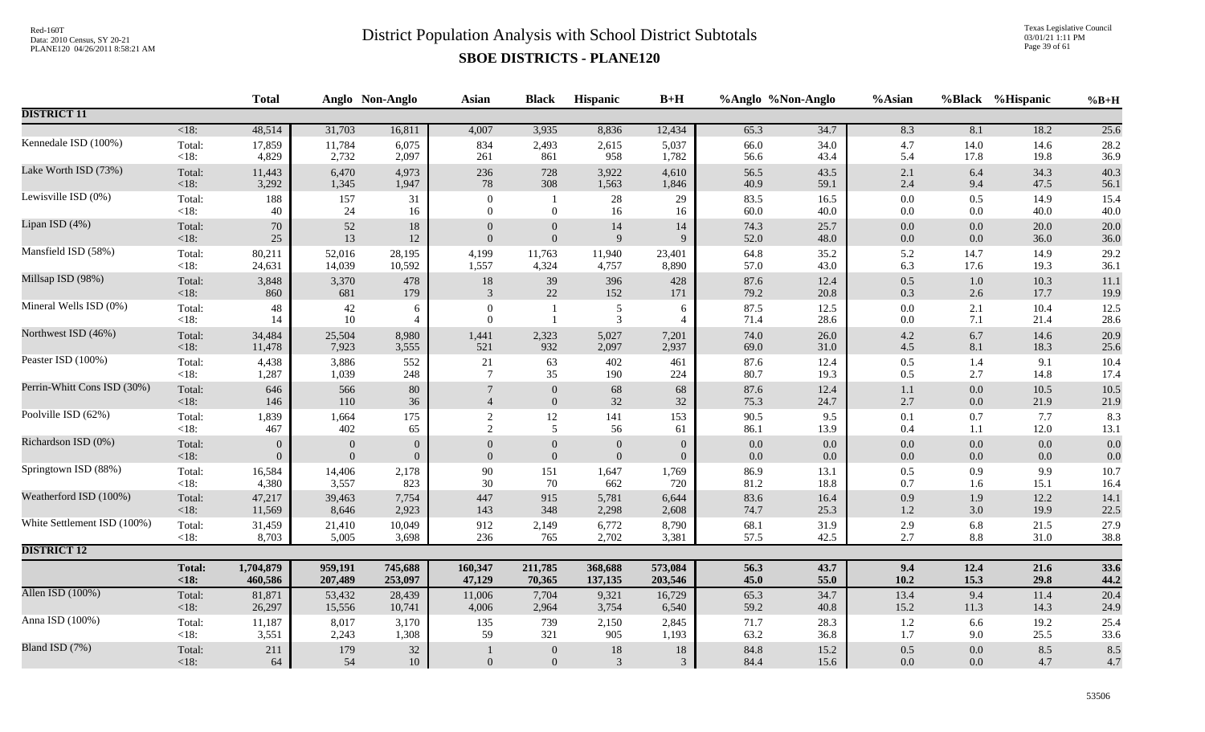Texas Legislative Council 03/01/21 1:11 PM Page 39 of 61

|                             |                    | <b>Total</b>         |                              | Anglo Non-Anglo                | <b>Asian</b>               | <b>Black</b>                     | Hispanic                       | $B+H$                      | %Anglo %Non-Anglo  |                    | %Asian             |                | %Black %Hispanic | $%B+H$       |
|-----------------------------|--------------------|----------------------|------------------------------|--------------------------------|----------------------------|----------------------------------|--------------------------------|----------------------------|--------------------|--------------------|--------------------|----------------|------------------|--------------|
| <b>DISTRICT 11</b>          |                    |                      |                              |                                |                            |                                  |                                |                            |                    |                    |                    |                |                  |              |
|                             | $\overline{<}18$ : | 48,514               | 31,703                       | 16,811                         | 4,007                      | 3,935                            | 8,836                          | 12,434                     | 65.3               | 34.7               | 8.3                | 8.1            | 18.2             | 25.6         |
| Kennedale ISD (100%)        | Total:             | 17,859               | 11,784                       | 6,075                          | 834                        | 2,493                            | 2,615                          | 5,037                      | 66.0               | 34.0               | 4.7                | 14.0           | 14.6             | 28.2         |
|                             | <18:               | 4,829                | 2,732                        | 2,097                          | 261                        | 861                              | 958                            | 1,782                      | 56.6               | 43.4               | 5.4                | 17.8           | 19.8             | 36.9         |
| Lake Worth ISD (73%)        | Total:             | 11,443               | 6,470                        | 4,973                          | 236                        | 728                              | 3,922                          | 4,610                      | 56.5               | 43.5               | $2.1\,$            | $6.4\,$        | 34.3             | 40.3         |
| Lewisville ISD (0%)         | $<18$ :            | 3,292                | 1,345                        | 1,947                          | $78\,$                     | 308                              | 1,563                          | 1,846                      | 40.9               | 59.1               | $2.4\,$            | 9.4            | 47.5             | 56.1         |
|                             | Total:<br>< 18:    | 188<br>40            | 157<br>24                    | 31<br>16                       | $\Omega$<br>$\overline{0}$ | $\boldsymbol{0}$                 | 28<br>16                       | 29<br>16                   | 83.5<br>60.0       | 16.5<br>40.0       | $0.0\,$<br>$0.0\,$ | 0.5<br>$0.0\,$ | 14.9<br>40.0     | 15.4<br>40.0 |
| Lipan ISD (4%)              | Total:             | 70                   | $52\,$                       | $18\,$                         | $\overline{0}$             | $\mathbf{0}$                     | 14                             | 14                         | 74.3               | 25.7               | $0.0\,$            | 0.0            | 20.0             | 20.0         |
|                             | < 18:              | $25\,$               | 13                           | 12                             | $\mathbf{0}$               | $\boldsymbol{0}$                 | 9                              | 9                          | 52.0               | 48.0               | $0.0\,$            | $0.0\,$        | 36.0             | 36.0         |
| Mansfield ISD (58%)         | Total:<br>< 18:    | 80,211<br>24,631     | 52,016<br>14,039             | 28,195<br>10,592               | 4,199<br>1,557             | 11,763<br>4,324                  | 11,940<br>4,757                | 23,401<br>8,890            | 64.8<br>57.0       | 35.2<br>43.0       | 5.2<br>6.3         | 14.7<br>17.6   | 14.9<br>19.3     | 29.2<br>36.1 |
| Millsap ISD (98%)           | Total:             | 3,848                | 3,370                        | 478                            | $18\,$                     | 39                               | 396                            | 428                        | 87.6               | 12.4               | 0.5                | 1.0            | 10.3             | 11.1         |
|                             | $<18$ :            | 860                  | 681                          | 179                            | $\overline{3}$             | 22                               | 152                            | 171                        | 79.2               | 20.8               | $0.3\,$            | 2.6            | 17.7             | 19.9         |
| Mineral Wells ISD (0%)      | Total:             | 48                   | 42                           | 6                              | $\theta$                   |                                  | 5                              | 6                          | 87.5               | 12.5               | $0.0\,$            | 2.1            | 10.4             | 12.5         |
|                             | $<18$ :            | 14                   | $10\,$                       | $\overline{4}$                 | $\overline{0}$             | $\mathbf{1}$                     | 3                              | $\overline{4}$             | 71.4               | 28.6               | $0.0\,$            | 7.1            | 21.4             | 28.6         |
| Northwest ISD (46%)         | Total:<br><18:     | 34,484<br>11,478     | 25,504<br>7,923              | 8,980<br>3,555                 | 1,441<br>521               | 2,323<br>932                     | 5,027<br>2,097                 | 7,201<br>2,937             | 74.0<br>69.0       | 26.0<br>31.0       | $4.2\,$<br>4.5     | 6.7<br>8.1     | 14.6<br>18.3     | 20.9<br>25.6 |
| Peaster ISD (100%)          | Total:             | 4,438                | 3,886                        | 552                            | 21                         | 63                               | 402                            | 461                        | 87.6               | 12.4               | $0.5\,$            | 1.4            | 9.1              | 10.4         |
|                             | $<18$ :            | 1,287                | 1,039                        | 248                            | $7\phantom{.0}$            | 35                               | 190                            | 224                        | 80.7               | 19.3               | 0.5                | 2.7            | 14.8             | 17.4         |
| Perrin-Whitt Cons ISD (30%) | Total:             | 646                  | 566                          | 80                             | $7\phantom{.0}$            | $\boldsymbol{0}$                 | 68                             | 68                         | 87.6               | 12.4               | $1.1\,$            | $0.0\,$        | 10.5             | 10.5         |
|                             | < 18:              | 146                  | 110                          | 36                             | $\overline{\mathcal{A}}$   | $\boldsymbol{0}$                 | 32                             | 32                         | 75.3               | 24.7               | 2.7                | $0.0\,$        | 21.9             | 21.9         |
| Poolville ISD (62%)         | Total:             | 1,839                | 1,664                        | 175                            | $\overline{2}$             | 12                               | 141                            | 153                        | 90.5               | 9.5                | 0.1                | 0.7            | 7.7              | 8.3          |
| Richardson ISD (0%)         | $<18$ :            | 467                  | 402                          | 65                             | 2                          | 5                                | 56                             | 61                         | 86.1               | 13.9               | 0.4                | 1.1            | 12.0             | 13.1         |
|                             | Total:<br>< 18:    | $\Omega$<br>$\Omega$ | $\mathbf{0}$<br>$\mathbf{0}$ | $\mathbf{0}$<br>$\overline{0}$ | $\Omega$<br>$\mathbf{0}$   | $\mathbf{0}$<br>$\boldsymbol{0}$ | $\overline{0}$<br>$\mathbf{0}$ | $\Omega$<br>$\overline{0}$ | $0.0\,$<br>$0.0\,$ | $0.0\,$<br>$0.0\,$ | $0.0\,$<br>$0.0\,$ | $0.0\,$<br>0.0 | $0.0\,$<br>0.0   | 0.0<br>0.0   |
| Springtown ISD (88%)        | Total:             | 16,584               | 14,406                       | 2,178                          | 90                         | 151                              | 1,647                          | 1,769                      | 86.9               | 13.1               | $0.5\,$            | 0.9            | 9.9              | 10.7         |
|                             | < 18:              | 4,380                | 3,557                        | 823                            | 30                         | 70                               | 662                            | 720                        | 81.2               | 18.8               | 0.7                | 1.6            | 15.1             | 16.4         |
| Weatherford ISD (100%)      | Total:             | 47,217               | 39,463                       | 7,754                          | 447                        | 915                              | 5,781                          | 6,644                      | 83.6               | 16.4               | 0.9                | 1.9            | 12.2             | 14.1         |
|                             | <18:               | 11,569               | 8,646                        | 2,923                          | 143                        | 348                              | 2,298                          | 2,608                      | 74.7               | 25.3               | $1.2\,$            | 3.0            | 19.9             | 22.5         |
| White Settlement ISD (100%) | Total:<br>< 18:    | 31,459<br>8,703      | 21,410<br>5,005              | 10,049<br>3,698                | 912<br>236                 | 2,149<br>765                     | 6,772<br>2,702                 | 8,790<br>3,381             | 68.1               | 31.9<br>42.5       | $2.9\,$<br>2.7     | 6.8<br>$8.8\,$ | 21.5<br>31.0     | 27.9         |
| <b>DISTRICT 12</b>          |                    |                      |                              |                                |                            |                                  |                                |                            | 57.5               |                    |                    |                |                  | 38.8         |
|                             | <b>Total:</b>      | 1,704,879            | 959,191                      | 745,688                        | 160,347                    | 211,785                          | 368,688                        | 573,084                    | 56.3               | 43.7               | 9.4                | 12.4           | 21.6             |              |
|                             | <18:               | 460,586              | 207,489                      | 253,097                        | 47,129                     | 70,365                           | 137,135                        | 203,546                    | 45.0               | 55.0               | 10.2               | 15.3           | 29.8             | 33.6<br>44.2 |
| Allen ISD (100%)            | Total:             | 81,871               | 53,432                       | 28,439                         | 11,006                     | 7,704                            | 9,321                          | 16,729                     | 65.3               | 34.7               | 13.4               | 9.4            | 11.4             | 20.4         |
|                             | <18:               | 26,297               | 15,556                       | 10,741                         | 4,006                      | 2,964                            | 3,754                          | 6,540                      | 59.2               | 40.8               | 15.2               | 11.3           | 14.3             | 24.9         |
| Anna ISD (100%)             | Total:             | 11,187               | 8,017                        | 3,170                          | 135                        | 739                              | 2,150                          | 2,845                      | 71.7               | 28.3               | 1.2                | 6.6            | 19.2             | 25.4         |
|                             | < 18:              | 3,551                | 2,243                        | 1,308                          | 59                         | 321                              | 905                            | 1,193                      | 63.2               | 36.8               | 1.7                | 9.0            | 25.5             | 33.6         |
| Bland ISD (7%)              | Total:             | 211                  | 179                          | $32\,$                         |                            | $\mathbf{0}$                     | 18                             | 18                         | 84.8               | 15.2               | 0.5                | 0.0            | 8.5              | 8.5          |
|                             | <18:               | 64                   | 54                           | 10                             | $\overline{0}$             | $\boldsymbol{0}$                 | $\mathfrak{Z}$                 | 3                          | 84.4               | 15.6               | 0.0                | 0.0            | 4.7              | 4.7          |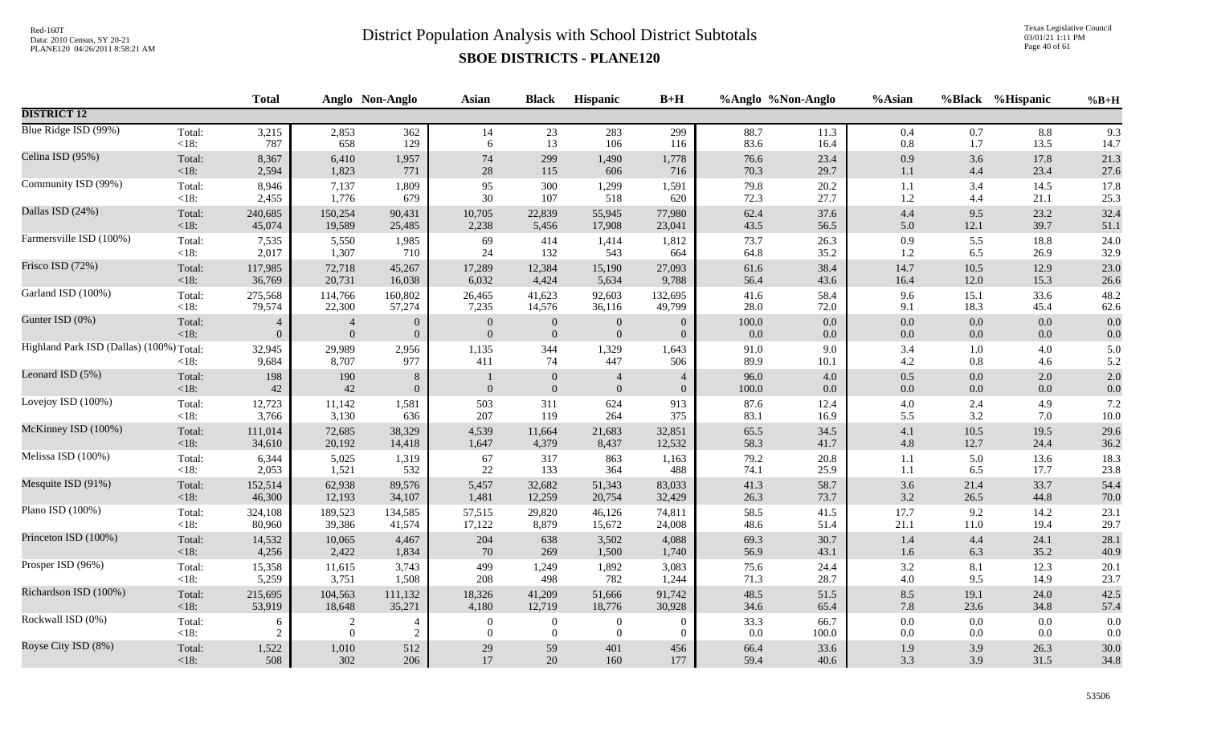Texas Legislative Council 03/01/21 1:11 PM Page 40 of 61

|                                                     | <b>Total</b>                                                                 |                                                                                          |                                  | Asian                                                                                                                                                                                                                                                                                                              | <b>Black</b>                              | Hispanic                                                      | $B+H$                                                 |                                                       |                                                                                                     | %Asian                                                                                   |                                                           |                            | $%B+H$                                                                                                                                                                                                                                  |
|-----------------------------------------------------|------------------------------------------------------------------------------|------------------------------------------------------------------------------------------|----------------------------------|--------------------------------------------------------------------------------------------------------------------------------------------------------------------------------------------------------------------------------------------------------------------------------------------------------------------|-------------------------------------------|---------------------------------------------------------------|-------------------------------------------------------|-------------------------------------------------------|-----------------------------------------------------------------------------------------------------|------------------------------------------------------------------------------------------|-----------------------------------------------------------|----------------------------|-----------------------------------------------------------------------------------------------------------------------------------------------------------------------------------------------------------------------------------------|
|                                                     |                                                                              |                                                                                          |                                  |                                                                                                                                                                                                                                                                                                                    |                                           |                                                               |                                                       |                                                       |                                                                                                     |                                                                                          |                                                           |                            |                                                                                                                                                                                                                                         |
| Total:                                              | 3,215                                                                        |                                                                                          | 362                              | 14<br>6                                                                                                                                                                                                                                                                                                            | 23<br>13                                  | 283                                                           | 299                                                   |                                                       | 11.3                                                                                                | 0.4                                                                                      |                                                           | 8.8                        | 9.3<br>14.7                                                                                                                                                                                                                             |
| Total:                                              | 8,367                                                                        |                                                                                          | 1,957                            | 74                                                                                                                                                                                                                                                                                                                 | 299                                       | 1,490                                                         | 1,778                                                 |                                                       | 23.4                                                                                                | 0.9                                                                                      |                                                           | 17.8                       | 21.3<br>27.6                                                                                                                                                                                                                            |
| Total:                                              | 8,946                                                                        | 7,137                                                                                    | 1,809                            | 95                                                                                                                                                                                                                                                                                                                 | 300                                       | 1,299                                                         | 1,591                                                 | 79.8                                                  | 20.2                                                                                                | 1.1                                                                                      | 3.4                                                       | 14.5                       | 17.8<br>25.3                                                                                                                                                                                                                            |
| Total:                                              | 240,685                                                                      | 150,254                                                                                  | 90,431                           | 10,705                                                                                                                                                                                                                                                                                                             | 22,839                                    | 55,945                                                        | 77,980                                                | 62.4                                                  | 37.6                                                                                                | $4.4\,$                                                                                  |                                                           | 23.2                       | 32.4<br>51.1                                                                                                                                                                                                                            |
| Total:                                              | 7,535                                                                        |                                                                                          | 1,985                            | 69                                                                                                                                                                                                                                                                                                                 | 414                                       | 1,414                                                         | 1,812                                                 | 73.7                                                  | 26.3                                                                                                | 0.9                                                                                      |                                                           | 18.8                       | 24.0<br>32.9                                                                                                                                                                                                                            |
| Total:                                              | 117,985                                                                      | 72,718                                                                                   | 45,267                           | 17,289                                                                                                                                                                                                                                                                                                             | 12,384                                    | 15,190                                                        | 27,093                                                | 61.6                                                  | 38.4                                                                                                | 14.7                                                                                     | 10.5                                                      | 12.9                       | 23.0<br>26.6                                                                                                                                                                                                                            |
| Total:                                              | 275,568                                                                      |                                                                                          | 160,802                          | 26,465                                                                                                                                                                                                                                                                                                             | 41,623                                    | 92,603                                                        | 132,695                                               |                                                       | 58.4                                                                                                | 9.6                                                                                      | 15.1                                                      | 33.6                       | 48.2<br>62.6                                                                                                                                                                                                                            |
| Total:                                              | $\overline{4}$<br>$\theta$                                                   | $\overline{4}$                                                                           | $\theta$<br>$\overline{0}$       | $\mathbf{0}$<br>$\overline{0}$                                                                                                                                                                                                                                                                                     | $\boldsymbol{0}$                          | $\mathbf{0}$<br>$\mathbf{0}$                                  | $\theta$<br>$\overline{0}$                            | 100.0                                                 | 0.0                                                                                                 | 0.0                                                                                      | 0.0                                                       | 0.0<br>0.0                 | 0.0<br>0.0                                                                                                                                                                                                                              |
| Highland Park ISD (Dallas) (100%) Total:<br>$<18$ : | 32,945                                                                       | 8,707                                                                                    | 2,956<br>977                     | 1,135<br>411                                                                                                                                                                                                                                                                                                       | 344<br>74                                 | 1,329<br>447                                                  | 1,643<br>506                                          | 89.9                                                  | 9.0<br>10.1                                                                                         | 3.4<br>$4.2\,$                                                                           |                                                           | $4.0\,$<br>4.6             | 5.0<br>5.2                                                                                                                                                                                                                              |
| Total:<br>$<18$ :                                   | 198                                                                          |                                                                                          | $\, 8$<br>$\theta$               | $\overline{0}$                                                                                                                                                                                                                                                                                                     | $\boldsymbol{0}$<br>$\mathbf{0}$          | $\overline{4}$<br>$\boldsymbol{0}$                            | $\overline{4}$<br>$\boldsymbol{0}$                    | 96.0<br>100.0                                         | $4.0\,$<br>0.0                                                                                      | $0.5\,$<br>$0.0\,$                                                                       | 0.0<br>0.0                                                | 2.0<br>0.0                 | 2.0<br>0.0                                                                                                                                                                                                                              |
| Total:<br><18:                                      | 12,723                                                                       |                                                                                          | 1,581                            | 503<br>207                                                                                                                                                                                                                                                                                                         | 311<br>119                                | 624<br>264                                                    | 913<br>375                                            | 83.1                                                  | 12.4<br>16.9                                                                                        | $4.0\,$<br>5.5                                                                           | 2.4                                                       | 4.9<br>7.0                 | 7.2<br>$10.0\,$                                                                                                                                                                                                                         |
| Total:<br>$<18$ :                                   | 111,014<br>34,610                                                            | 72,685                                                                                   | 38,329<br>14,418                 | 4,539<br>1,647                                                                                                                                                                                                                                                                                                     | 11,664<br>4,379                           | 21,683<br>8,437                                               | 32,851<br>12,532                                      | 65.5<br>58.3                                          | 34.5<br>41.7                                                                                        | 4.1<br>4.8                                                                               | 10.5<br>12.7                                              | 19.5<br>24.4               | 29.6<br>36.2                                                                                                                                                                                                                            |
| Total:<br>< 18:                                     | 6,344<br>2,053                                                               | 1,521                                                                                    | 1,319<br>532                     | 67<br>22                                                                                                                                                                                                                                                                                                           | 317<br>133                                | 863<br>364                                                    | 1,163<br>488                                          | 79.2<br>74.1                                          | 20.8<br>25.9                                                                                        | 1.1<br>1.1                                                                               |                                                           | 13.6<br>17.7               | 18.3<br>23.8                                                                                                                                                                                                                            |
| Total:<br>$<18$ :                                   | 152,514<br>46,300                                                            | 62,938<br>12,193                                                                         | 89,576<br>34,107                 | 5,457<br>1,481                                                                                                                                                                                                                                                                                                     | 32,682<br>12,259                          | 51,343<br>20,754                                              | 83,033<br>32,429                                      | 41.3<br>26.3                                          | 58.7<br>73.7                                                                                        | 3.6<br>3.2                                                                               | 21.4                                                      | 33.7<br>44.8               | 54.4<br>70.0                                                                                                                                                                                                                            |
| Total:<br><18:                                      | 324,108<br>80,960                                                            | 189,523                                                                                  | 134,585<br>41,574                | 57,515<br>17,122                                                                                                                                                                                                                                                                                                   | 29,820<br>8,879                           | 46,126<br>15,672                                              | 74,811<br>24,008                                      | 58.5<br>48.6                                          | 41.5<br>51.4                                                                                        | 17.7<br>21.1                                                                             |                                                           | 14.2<br>19.4               | 23.1<br>29.7                                                                                                                                                                                                                            |
| Total:<br>$<18$ :                                   | 14,532<br>4,256                                                              | 10,065                                                                                   | 4,467<br>1,834                   | 204<br>70                                                                                                                                                                                                                                                                                                          | 638<br>269                                | 3,502<br>1,500                                                | 4,088<br>1,740                                        | 69.3<br>56.9                                          | 30.7<br>43.1                                                                                        | 1.4<br>1.6                                                                               | 4.4                                                       | 24.1<br>35.2               | 28.1<br>40.9                                                                                                                                                                                                                            |
| Total:<br><18:                                      | 15,358<br>5,259                                                              | 3,751                                                                                    | 3,743<br>1,508                   | 499<br>208                                                                                                                                                                                                                                                                                                         | 1,249<br>498                              | 1,892<br>782                                                  | 3,083<br>1,244                                        | 71.3                                                  | 24.4<br>28.7                                                                                        | $3.2\,$<br>$4.0\,$                                                                       | 8.1                                                       | 12.3<br>14.9               | 20.1<br>23.7                                                                                                                                                                                                                            |
| Total:<br>$<18$ :                                   | 215,695<br>53,919                                                            | 104,563                                                                                  | 111,132<br>35,271                | 18,326<br>4,180                                                                                                                                                                                                                                                                                                    | 41,209<br>12,719                          | 51,666<br>18,776                                              | 91,742<br>30,928                                      | 48.5<br>34.6                                          | 51.5<br>65.4                                                                                        | $8.5\,$<br>7.8                                                                           | 19.1                                                      | 24.0<br>34.8               | 42.5<br>57.4                                                                                                                                                                                                                            |
| Total:<br>$<18$ :                                   | 6<br>$\overline{2}$                                                          | $\overline{c}$                                                                           | $\overline{4}$<br>$\overline{2}$ | $\overline{0}$<br>$\overline{0}$                                                                                                                                                                                                                                                                                   | $\boldsymbol{0}$<br>$\overline{0}$        | $\mathbf{0}$<br>$\Omega$                                      | $\Omega$<br>$\overline{0}$                            | 33.3<br>0.0                                           | 66.7<br>100.0                                                                                       | $0.0\,$<br>0.0                                                                           | 0.0<br>0.0                                                | 0.0<br>0.0                 | 0.0<br>0.0                                                                                                                                                                                                                              |
| Total:<br>$<18$ :                                   | 1,522<br>508                                                                 |                                                                                          | 512<br>206                       | $29\,$<br>17                                                                                                                                                                                                                                                                                                       | 59<br>20                                  | 401<br>160                                                    | 456<br>177                                            | 66.4<br>59.4                                          | 33.6<br>40.6                                                                                        | 1.9<br>3.3                                                                               |                                                           | 26.3<br>31.5               | 30.0<br>34.8                                                                                                                                                                                                                            |
|                                                     | <18:<br>$<18$ :<br>$<18$ :<br><18:<br>$<18$ :<br>$<18$ :<br>$<18$ :<br>< 18: | 787<br>2,594<br>2,455<br>45,074<br>2,017<br>36,769<br>79,574<br>9,684<br>$42\,$<br>3,766 | 1,823<br>1,307<br>20,731         | Anglo Non-Anglo<br>2,853<br>658<br>129<br>6,410<br>771<br>1,776<br>679<br>19,589<br>25,485<br>5,550<br>710<br>16,038<br>114,766<br>22,300<br>57,274<br>$\overline{0}$<br>29,989<br>190<br>42<br>11,142<br>3,130<br>636<br>20,192<br>5,025<br>39,386<br>2,422<br>11,615<br>18,648<br>$\overline{0}$<br>1,010<br>302 | 28<br>30<br>2,238<br>24<br>6,032<br>7,235 | 115<br>107<br>5,456<br>132<br>4,424<br>14,576<br>$\mathbf{0}$ | 106<br>606<br>518<br>17,908<br>543<br>5,634<br>36,116 | 116<br>716<br>620<br>23,041<br>664<br>9,788<br>49,799 | 88.7<br>83.6<br>76.6<br>70.3<br>72.3<br>43.5<br>64.8<br>56.4<br>28.0<br>0.0<br>91.0<br>87.6<br>75.6 | %Anglo %Non-Anglo<br>16.4<br>29.7<br>27.7<br>56.5<br>35.2<br>43.6<br>41.6<br>72.0<br>0.0 | 0.8<br>1.1<br>1.2<br>5.0<br>1.2<br>16.4<br>9.1<br>$0.0\,$ | 1.7<br>4.4<br>12.1<br>18.3 | %Black %Hispanic<br>0.7<br>13.5<br>3.6<br>23.4<br>4.4<br>21.1<br>9.5<br>39.7<br>5.5<br>26.9<br>6.5<br>12.0<br>15.3<br>45.4<br>0.0<br>$1.0\,$<br>0.8<br>3.2<br>5.0<br>6.5<br>26.5<br>9.2<br>$11.0\,$<br>6.3<br>9.5<br>23.6<br>3.9<br>3.9 |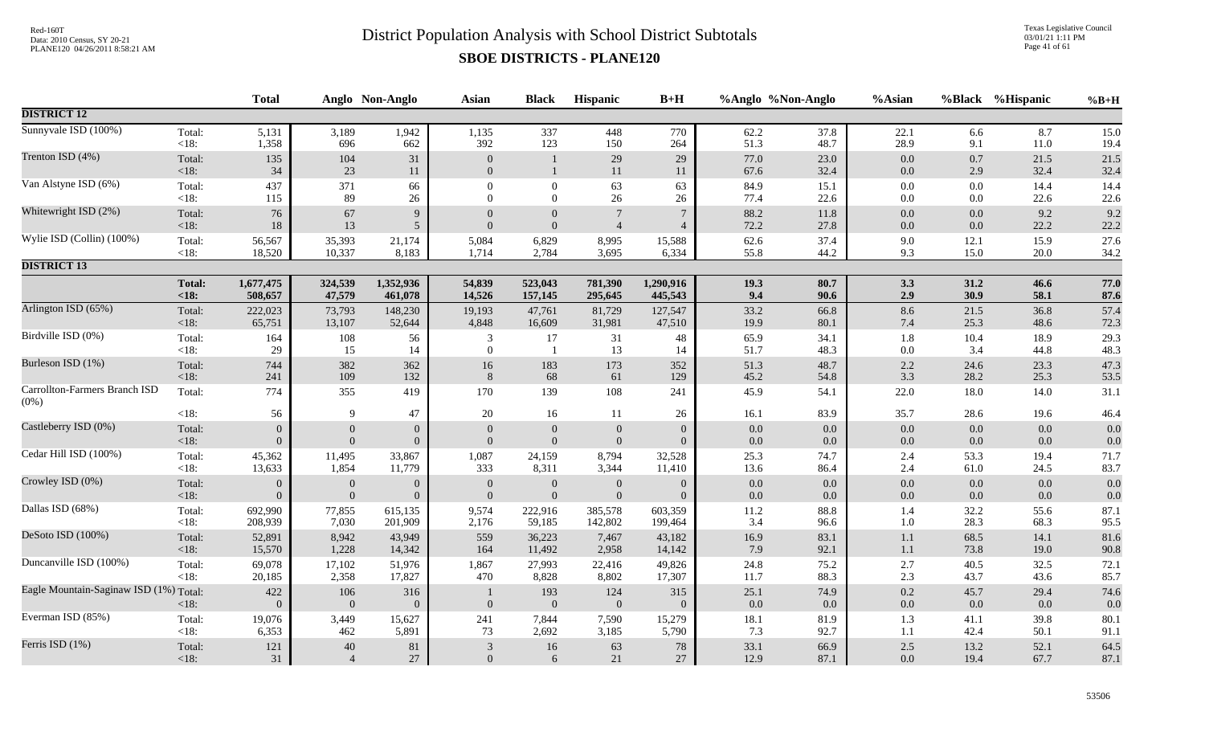Texas Legislative Council 03/01/21 1:11 PM Page 41 of 61

|                                          |                   | <b>Total</b>    |                       | Anglo Non-Anglo | <b>Asian</b>                     | <b>Black</b>          | Hispanic            | $B+H$                 |              | %Anglo %Non-Anglo | %Asian             |             | %Black %Hispanic | $%B+H$       |
|------------------------------------------|-------------------|-----------------|-----------------------|-----------------|----------------------------------|-----------------------|---------------------|-----------------------|--------------|-------------------|--------------------|-------------|------------------|--------------|
| <b>DISTRICT 12</b>                       |                   |                 |                       |                 |                                  |                       |                     |                       |              |                   |                    |             |                  |              |
| Sunnyvale ISD (100%)                     | Total:            | 5,131           | 3,189                 | 1,942           | 1,135                            | 337                   | 448                 | 770                   | 62.2         | 37.8              | 22.1               | 6.6         | 8.7              | 15.0         |
|                                          | $<18$ :           | 1,358           | 696                   | 662             | 392                              | 123                   | 150                 | 264                   | 51.3         | 48.7              | 28.9               | 9.1         | 11.0             | 19.4         |
| Trenton ISD (4%)                         | Total:<br><18:    | 135<br>34       | 104<br>23             | 31<br>11        | $\overline{0}$<br>$\overline{0}$ | $\mathbf{1}$          | 29<br>11            | 29<br>11              | 77.0<br>67.6 | 23.0<br>32.4      | 0.0<br>$0.0\,$     | 0.7<br>2.9  | 21.5<br>32.4     | 21.5<br>32.4 |
| Van Alstyne ISD (6%)                     | Total:            | 437             | 371                   | 66              | $\boldsymbol{0}$                 | $\boldsymbol{0}$      | 63                  | 63                    | 84.9         | 15.1              | $0.0\,$            | 0.0         | 14.4             | 14.4         |
|                                          | <18:              | 115             | 89                    | 26              | $\Omega$                         | $\overline{0}$        | 26                  | 26                    | 77.4         | 22.6              | 0.0                | 0.0         | 22.6             | 22.6         |
| Whitewright ISD (2%)                     | Total:            | 76              | 67                    | 9               | $\Omega$                         | $\overline{0}$        | $7\phantom{.0}$     | $\overline{7}$        | 88.2         | 11.8              | $0.0\,$            | 0.0         | 9.2              | 9.2          |
|                                          | $<18$ :           | $18\,$          | 13                    | 5 <sup>5</sup>  | $\Omega$                         | $\mathbf{0}$          | $\overline{4}$      | $\overline{4}$        | 72.2         | 27.8              | 0.0                | 0.0         | 22.2             | 22.2         |
| Wylie ISD (Collin) (100%)                | Total:            | 56,567          | 35,393                | 21,174          | 5,084                            | 6,829                 | 8,995               | 15,588                | 62.6         | 37.4              | $9.0\,$            | 12.1        | 15.9             | 27.6         |
|                                          | $<18$ :           | 18,520          | 10,337                | 8,183           | 1,714                            | 2,784                 | 3,695               | 6,334                 | 55.8         | 44.2              | 9.3                | 15.0        | 20.0             | 34.2         |
| <b>DISTRICT 13</b>                       |                   |                 |                       |                 |                                  |                       |                     |                       |              |                   |                    |             |                  |              |
|                                          | <b>Total:</b>     | 1,677,475       | 324,539               | 1,352,936       | 54,839                           | 523,043               | 781,390             | 1,290,916             | 19.3         | 80.7              | 3.3                | 31.2        | 46.6             | 77.0         |
|                                          | < 18:             | 508,657         | 47,579                | 461,078         | 14,526                           | 157,145               | 295,645             | 445,543               | 9.4          | 90.6              | 2.9                | 30.9        | 58.1             | 87.6         |
| Arlington ISD (65%)                      | Total:            | 222,023         | 73,793                | 148,230         | 19,193                           | 47,761                | 81,729              | 127,547               | 33.2         | 66.8              | 8.6                | 21.5        | 36.8             | 57.4         |
|                                          | < 18:             | 65,751          | 13,107                | 52,644          | 4,848                            | 16,609                | 31,981              | 47,510                | 19.9         | 80.1              | 7.4                | 25.3        | 48.6             | 72.3         |
| Birdville ISD (0%)                       | Total:<br>$<18$ : | 164<br>29       | 108<br>15             | 56<br>14        | 3<br>$\overline{0}$              | 17                    | 31<br>13            | 48<br>14              | 65.9<br>51.7 | 34.1<br>48.3      | 1.8<br>0.0         | 10.4<br>3.4 | 18.9<br>44.8     | 29.3<br>48.3 |
| Burleson ISD (1%)                        | Total:            | 744             | 382                   | 362             | 16                               | 183                   | 173                 | 352                   | 51.3         | 48.7              | $2.2\,$            | 24.6        | 23.3             | 47.3         |
|                                          | < 18:             | 241             | 109                   | 132             | 8                                | 68                    | 61                  | 129                   | 45.2         | 54.8              | 3.3                | 28.2        | 25.3             | 53.5         |
| Carrollton-Farmers Branch ISD<br>$(0\%)$ | Total:            | 774             | 355                   | 419             | 170                              | 139                   | 108                 | 241                   | 45.9         | 54.1              | 22.0               | 18.0        | 14.0             | 31.1         |
|                                          | < 18:             | 56              | 9                     | 47              | 20                               | 16                    | 11                  | 26                    | 16.1         | 83.9              | 35.7               | 28.6        | 19.6             | 46.4         |
| Castleberry ISD (0%)                     | Total:            | $\Omega$        | $\mathbf{0}$          | $\mathbf{0}$    | $\Omega$                         | $\overline{0}$        | $\boldsymbol{0}$    | $\overline{0}$        | 0.0          | 0.0               | 0.0                | 0.0         | 0.0              | 0.0          |
|                                          | $<18$ :           | $\Omega$        | $\mathbf{0}$          | $\overline{0}$  | $\overline{0}$                   | $\overline{0}$        | $\mathbf{0}$        | $\overline{0}$        | 0.0          | $0.0\,$           | $0.0\,$            | $0.0\,$     | 0.0              | 0.0          |
| Cedar Hill ISD (100%)                    | Total:            | 45,362          | 11,495                | 33,867          | 1,087                            | 24,159                | 8,794               | 32,528                | 25.3         | 74.7              | 2.4                | 53.3        | 19.4             | 71.7         |
|                                          | $<18$ :           | 13,633          | 1,854                 | 11,779          | 333                              | 8,311                 | 3,344               | 11,410                | 13.6         | 86.4              | 2.4                | 61.0        | 24.5             | 83.7         |
| Crowley ISD (0%)                         | Total:            | $\theta$        | $\boldsymbol{0}$      | $\mathbf{0}$    | $\overline{0}$                   | $\boldsymbol{0}$      | $\mathbf{0}$        | $\overline{0}$        | 0.0          | $0.0\,$           | 0.0                | 0.0         | 0.0              | 0.0          |
|                                          | $<18$ :           | $\Omega$        | $\boldsymbol{0}$      | $\overline{0}$  | $\Omega$                         | $\boldsymbol{0}$      | $\boldsymbol{0}$    | $\overline{0}$        | 0.0          | 0.0               | 0.0                | 0.0         | 0.0              | 0.0          |
| Dallas ISD (68%)                         | Total:            | 692,990         | 77,855                | 615,135         | 9,574                            | 222,916               | 385,578             | 603,359               | 11.2         | 88.8              | 1.4                | 32.2        | 55.6             | 87.1         |
|                                          | $<18$ :           | 208,939         | 7,030                 | 201,909         | 2,176                            | 59,185                | 142,802             | 199,464               | 3.4          | 96.6              | 1.0                | 28.3        | 68.3             | 95.5         |
| DeSoto ISD (100%)                        | Total:            | 52,891          | 8,942                 | 43,949          | 559                              | 36,223                | 7,467               | 43,182                | 16.9         | 83.1              | 1.1                | 68.5        | 14.1             | 81.6         |
|                                          | $<18$ :           | 15,570          | 1,228                 | 14,342          | 164                              | 11,492                | 2,958               | 14,142                | 7.9          | 92.1              | 1.1                | 73.8        | 19.0             | 90.8         |
| Duncanville ISD (100%)                   | Total:            | 69,078          | 17,102                | 51,976          | 1,867                            | 27,993                | 22,416              | 49,826                | 24.8         | 75.2              | $2.7\,$            | 40.5        | 32.5             | 72.1         |
|                                          | < 18:             | 20,185          | 2,358                 | 17,827          | 470                              | 8,828                 | 8,802               | 17,307                | 11.7         | 88.3              | $2.3\,$            | 43.7        | 43.6             | 85.7         |
| Eagle Mountain-Saginaw ISD (1%) Total:   | $<18$ :           | 422<br>$\Omega$ | 106<br>$\overline{0}$ | 316<br>$\Omega$ | $\overline{0}$                   | 193<br>$\overline{0}$ | 124<br>$\mathbf{0}$ | 315<br>$\overline{0}$ | 25.1<br>0.0  | 74.9<br>0.0       | $0.2\,$<br>$0.0\,$ | 45.7<br>0.0 | 29.4<br>0.0      | 74.6<br>0.0  |
| Everman ISD (85%)                        | Total:            | 19,076          | 3,449                 | 15,627          | 241                              | 7,844                 | 7,590               | 15,279                | 18.1         | 81.9              | 1.3                | 41.1        | 39.8             | 80.1         |
|                                          | $<18$ :           | 6,353           | 462                   | 5,891           | 73                               | 2,692                 | 3,185               | 5,790                 | 7.3          | 92.7              | 1.1                | 42.4        | 50.1             | 91.1         |
| Ferris ISD (1%)                          | Total:            | 121             | 40                    | 81              | 3                                | 16                    | 63                  | 78                    | 33.1         | 66.9              | $2.5\,$            | 13.2        | 52.1             | 64.5         |
|                                          | $<18$ :           | $31\,$          | $\overline{4}$        | $27\,$          | $\mathbf{0}$                     | 6                     | 21                  | 27                    | 12.9         | 87.1              | 0.0                | 19.4        | 67.7             | 87.1         |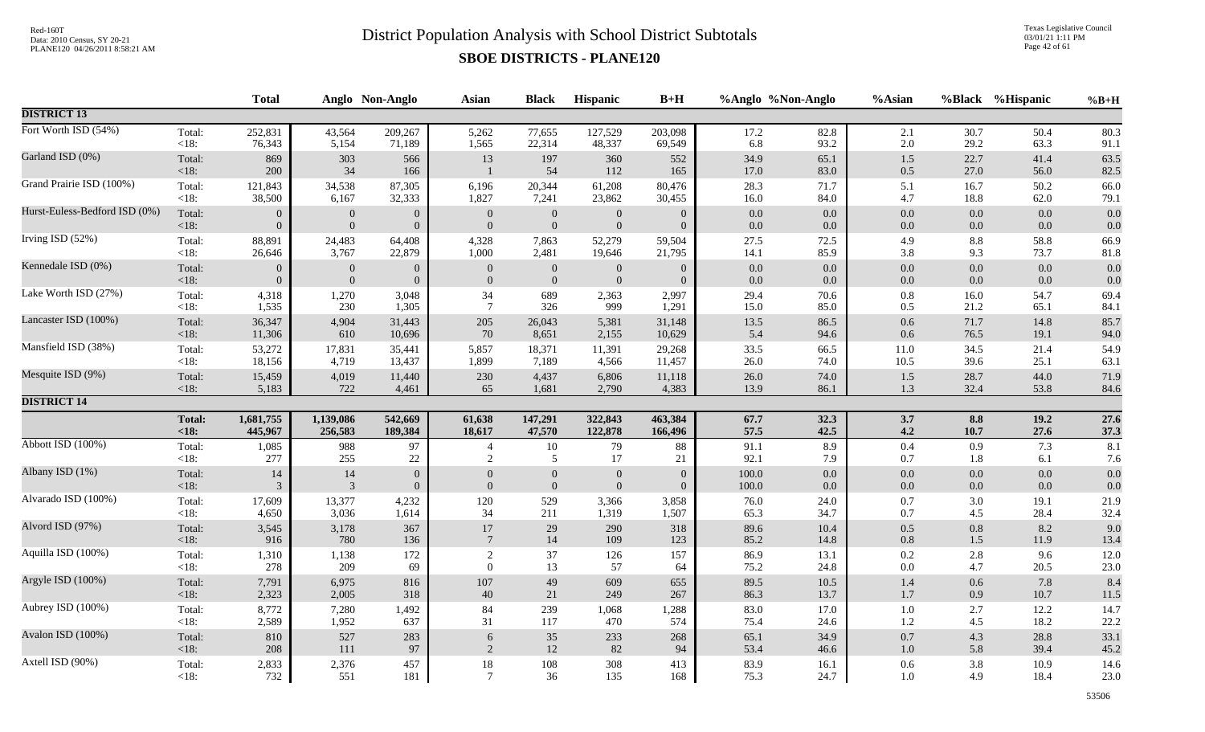Texas Legislative Council 03/01/21 1:11 PM Page 42 of 61

|                               |               | <b>Total</b>     |                  | Anglo Non-Anglo  | Asian           | <b>Black</b>     | Hispanic         | $B+H$    |         | %Anglo %Non-Anglo | %Asian  |         | %Black %Hispanic | $%B+H$ |
|-------------------------------|---------------|------------------|------------------|------------------|-----------------|------------------|------------------|----------|---------|-------------------|---------|---------|------------------|--------|
| <b>DISTRICT 13</b>            |               |                  |                  |                  |                 |                  |                  |          |         |                   |         |         |                  |        |
| Fort Worth ISD (54%)          | Total:        | 252,831          | 43,564           | 209,267          | 5,262           | 77,655           | 127,529          | 203,098  | 17.2    | 82.8              | $2.1\,$ | 30.7    | 50.4             | 80.3   |
|                               | $<18$ :       | 76,343           | 5,154            | 71,189           | 1,565           | 22,314           | 48,337           | 69,549   | 6.8     | 93.2              | 2.0     | 29.2    | 63.3             | 91.1   |
| Garland ISD (0%)              | Total:        | 869              | 303              | 566              | 13              | 197              | 360              | 552      | 34.9    | 65.1              | 1.5     | 22.7    | 41.4             | 63.5   |
|                               | < 18:         | 200              | 34               | 166              | $\overline{1}$  | 54               | 112              | 165      | 17.0    | 83.0              | 0.5     | 27.0    | 56.0             | 82.5   |
| Grand Prairie ISD (100%)      | Total:        | 121,843          | 34,538           | 87,305           | 6,196           | 20,344           | 61,208           | 80,476   | 28.3    | 71.7              | 5.1     | 16.7    | 50.2             | 66.0   |
|                               | $<18$ :       | 38,500           | 6,167            | 32,333           | 1,827           | 7,241            | 23,862           | 30,455   | 16.0    | 84.0              | 4.7     | 18.8    | 62.0             | 79.1   |
| Hurst-Euless-Bedford ISD (0%) | Total:        | $\overline{0}$   | $\mathbf{0}$     | $\overline{0}$   | $\mathbf{0}$    | $\boldsymbol{0}$ | $\overline{0}$   | $\Omega$ | $0.0\,$ | $0.0\,$           | 0.0     | $0.0\,$ | 0.0              | 0.0    |
|                               | < 18:         | $\overline{0}$   | $\mathbf{0}$     | $\overline{0}$   | $\overline{0}$  | $\boldsymbol{0}$ | $\overline{0}$   | $\theta$ | 0.0     | 0.0               | $0.0\,$ | 0.0     | 0.0              | 0.0    |
| Irving ISD (52%)              | Total:        | 88,891           | 24,483           | 64,408           | 4,328           | 7,863            | 52,279           | 59,504   | 27.5    | 72.5              | 4.9     | $8.8\,$ | 58.8             | 66.9   |
|                               | <18:          | 26,646           | 3,767            | 22,879           | 1,000           | 2,481            | 19,646           | 21,795   | 14.1    | 85.9              | 3.8     | 9.3     | 73.7             | 81.8   |
| Kennedale ISD (0%)            | Total:        | $\overline{0}$   | $\mathbf{0}$     | $\boldsymbol{0}$ | $\mathbf{0}$    | $\boldsymbol{0}$ | $\mathbf{0}$     | $\theta$ | 0.0     | 0.0               | 0.0     | $0.0\,$ | 0.0              | 0.0    |
|                               | <18:          | $\boldsymbol{0}$ | $\boldsymbol{0}$ | $\overline{0}$   | $\mathbf{0}$    | $\boldsymbol{0}$ | $\boldsymbol{0}$ | $\theta$ | 0.0     | $0.0\,$           | 0.0     | 0.0     | 0.0              | 0.0    |
| Lake Worth ISD (27%)          | Total:        | 4,318            | 1,270            | 3,048            | 34              | 689              | 2,363            | 2,997    | 29.4    | 70.6              | $0.8\,$ | 16.0    | 54.7             | 69.4   |
|                               | <18:          | 1,535            | 230              | 1,305            | $7\phantom{.0}$ | 326              | 999              | 1,291    | 15.0    | 85.0              | 0.5     | 21.2    | 65.1             | 84.1   |
| Lancaster ISD (100%)          | Total:        | 36,347           | 4,904            | 31,443           | 205             | 26,043           | 5,381            | 31,148   | 13.5    | 86.5              | $0.6\,$ | 71.7    | 14.8             | 85.7   |
|                               | < 18:         | 11,306           | 610              | 10,696           | 70              | 8,651            | 2,155            | 10,629   | 5.4     | 94.6              | 0.6     | 76.5    | 19.1             | 94.0   |
| Mansfield ISD (38%)           | Total:        | 53,272           | 17,831           | 35,441           | 5,857           | 18,371           | 11,391           | 29,268   | 33.5    | 66.5              | 11.0    | 34.5    | 21.4             | 54.9   |
|                               | <18:          | 18,156           | 4,719            | 13,437           | 1,899           | 7,189            | 4,566            | 11,457   | 26.0    | 74.0              | 10.5    | 39.6    | 25.1             | 63.1   |
| Mesquite ISD (9%)             | Total:        | 15,459           | 4,019            | 11,440           | 230             | 4,437            | 6,806            | 11,118   | 26.0    | 74.0              | 1.5     | 28.7    | 44.0             | 71.9   |
|                               | $<18$ :       | 5,183            | 722              | 4,461            | 65              | 1,681            | 2,790            | 4,383    | 13.9    | 86.1              | 1.3     | 32.4    | 53.8             | 84.6   |
| <b>DISTRICT 14</b>            |               |                  |                  |                  |                 |                  |                  |          |         |                   |         |         |                  |        |
|                               | <b>Total:</b> | 1,681,755        | 1,139,086        | 542,669          | 61,638          | 147,291          | 322,843          | 463,384  | 67.7    | 32.3              | 3.7     | 8.8     | 19.2             | 27.6   |
|                               | < 18:         | 445,967          | 256,583          | 189,384          | 18,617          | 47,570           | 122,878          | 166,496  | 57.5    | 42.5              | 4.2     | 10.7    | 27.6             | 37.3   |
| Abbott ISD (100%)             | Total:        | 1,085            | 988              | 97               | $\overline{4}$  | $10\,$           | 79               | 88       | 91.1    | 8.9               | 0.4     | 0.9     | 7.3              | 8.1    |
|                               | $<18$ :       | 277              | 255              | $22\,$           | $\overline{2}$  | 5                | 17               | 21       | 92.1    | 7.9               | 0.7     | 1.8     | 6.1              | 7.6    |
| Albany ISD (1%)               | Total:        | 14               | 14               | $\overline{0}$   | $\overline{0}$  | $\overline{0}$   | $\mathbf{0}$     | $\Omega$ | 100.0   | 0.0               | $0.0\,$ | $0.0\,$ | 0.0              | 0.0    |
|                               | < 18:         | $\overline{3}$   | $\overline{3}$   | $\overline{0}$   | $\mathbf{0}$    | $\boldsymbol{0}$ | $\overline{0}$   | $\theta$ | 100.0   | 0.0               | 0.0     | $0.0\,$ | 0.0              | 0.0    |
| Alvarado ISD (100%)           | Total:        | 17,609           | 13,377           | 4,232            | 120             | 529              | 3,366            | 3,858    | 76.0    | 24.0              | 0.7     | 3.0     | 19.1             | 21.9   |
|                               | <18:          | 4,650            | 3,036            | 1,614            | 34              | 211              | 1,319            | 1,507    | 65.3    | 34.7              | 0.7     | 4.5     | 28.4             | 32.4   |
| Alvord ISD (97%)              | Total:        | 3,545            | 3,178            | 367              | 17              | 29               | 290              | 318      | 89.6    | 10.4              | 0.5     | $0.8\,$ | 8.2              | 9.0    |
|                               | <18:          | 916              | 780              | 136              | $7\phantom{.0}$ | 14               | 109              | 123      | 85.2    | 14.8              | $0.8\,$ | 1.5     | 11.9             | 13.4   |
| Aquilla ISD (100%)            | Total:        | 1,310            | 1,138            | 172              | $\overline{2}$  | 37               | 126              | 157      | 86.9    | 13.1              | 0.2     | 2.8     | 9.6              | 12.0   |
|                               | $<18$ :       | 278              | 209              | 69               | $\mathbf{0}$    | 13               | 57               | 64       | 75.2    | 24.8              | 0.0     | 4.7     | 20.5             | 23.0   |
| Argyle ISD (100%)             | Total:        | 7,791            | 6,975            | 816              | 107             | 49               | 609              | 655      | 89.5    | 10.5              | 1.4     | $0.6\,$ | 7.8              | 8.4    |
|                               | < 18:         | 2,323            | 2,005            | 318              | 40              | 21               | 249              | 267      | 86.3    | 13.7              | $1.7$   | 0.9     | 10.7             | 11.5   |
| Aubrey ISD (100%)             | Total:        | 8,772            | 7,280            | 1,492            | 84              | 239              | 1,068            | 1,288    | 83.0    | 17.0              | 1.0     | 2.7     | 12.2             | 14.7   |
|                               | <18:          | 2,589            | 1,952            | 637              | 31              | 117              | 470              | 574      | 75.4    | 24.6              | 1.2     | 4.5     | 18.2             | 22.2   |
| Avalon ISD (100%)             | Total:        | 810              | 527              | 283              | $\sqrt{6}$      | $35\,$           | 233              | 268      | 65.1    | 34.9              | 0.7     | 4.3     | 28.8             | 33.1   |
|                               | $<18$ :       | 208              | 111              | 97               | 2               | 12               | 82               | 94       | 53.4    | 46.6              | $1.0$   | 5.8     | 39.4             | 45.2   |
| Axtell ISD (90%)              | Total:        | 2,833            | 2,376            | 457              | $18\,$          | $108\,$          | 308              | 413      | 83.9    | 16.1              | 0.6     | 3.8     | 10.9             | 14.6   |
|                               | $<18$ :       | 732              | 551              | 181              | $\overline{7}$  | 36               | 135              | 168      | 75.3    | 24.7              | 1.0     | 4.9     | 18.4             | 23.0   |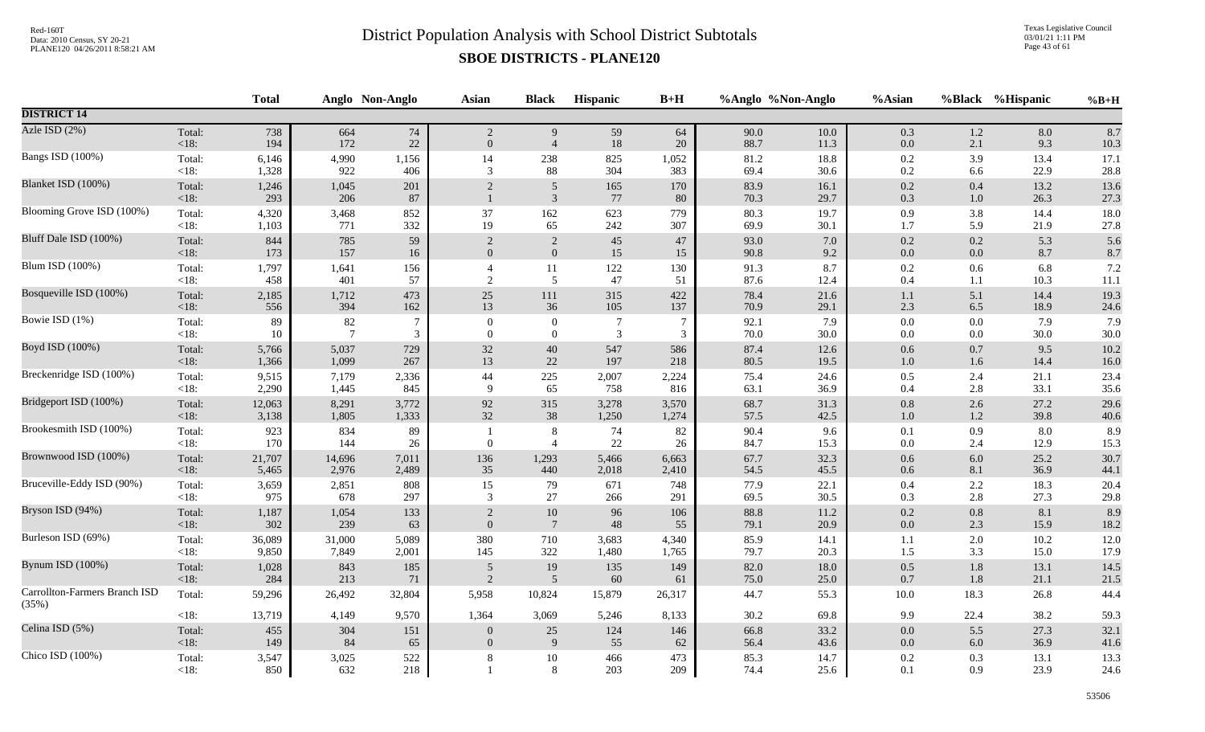Texas Legislative Council 03/01/21 1:11 PM Page 43 of 61

|                                        |                   | <b>Total</b> |                | Anglo Non-Anglo | <b>Asian</b>     | <b>Black</b>        | Hispanic        | $B+H$          |              | %Anglo %Non-Anglo | %Asian     |            | %Black %Hispanic | $%B+H$       |
|----------------------------------------|-------------------|--------------|----------------|-----------------|------------------|---------------------|-----------------|----------------|--------------|-------------------|------------|------------|------------------|--------------|
| <b>DISTRICT 14</b>                     |                   |              |                |                 |                  |                     |                 |                |              |                   |            |            |                  |              |
| Azle ISD (2%)                          | Total:            | 738          | 664            | 74              | $\sqrt{2}$       | 9                   | 59              | 64             | 90.0         | $10.0\,$          | 0.3        | $1.2\,$    | 8.0              | 8.7          |
|                                        | $<18$ :           | 194          | 172            | 22              | $\theta$         | $\overline{4}$      | 18              | 20             | 88.7         | 11.3              | 0.0        | 2.1        | 9.3              | 10.3         |
| Bangs ISD (100%)                       | Total:            | 6,146        | 4,990          | 1,156           | 14               | 238                 | 825             | 1,052          | 81.2         | 18.8              | $0.2\,$    | 3.9        | 13.4             | 17.1         |
|                                        | $<18$ :           | 1,328        | 922            | 406             | 3                | 88                  | 304             | 383            | 69.4         | 30.6              | 0.2        | 6.6        | 22.9             | 28.8         |
| Blanket ISD (100%)                     | Total:<br>$<18$ : | 1,246<br>293 | 1,045<br>206   | 201<br>87       | $\overline{2}$   | 5<br>$\mathfrak{Z}$ | 165<br>77       | 170<br>80      | 83.9<br>70.3 | 16.1<br>29.7      | 0.2<br>0.3 | 0.4<br>1.0 | 13.2<br>26.3     | 13.6<br>27.3 |
| Blooming Grove ISD (100%)              | Total:            | 4,320        | 3,468          | 852             | $37\,$           | 162                 | 623             | 779            | 80.3         | 19.7              | 0.9        | 3.8        | 14.4             | 18.0         |
|                                        | $<18$ :           | 1,103        | 771            | 332             | 19               | 65                  | 242             | 307            | 69.9         | 30.1              | 1.7        | 5.9        | 21.9             | 27.8         |
| Bluff Dale ISD (100%)                  | Total:            | 844          | 785            | 59              | $\overline{2}$   | $\overline{2}$      | 45              | 47             | 93.0         | 7.0               | $0.2\,$    | 0.2        | 5.3              | 5.6          |
|                                        | $<18$ :           | 173          | 157            | 16              | $\overline{0}$   | $\boldsymbol{0}$    | 15              | 15             | 90.8         | 9.2               | $0.0\,$    | $0.0\,$    | 8.7              | 8.7          |
| Blum ISD (100%)                        | Total:            | 1,797        | 1,641          | 156             | $\overline{4}$   | 11                  | 122             | 130            | 91.3         | 8.7               | $0.2\,$    | 0.6        | 6.8              | 7.2          |
|                                        | $<18$ :           | 458          | 401            | 57              | $\overline{2}$   | 5                   | 47              | 51             | 87.6         | 12.4              | 0.4        | 1.1        | 10.3             | 11.1         |
| Bosqueville ISD (100%)                 | Total:            | 2,185        | 1,712          | 473             | 25               | 111                 | 315             | 422            | 78.4         | 21.6              | 1.1        | 5.1        | 14.4             | 19.3         |
|                                        | $<18$ :           | 556          | 394            | 162             | 13               | 36                  | 105             | 137            | 70.9         | 29.1              | 2.3        | 6.5        | 18.9             | 24.6         |
| Bowie ISD (1%)                         | Total:            | 89           | 82             | $\tau$          | $\boldsymbol{0}$ | $\boldsymbol{0}$    | $7\phantom{.0}$ | $\overline{7}$ | 92.1         | 7.9               | $0.0\,$    | 0.0        | 7.9              | 7.9          |
|                                        | <18:              | 10           | $\overline{7}$ | 3               | $\Omega$         | $\boldsymbol{0}$    | $\mathfrak{Z}$  | 3              | 70.0         | 30.0              | 0.0        | $0.0\,$    | 30.0             | 30.0         |
| Boyd ISD (100%)                        | Total:            | 5,766        | 5,037          | 729             | 32               | $40\,$              | 547             | 586            | 87.4         | 12.6              | $0.6\,$    | 0.7        | 9.5              | 10.2         |
|                                        | $<18$ :           | 1,366        | 1,099          | 267             | 13               | 22                  | 197             | 218            | 80.5         | 19.5              | $1.0\,$    | 1.6        | 14.4             | 16.0         |
| Breckenridge ISD (100%)                | Total:            | 9,515        | 7,179          | 2,336           | $44\,$           | $225\,$             | 2,007           | 2,224          | 75.4         | 24.6              | $0.5\,$    | 2.4        | 21.1             | 23.4         |
|                                        | <18:              | 2,290        | 1,445          | 845             | 9                | 65                  | 758             | 816            | 63.1         | 36.9              | 0.4        | 2.8        | 33.1             | 35.6         |
| Bridgeport ISD (100%)                  | Total:            | 12,063       | 8,291          | 3,772           | 92               | 315                 | 3,278           | 3,570          | 68.7         | 31.3              | $0.8\,$    | 2.6        | 27.2             | 29.6         |
|                                        | $<18$ :           | 3,138        | 1,805          | 1,333           | 32               | 38                  | 1,250           | 1,274          | 57.5         | 42.5              | $1.0\,$    | 1.2        | 39.8             | 40.6         |
| Brookesmith ISD (100%)                 | Total:            | 923          | 834            | 89              | $\overline{1}$   | $\, 8$              | 74              | 82             | 90.4         | 9.6               | $0.1\,$    | 0.9        | 8.0              | 8.9          |
|                                        | $<18$ :           | 170          | 144            | 26              | $\overline{0}$   | $\overline{4}$      | 22              | 26             | 84.7         | 15.3              | 0.0        | 2.4        | 12.9             | 15.3         |
| Brownwood ISD (100%)                   | Total:            | 21,707       | 14,696         | 7,011           | 136              | 1,293               | 5,466           | 6,663          | 67.7         | 32.3              | $0.6\,$    | $6.0\,$    | 25.2             | 30.7         |
|                                        | $<18$ :           | 5,465        | 2,976          | 2,489           | 35               | 440                 | 2,018           | 2,410          | 54.5         | 45.5              | $0.6\,$    | $8.1\,$    | 36.9             | 44.1         |
| Bruceville-Eddy ISD (90%)              | Total:            | 3,659        | 2,851          | 808             | 15               | 79                  | 671             | 748            | 77.9         | 22.1              | 0.4        | 2.2        | 18.3             | 20.4         |
|                                        | <18:              | 975          | 678            | 297             | 3                | 27                  | 266             | 291            | 69.5         | 30.5              | 0.3        | 2.8        | 27.3             | 29.8         |
| Bryson ISD (94%)                       | Total:            | 1,187        | 1,054          | 133             | $\overline{2}$   | $10\,$              | 96              | 106            | 88.8         | 11.2              | 0.2        | $0.8\,$    | 8.1              | 8.9          |
|                                        | <18:              | 302          | 239            | 63              | $\overline{0}$   | $7\phantom{.0}$     | 48              | 55             | 79.1         | 20.9              | $0.0\,$    | 2.3        | 15.9             | 18.2         |
| Burleson ISD (69%)                     | Total:            | 36,089       | 31,000         | 5,089           | 380              | 710                 | 3,683           | 4,340          | 85.9         | 14.1              | $1.1\,$    | 2.0        | 10.2             | 12.0         |
|                                        | $<18$ :           | 9,850        | 7,849          | 2,001           | 145              | 322                 | 1,480           | 1,765          | 79.7         | 20.3              | 1.5        | 3.3        | 15.0             | 17.9         |
| Bynum ISD (100%)                       | Total:            | 1,028        | 843            | 185             | $\sqrt{5}$       | 19                  | 135             | 149            | 82.0         | 18.0              | 0.5        | $1.8\,$    | 13.1             | 14.5         |
|                                        | <18:              | 284          | 213            | 71              | 2                | $\overline{5}$      | 60              | 61             | 75.0         | 25.0              | $0.7\,$    | 1.8        | 21.1             | 21.5         |
| Carrollton-Farmers Branch ISD<br>(35%) | Total:            | 59,296       | 26,492         | 32,804          | 5,958            | 10,824              | 15,879          | 26,317         | 44.7         | 55.3              | $10.0\,$   | 18.3       | 26.8             | 44.4         |
|                                        | <18:              | 13,719       | 4,149          | 9,570           | 1,364            | 3,069               | 5,246           | 8,133          | 30.2         | 69.8              | 9.9        | 22.4       | 38.2             | 59.3         |
| Celina ISD (5%)                        | Total:            | 455          | 304            | 151             | $\theta$         | 25                  | 124             | 146            | 66.8         | 33.2              | 0.0        | 5.5        | 27.3             | 32.1         |
|                                        | $<18$ :           | 149          | 84             | 65              | $\Omega$         | $\overline{9}$      | 55              | 62             | 56.4         | 43.6              | $0.0\,$    | $6.0\,$    | 36.9             | 41.6         |
| Chico ISD (100%)                       | Total:<br>$<18$ : | 3,547<br>850 | 3,025<br>632   | 522<br>218      | 8                | $10\,$<br>8         | 466<br>203      | 473<br>209     | 85.3<br>74.4 | 14.7<br>25.6      | 0.2<br>0.1 | 0.3<br>0.9 | 13.1<br>23.9     | 13.3<br>24.6 |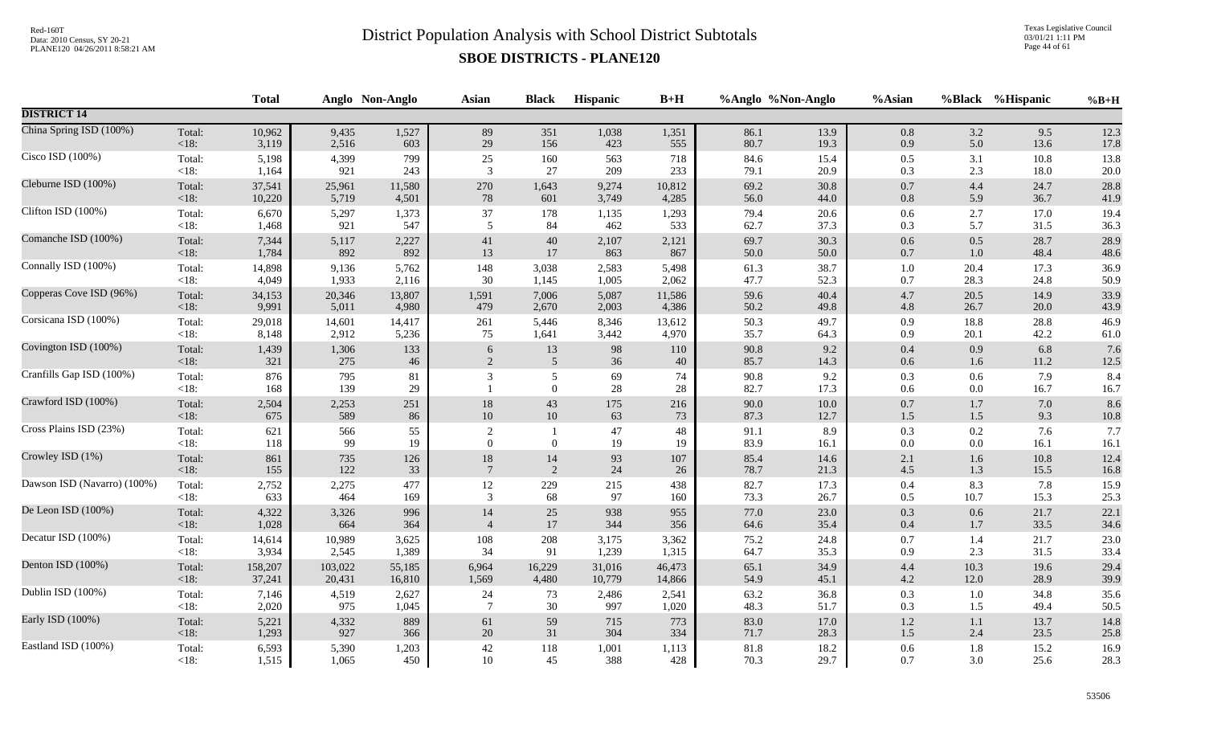Texas Legislative Council 03/01/21 1:11 PM Page 44 of 61

|                             |                   | <b>Total</b> |            | Anglo Non-Anglo | <b>Asian</b>                       | <b>Black</b>          | Hispanic     | $B+H$    |              | %Anglo %Non-Anglo | %Asian         |            | %Black %Hispanic | $%B+H$      |
|-----------------------------|-------------------|--------------|------------|-----------------|------------------------------------|-----------------------|--------------|----------|--------------|-------------------|----------------|------------|------------------|-------------|
| <b>DISTRICT 14</b>          |                   |              |            |                 |                                    |                       |              |          |              |                   |                |            |                  |             |
| China Spring ISD (100%)     | Total:            | 10,962       | 9,435      | 1,527           | 89                                 | 351                   | 1,038        | 1,351    | 86.1         | 13.9              | $0.8\,$        | 3.2        | 9.5              | 12.3        |
|                             | $<18$ :           | 3,119        | 2,516      | 603             | 29                                 | 156                   | 423          | 555      | 80.7         | 19.3              | 0.9            | 5.0        | 13.6             | 17.8        |
| Cisco ISD (100%)            | Total:            | 5,198        | 4,399      | 799             | $25\,$                             | 160                   | 563          | 718      | 84.6         | 15.4              | $0.5\,$        | 3.1        | 10.8             | 13.8        |
|                             | $<18$ :           | 1,164        | 921        | 243             | 3                                  | $27\,$                | 209          | 233      | 79.1         | 20.9              | 0.3            | 2.3        | 18.0             | $20.0\,$    |
| Cleburne ISD (100%)         | Total:            | 37,541       | 25,961     | 11,580          | 270                                | 1,643                 | 9,274        | 10,812   | 69.2         | 30.8              | $0.7\,$        | 4.4        | 24.7             | 28.8        |
|                             | $<18$ :           | 10,220       | 5,719      | 4,501           | 78                                 | 601                   | 3,749        | 4,285    | 56.0         | 44.0              | $0.8\,$        | 5.9        | 36.7             | 41.9        |
| Clifton ISD (100%)          | Total:            | 6,670        | 5,297      | 1,373           | 37                                 | 178                   | 1,135        | 1,293    | 79.4         | 20.6              | $0.6\,$        | 2.7        | 17.0             | 19.4        |
|                             | $<18$ :           | 1,468        | 921        | 547             | 5                                  | 84                    | 462          | 533      | 62.7         | 37.3              | 0.3            | 5.7        | 31.5             | 36.3        |
| Comanche ISD (100%)         | Total:            | 7,344        | 5,117      | 2,227           | 41                                 | $40\,$                | 2,107        | 2,121    | 69.7         | 30.3              | 0.6            | $0.5\,$    | 28.7             | 28.9        |
|                             | $<18$ :           | 1,784        | 892        | 892             | 13                                 | 17                    | 863          | 867      | 50.0         | 50.0              | $0.7\,$        | 1.0        | 48.4             | 48.6        |
| Connally ISD (100%)         | Total:            | 14,898       | 9,136      | 5,762           | 148                                | 3,038                 | 2,583        | 5,498    | 61.3         | 38.7              | $1.0\,$        | 20.4       | 17.3             | 36.9        |
|                             | $<18$ :           | 4,049        | 1,933      | 2,116           | 30                                 | 1,145                 | 1,005        | 2,062    | 47.7         | 52.3              | 0.7            | 28.3       | 24.8             | 50.9        |
| Copperas Cove ISD (96%)     | Total:            | 34,153       | 20,346     | 13,807          | 1,591                              | 7,006                 | 5,087        | 11,586   | 59.6         | 40.4              | $4.7\,$        | 20.5       | 14.9             | 33.9        |
|                             | <18:              | 9,991        | 5,011      | 4,980           | 479                                | 2,670                 | 2,003        | 4,386    | 50.2         | 49.8              | $4.8\,$        | 26.7       | 20.0             | 43.9        |
| Corsicana ISD (100%)        | Total:            | 29,018       | 14,601     | 14,417          | 261                                | 5,446                 | 8,346        | 13,612   | 50.3         | 49.7              | 0.9            | 18.8       | 28.8             | 46.9        |
|                             | $<18$ :           | 8,148        | 2,912      | 5,236           | 75                                 | 1,641                 | 3,442        | 4,970    | 35.7         | 64.3              | 0.9            | 20.1       | 42.2             | 61.0        |
| Covington ISD (100%)        | Total:            | 1,439        | 1,306      | 133             | $\sqrt{6}$                         | 13                    | 98           | 110      | 90.8         | 9.2               | $0.4\,$        | 0.9        | 6.8              | 7.6         |
|                             | < 18:             | 321          | 275        | 46              | $\sqrt{2}$                         | $\overline{5}$        | $36\,$       | 40       | 85.7         | 14.3              | $0.6\,$        | 1.6        | 11.2             | $12.5\,$    |
| Cranfills Gap ISD (100%)    | Total:<br>$<18$ : | 876<br>168   | 795<br>139 | 81<br>29        | 3                                  | 5<br>$\boldsymbol{0}$ | 69<br>$28\,$ | 74<br>28 | 90.8<br>82.7 | 9.2<br>17.3       | 0.3<br>$0.6\,$ | 0.6<br>0.0 | 7.9<br>16.7      | 8.4<br>16.7 |
| Crawford ISD (100%)         | Total:            | 2,504        | 2,253      | 251             | 18                                 | $43\,$                | 175          | 216      | 90.0         | $10.0\,$          | $0.7\,$        | $1.7\,$    | 7.0              | 8.6         |
|                             | <18:              | 675          | 589        | 86              | $10\,$                             | 10                    | 63           | 73       | 87.3         | 12.7              | $1.5\,$        | 1.5        | 9.3              | $10.8\,$    |
| Cross Plains ISD (23%)      | Total:<br>$<18$ : | 621<br>118   | 566<br>99  | 55<br>19        | $\overline{2}$<br>$\boldsymbol{0}$ | $\boldsymbol{0}$      | 47<br>19     | 48<br>19 | 91.1<br>83.9 | 8.9<br>16.1       | 0.3<br>0.0     | 0.2<br>0.0 | 7.6<br>16.1      | 7.7<br>16.1 |
| Crowley ISD (1%)            | Total:            | 861          | 735        | 126             | 18                                 | 14                    | 93           | 107      | 85.4         | 14.6              | 2.1            | 1.6        | 10.8             | 12.4        |
|                             | < 18:             | 155          | 122        | 33              | $\overline{7}$                     | 2                     | 24           | 26       | 78.7         | 21.3              | $4.5\,$        | 1.3        | 15.5             | 16.8        |
| Dawson ISD (Navarro) (100%) | Total:            | 2,752        | 2,275      | 477             | 12                                 | 229                   | 215          | 438      | 82.7         | 17.3              | $0.4\,$        | 8.3        | 7.8              | 15.9        |
|                             | $<18$ :           | 633          | 464        | 169             | 3                                  | 68                    | 97           | 160      | 73.3         | 26.7              | 0.5            | 10.7       | 15.3             | 25.3        |
| De Leon ISD (100%)          | Total:            | 4,322        | 3,326      | 996             | 14                                 | 25                    | 938          | 955      | 77.0         | 23.0              | 0.3            | 0.6        | 21.7             | 22.1        |
|                             | $<18$ :           | 1,028        | 664        | 364             | $\overline{4}$                     | $17\,$                | 344          | 356      | 64.6         | 35.4              | $0.4\,$        | 1.7        | 33.5             | 34.6        |
| Decatur ISD (100%)          | Total:            | 14,614       | 10,989     | 3,625           | 108                                | 208                   | 3,175        | 3,362    | 75.2         | 24.8              | 0.7            | 1.4        | 21.7             | 23.0        |
|                             | $<18$ :           | 3,934        | 2,545      | 1,389           | 34                                 | 91                    | 1,239        | 1,315    | 64.7         | 35.3              | 0.9            | 2.3        | 31.5             | 33.4        |
| Denton ISD (100%)           | Total:            | 158,207      | 103,022    | 55,185          | 6,964                              | 16,229                | 31,016       | 46,473   | 65.1         | 34.9              | $4.4\,$        | 10.3       | 19.6             | 29.4        |
|                             | < 18:             | 37,241       | 20,431     | 16,810          | 1,569                              | 4,480                 | 10,779       | 14,866   | 54.9         | 45.1              | $4.2\,$        | 12.0       | 28.9             | 39.9        |
| Dublin ISD (100%)           | Total:            | 7,146        | 4,519      | 2,627           | 24                                 | 73                    | 2,486        | 2,541    | 63.2         | 36.8              | 0.3            | 1.0        | 34.8             | 35.6        |
|                             | $<18$ :           | 2,020        | 975        | 1,045           | $\overline{7}$                     | $30\,$                | 997          | 1,020    | 48.3         | 51.7              | 0.3            | 1.5        | 49.4             | 50.5        |
| Early ISD (100%)            | Total:            | 5,221        | 4,332      | 889             | 61                                 | 59                    | 715          | 773      | 83.0         | 17.0              | $1.2\,$        | 1.1        | 13.7             | 14.8        |
|                             | $<18$ :           | 1,293        | 927        | 366             | 20                                 | 31                    | 304          | 334      | 71.7         | 28.3              | $1.5\,$        | 2.4        | 23.5             | 25.8        |
| Eastland ISD (100%)         | Total:            | 6,593        | 5,390      | 1,203           | $42\,$                             | 118                   | 1,001        | 1,113    | 81.8         | 18.2              | 0.6            | 1.8        | 15.2             | 16.9        |
|                             | <18:              | 1,515        | 1,065      | 450             | 10                                 | 45                    | 388          | 428      | 70.3         | 29.7              | 0.7            | 3.0        | 25.6             | 28.3        |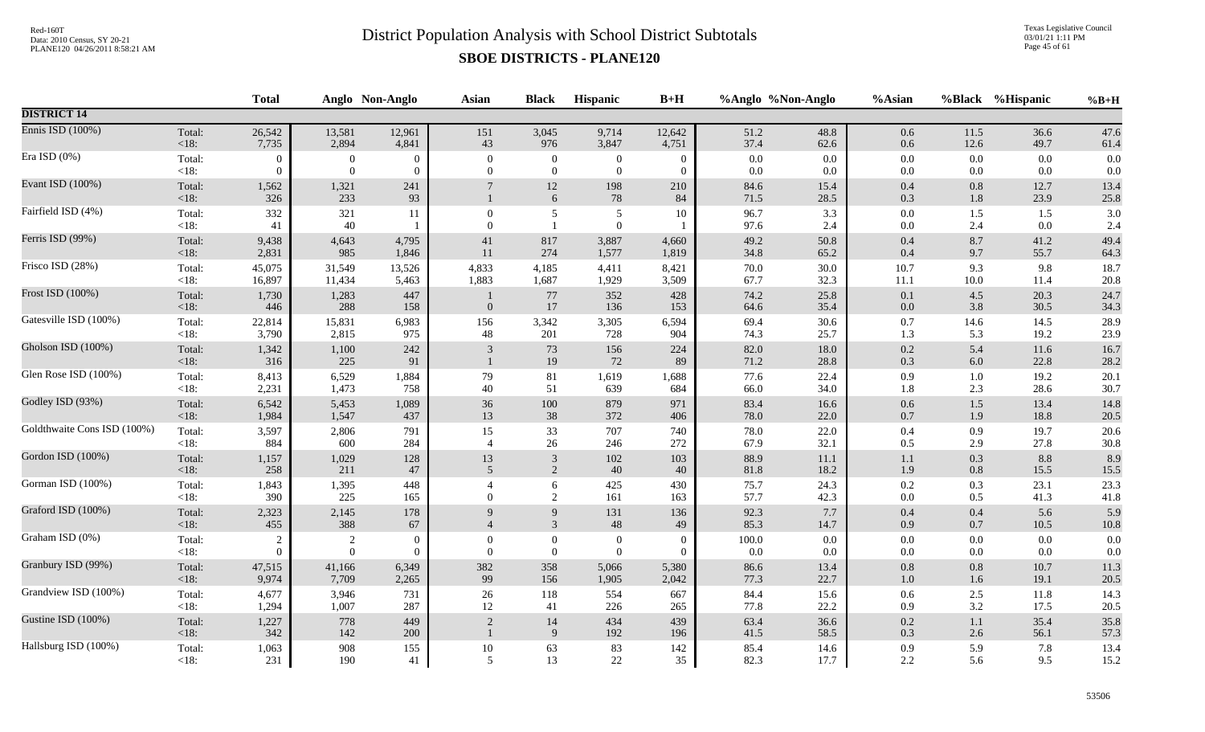Texas Legislative Council 03/01/21 1:11 PM Page 45 of 61

|                             |                   | <b>Total</b>     |                              | Anglo Non-Anglo          | <b>Asian</b>                   | <b>Black</b>                         | Hispanic                     | $B+H$                    |              | %Anglo %Non-Anglo | %Asian             |                    | %Black %Hispanic | $%B+H$       |
|-----------------------------|-------------------|------------------|------------------------------|--------------------------|--------------------------------|--------------------------------------|------------------------------|--------------------------|--------------|-------------------|--------------------|--------------------|------------------|--------------|
| <b>DISTRICT 14</b>          |                   |                  |                              |                          |                                |                                      |                              |                          |              |                   |                    |                    |                  |              |
| Ennis ISD (100%)            | Total:            | 26,542           | 13,581                       | 12,961                   | 151                            | 3,045                                | 9,714                        | 12,642                   | 51.2         | 48.8              | 0.6                | 11.5               | 36.6             | 47.6         |
|                             | $<18$ :           | 7,735            | 2,894                        | 4,841                    | 43                             | 976                                  | 3,847                        | 4,751                    | 37.4         | 62.6              | $0.6\,$            | 12.6               | 49.7             | 61.4         |
| Era ISD (0%)                | Total:            | $\boldsymbol{0}$ | $\boldsymbol{0}$             | $\theta$                 | $\overline{0}$                 | $\overline{0}$                       | $\boldsymbol{0}$             | $\overline{0}$           | 0.0          | 0.0               | 0.0                | $0.0\,$            | 0.0              | 0.0          |
|                             | <18:              | $\Omega$         | $\overline{0}$               | $\overline{0}$           | $\overline{0}$                 | $\mathbf{0}$                         | $\boldsymbol{0}$             | $\mathbf{0}$             | 0.0          | $0.0\,$           | $0.0\,$            | $0.0\,$            | 0.0              | 0.0          |
| Evant ISD (100%)            | Total:<br>$<18$ : | 1,562<br>326     | 1,321<br>233                 | 241<br>93                |                                | 12<br>$\sqrt{6}$                     | 198<br>78                    | 210<br>84                | 84.6<br>71.5 | 15.4<br>28.5      | 0.4<br>0.3         | $0.8\,$<br>1.8     | 12.7<br>23.9     | 13.4<br>25.8 |
| Fairfield ISD (4%)          | Total:<br><18:    | 332<br>41        | 321<br>40                    | 11                       | $\mathbf{0}$<br>$\overline{0}$ | 5<br>$\mathbf{1}$                    | 5<br>$\mathbf{0}$            | 10                       | 96.7<br>97.6 | 3.3<br>2.4        | 0.0<br>$0.0\,$     | 1.5<br>2.4         | 1.5<br>0.0       | 3.0<br>2.4   |
| Ferris ISD (99%)            | Total:            | 9,438            | 4,643                        | 4,795                    | $41\,$                         | 817                                  | 3,887                        | 4,660                    | 49.2         | 50.8              | 0.4                | 8.7                | 41.2             | 49.4         |
|                             | < 18:             | 2,831            | 985                          | 1,846                    | 11                             | 274                                  | 1,577                        | 1,819                    | 34.8         | 65.2              | 0.4                | 9.7                | 55.7             | 64.3         |
| Frisco ISD (28%)            | Total:            | 45,075           | 31,549                       | 13,526                   | 4,833                          | 4,185                                | 4,411                        | 8,421                    | 70.0         | 30.0              | 10.7               | 9.3                | 9.8              | 18.7         |
|                             | $<18$ :           | 16,897           | 11,434                       | 5,463                    | 1,883                          | 1,687                                | 1,929                        | 3,509                    | 67.7         | 32.3              | 11.1               | 10.0               | 11.4             | 20.8         |
| Frost ISD (100%)            | Total:<br>$<18$ : | 1,730<br>446     | 1,283<br>288                 | 447<br>158               | $\mathbf{0}$                   | 77<br>17                             | 352<br>136                   | 428<br>153               | 74.2<br>64.6 | 25.8<br>35.4      | $0.1\,$<br>0.0     | 4.5<br>3.8         | 20.3<br>30.5     | 24.7<br>34.3 |
| Gatesville ISD (100%)       | Total:            | 22,814           | 15,831                       | 6,983                    | 156                            | 3,342                                | 3,305                        | 6,594                    | 69.4         | 30.6              | 0.7                | 14.6               | 14.5             | 28.9         |
|                             | $<18$ :           | 3,790            | 2,815                        | 975                      | 48                             | 201                                  | 728                          | 904                      | 74.3         | 25.7              | 1.3                | 5.3                | 19.2             | 23.9         |
| Gholson ISD (100%)          | Total:<br><18:    | 1,342<br>316     | 1,100<br>225                 | 242<br>91                | 3                              | $73\,$<br>19                         | 156<br>72                    | 224<br>89                | 82.0<br>71.2 | 18.0<br>28.8      | $0.2\,$<br>0.3     | 5.4<br>$6.0\,$     | 11.6<br>22.8     | 16.7<br>28.2 |
| Glen Rose ISD (100%)        | Total:            | 8,413            | 6,529                        | 1,884                    | 79                             | 81                                   | 1,619                        | 1,688                    | 77.6         | 22.4              | 0.9                | 1.0                | 19.2             | 20.1         |
|                             | $<18$ :           | 2,231            | 1,473                        | 758                      | 40                             | 51                                   | 639                          | 684                      | 66.0         | 34.0              | 1.8                | 2.3                | 28.6             | 30.7         |
| Godley ISD (93%)            | Total:            | 6,542            | 5,453                        | 1,089                    | $36\,$                         | $100\,$                              | 879                          | 971                      | 83.4         | 16.6              | $0.6\,$            | $1.5\,$            | 13.4             | 14.8         |
|                             | <18:              | 1,984            | 1,547                        | 437                      | 13                             | 38                                   | 372                          | 406                      | 78.0         | 22.0              | 0.7                | 1.9                | 18.8             | 20.5         |
| Goldthwaite Cons ISD (100%) | Total:            | 3,597            | 2,806                        | 791                      | 15                             | 33                                   | 707                          | 740                      | 78.0         | 22.0              | 0.4                | 0.9                | 19.7             | 20.6         |
|                             | $<18$ :           | 884              | 600                          | 284                      | $\overline{4}$                 | 26                                   | 246                          | 272                      | 67.9         | 32.1              | 0.5                | 2.9                | 27.8             | 30.8         |
| Gordon ISD (100%)           | Total:            | 1,157            | 1,029                        | 128                      | 13                             | $\sqrt{3}$                           | 102                          | 103                      | 88.9         | 11.1              | 1.1                | 0.3                | 8.8              | 8.9          |
|                             | <18:              | 258              | 211                          | 47                       | 5                              | 2                                    | 40                           | 40                       | 81.8         | 18.2              | 1.9                | 0.8                | 15.5             | $15.5\,$     |
| Gorman ISD (100%)           | Total:<br><18:    | 1,843<br>390     | 1,395<br>225                 | 448<br>165               | $\Omega$                       | 6<br>2                               | 425<br>161                   | 430<br>163               | 75.7<br>57.7 | 24.3<br>42.3      | $0.2\,$<br>$0.0\,$ | 0.3<br>0.5         | 23.1<br>41.3     | 23.3<br>41.8 |
| Graford ISD (100%)          | Total:            | 2,323            | 2,145                        | 178                      | $\mathbf{Q}$                   | $\boldsymbol{9}$                     | 131                          | 136                      | 92.3         | $7.7\,$           | 0.4                | $0.4\,$            | 5.6              | 5.9          |
|                             | $<18$ :           | 455              | 388                          | 67                       | $\overline{4}$                 | 3                                    | 48                           | 49                       | 85.3         | 14.7              | 0.9                | $0.7\,$            | 10.5             | $10.8\,$     |
| Graham ISD (0%)             | Total:<br>$<18$ : | $\theta$         | $\sqrt{2}$<br>$\overline{0}$ | $\mathbf{0}$<br>$\Omega$ | $\theta$<br>$\theta$           | $\boldsymbol{0}$<br>$\boldsymbol{0}$ | $\boldsymbol{0}$<br>$\theta$ | $\mathbf{0}$<br>$\Omega$ | 100.0<br>0.0 | $0.0\,$<br>0.0    | $0.0\,$<br>0.0     | $0.0\,$<br>$0.0\,$ | 0.0<br>0.0       | 0.0<br>0.0   |
| Granbury ISD (99%)          | Total:            | 47,515           | 41,166                       | 6,349                    | 382                            | 358                                  | 5,066                        | 5,380                    | 86.6         | 13.4              | $0.8\,$            | $0.8\,$            | 10.7             | 11.3         |
|                             | $<18$ :           | 9,974            | 7,709                        | 2,265                    | 99                             | 156                                  | 1,905                        | 2,042                    | 77.3         | 22.7              | $1.0\,$            | 1.6                | 19.1             | 20.5         |
| Grandview ISD (100%)        | Total:            | 4,677            | 3,946                        | 731                      | $26\,$                         | 118                                  | 554                          | 667                      | 84.4         | 15.6              | $0.6\,$            | 2.5                | 11.8             | 14.3         |
|                             | $<18$ :           | 1,294            | 1,007                        | 287                      | 12                             | 41                                   | 226                          | 265                      | 77.8         | 22.2              | 0.9                | 3.2                | 17.5             | 20.5         |
| Gustine ISD (100%)          | Total:<br>$<18$ : | 1,227<br>342     | 778<br>142                   | 449<br>200               | $\overline{2}$                 | 14<br>$\overline{9}$                 | 434<br>192                   | 439<br>196               | 63.4<br>41.5 | 36.6<br>58.5      | $0.2\,$<br>$0.3\,$ | $1.1\,$<br>2.6     | 35.4<br>56.1     | 35.8<br>57.3 |
| Hallsburg ISD (100%)        | Total:            | 1,063            | 908                          | 155                      | $10\,$                         | 63                                   | 83                           | 142                      | 85.4         | 14.6              | 0.9                | 5.9                | 7.8              | 13.4         |
|                             | $<18$ :           | 231              | 190                          | 41                       | $\overline{5}$                 | 13                                   | $22\,$                       | 35                       | 82.3         | 17.7              | 2.2                | 5.6                | 9.5              | 15.2         |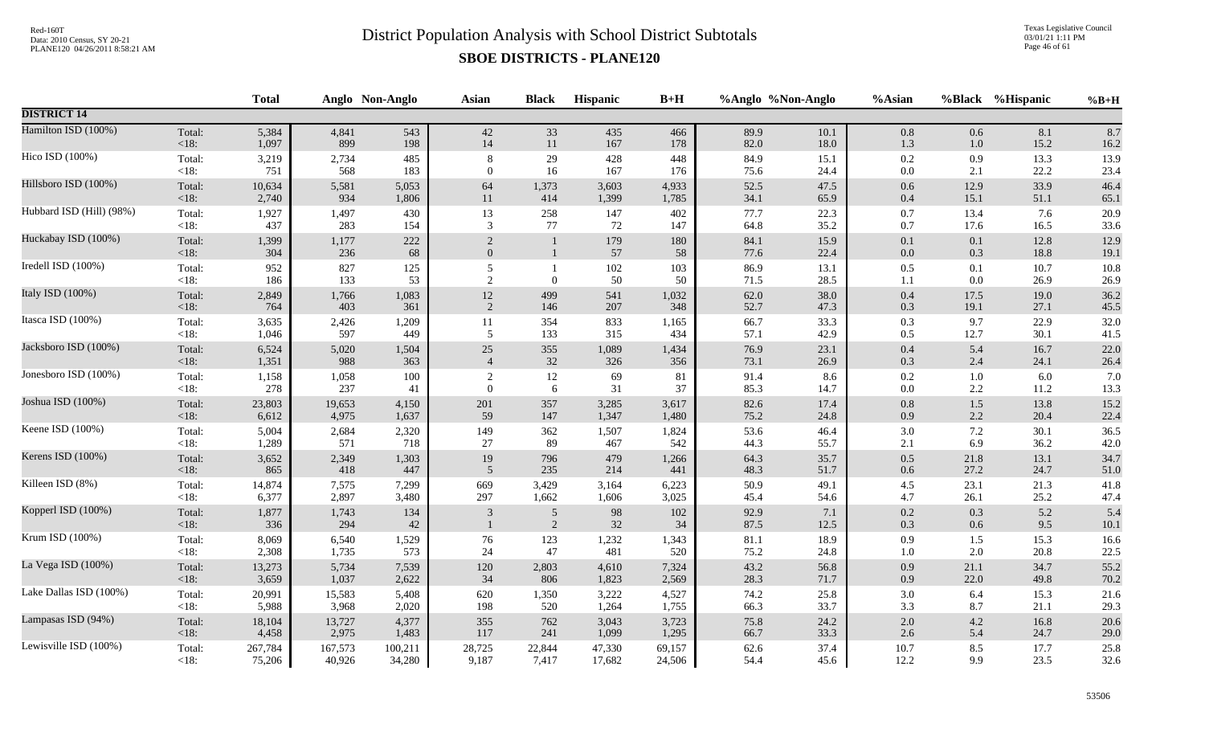Texas Legislative Council 03/01/21 1:11 PM Page 46 of 61

|                          |                | <b>Total</b> |              | Anglo Non-Anglo | <b>Asian</b>               | <b>Black</b>                     | Hispanic  | $B+H$     |              | %Anglo %Non-Anglo | %Asian             |            | %Black %Hispanic | $%B+H$       |
|--------------------------|----------------|--------------|--------------|-----------------|----------------------------|----------------------------------|-----------|-----------|--------------|-------------------|--------------------|------------|------------------|--------------|
| <b>DISTRICT 14</b>       |                |              |              |                 |                            |                                  |           |           |              |                   |                    |            |                  |              |
| Hamilton ISD (100%)      | Total:         | 5,384        | 4,841        | 543             | 42                         | 33                               | 435       | 466       | 89.9         | 10.1              | $0.8\,$            | 0.6        | 8.1              | 8.7          |
|                          | <18:           | 1,097        | 899          | 198             | 14                         | $11\,$                           | 167       | 178       | 82.0         | 18.0              | 1.3                | 1.0        | 15.2             | 16.2         |
| Hico ISD (100%)          | Total:         | 3,219        | 2,734        | 485             | 8                          | 29                               | 428       | 448       | 84.9         | 15.1              | 0.2                | 0.9        | 13.3             | 13.9         |
|                          | $<18$ :        | 751          | 568          | 183             | $\boldsymbol{0}$           | 16                               | 167       | 176       | 75.6         | 24.4              | $0.0\,$            | 2.1        | 22.2             | 23.4         |
| Hillsboro ISD (100%)     | Total:         | 10,634       | 5,581        | 5,053           | 64                         | 1,373                            | 3,603     | 4,933     | 52.5         | 47.5              | 0.6                | 12.9       | 33.9             | 46.4         |
|                          | $<18$ :        | 2,740        | 934          | 1,806           | 11                         | 414                              | 1,399     | 1,785     | 34.1         | 65.9              | $0.4\,$            | 15.1       | 51.1             | 65.1         |
| Hubbard ISD (Hill) (98%) | Total:         | 1,927        | 1,497        | 430             | 13                         | 258                              | 147       | 402       | 77.7         | 22.3              | $0.7\,$            | 13.4       | 7.6              | 20.9         |
|                          | $<18$ :        | 437          | 283          | 154             | 3                          | 77                               | 72        | 147       | 64.8         | 35.2              | 0.7                | 17.6       | 16.5             | 33.6         |
| Huckabay ISD (100%)      | Total:<br><18: | 1,399<br>304 | 1,177<br>236 | 222<br>68       | $\sqrt{2}$<br>$\mathbf{0}$ | $\mathbf{1}$                     | 179<br>57 | 180<br>58 | 84.1<br>77.6 | 15.9<br>22.4      | $0.1\,$<br>$0.0\,$ | 0.1<br>0.3 | 12.8<br>18.8     | 12.9<br>19.1 |
| Iredell ISD (100%)       | Total:         | 952          | 827          | 125             | 5                          | $\mathbf{1}$                     | 102       | 103       | 86.9         | 13.1              | 0.5                | 0.1        | 10.7             | 10.8         |
|                          | <18:           | 186          | 133          | 53              | 2                          | $\mathbf{0}$                     | 50        | 50        | 71.5         | 28.5              | 1.1                | 0.0        | 26.9             | 26.9         |
| Italy ISD (100%)         | Total:         | 2,849        | 1,766        | 1,083           | $12\,$                     | 499                              | 541       | 1,032     | 62.0         | 38.0              | $0.4\,$            | 17.5       | 19.0             | 36.2         |
|                          | < 18:          | 764          | 403          | 361             | 2                          | 146                              | 207       | 348       | 52.7         | 47.3              | 0.3                | 19.1       | 27.1             | 45.5         |
| Itasca ISD (100%)        | Total:         | 3,635        | 2,426        | 1,209           | 11                         | 354                              | 833       | 1,165     | 66.7         | 33.3              | 0.3                | 9.7        | 22.9             | 32.0         |
|                          | $<18$ :        | 1,046        | 597          | 449             | 5                          | 133                              | 315       | 434       | 57.1         | 42.9              | 0.5                | 12.7       | 30.1             | 41.5         |
| Jacksboro ISD (100%)     | Total:         | 6,524        | 5,020        | 1,504           | $25\,$                     | 355                              | 1,089     | 1,434     | 76.9         | 23.1              | $0.4\,$            | 5.4        | 16.7             | 22.0         |
|                          | <18:           | 1,351        | 988          | 363             | $\overline{4}$             | $32\,$                           | 326       | 356       | 73.1         | 26.9              | 0.3                | 2.4        | 24.1             | 26.4         |
| Jonesboro ISD (100%)     | Total:         | 1,158        | 1,058        | 100             | 2                          | $12\,$                           | 69        | 81        | 91.4         | 8.6               | 0.2                | 1.0        | 6.0              | 7.0          |
|                          | <18:           | 278          | 237          | 41              | $\Omega$                   | 6                                | 31        | 37        | 85.3         | 14.7              | 0.0                | $2.2\,$    | 11.2             | 13.3         |
| Joshua ISD (100%)        | Total:         | 23,803       | 19,653       | 4,150           | 201                        | 357                              | 3,285     | 3,617     | 82.6         | 17.4              | $0.8\,$            | $1.5$      | 13.8             | 15.2         |
|                          | $<18$ :        | 6,612        | 4,975        | 1,637           | 59                         | 147                              | 1,347     | 1,480     | 75.2         | 24.8              | 0.9                | 2.2        | 20.4             | 22.4         |
| Keene ISD (100%)         | Total:         | 5,004        | 2,684        | 2,320           | 149                        | 362                              | 1,507     | 1,824     | 53.6         | 46.4              | 3.0                | 7.2        | 30.1             | 36.5         |
|                          | <18:           | 1,289        | 571          | 718             | 27                         | 89                               | 467       | 542       | 44.3         | 55.7              | 2.1                | 6.9        | 36.2             | 42.0         |
| Kerens ISD (100%)        | Total:         | 3,652        | 2,349        | 1,303           | 19                         | 796                              | 479       | 1,266     | 64.3         | 35.7              | $0.5\,$            | 21.8       | 13.1             | 34.7         |
|                          | <18:           | 865          | 418          | 447             | 5                          | 235                              | 214       | 441       | 48.3         | 51.7              | 0.6                | 27.2       | 24.7             | 51.0         |
| Killeen ISD (8%)         | Total:         | 14,874       | 7,575        | 7,299           | 669                        | 3,429                            | 3,164     | 6,223     | 50.9         | 49.1              | 4.5                | 23.1       | 21.3             | 41.8         |
|                          | $<18$ :        | 6,377        | 2,897        | 3,480           | 297                        | 1,662                            | 1,606     | 3,025     | 45.4         | 54.6              | 4.7                | 26.1       | 25.2             | 47.4         |
| Kopperl ISD (100%)       | Total:<br><18: | 1,877<br>336 | 1,743<br>294 | 134<br>42       | 3                          | $\overline{5}$<br>$\overline{2}$ | 98<br>32  | 102<br>34 | 92.9<br>87.5 | 7.1<br>12.5       | 0.2<br>0.3         | 0.3<br>0.6 | 5.2<br>9.5       | 5.4<br>10.1  |
| Krum ISD (100%)          | Total:         | 8,069        | 6,540        | 1,529           | 76                         | 123                              | 1,232     | 1,343     | 81.1         | 18.9              | 0.9                | 1.5        | 15.3             | 16.6         |
|                          | $<18$ :        | 2,308        | 1,735        | 573             | 24                         | 47                               | 481       | 520       | 75.2         | 24.8              | 1.0                | 2.0        | 20.8             | 22.5         |
| La Vega ISD (100%)       | Total:         | 13,273       | 5,734        | 7,539           | 120                        | 2,803                            | 4,610     | 7,324     | 43.2         | 56.8              | 0.9                | 21.1       | 34.7             | 55.2         |
|                          | <18:           | 3,659        | 1,037        | 2,622           | 34                         | 806                              | 1,823     | 2,569     | 28.3         | 71.7              | 0.9                | 22.0       | 49.8             | 70.2         |
| Lake Dallas ISD (100%)   | Total:         | 20,991       | 15,583       | 5,408           | 620                        | 1,350                            | 3,222     | 4,527     | 74.2         | 25.8              | $3.0\,$            | 6.4        | 15.3             | 21.6         |
|                          | $<18$ :        | 5,988        | 3,968        | 2,020           | 198                        | 520                              | 1,264     | 1,755     | 66.3         | 33.7              | 3.3                | 8.7        | 21.1             | 29.3         |
| Lampasas ISD (94%)       | Total:         | 18,104       | 13,727       | 4,377           | 355                        | 762                              | 3,043     | 3,723     | 75.8         | 24.2              | $2.0\,$            | 4.2        | 16.8             | 20.6         |
|                          | <18:           | 4,458        | 2,975        | 1,483           | 117                        | 241                              | 1,099     | 1,295     | 66.7         | 33.3              | $2.6\,$            | 5.4        | 24.7             | 29.0         |
| Lewisville ISD (100%)    | Total:         | 267,784      | 167,573      | 100,211         | 28,725                     | 22,844                           | 47,330    | 69,157    | 62.6         | 37.4              | 10.7               | 8.5        | 17.7             | 25.8         |
|                          | $<18$ :        | 75,206       | 40,926       | 34,280          | 9,187                      | 7,417                            | 17,682    | 24,506    | 54.4         | 45.6              | 12.2               | 9.9        | 23.5             | 32.6         |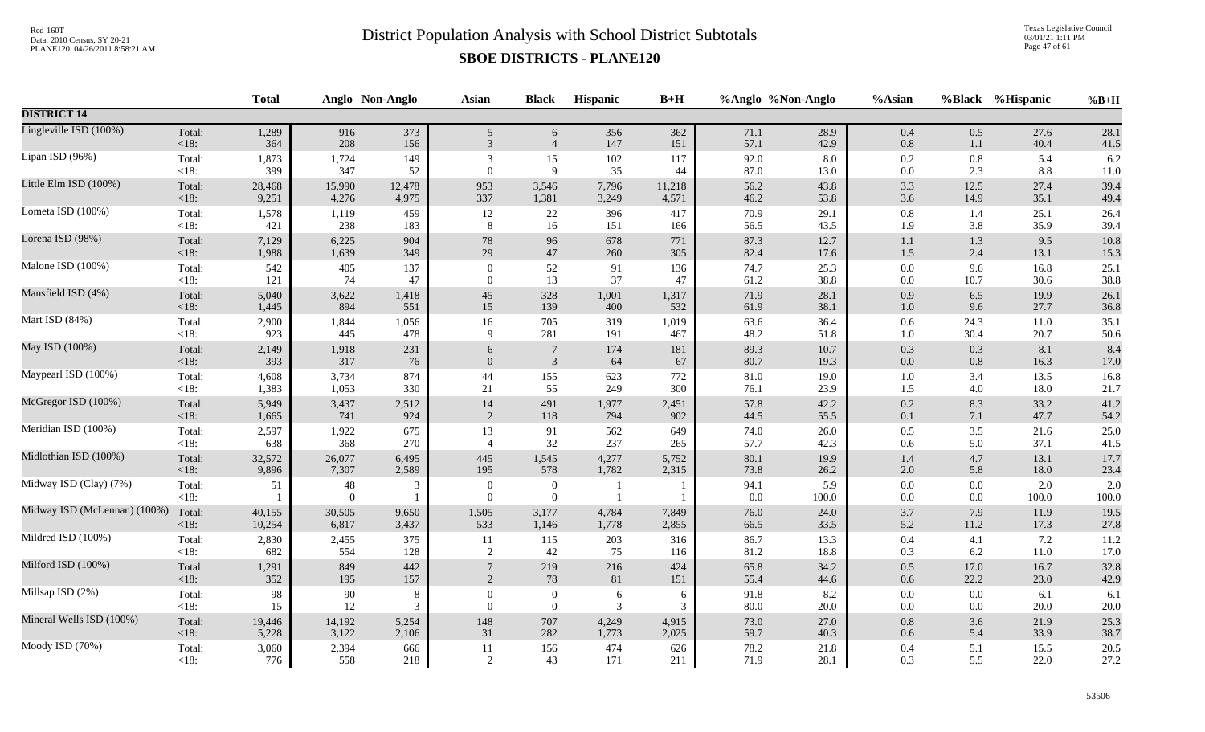Texas Legislative Council 03/01/21 1:11 PM Page 47 of 61

|                              |                   | <b>Total</b> |                | Anglo Non-Anglo | <b>Asian</b>             | <b>Black</b>                     | Hispanic       | $B+H$      |              | %Anglo %Non-Anglo | %Asian             |                | %Black %Hispanic | $%B+H$       |
|------------------------------|-------------------|--------------|----------------|-----------------|--------------------------|----------------------------------|----------------|------------|--------------|-------------------|--------------------|----------------|------------------|--------------|
| <b>DISTRICT 14</b>           |                   |              |                |                 |                          |                                  |                |            |              |                   |                    |                |                  |              |
| Lingleville ISD (100%)       | Total:            | 1,289        | 916            | 373             | 5                        | 6                                | 356            | 362        | 71.1         | 28.9              | $0.4\,$            | 0.5            | 27.6             | 28.1         |
|                              | <18:              | 364          | 208            | 156             | 3                        | $\overline{4}$                   | 147            | 151        | 57.1         | 42.9              | $0.8\,$            | 1.1            | 40.4             | 41.5         |
| Lipan ISD (96%)              | Total:            | 1,873        | 1,724          | 149             | 3                        | 15                               | 102            | 117        | 92.0         | 8.0               | 0.2                | 0.8            | 5.4              | 6.2          |
|                              | $<18$ :           | 399          | 347            | $52\,$          | $\theta$                 | 9                                | 35             | 44         | 87.0         | 13.0              | 0.0                | 2.3            | 8.8              | 11.0         |
| Little Elm ISD (100%)        | Total:            | 28,468       | 15,990         | 12,478          | 953                      | 3,546                            | 7,796          | 11,218     | 56.2         | 43.8              | 3.3                | 12.5           | 27.4             | 39.4         |
|                              | < 18:             | 9,251        | 4,276          | 4,975           | 337                      | 1,381                            | 3,249          | 4,571      | 46.2         | 53.8              | 3.6                | 14.9           | 35.1             | 49.4         |
| Lometa ISD (100%)            | Total:            | 1,578        | 1,119          | 459             | 12                       | $22\,$                           | 396            | 417        | 70.9         | 29.1              | 0.8                | 1.4            | 25.1             | 26.4         |
|                              | $<18$ :           | 421          | 238            | 183             | 8                        | 16                               | 151            | 166        | 56.5         | 43.5              | 1.9                | 3.8            | 35.9             | 39.4         |
| Lorena ISD (98%)             | Total:            | 7,129        | 6,225          | 904             | $78\,$                   | 96                               | 678            | 771        | 87.3         | 12.7              | $1.1\,$            | 1.3            | 9.5              | 10.8         |
|                              | $<18$ :           | 1,988        | 1,639          | 349             | 29                       | 47                               | 260            | 305        | 82.4         | 17.6              | 1.5                | 2.4            | 13.1             | 15.3         |
| Malone ISD (100%)            | Total:            | 542          | 405            | 137             | $\boldsymbol{0}$         | 52                               | 91             | 136        | 74.7         | 25.3              | $0.0\,$            | 9.6            | 16.8             | 25.1         |
|                              | $<18$ :           | 121          | 74             | 47              | $\theta$                 | 13                               | 37             | 47         | 61.2         | 38.8              | $0.0\,$            | 10.7           | 30.6             | 38.8         |
| Mansfield ISD (4%)           | Total:            | 5,040        | 3,622          | 1,418           | 45                       | 328                              | 1,001          | 1,317      | 71.9         | 28.1              | 0.9                | 6.5            | 19.9             | 26.1         |
|                              | $<18$ :           | 1,445        | 894            | 551             | 15                       | 139                              | 400            | 532        | 61.9         | 38.1              | $1.0\,$            | 9.6            | 27.7             | 36.8         |
| Mart ISD (84%)               | Total:            | 2,900        | 1,844          | 1,056           | 16                       | 705                              | 319            | 1,019      | 63.6         | 36.4              | $0.6\,$            | 24.3           | 11.0             | 35.1         |
|                              | $<18$ :           | 923          | 445            | 478             | 9                        | 281                              | 191            | 467        | 48.2         | 51.8              | $1.0\,$            | 30.4           | 20.7             | 50.6         |
| May ISD (100%)               | Total:            | 2,149        | 1,918          | 231             | 6                        | $\boldsymbol{7}$                 | 174            | 181        | 89.3         | 10.7              | $0.3\,$            | 0.3            | 8.1              | 8.4          |
|                              | < 18:             | 393          | 317            | 76              | $\mathbf{0}$             | $\mathfrak{Z}$                   | 64             | 67         | 80.7         | 19.3              | $0.0\,$            | 0.8            | 16.3             | 17.0         |
| Maypearl ISD (100%)          | Total:            | 4,608        | 3,734          | 874             | 44                       | 155                              | 623            | 772        | 81.0         | 19.0              | $1.0\,$            | 3.4            | 13.5             | 16.8         |
|                              | $<18$ :           | 1,383        | 1,053          | 330             | $21\,$                   | 55                               | 249            | 300        | 76.1         | 23.9              | 1.5                | 4.0            | 18.0             | 21.7         |
| McGregor ISD (100%)          | Total:            | 5,949        | 3,437          | 2,512           | 14                       | 491                              | 1,977          | 2,451      | 57.8         | 42.2              | 0.2                | 8.3            | 33.2             | 41.2         |
|                              | <18:              | 1,665        | 741            | 924             | $\overline{2}$           | 118                              | 794            | 902        | 44.5         | 55.5              | 0.1                | 7.1            | 47.7             | 54.2         |
| Meridian ISD (100%)          | Total:            | 2,597        | 1,922          | 675             | 13                       | 91                               | 562            | 649        | 74.0         | 26.0              | 0.5                | 3.5            | 21.6             | 25.0         |
|                              | $<18$ :           | 638          | 368            | 270             | $\overline{4}$           | 32                               | 237            | 265        | 57.7         | 42.3              | 0.6                | 5.0            | 37.1             | 41.5         |
| Midlothian ISD (100%)        | Total:            | 32,572       | 26,077         | 6,495           | 445                      | 1,545                            | 4,277          | 5,752      | 80.1         | 19.9              | 1.4                | 4.7            | 13.1             | 17.7         |
|                              | <18:              | 9,896        | 7,307          | 2,589           | 195                      | 578                              | 1,782          | 2,315      | 73.8         | 26.2              | $2.0\,$            | 5.8            | 18.0             | 23.4         |
| Midway ISD (Clay) (7%)       | Total:<br>$<18$ : | 51           | 48<br>$\Omega$ | 3               | $\mathbf{0}$<br>$\Omega$ | $\boldsymbol{0}$<br>$\mathbf{0}$ |                |            | 94.1<br>0.0  | 5.9<br>100.0      | $0.0\,$<br>$0.0\,$ | 0.0<br>$0.0\,$ | 2.0<br>100.0     | 2.0<br>100.0 |
| Midway ISD (McLennan) (100%) | Total:            | 40,155       | 30,505         | 9,650           | 1,505                    | 3,177                            | 4,784          | 7,849      | 76.0         | 24.0              | 3.7                | 7.9            | 11.9             | 19.5         |
|                              | <18:              | 10,254       | 6,817          | 3,437           | 533                      | 1,146                            | 1,778          | 2,855      | 66.5         | 33.5              | 5.2                | 11.2           | 17.3             | 27.8         |
| Mildred ISD (100%)           | Total:            | 2,830        | 2,455          | 375             | 11                       | 115                              | 203            | 316        | 86.7         | 13.3              | 0.4                | 4.1            | 7.2              | 11.2         |
|                              | $<18$ :           | 682          | 554            | 128             | 2                        | 42                               | 75             | 116        | 81.2         | 18.8              | 0.3                | 6.2            | 11.0             | 17.0         |
| Milford ISD (100%)           | Total:<br><18:    | 1,291<br>352 | 849<br>195     | 442<br>157      | $\overline{2}$           | 219<br>78                        | 216<br>81      | 424<br>151 | 65.8<br>55.4 | 34.2<br>44.6      | 0.5<br>$0.6\,$     | 17.0<br>22.2   | 16.7<br>23.0     | 32.8<br>42.9 |
| Millsap ISD (2%)             | Total:            | 98           | $90\,$         | $8\phantom{.0}$ | $\boldsymbol{0}$         | $\boldsymbol{0}$                 | $\sqrt{6}$     | 6          | 91.8         | 8.2               | $0.0\,$            | 0.0            | 6.1              | 6.1          |
|                              | $<18$ :           | 15           | 12             | 3               | $\Omega$                 | $\overline{0}$                   | $\overline{3}$ | 3          | 80.0         | $20.0\,$          | 0.0                | $0.0\,$        | 20.0             | $20.0\,$     |
| Mineral Wells ISD (100%)     | Total:            | 19,446       | 14,192         | 5,254           | 148                      | 707                              | 4,249          | 4,915      | 73.0         | 27.0              | $0.8\,$            | 3.6            | 21.9             | 25.3         |
|                              | <18:              | 5,228        | 3,122          | 2,106           | 31                       | 282                              | 1,773          | 2,025      | 59.7         | 40.3              | $0.6\,$            | 5.4            | 33.9             | 38.7         |
| Moody ISD (70%)              | Total:            | 3,060        | 2,394          | 666             | 11                       | 156                              | 474            | 626        | 78.2         | 21.8              | 0.4                | 5.1            | 15.5             | 20.5         |
|                              | $<18$ :           | 776          | 558            | 218             | 2                        | 43                               | 171            | 211        | 71.9         | 28.1              | 0.3                | 5.5            | 22.0             | 27.2         |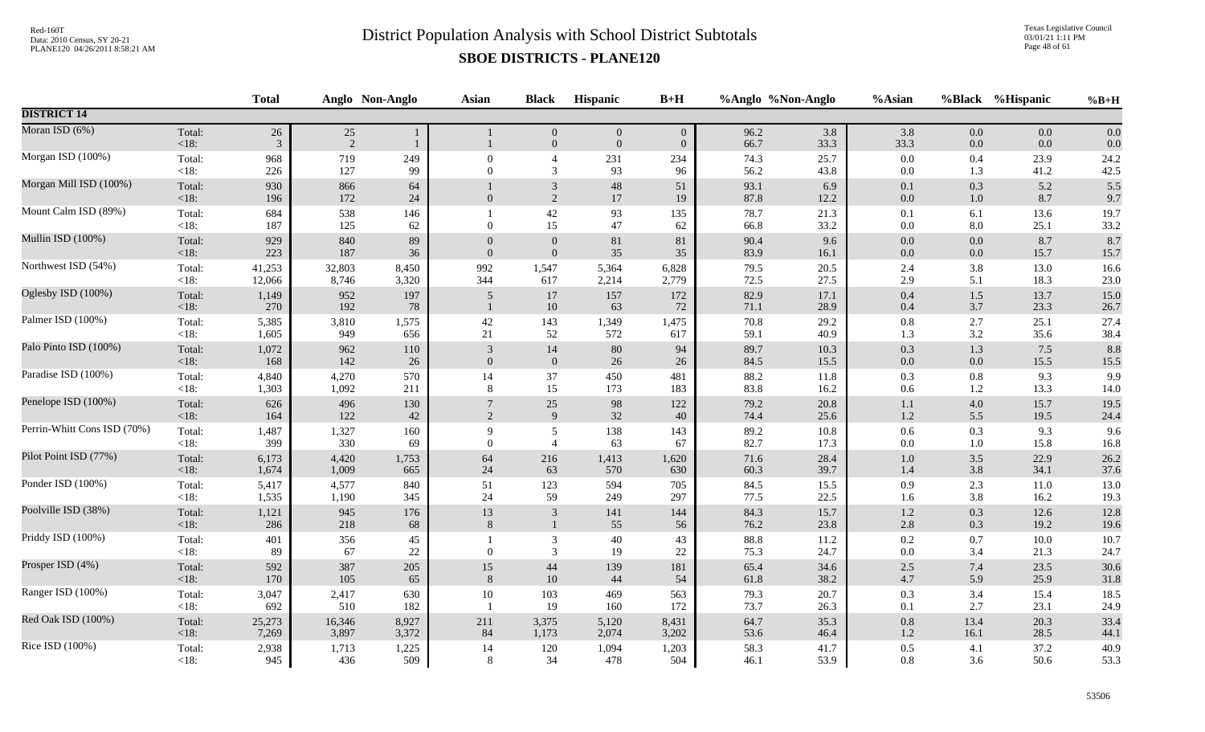Texas Legislative Council 03/01/21 1:11 PM Page 48 of 61

|                             |                   | <b>Total</b>             |              | Anglo Non-Anglo | Asian           | <b>Black</b>                 | Hispanic                           | $B+H$                              |              | %Anglo %Non-Anglo | %Asian         |            | %Black %Hispanic | $%B+H$       |
|-----------------------------|-------------------|--------------------------|--------------|-----------------|-----------------|------------------------------|------------------------------------|------------------------------------|--------------|-------------------|----------------|------------|------------------|--------------|
| <b>DISTRICT 14</b>          |                   |                          |              |                 |                 |                              |                                    |                                    |              |                   |                |            |                  |              |
| Moran ISD (6%)              | Total:<br>$<18$ : | $26\,$<br>$\mathfrak{Z}$ | 25<br>2      | 1<br>1          |                 | $\mathbf{0}$<br>$\mathbf{0}$ | $\boldsymbol{0}$<br>$\overline{0}$ | $\boldsymbol{0}$<br>$\overline{0}$ | 96.2<br>66.7 | 3.8<br>33.3       | 3.8<br>33.3    | 0.0<br>0.0 | $0.0\,$<br>0.0   | 0.0<br>0.0   |
| Morgan ISD (100%)           | Total:            | 968                      | 719          | 249             | $\mathbf{0}$    | $\overline{4}$               | 231                                | 234                                | 74.3         | 25.7              | $0.0\,$        | 0.4        | 23.9             | 24.2         |
|                             | $<18$ :           | 226                      | 127          | 99              | $\Omega$        | 3                            | 93                                 | 96                                 | 56.2         | 43.8              | $0.0\,$        | 1.3        | 41.2             | 42.5         |
| Morgan Mill ISD (100%)      | Total:<br>$<18$ : | 930<br>196               | 866<br>172   | 64<br>24        | $\overline{0}$  | $\sqrt{3}$<br>2              | $\sqrt{48}$<br>17                  | 51<br>19                           | 93.1<br>87.8 | 6.9<br>12.2       | 0.1<br>0.0     | 0.3<br>1.0 | 5.2<br>8.7       | 5.5<br>9.7   |
| Mount Calm ISD (89%)        | Total:<br>$<18$ : | 684<br>187               | 538<br>125   | 146<br>62       | $\Omega$        | $42\,$<br>15                 | 93<br>47                           | 135<br>62                          | 78.7<br>66.8 | 21.3<br>33.2      | 0.1<br>$0.0\,$ | 6.1<br>8.0 | 13.6<br>25.1     | 19.7<br>33.2 |
| Mullin ISD (100%)           | Total:            | 929                      | 840          | 89              | $\overline{0}$  | $\boldsymbol{0}$             | $81\,$                             | 81                                 | 90.4         | 9.6               | $0.0\,$        | 0.0        | 8.7              | 8.7          |
|                             | < 18:             | 223                      | 187          | 36              | $\overline{0}$  | $\mathbf{0}$                 | 35                                 | 35                                 | 83.9         | 16.1              | $0.0\,$        | $0.0\,$    | 15.7             | 15.7         |
| Northwest ISD (54%)         | Total:            | 41,253                   | 32,803       | 8,450           | 992             | 1,547                        | 5,364                              | 6,828                              | 79.5         | 20.5              | 2.4            | 3.8        | 13.0             | 16.6         |
|                             | <18:              | 12,066                   | 8,746        | 3,320           | 344             | 617                          | 2,214                              | 2,779                              | 72.5         | 27.5              | 2.9            | 5.1        | 18.3             | 23.0         |
| Oglesby ISD (100%)          | Total:<br><18:    | 1,149<br>270             | 952<br>192   | 197<br>78       | 5               | 17<br>10                     | 157<br>63                          | 172<br>72                          | 82.9<br>71.1 | 17.1<br>28.9      | $0.4\,$<br>0.4 | 1.5<br>3.7 | 13.7<br>23.3     | 15.0<br>26.7 |
| Palmer ISD (100%)           | Total:            | 5,385                    | 3,810        | 1,575           | 42              | 143                          | 1,349                              | 1,475                              | 70.8         | 29.2              | $\rm 0.8$      | 2.7        | 25.1             | 27.4         |
|                             | $<18$ :           | 1,605                    | 949          | 656             | 21              | 52                           | 572                                | 617                                | 59.1         | 40.9              | 1.3            | 3.2        | 35.6             | 38.4         |
| Palo Pinto ISD (100%)       | Total:            | 1,072                    | 962          | 110             | 3               | $14\,$                       | $80\,$                             | 94                                 | 89.7         | 10.3              | $0.3\,$        | 1.3        | 7.5              | 8.8          |
|                             | <18:              | 168                      | 142          | 26              | $\mathbf{0}$    | $\mathbf{0}$                 | 26                                 | 26                                 | 84.5         | 15.5              | $0.0\,$        | 0.0        | 15.5             | 15.5         |
| Paradise ISD (100%)         | Total:            | 4,840                    | 4,270        | 570             | 14              | 37                           | 450                                | 481                                | 88.2         | 11.8              | $0.3\,$        | 0.8        | 9.3              | 9.9          |
|                             | <18:              | 1,303                    | 1,092        | 211             | 8               | 15                           | 173                                | 183                                | 83.8         | 16.2              | 0.6            | 1.2        | 13.3             | 14.0         |
| Penelope ISD (100%)         | Total:            | 626                      | 496          | 130             | $7\phantom{.0}$ | $25\,$                       | 98                                 | 122                                | 79.2         | 20.8              | 1.1            | 4.0        | 15.7             | 19.5         |
|                             | <18:              | 164                      | 122          | 42              | $\overline{2}$  | $\overline{9}$               | 32                                 | 40                                 | 74.4         | 25.6              | $1.2\,$        | 5.5        | 19.5             | 24.4         |
| Perrin-Whitt Cons ISD (70%) | Total:            | 1,487                    | 1,327        | 160             | 9               | 5                            | 138                                | 143                                | 89.2         | 10.8              | 0.6            | 0.3        | 9.3              | 9.6          |
|                             | $<18$ :           | 399                      | 330          | 69              | $\Omega$        | $\overline{4}$               | 63                                 | 67                                 | 82.7         | 17.3              | $0.0\,$        | 1.0        | 15.8             | 16.8         |
| Pilot Point ISD (77%)       | Total:            | 6,173                    | 4,420        | 1,753           | 64              | 216                          | 1,413                              | 1,620                              | 71.6         | 28.4              | $1.0\,$        | 3.5        | 22.9             | 26.2         |
|                             | <18:              | 1,674                    | 1,009        | 665             | 24              | 63                           | 570                                | 630                                | 60.3         | 39.7              | 1.4            | 3.8        | 34.1             | 37.6         |
| Ponder ISD (100%)           | Total:            | 5,417                    | 4,577        | 840             | 51              | 123                          | 594                                | 705                                | 84.5         | 15.5              | 0.9            | 2.3        | 11.0             | 13.0         |
|                             | $<18$ :           | 1,535                    | 1,190        | 345             | 24              | 59                           | 249                                | 297                                | 77.5         | 22.5              | 1.6            | 3.8        | 16.2             | 19.3         |
| Poolville ISD (38%)         | Total:            | 1,121                    | 945          | 176             | 13              | $\mathfrak{Z}$               | 141                                | 144                                | 84.3         | 15.7              | $1.2\,$        | 0.3        | 12.6             | 12.8         |
|                             | <18:              | 286                      | 218          | 68              | 8               | $\mathbf{1}$                 | 55                                 | 56                                 | 76.2         | 23.8              | $2.8\,$        | 0.3        | 19.2             | 19.6         |
| Priddy ISD (100%)           | Total:<br>< 18:   | 401<br>89                | 356<br>67    | 45<br>$22\,$    | $\Omega$        | 3<br>$\mathfrak{Z}$          | 40<br>19                           | 43<br>22                           | 88.8<br>75.3 | 11.2<br>24.7      | 0.2<br>$0.0\,$ | 0.7<br>3.4 | 10.0<br>21.3     | 10.7<br>24.7 |
| Prosper ISD (4%)            | Total:            | 592                      | 387          | 205             | 15              | 44                           | 139                                | 181                                | 65.4         | 34.6              | $2.5$          | 7.4        | 23.5             | 30.6         |
|                             | < 18:             | 170                      | 105          | 65              | 8               | 10                           | 44                                 | 54                                 | 61.8         | 38.2              | $4.7\,$        | 5.9        | 25.9             | 31.8         |
| Ranger ISD (100%)           | Total:<br>$<18$ : | 3,047<br>692             | 2,417<br>510 | 630<br>182      | $10\,$          | 103<br>19                    | 469<br>160                         | 563<br>172                         | 79.3<br>73.7 | 20.7<br>26.3      | 0.3<br>0.1     | 3.4<br>2.7 | 15.4<br>23.1     | 18.5<br>24.9 |
| Red Oak ISD (100%)          | Total:            | 25,273                   | 16,346       | 8,927           | 211             | 3,375                        | 5,120                              | 8,431                              | 64.7         | 35.3              | $0.8\,$        | 13.4       | 20.3             | 33.4         |
|                             | $<18$ :           | 7,269                    | 3,897        | 3,372           | 84              | 1,173                        | 2,074                              | 3,202                              | 53.6         | 46.4              | $1.2\,$        | 16.1       | 28.5             | 44.1         |
| Rice ISD (100%)             | Total:            | 2,938                    | 1,713        | 1,225           | 14              | 120                          | 1,094                              | 1,203                              | 58.3         | 41.7              | $0.5\,$        | 4.1        | 37.2             | 40.9         |
|                             | $<18$ :           | 945                      | 436          | 509             | 8               | 34                           | 478                                | 504                                | 46.1         | 53.9              | $0.8\,$        | 3.6        | 50.6             | 53.3         |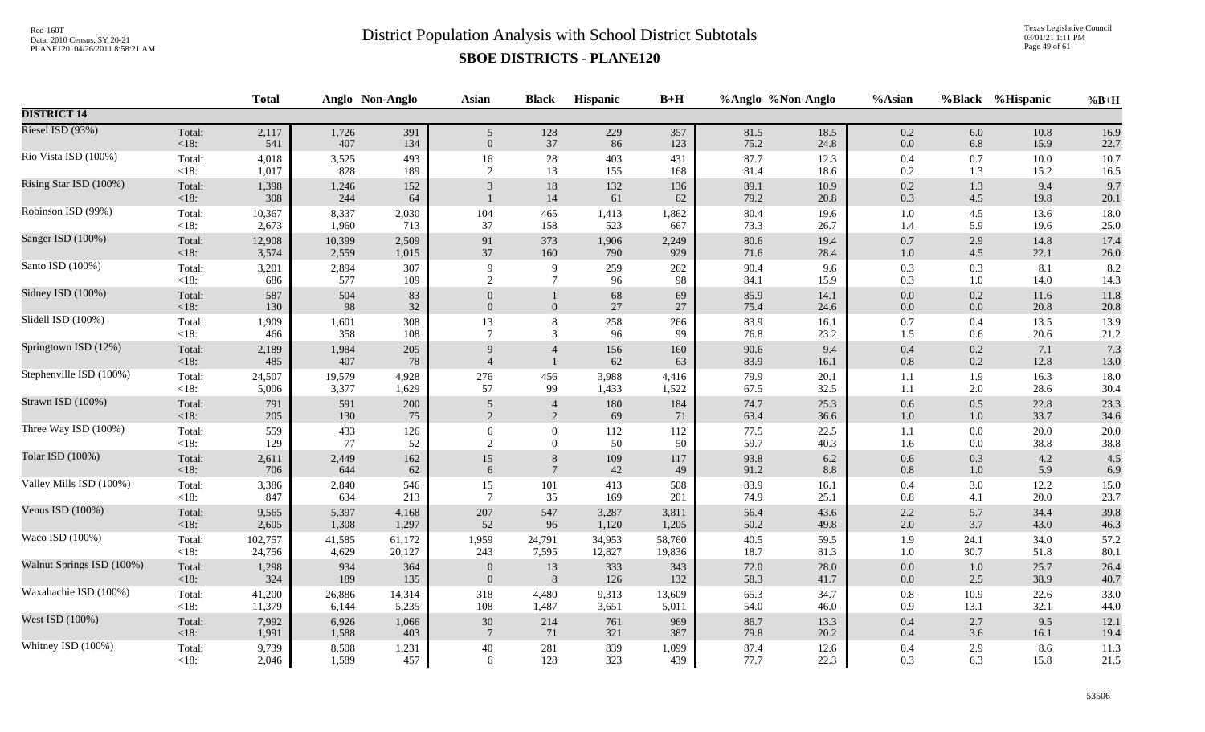Texas Legislative Council 03/01/21 1:11 PM Page 49 of 61

|                           |                   | <b>Total</b> |              | Anglo Non-Anglo | <b>Asian</b>    | <b>Black</b>     | Hispanic  | $B+H$     |              | %Anglo %Non-Anglo | %Asian         |            | %Black %Hispanic | $%B+H$      |
|---------------------------|-------------------|--------------|--------------|-----------------|-----------------|------------------|-----------|-----------|--------------|-------------------|----------------|------------|------------------|-------------|
| <b>DISTRICT 14</b>        |                   |              |              |                 |                 |                  |           |           |              |                   |                |            |                  |             |
| Riesel ISD (93%)          | Total:            | 2,117        | 1,726        | 391             | 5 <sup>5</sup>  | 128              | 229       | 357       | 81.5         | 18.5              | $0.2\,$        | 6.0        | 10.8             | 16.9        |
|                           | <18:              | 541          | 407          | 134             | $\mathbf{0}$    | 37               | 86        | 123       | 75.2         | 24.8              | $0.0\,$        | 6.8        | 15.9             | 22.7        |
| Rio Vista ISD (100%)      | Total:            | 4,018        | 3,525        | 493             | 16              | 28               | 403       | 431       | 87.7         | 12.3              | 0.4            | 0.7        | $10.0$           | 10.7        |
|                           | $<18$ :           | 1,017        | 828          | 189             | $\sqrt{2}$      | 13               | 155       | 168       | 81.4         | 18.6              | 0.2            | 1.3        | 15.2             | 16.5        |
| Rising Star ISD (100%)    | Total:<br>$<18$ : | 1,398<br>308 | 1,246<br>244 | 152<br>64       | 3               | $18\,$<br>14     | 132<br>61 | 136<br>62 | 89.1<br>79.2 | 10.9<br>20.8      | $0.2\,$<br>0.3 | 1.3<br>4.5 | 9.4<br>19.8      | 9.7<br>20.1 |
| Robinson ISD (99%)        | Total:            | 10,367       | 8,337        | 2,030           | 104             | 465              | 1,413     | 1,862     | 80.4         | 19.6              | 1.0            | 4.5        | 13.6             | 18.0        |
|                           | <18:              | 2,673        | 1,960        | 713             | 37              | 158              | 523       | 667       | 73.3         | 26.7              | 1.4            | 5.9        | 19.6             | 25.0        |
| Sanger ISD (100%)         | Total:            | 12,908       | 10,399       | 2,509           | 91              | 373              | 1,906     | 2,249     | 80.6         | 19.4              | $0.7\,$        | 2.9        | 14.8             | 17.4        |
|                           | $<18$ :           | 3,574        | 2,559        | 1,015           | 37              | 160              | 790       | 929       | 71.6         | 28.4              | $1.0\,$        | 4.5        | 22.1             | $26.0\,$    |
| Santo ISD (100%)          | Total:            | 3,201        | 2,894        | 307             | 9               | $\overline{9}$   | 259       | 262       | 90.4         | 9.6               | 0.3            | 0.3        | 8.1              | 8.2         |
|                           | <18:              | 686          | 577          | 109             | 2               | $7\phantom{.0}$  | 96        | 98        | 84.1         | 15.9              | 0.3            | 1.0        | 14.0             | 14.3        |
| Sidney ISD (100%)         | Total:            | 587          | 504          | 83              | $\theta$        | $\mathbf{1}$     | 68        | 69        | 85.9         | 14.1              | 0.0            | 0.2        | 11.6             | 11.8        |
|                           | < 18:             | 130          | 98           | 32              | $\mathbf{0}$    | $\boldsymbol{0}$ | 27        | 27        | 75.4         | 24.6              | $0.0\,$        | 0.0        | 20.8             | 20.8        |
| Slidell ISD (100%)        | Total:            | 1,909        | 1,601        | 308             | 13              | $8\,$            | 258       | 266       | 83.9         | 16.1              | 0.7            | 0.4        | 13.5             | 13.9        |
|                           | $<18$ :           | 466          | 358          | 108             | $\overline{7}$  | 3                | 96        | 99        | 76.8         | 23.2              | 1.5            | 0.6        | 20.6             | 21.2        |
| Springtown ISD (12%)      | Total:            | 2,189        | 1,984        | 205             | 9               | $\overline{4}$   | 156       | 160       | 90.6         | 9.4               | $0.4\,$        | $0.2\,$    | 7.1              | 7.3         |
|                           | <18:              | 485          | 407          | 78              | $\overline{4}$  | $\overline{1}$   | 62        | 63        | 83.9         | 16.1              | 0.8            | 0.2        | 12.8             | $13.0\,$    |
| Stephenville ISD (100%)   | Total:            | 24,507       | 19,579       | 4,928           | 276             | 456              | 3,988     | 4,416     | 79.9         | 20.1              | 1.1            | 1.9        | 16.3             | 18.0        |
|                           | $<18$ :           | 5,006        | 3,377        | 1,629           | 57              | 99               | 1,433     | 1,522     | 67.5         | 32.5              | 1.1            | 2.0        | 28.6             | 30.4        |
| Strawn ISD (100%)         | Total:            | 791          | 591          | 200             | $\mathfrak{S}$  | $\overline{4}$   | 180       | 184       | 74.7         | 25.3              | 0.6            | 0.5        | 22.8             | 23.3        |
|                           | <18:              | 205          | 130          | 75              | $\overline{2}$  | $\overline{2}$   | 69        | 71        | 63.4         | 36.6              | $1.0\,$        | $1.0\,$    | 33.7             | 34.6        |
| Three Way ISD (100%)      | Total:            | 559          | 433          | 126             | 6               | $\mathbf{0}$     | 112       | 112       | 77.5         | 22.5              | 1.1            | 0.0        | 20.0             | $20.0\,$    |
|                           | $<18$ :           | 129          | 77           | 52              | 2               | $\mathbf{0}$     | 50        | 50        | 59.7         | 40.3              | 1.6            | 0.0        | 38.8             | 38.8        |
| Tolar ISD (100%)          | Total:            | 2,611        | 2,449        | 162             | 15              | $\,8\,$          | 109       | 117       | 93.8         | $6.2\,$           | $0.6\,$        | 0.3        | 4.2              | 4.5         |
|                           | <18:              | 706          | 644          | 62              | 6               | $\tau$           | 42        | 49        | 91.2         | 8.8               | 0.8            | 1.0        | 5.9              | 6.9         |
| Valley Mills ISD (100%)   | Total:            | 3,386        | 2,840        | 546             | 15              | 101              | 413       | 508       | 83.9         | 16.1              | $0.4\,$        | 3.0        | 12.2             | 15.0        |
|                           | <18:              | 847          | 634          | 213             | $\overline{7}$  | 35               | 169       | 201       | 74.9         | 25.1              | 0.8            | 4.1        | 20.0             | 23.7        |
| Venus ISD (100%)          | Total:            | 9,565        | 5,397        | 4,168           | 207             | 547              | 3,287     | 3,811     | 56.4         | 43.6              | $2.2\,$        | 5.7        | 34.4             | 39.8        |
|                           | <18:              | 2,605        | 1,308        | 1,297           | 52              | 96               | 1,120     | 1,205     | 50.2         | 49.8              | 2.0            | 3.7        | 43.0             | 46.3        |
| Waco ISD (100%)           | Total:            | 102,757      | 41,585       | 61,172          | 1,959           | 24,791           | 34,953    | 58,760    | 40.5         | 59.5              | 1.9            | 24.1       | 34.0             | 57.2        |
|                           | <18:              | 24,756       | 4,629        | 20,127          | 243             | 7,595            | 12,827    | 19,836    | 18.7         | 81.3              | 1.0            | 30.7       | 51.8             | 80.1        |
| Walnut Springs ISD (100%) | Total:            | 1,298        | 934          | 364             | $\overline{0}$  | 13               | 333       | 343       | 72.0         | 28.0              | $0.0\,$        | $1.0\,$    | 25.7             | 26.4        |
|                           | < 18:             | 324          | 189          | 135             | $\overline{0}$  | $\boldsymbol{8}$ | 126       | 132       | 58.3         | 41.7              | $0.0\,$        | 2.5        | 38.9             | 40.7        |
| Waxahachie ISD (100%)     | Total:            | 41,200       | 26,886       | 14,314          | 318             | 4,480            | 9,313     | 13,609    | 65.3         | 34.7              | $0.8\,$        | 10.9       | 22.6             | 33.0        |
|                           | $<18$ :           | 11,379       | 6,144        | 5,235           | 108             | 1,487            | 3,651     | 5,011     | 54.0         | 46.0              | 0.9            | 13.1       | 32.1             | 44.0        |
| West ISD (100%)           | Total:            | 7,992        | 6,926        | 1,066           | 30              | 214              | 761       | 969       | 86.7         | 13.3              | $0.4\,$        | 2.7        | 9.5              | 12.1        |
|                           | <18:              | 1,991        | 1,588        | 403             | $7\phantom{.0}$ | 71               | 321       | 387       | 79.8         | 20.2              | $0.4\,$        | 3.6        | 16.1             | 19.4        |
| Whitney ISD (100%)        | Total:            | 9,739        | 8,508        | 1,231           | $40\,$          | 281              | 839       | 1,099     | 87.4         | 12.6              | $0.4\,$        | 2.9        | 8.6              | 11.3        |
|                           | $<18$ :           | 2,046        | 1,589        | 457             | 6               | 128              | 323       | 439       | 77.7         | 22.3              | 0.3            | 6.3        | 15.8             | 21.5        |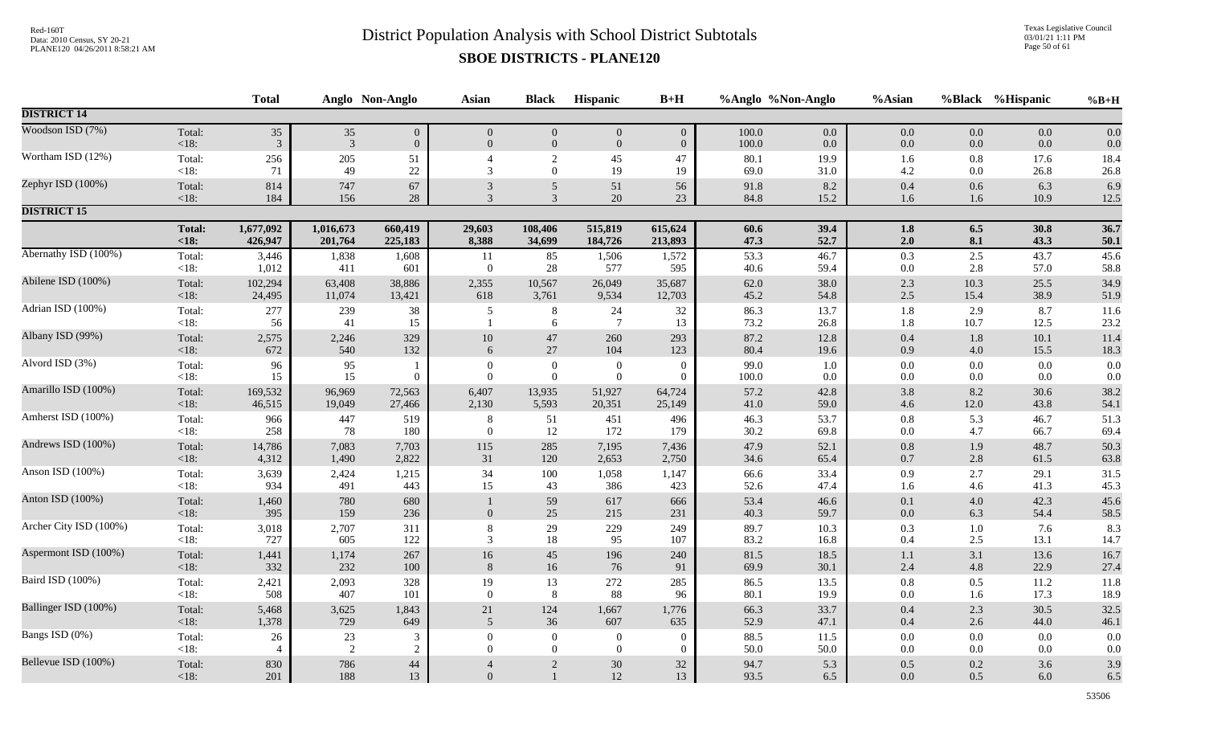Texas Legislative Council 03/01/21 1:11 PM Page 50 of 61

|                        |                | <b>Total</b>   |                | Anglo Non-Anglo | <b>Asian</b>         | <b>Black</b>                       | Hispanic                   | $B+H$                | %Anglo %Non-Anglo |              | %Asian         |                | %Black %Hispanic | $%B+H$       |
|------------------------|----------------|----------------|----------------|-----------------|----------------------|------------------------------------|----------------------------|----------------------|-------------------|--------------|----------------|----------------|------------------|--------------|
| <b>DISTRICT 14</b>     |                |                |                |                 |                      |                                    |                            |                      |                   |              |                |                |                  |              |
| Woodson ISD (7%)       | Total:         | $35\,$         | 35             | $\overline{0}$  | $\overline{0}$       | $\overline{0}$                     | $\boldsymbol{0}$           | $\overline{0}$       | 100.0             | 0.0          | 0.0            | 0.0            | 0.0              | 0.0          |
|                        | < 18:          | $\mathfrak{Z}$ | $\overline{3}$ | $\overline{0}$  | $\overline{0}$       | $\mathbf{0}$                       | $\overline{0}$             | $\overline{0}$       | 100.0             | 0.0          | 0.0            | 0.0            | 0.0              | 0.0          |
| Wortham ISD (12%)      | Total:<br><18: | 256<br>71      | $205\,$<br>49  | 51<br>$22\,$    | 3                    | $\overline{c}$<br>$\overline{0}$   | 45<br>19                   | 47<br>19             | 80.1<br>69.0      | 19.9<br>31.0 | 1.6<br>4.2     | 0.8<br>$0.0\,$ | 17.6<br>26.8     | 18.4<br>26.8 |
| Zephyr ISD (100%)      | Total:         | 814            | 747            | 67              | 3                    | $\mathfrak{S}$                     | 51                         | 56                   | 91.8              | 8.2          | 0.4            | 0.6            | 6.3              | 6.9          |
|                        | <18:           | 184            | 156            | 28              | $\mathcal{R}$        | 3                                  | 20                         | 23                   | 84.8              | 15.2         | 1.6            | 1.6            | 10.9             | 12.5         |
| <b>DISTRICT 15</b>     |                |                |                |                 |                      |                                    |                            |                      |                   |              |                |                |                  |              |
|                        | <b>Total:</b>  | 1,677,092      | 1,016,673      | 660,419         | 29,603               | 108,406                            | 515,819                    | 615,624              | 60.6              | 39.4         | 1.8            | 6.5            | 30.8             | 36.7         |
|                        | $\leq 18$ :    | 426,947        | 201,764        | 225,183         | 8,388                | 34,699                             | 184,726                    | 213,893              | 47.3              | 52.7         | 2.0            | 8.1            | 43.3             | 50.1         |
| Abernathy ISD (100%)   | Total:         | 3,446          | 1,838          | 1,608           | 11                   | 85                                 | 1,506                      | 1,572                | 53.3              | 46.7         | 0.3            | 2.5            | 43.7             | 45.6         |
|                        | < 18:          | 1,012          | 411            | 601             | $\overline{0}$       | $28\,$                             | 577                        | 595                  | 40.6              | 59.4         | 0.0            | 2.8            | 57.0             | 58.8         |
| Abilene ISD (100%)     | Total:         | 102,294        | 63,408         | 38,886          | 2,355                | 10,567                             | 26,049                     | 35,687               | 62.0              | 38.0         | 2.3            | 10.3           | 25.5             | 34.9         |
|                        | <18:           | 24,495         | 11,074         | 13,421          | 618                  | 3,761                              | 9,534                      | 12,703               | 45.2              | 54.8         | 2.5            | 15.4           | 38.9             | 51.9         |
| Adrian ISD (100%)      | Total:<br><18: | 277<br>56      | 239<br>41      | 38<br>15        | 5                    | $\,8\,$<br>6                       | 24<br>$7\phantom{.0}$      | 32<br>13             | 86.3<br>73.2      | 13.7<br>26.8 | $1.8\,$<br>1.8 | 2.9<br>10.7    | 8.7<br>12.5      | 11.6<br>23.2 |
| Albany ISD (99%)       | Total:         | 2,575          | 2,246          | 329             | $10\,$               | $47\,$                             | 260                        | 293                  | 87.2              | 12.8         | 0.4            | 1.8            | 10.1             | 11.4         |
|                        | < 18:          | 672            | 540            | 132             | 6                    | $27\,$                             | 104                        | 123                  | 80.4              | 19.6         | 0.9            | 4.0            | 15.5             | 18.3         |
| Alvord ISD (3%)        | Total:<br><18: | 96<br>15       | 95<br>15       | $\Omega$        | $\theta$<br>$\theta$ | $\boldsymbol{0}$<br>$\overline{0}$ | $\overline{0}$<br>$\theta$ | $\Omega$<br>$\Omega$ | 99.0<br>$100.0\,$ | 1.0<br>0.0   | 0.0<br>0.0     | 0.0<br>$0.0\,$ | 0.0<br>$0.0\,$   | 0.0<br>0.0   |
| Amarillo ISD (100%)    | Total:         | 169,532        | 96,969         | 72,563          | 6,407                | 13,935                             | 51,927                     | 64,724               | 57.2              | 42.8         | 3.8            | 8.2            | $30.6\,$         | 38.2         |
|                        | $<18$ :        | 46,515         | 19,049         | 27,466          | 2,130                | 5,593                              | 20,351                     | 25,149               | 41.0              | 59.0         | 4.6            | 12.0           | 43.8             | 54.1         |
| Amherst ISD (100%)     | Total:         | 966            | 447            | 519             | 8                    | 51                                 | 451                        | 496                  | 46.3              | 53.7         | $0.8\,$        | 5.3            | 46.7             | 51.3         |
|                        | $<18$ :        | 258            | 78             | 180             | $\mathbf{0}$         | 12                                 | 172                        | 179                  | 30.2              | 69.8         | 0.0            | 4.7            | 66.7             | 69.4         |
| Andrews ISD (100%)     | Total:         | 14,786         | 7,083          | 7,703           | 115                  | 285                                | 7,195                      | 7,436                | 47.9              | 52.1         | 0.8            | 1.9            | 48.7             | 50.3         |
|                        | $<18$ :        | 4,312          | 1,490          | 2,822           | 31                   | 120                                | 2,653                      | 2,750                | 34.6              | 65.4         | 0.7            | $2.8\,$        | 61.5             | 63.8         |
| Anson ISD (100%)       | Total:         | 3,639          | 2,424          | 1,215           | 34                   | 100                                | 1,058                      | 1,147                | 66.6              | 33.4         | 0.9            | 2.7            | 29.1             | 31.5         |
|                        | < 18:          | 934            | 491            | 443             | 15                   | 43                                 | 386                        | 423                  | 52.6              | 47.4         | 1.6            | 4.6            | 41.3             | 45.3         |
| Anton ISD (100%)       | Total:<br><18: | 1,460<br>395   | 780<br>159     | 680<br>236      | $\mathbf{0}$         | 59<br>25                           | 617<br>215                 | 666<br>231           | 53.4<br>40.3      | 46.6<br>59.7 | 0.1<br>0.0     | 4.0<br>6.3     | 42.3<br>54.4     | 45.6<br>58.5 |
| Archer City ISD (100%) | Total:         | 3,018          | 2,707          | 311             | 8                    | $29\,$                             | 229                        | 249                  | 89.7              | 10.3         | 0.3            | $1.0\,$        | 7.6              | 8.3          |
|                        | < 18:          | 727            | 605            | 122             | 3                    | 18                                 | 95                         | 107                  | 83.2              | 16.8         | 0.4            | 2.5            | 13.1             | 14.7         |
| Aspermont ISD (100%)   | Total:         | 1,441          | 1,174          | 267             | $16\,$               | $45\,$                             | 196                        | 240                  | 81.5              | 18.5         | 1.1            | 3.1            | 13.6             | 16.7         |
|                        | <18:           | 332            | 232            | 100             | 8                    | 16                                 | 76                         | 91                   | 69.9              | 30.1         | 2.4            | $4.8\,$        | 22.9             | 27.4         |
| Baird ISD (100%)       | Total:         | 2,421          | 2,093          | 328             | 19                   | 13                                 | 272                        | 285                  | 86.5              | 13.5         | 0.8            | 0.5            | 11.2             | 11.8         |
|                        | <18:           | 508            | 407            | 101             | $\Omega$             | $8\phantom{.}8$                    | 88                         | 96                   | 80.1              | 19.9         | 0.0            | 1.6            | 17.3             | 18.9         |
| Ballinger ISD (100%)   | Total:         | 5,468          | 3,625          | 1,843           | 21                   | 124                                | 1,667                      | 1,776                | 66.3              | 33.7         | 0.4            | 2.3            | 30.5             | 32.5         |
|                        | $<18$ :        | 1,378          | 729            | 649             | 5                    | 36                                 | 607                        | 635                  | 52.9              | 47.1         | 0.4            | 2.6            | 44.0             | 46.1         |
| Bangs ISD (0%)         | Total:         | 26             | 23             | 3               | $\Omega$             | $\theta$                           | $\overline{0}$             | $\Omega$             | 88.5              | 11.5         | 0.0            | 0.0            | 0.0              | 0.0          |
|                        | < 18:          | $\overline{4}$ | 2              | 2               | $\overline{0}$       | $\overline{0}$                     | $\overline{0}$             | $\mathbf{0}$         | 50.0              | 50.0         | 0.0            | $0.0\,$        | $0.0\,$          | 0.0          |
| Bellevue ISD (100%)    | Total:         | 830            | 786            | 44              | $\overline{4}$       | $\boldsymbol{2}$                   | $30\,$                     | 32                   | 94.7              | 5.3          | 0.5            | $0.2\,$        | 3.6              | 3.9          |
|                        | $<18$ :        | 201            | 188            | 13              | $\Omega$             | $\mathbf{1}$                       | $12\,$                     | 13                   | 93.5              | 6.5          | $0.0\,$        | 0.5            | 6.0              | 6.5          |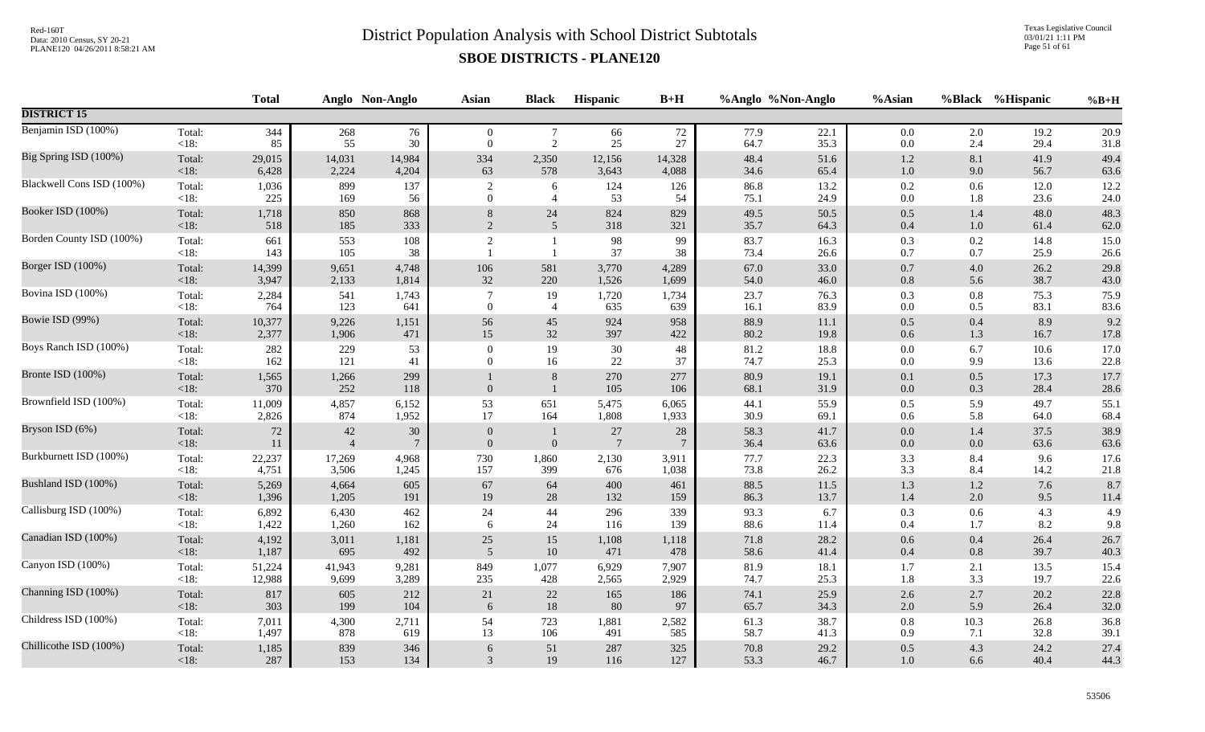Texas Legislative Council 03/01/21 1:11 PM Page 51 of 61

|                           |                   | <b>Total</b> |                          | Anglo Non-Anglo           | <b>Asian</b>             | <b>Black</b>                 | Hispanic                  | $B+H$                |              | %Anglo %Non-Anglo | %Asian             | %Black     | %Hispanic    | $%B+H$       |
|---------------------------|-------------------|--------------|--------------------------|---------------------------|--------------------------|------------------------------|---------------------------|----------------------|--------------|-------------------|--------------------|------------|--------------|--------------|
| <b>DISTRICT 15</b>        |                   |              |                          |                           |                          |                              |                           |                      |              |                   |                    |            |              |              |
| Benjamin ISD (100%)       | Total:            | 344          | 268                      | 76                        | $\overline{0}$           | $\tau$                       | 66                        | 72                   | 77.9         | 22.1              | $0.0\,$            | 2.0        | 19.2         | 20.9         |
|                           | $<18$ :           | 85           | 55                       | 30                        | $\theta$                 | 2                            | 25                        | 27                   | 64.7         | 35.3              | $0.0\,$            | 2.4        | 29.4         | 31.8         |
| Big Spring ISD (100%)     | Total:            | 29,015       | 14,031                   | 14,984                    | 334                      | 2,350                        | 12,156                    | 14,328               | 48.4         | 51.6              | $1.2\,$            | $8.1\,$    | 41.9         | 49.4         |
|                           | < 18:             | 6,428        | 2,224                    | 4,204                     | 63                       | 578                          | 3,643                     | 4,088                | 34.6         | 65.4              | $1.0\,$            | 9.0        | 56.7         | 63.6         |
| Blackwell Cons ISD (100%) | Total:            | 1,036        | 899                      | 137                       | $\boldsymbol{2}$         | 6                            | 124                       | 126                  | 86.8         | 13.2              | $0.2\,$            | 0.6        | 12.0         | 12.2         |
|                           | <18:              | 225          | 169                      | 56                        | $\mathbf{0}$             | $\overline{4}$               | 53                        | 54                   | 75.1         | 24.9              | $0.0\,$            | 1.8        | 23.6         | 24.0         |
| Booker ISD (100%)         | Total:            | 1,718        | 850                      | 868                       | 8                        | 24                           | 824                       | 829                  | 49.5         | 50.5              | 0.5                | 1.4        | 48.0         | 48.3         |
|                           | < 18:             | 518          | 185                      | 333                       | $\overline{2}$           | $\overline{5}$               | 318                       | 321                  | 35.7         | 64.3              | $0.4\,$            | $1.0\,$    | 61.4         | 62.0         |
| Borden County ISD (100%)  | Total:<br><18:    | 661<br>143   | 553<br>105               | 108<br>38                 | $\sqrt{2}$               | $\mathbf{1}$<br>$\mathbf{1}$ | 98<br>37                  | 99<br>38             | 83.7<br>73.4 | 16.3<br>26.6      | 0.3<br>0.7         | 0.2<br>0.7 | 14.8<br>25.9 | 15.0<br>26.6 |
| Borger ISD (100%)         | Total:            | 14,399       | 9,651                    | 4,748                     | 106                      | 581                          | 3,770                     | 4,289                | 67.0         | 33.0              | 0.7                | 4.0        | 26.2         | 29.8         |
|                           | < 18:             | 3,947        | 2,133                    | 1,814                     | 32                       | 220                          | 1,526                     | 1,699                | 54.0         | 46.0              | $0.8\,$            | 5.6        | 38.7         | 43.0         |
| Bovina ISD (100%)         | Total:            | 2,284        | 541                      | 1,743                     | $\overline{7}$           | 19                           | 1,720                     | 1,734                | 23.7         | 76.3              | 0.3                | $\rm 0.8$  | 75.3         | 75.9         |
|                           | $<18$ :           | 764          | 123                      | 641                       | $\theta$                 | $\overline{4}$               | 635                       | 639                  | 16.1         | 83.9              | $0.0\,$            | 0.5        | 83.1         | 83.6         |
| Bowie ISD (99%)           | Total:            | 10,377       | 9,226                    | 1,151                     | 56                       | 45                           | 924                       | 958                  | 88.9         | 11.1              | 0.5                | 0.4        | 8.9          | 9.2          |
|                           | <18:              | 2,377        | 1,906                    | 471                       | 15                       | 32                           | 397                       | 422                  | $80.2\,$     | 19.8              | $0.6\,$            | 1.3        | 16.7         | 17.8         |
| Boys Ranch ISD (100%)     | Total:            | 282          | 229                      | 53                        | $\mathbf{0}$             | 19                           | 30                        | 48                   | $81.2\,$     | 18.8              | $0.0\,$            | 6.7        | 10.6         | 17.0         |
|                           | <18:              | 162          | 121                      | 41                        | $\overline{0}$           | 16                           | $22\,$                    | 37                   | 74.7         | 25.3              | $0.0\,$            | 9.9        | 13.6         | 22.8         |
| Bronte ISD (100%)         | Total:<br>$<18$ : | 1,565<br>370 | 1,266<br>252             | 299<br>118                | $\mathbf{0}$             | $\,8\,$<br>$\mathbf{1}$      | 270<br>105                | 277<br>106           | 80.9<br>68.1 | 19.1<br>31.9      | $0.1\,$<br>$0.0\,$ | 0.5<br>0.3 | 17.3<br>28.4 | 17.7<br>28.6 |
| Brownfield ISD (100%)     | Total:            | 11,009       | 4,857                    | 6,152                     | 53                       | 651                          | 5,475                     | 6,065                | 44.1         | 55.9              | $0.5\,$            | 5.9        | 49.7         | 55.1         |
|                           | $<18$ :           | 2,826        | 874                      | 1,952                     | 17                       | 164                          | 1,808                     | 1,933                | 30.9         | 69.1              | $0.6\,$            | 5.8        | 64.0         | 68.4         |
| Bryson ISD (6%)           | Total:<br>$<18$ : | 72<br>11     | $42\,$<br>$\overline{4}$ | $30\,$<br>$7\phantom{.0}$ | $\mathbf{0}$<br>$\Omega$ | $\boldsymbol{0}$             | $27\,$<br>$7\phantom{.0}$ | 28<br>$\overline{7}$ | 58.3<br>36.4 | 41.7<br>63.6      | $0.0\,$<br>$0.0\,$ | 1.4<br>0.0 | 37.5<br>63.6 | 38.9<br>63.6 |
| Burkburnett ISD (100%)    | Total:            | 22,237       | 17,269                   | 4,968                     | 730                      | 1,860                        | 2,130                     | 3,911                | 77.7         | 22.3              | 3.3                | 8.4        | 9.6          | 17.6         |
|                           | $<18$ :           | 4,751        | 3,506                    | 1,245                     | 157                      | 399                          | 676                       | 1,038                | 73.8         | 26.2              | 3.3                | 8.4        | 14.2         | 21.8         |
| Bushland ISD (100%)       | Total:            | 5,269        | 4,664                    | 605                       | 67                       | 64                           | 400                       | 461                  | 88.5         | 11.5              | 1.3                | $1.2\,$    | 7.6          | 8.7          |
|                           | $<18$ :           | 1,396        | 1,205                    | 191                       | 19                       | 28                           | 132                       | 159                  | 86.3         | 13.7              | 1.4                | 2.0        | 9.5          | 11.4         |
| Callisburg ISD (100%)     | Total:            | 6,892        | 6,430                    | 462                       | 24                       | 44                           | 296                       | 339                  | 93.3         | 6.7               | 0.3                | 0.6        | 4.3          | 4.9          |
|                           | <18:              | 1,422        | 1,260                    | 162                       | 6                        | 24                           | 116                       | 139                  | 88.6         | 11.4              | $0.4\,$            | 1.7        | 8.2          | 9.8          |
| Canadian ISD (100%)       | Total:            | 4,192        | 3,011                    | 1,181                     | 25                       | 15                           | 1,108                     | 1,118                | 71.8         | 28.2              | $0.6\,$            | 0.4        | 26.4         | 26.7         |
|                           | $<18$ :           | 1,187        | 695                      | 492                       | 5                        | 10                           | 471                       | 478                  | 58.6         | 41.4              | $0.4\,$            | 0.8        | 39.7         | 40.3         |
| Canyon ISD (100%)         | Total:            | 51,224       | 41,943                   | 9,281                     | 849                      | 1,077                        | 6,929                     | 7,907                | 81.9         | 18.1              | 1.7                | 2.1        | 13.5         | 15.4         |
|                           | $<18$ :           | 12,988       | 9,699                    | 3,289                     | 235                      | 428                          | 2,565                     | 2,929                | 74.7         | 25.3              | 1.8                | 3.3        | 19.7         | 22.6         |
| Channing ISD (100%)       | Total:            | 817          | 605                      | 212                       | 21                       | $22\,$                       | 165                       | 186                  | 74.1         | 25.9              | $2.6\,$            | 2.7        | 20.2         | 22.8         |
|                           | $<18$ :           | 303          | 199                      | 104                       | 6                        | 18                           | 80                        | 97                   | 65.7         | 34.3              | 2.0                | 5.9        | 26.4         | 32.0         |
| Childress ISD (100%)      | Total:            | 7,011        | 4,300                    | 2,711                     | 54                       | 723                          | 1,881                     | 2,582                | 61.3         | 38.7              | $\rm 0.8$          | 10.3       | 26.8         | 36.8         |
|                           | $<18$ :           | 1,497        | 878                      | 619                       | 13                       | 106                          | 491                       | 585                  | 58.7         | 41.3              | 0.9                | 7.1        | 32.8         | 39.1         |
| Chillicothe ISD (100%)    | Total:            | 1,185        | 839                      | 346                       | 6                        | 51                           | 287                       | 325                  | 70.8         | 29.2              | $0.5\,$            | 4.3        | 24.2         | 27.4         |
|                           | $<18$ :           | $287\,$      | 153                      | 134                       | 3                        | 19                           | 116                       | 127                  | 53.3         | 46.7              | $1.0\,$            | 6.6        | 40.4         | 44.3         |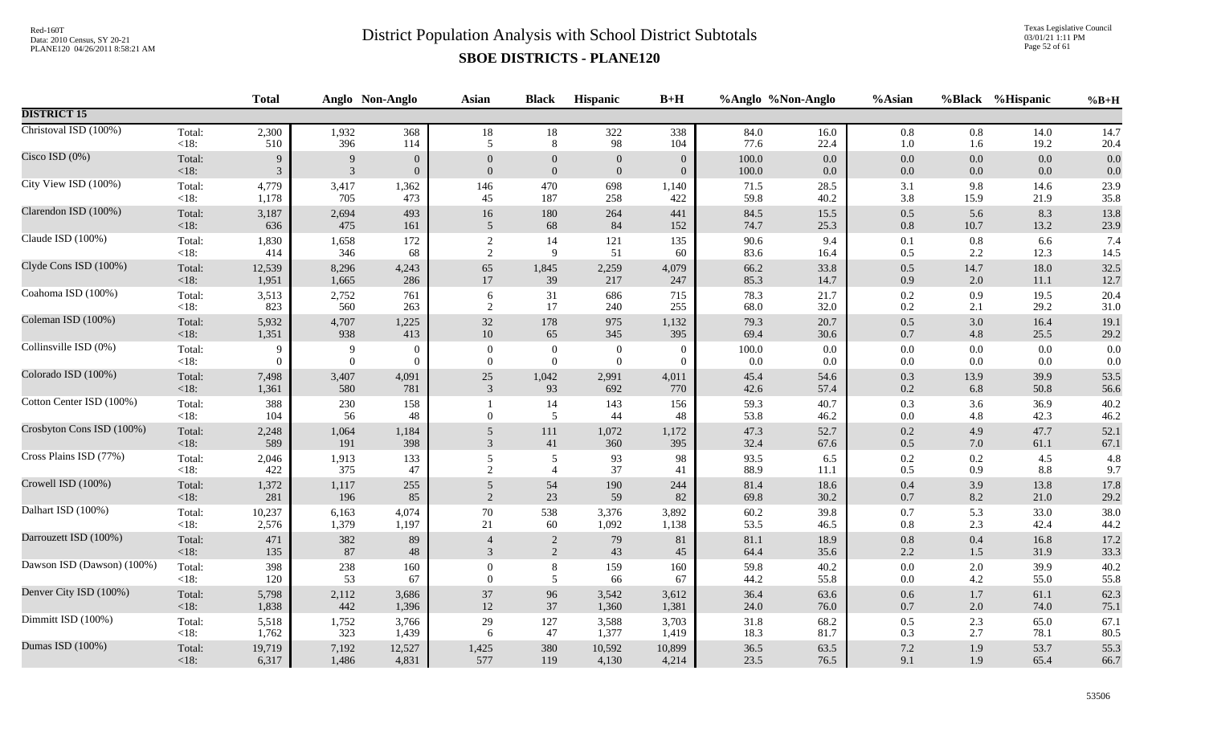Texas Legislative Council 03/01/21 1:11 PM Page 52 of 61

|                            |                   | <b>Total</b> |              | Anglo Non-Anglo | Asian          | <b>Black</b>     | Hispanic         | $B+H$          |              | %Anglo %Non-Anglo | %Asian             |            | %Black %Hispanic | $%B+H$       |
|----------------------------|-------------------|--------------|--------------|-----------------|----------------|------------------|------------------|----------------|--------------|-------------------|--------------------|------------|------------------|--------------|
| <b>DISTRICT 15</b>         |                   |              |              |                 |                |                  |                  |                |              |                   |                    |            |                  |              |
| Christoval ISD (100%)      | Total:            | 2,300        | 1,932        | 368             | $18\,$         | 18               | 322              | 338            | 84.0         | 16.0              | $0.8\,$            | 0.8        | 14.0             | 14.7         |
|                            | <18:              | 510          | 396          | 114             | 5              | 8                | 98               | 104            | 77.6         | 22.4              | $1.0\,$            | 1.6        | 19.2             | 20.4         |
| Cisco ISD (0%)             | Total:            | 9            | 9            | $\overline{0}$  | $\overline{0}$ | $\theta$         | $\mathbf{0}$     | $\overline{0}$ | 100.0        | $0.0\,$           | $0.0\,$            | $0.0\,$    | 0.0              | 0.0          |
|                            | $<18$ :           | 3            | 3            | $\overline{0}$  | $\overline{0}$ | $\mathbf{0}$     | $\mathbf{0}$     | $\overline{0}$ | 100.0        | $0.0\,$           | $0.0\,$            | $0.0\,$    | 0.0              | 0.0          |
| City View ISD (100%)       | Total:            | 4,779        | 3,417        | 1,362           | 146            | 470              | 698              | 1,140          | 71.5         | 28.5              | 3.1                | 9.8        | 14.6             | 23.9         |
|                            | $<18$ :           | 1,178        | 705          | 473             | 45             | 187              | 258              | 422            | 59.8         | 40.2              | 3.8                | 15.9       | 21.9             | 35.8         |
| Clarendon ISD (100%)       | Total:            | 3,187        | 2,694        | 493             | 16             | 180              | 264              | 441            | 84.5         | 15.5              | 0.5                | 5.6        | 8.3              | 13.8         |
|                            | <18:              | 636          | 475          | 161             | 5              | 68               | 84               | 152            | 74.7         | 25.3              | $0.8\,$            | 10.7       | 13.2             | 23.9         |
| Claude ISD (100%)          | Total:            | 1,830        | 1,658        | 172             | $\overline{c}$ | 14               | 121              | 135            | 90.6         | 9.4               | 0.1                | 0.8        | 6.6              | 7.4          |
|                            | $<18$ :           | 414          | 346          | 68              | 2              | 9                | 51               | 60             | 83.6         | 16.4              | 0.5                | 2.2        | 12.3             | 14.5         |
| Clyde Cons ISD (100%)      | Total:            | 12,539       | 8,296        | 4,243           | 65             | 1,845            | 2,259            | 4,079          | 66.2         | 33.8              | $0.5\,$            | 14.7       | 18.0             | 32.5         |
|                            | $<18$ :           | 1,951        | 1,665        | 286             | $17\,$         | 39               | 217              | 247            | 85.3         | 14.7              | 0.9                | 2.0        | 11.1             | 12.7         |
| Coahoma ISD (100%)         | Total:            | 3,513        | 2,752        | 761             | 6              | 31               | 686              | 715            | 78.3         | 21.7              | $0.2\,$            | 0.9        | 19.5             | 20.4         |
|                            | <18:              | 823          | 560          | 263             | $\sqrt{2}$     | 17               | 240              | 255            | 68.0         | 32.0              | 0.2                | 2.1        | 29.2             | $31.0\,$     |
| Coleman ISD (100%)         | Total:            | 5,932        | 4,707        | 1,225           | 32             | 178              | 975              | 1,132          | 79.3         | 20.7              | $0.5\,$            | 3.0        | 16.4             | 19.1         |
|                            | $<18$ :           | 1,351        | 938          | 413             | $10\,$         | 65               | 345              | 395            | 69.4         | $30.6\,$          | $0.7\,$            | 4.8        | 25.5             | 29.2         |
| Collinsville ISD (0%)      | Total:            | 9            | 9            | $\overline{0}$  | $\mathbf{0}$   | $\boldsymbol{0}$ | $\boldsymbol{0}$ | $\overline{0}$ | 100.0        | 0.0               | $0.0\,$            | $0.0\,$    | 0.0              | 0.0          |
|                            | $<18$ :           | $\Omega$     | $\mathbf{0}$ | $\Omega$        | $\overline{0}$ | $\mathbf{0}$     | $\mathbf{0}$     | $\overline{0}$ | 0.0          | 0.0               | $0.0\,$            | 0.0        | 0.0              | 0.0          |
| Colorado ISD (100%)        | Total:            | 7,498        | 3,407        | 4,091           | 25             | 1,042            | 2,991            | 4,011          | 45.4         | 54.6              | $0.3\,$            | 13.9       | 39.9             | 53.5         |
|                            | $<18$ :           | 1,361        | 580          | 781             | 3              | 93               | 692              | 770            | 42.6         | 57.4              | 0.2                | 6.8        | 50.8             | 56.6         |
| Cotton Center ISD (100%)   | Total:<br>< 18:   | 388<br>104   | 230<br>56    | 158<br>48       | $\overline{0}$ | 14<br>5          | 143<br>44        | 156<br>48      | 59.3<br>53.8 | 40.7<br>46.2      | 0.3<br>$0.0\,$     | 3.6<br>4.8 | 36.9<br>42.3     | 40.2<br>46.2 |
| Crosbyton Cons ISD (100%)  | Total:            | 2,248        | 1,064        | 1,184           | 5              | 111              | 1,072            | 1,172          | 47.3         | 52.7              | $0.2\,$            | 4.9        | 47.7             | 52.1         |
|                            | $<18$ :           | 589          | 191          | 398             | 3              | 41               | 360              | 395            | 32.4         | 67.6              | 0.5                | 7.0        | 61.1             | 67.1         |
| Cross Plains ISD (77%)     | Total:            | 2,046        | 1,913        | 133             | 5              | $\mathfrak{S}$   | 93               | 98             | 93.5         | 6.5               | $0.2\,$            | 0.2        | 4.5              | 4.8          |
|                            | $<18$ :           | 422          | 375          | 47              | 2              | $\overline{4}$   | 37               | 41             | 88.9         | 11.1              | $0.5\,$            | 0.9        | 8.8              | 9.7          |
| Crowell ISD (100%)         | Total:            | 1,372        | 1,117        | 255             | 5              | 54               | 190              | 244            | 81.4         | 18.6              | $0.4\,$            | 3.9        | 13.8             | 17.8         |
|                            | $<18$ :           | 281          | 196          | 85              | $\overline{c}$ | 23               | 59               | 82             | 69.8         | 30.2              | $0.7\,$            | 8.2        | 21.0             | 29.2         |
| Dalhart ISD (100%)         | Total:            | 10,237       | 6,163        | 4,074           | $70\,$         | 538              | 3,376            | 3,892          | 60.2         | 39.8              | 0.7                | 5.3        | 33.0             | 38.0         |
|                            | $<18$ :           | 2,576        | 1,379        | 1,197           | 21             | 60               | 1,092            | 1,138          | 53.5         | 46.5              | $0.8\,$            | 2.3        | 42.4             | 44.2         |
| Darrouzett ISD (100%)      | Total:<br>$<18$ : | 471<br>135   | 382<br>87    | 89<br>48        | 3              | 2<br>2           | 79<br>43         | 81<br>45       | 81.1<br>64.4 | 18.9<br>35.6      | $0.8\,$<br>$2.2\,$ | 0.4<br>1.5 | 16.8<br>31.9     | 17.2<br>33.3 |
| Dawson ISD (Dawson) (100%) | Total:            | 398          | 238          | 160             | $\overline{0}$ | $8\,$            | 159              | 160            | 59.8         | 40.2              | $0.0\,$            | 2.0        | 39.9             | 40.2         |
|                            | $<18$ :           | 120          | 53           | 67              | $\theta$       | 5                | 66               | 67             | 44.2         | 55.8              | $0.0\,$            | 4.2        | 55.0             | 55.8         |
| Denver City ISD (100%)     | Total:            | 5,798        | 2,112        | 3,686           | $37\,$         | 96               | 3,542            | 3,612          | 36.4         | 63.6              | $0.6\,$            | $1.7\,$    | 61.1             | 62.3         |
|                            | $<18$ :           | 1,838        | 442          | 1,396           | 12             | 37               | 1,360            | 1,381          | 24.0         | 76.0              | $0.7\,$            | 2.0        | 74.0             | 75.1         |
| Dimmitt ISD (100%)         | Total:            | 5,518        | 1,752        | 3,766           | 29             | 127              | 3,588            | 3,703          | 31.8         | 68.2              | $0.5\,$            | 2.3        | 65.0             | 67.1         |
|                            | $<18$ :           | 1,762        | 323          | 1,439           | 6              | 47               | 1,377            | 1,419          | 18.3         | 81.7              | 0.3                | 2.7        | 78.1             | 80.5         |
| Dumas ISD (100%)           | Total:            | 19,719       | 7,192        | 12,527          | 1,425          | 380              | 10,592           | 10,899         | 36.5         | 63.5              | $7.2\,$            | 1.9        | 53.7             | 55.3         |
|                            | $<18$ :           | 6,317        | 1,486        | 4,831           | 577            | 119              | 4,130            | 4,214          | 23.5         | 76.5              | 9.1                | 1.9        | 65.4             | 66.7         |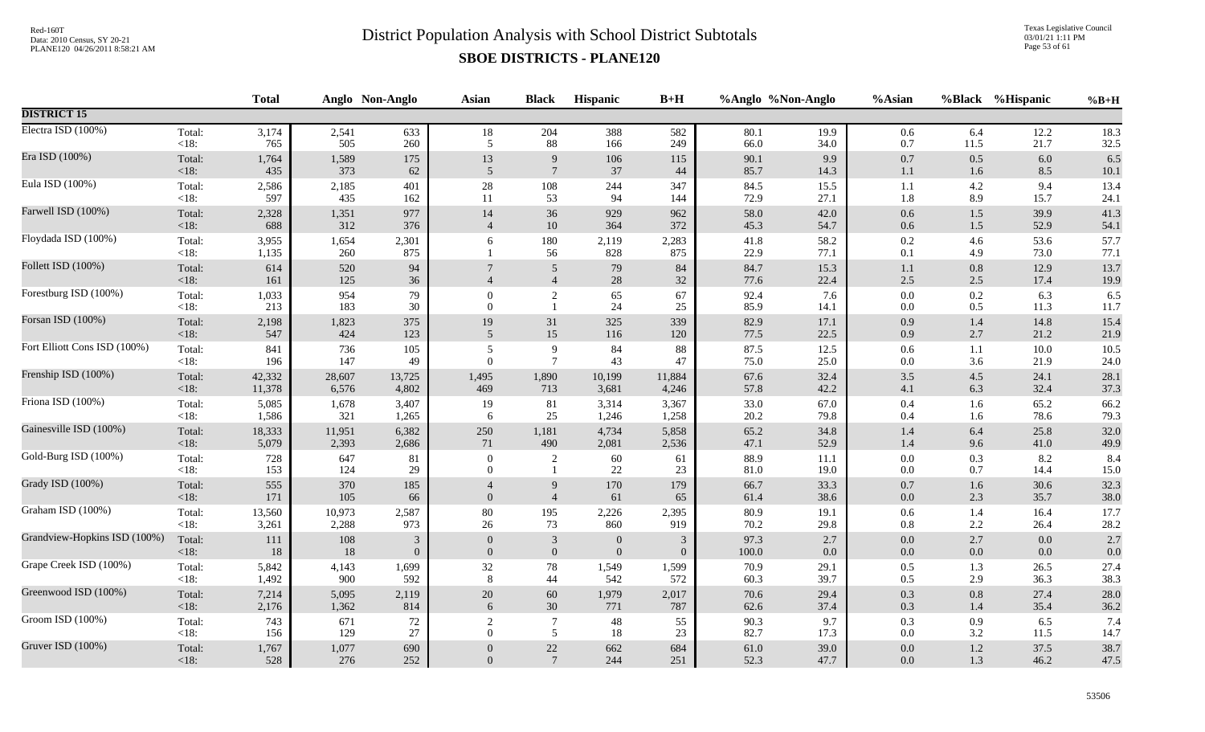Texas Legislative Council 03/01/21 1:11 PM Page 53 of 61

|                              |                   | <b>Total</b>   |              | Anglo Non-Anglo | <b>Asian</b>             | <b>Black</b>        | Hispanic         | $B+H$        |              | %Anglo %Non-Anglo | %Asian             |                | %Black %Hispanic | $%B+H$       |
|------------------------------|-------------------|----------------|--------------|-----------------|--------------------------|---------------------|------------------|--------------|--------------|-------------------|--------------------|----------------|------------------|--------------|
| <b>DISTRICT 15</b>           |                   |                |              |                 |                          |                     |                  |              |              |                   |                    |                |                  |              |
| Electra ISD (100%)           | Total:            | 3,174          | 2,541        | 633             | $18\,$                   | 204                 | 388              | 582          | 80.1         | 19.9              | 0.6                | 6.4            | 12.2             | 18.3         |
|                              | $<18$ :           | 765            | 505          | 260             | 5                        | 88                  | 166              | 249          | 66.0         | 34.0              | $0.7\,$            | 11.5           | 21.7             | 32.5         |
| Era ISD (100%)               | Total:            | 1,764          | 1,589        | 175             | 13                       | 9                   | 106              | 115          | 90.1         | 9.9               | $0.7\,$            | 0.5            | 6.0              | 6.5          |
|                              | <18:              | 435            | 373          | 62              | 5                        | $7\phantom{.0}$     | 37               | 44           | 85.7         | 14.3              | 1.1                | 1.6            | 8.5              | 10.1         |
| Eula ISD (100%)              | Total:            | 2,586          | 2,185        | 401             | $28\,$                   | 108                 | 244              | 347          | 84.5         | 15.5              | 1.1                | 4.2            | 9.4              | 13.4         |
|                              | $<18$ :           | 597            | 435          | 162             | 11                       | 53                  | 94               | 144          | 72.9         | 27.1              | 1.8                | 8.9            | 15.7             | 24.1         |
| Farwell ISD (100%)           | Total:            | 2,328          | 1,351        | 977             | 14                       | 36                  | 929              | 962          | 58.0         | 42.0              | $0.6\,$            | $1.5\,$        | 39.9             | 41.3         |
|                              | <18:              | 688            | 312          | 376             | $\overline{4}$           | $10\,$              | 364              | 372          | 45.3         | 54.7              | $0.6\,$            | 1.5            | 52.9             | 54.1         |
| Floydada ISD (100%)          | Total:<br>$<18$ : | 3,955<br>1,135 | 1,654<br>260 | 2,301<br>875    | 6                        | 180<br>56           | 2,119<br>828     | 2,283<br>875 | 41.8<br>22.9 | 58.2<br>77.1      | $0.2\,$<br>$0.1\,$ | 4.6<br>4.9     | 53.6<br>73.0     | 57.7<br>77.1 |
| Follett ISD (100%)           | Total:<br><18:    | 614<br>161     | 520<br>125   | 94<br>36        | $\overline{4}$           | 5<br>$\overline{4}$ | 79<br>$28\,$     | 84<br>32     | 84.7<br>77.6 | 15.3<br>22.4      | $1.1\,$<br>$2.5\,$ | 0.8<br>2.5     | 12.9<br>17.4     | 13.7<br>19.9 |
| Forestburg ISD (100%)        | Total:<br>$<18$ : | 1,033<br>213   | 954<br>183   | 79<br>30        | $\theta$<br>$\theta$     | $\overline{c}$      | 65<br>24         | 67<br>25     | 92.4<br>85.9 | 7.6<br>14.1       | $0.0\,$<br>$0.0\,$ | 0.2<br>0.5     | 6.3<br>11.3      | 6.5<br>11.7  |
| Forsan ISD (100%)            | Total:            | 2,198          | 1,823        | 375             | 19                       | 31                  | 325              | 339          | 82.9         | 17.1              | $0.9\,$            | 1.4            | 14.8             | 15.4         |
|                              | <18:              | 547            | 424          | 123             | 5                        | 15                  | 116              | 120          | 77.5         | 22.5              | $0.9\,$            | 2.7            | 21.2             | 21.9         |
| Fort Elliott Cons ISD (100%) | Total:            | 841            | 736          | 105             | 5                        | 9                   | 84               | 88           | 87.5         | 12.5              | 0.6                | 1.1            | 10.0             | 10.5         |
|                              | <18:              | 196            | 147          | 49              | $\overline{0}$           | $7\phantom{.0}$     | 43               | 47           | 75.0         | 25.0              | $0.0\,$            | 3.6            | 21.9             | 24.0         |
| Frenship ISD (100%)          | Total:            | 42,332         | 28,607       | 13,725          | 1,495                    | 1,890               | 10,199           | 11,884       | 67.6         | 32.4              | $3.5$              | 4.5            | 24.1             | 28.1         |
|                              | <18:              | 11,378         | 6,576        | 4,802           | 469                      | 713                 | 3,681            | 4,246        | 57.8         | 42.2              | 4.1                | 6.3            | 32.4             | 37.3         |
| Friona ISD (100%)            | Total:            | 5,085          | 1,678        | 3,407           | 19                       | 81                  | 3,314            | 3,367        | 33.0         | 67.0              | $0.4\,$            | 1.6            | 65.2             | 66.2         |
|                              | <18:              | 1,586          | 321          | 1,265           | 6                        | $25\,$              | 1,246            | 1,258        | 20.2         | 79.8              | $0.4\,$            | 1.6            | 78.6             | 79.3         |
| Gainesville ISD (100%)       | Total:            | 18,333         | 11,951       | 6,382           | 250                      | 1,181               | 4,734            | 5,858        | 65.2         | 34.8              | $1.4\,$            | 6.4            | 25.8             | 32.0         |
|                              | $<18$ :           | 5,079          | 2,393        | 2,686           | 71                       | 490                 | 2,081            | 2,536        | 47.1         | 52.9              | $1.4\,$            | 9.6            | 41.0             | 49.9         |
| Gold-Burg ISD (100%)         | Total:<br>$<18$ : | 728<br>153     | 647<br>124   | 81<br>29        | $\mathbf{0}$<br>$\Omega$ | $\overline{2}$      | 60<br>22         | 61<br>23     | 88.9<br>81.0 | 11.1<br>19.0      | $0.0\,$<br>$0.0\,$ | 0.3<br>0.7     | 8.2<br>14.4      | 8.4<br>15.0  |
| Grady ISD (100%)             | Total:<br>$<18$ : | 555<br>171     | 370<br>105   | 185<br>66       | $\overline{0}$           | 9<br>$\overline{4}$ | 170<br>61        | 179<br>65    | 66.7<br>61.4 | 33.3<br>38.6      | $0.7\,$<br>$0.0\,$ | 1.6<br>2.3     | 30.6<br>35.7     | 32.3<br>38.0 |
| Graham ISD (100%)            | Total:            | 13,560         | 10,973       | 2,587           | 80                       | 195                 | 2,226            | 2,395        | 80.9         | 19.1              | $0.6\,$            | 1.4            | 16.4             | 17.7         |
|                              | $<18$ :           | 3,261          | 2,288        | 973             | 26                       | 73                  | 860              | 919          | 70.2         | 29.8              | $0.8\,$            | 2.2            | 26.4             | 28.2         |
| Grandview-Hopkins ISD (100%) | Total:            | 111            | $108\,$      | 3               | $\theta$                 | $\overline{3}$      | $\boldsymbol{0}$ | 3            | 97.3         | 2.7               | $0.0\,$            | 2.7            | $0.0\,$          | 2.7          |
|                              | $<18$ :           | 18             | $18\,$       | $\overline{0}$  | $\overline{0}$           | $\mathbf{0}$        | $\mathbf{0}$     | $\mathbf{0}$ | $100.0\,$    | 0.0               | $0.0\,$            | 0.0            | 0.0              | 0.0          |
| Grape Creek ISD (100%)       | Total:            | 5,842          | 4,143        | 1,699           | $32\,$                   | $78\,$              | 1,549            | 1,599        | 70.9         | 29.1              | $0.5\,$            | 1.3            | 26.5             | 27.4         |
|                              | $<18$ :           | 1,492          | 900          | 592             | $\,8\,$                  | 44                  | 542              | 572          | 60.3         | 39.7              | $0.5\,$            | 2.9            | 36.3             | 38.3         |
| Greenwood ISD (100%)         | Total:            | 7,214          | 5,095        | 2,119           | $20\,$                   | 60                  | 1,979            | 2,017        | 70.6         | 29.4              | $0.3\,$            | 0.8            | 27.4             | 28.0         |
|                              | $<18$ :           | 2,176          | 1,362        | 814             | 6                        | $30\,$              | 771              | 787          | 62.6         | 37.4              | 0.3                | 1.4            | 35.4             | 36.2         |
| Groom ISD (100%)             | Total:            | 743            | 671          | 72              | 2                        | $\overline{7}$      | 48               | 55           | 90.3         | 9.7               | 0.3                | 0.9            | 6.5              | 7.4          |
|                              | $<18$ :           | 156            | 129          | 27              | $\Omega$                 | 5                   | 18               | 23           | 82.7         | 17.3              | $0.0\,$            | 3.2            | 11.5             | 14.7         |
| Gruver ISD (100%)            | Total:<br>$<18$ : | 1,767<br>528   | 1,077<br>276 | 690<br>252      | $\Omega$<br>$\Omega$     | $\frac{22}{7}$      | 662<br>244       | 684<br>251   | 61.0<br>52.3 | 39.0<br>47.7      | $0.0\,$<br>0.0     | $1.2\,$<br>1.3 | 37.5<br>46.2     | 38.7<br>47.5 |
|                              |                   |                |              |                 |                          |                     |                  |              |              |                   |                    |                |                  |              |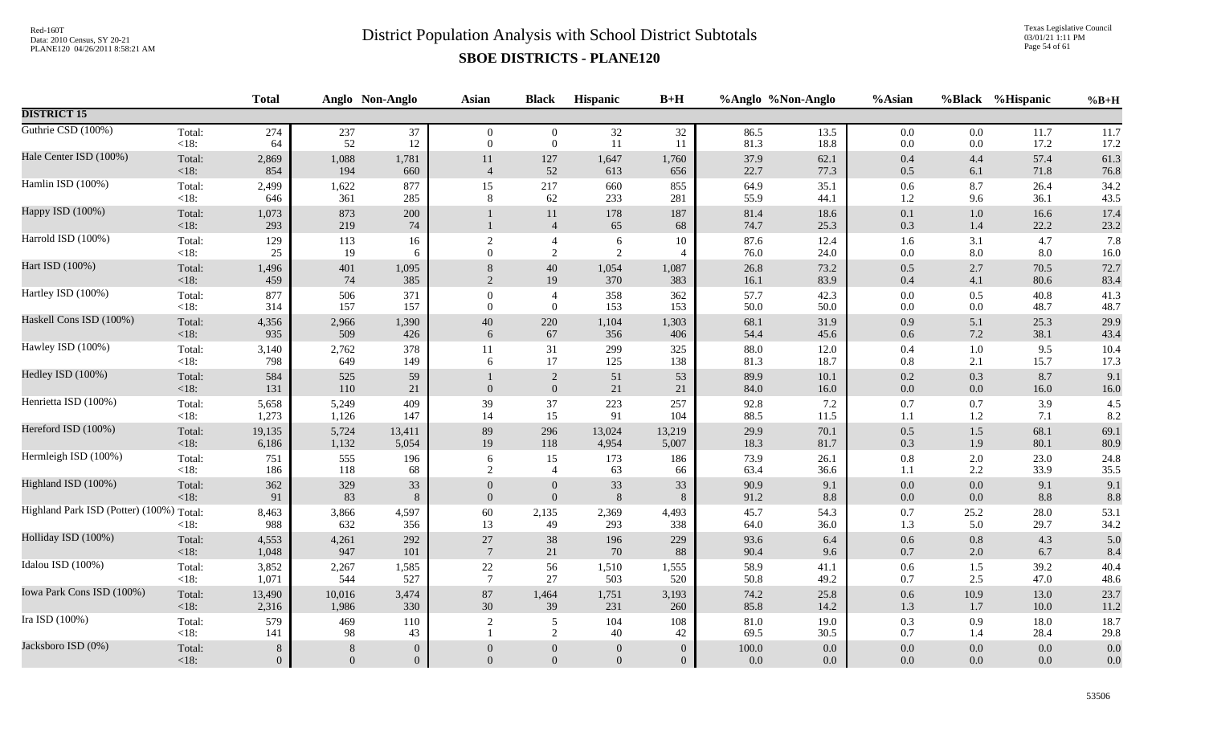Texas Legislative Council 03/01/21 1:11 PM Page 54 of 61

|                                          |                   | <b>Total</b> |              | Anglo Non-Anglo | <b>Asian</b>     | <b>Black</b>         | <b>Hispanic</b> | $B+H$                    |                  | %Anglo %Non-Anglo | %Asian             | <b>%Black</b>  | %Hispanic    | $%B+H$       |
|------------------------------------------|-------------------|--------------|--------------|-----------------|------------------|----------------------|-----------------|--------------------------|------------------|-------------------|--------------------|----------------|--------------|--------------|
| <b>DISTRICT 15</b>                       |                   |              |              |                 |                  |                      |                 |                          |                  |                   |                    |                |              |              |
| Guthrie CSD (100%)                       | Total:            | 274          | 237          | 37              | $\overline{0}$   | $\overline{0}$       | 32              | 32                       | 86.5             | 13.5              | $0.0\,$            | 0.0            | 11.7         | 11.7         |
|                                          | $<18$ :           | 64           | 52           | 12              | $\theta$         | $\overline{0}$       | 11              | 11                       | 81.3             | 18.8              | $0.0\,$            | 0.0            | 17.2         | 17.2         |
| Hale Center ISD (100%)                   | Total:            | 2,869        | 1,088        | 1,781           | 11               | 127                  | 1,647           | 1,760                    | 37.9             | 62.1              | 0.4                | 4.4            | 57.4         | 61.3         |
|                                          | <18:              | 854          | 194          | 660             | $\overline{4}$   | 52                   | 613             | 656                      | 22.7             | 77.3              | 0.5                | 6.1            | 71.8         | 76.8         |
| Hamlin ISD (100%)                        | Total:            | 2,499        | 1,622        | 877             | 15               | 217                  | 660             | 855                      | 64.9             | 35.1              | 0.6                | 8.7            | 26.4         | 34.2         |
|                                          | $<18$ :           | 646          | 361          | 285             | 8                | 62                   | 233             | 281                      | 55.9             | 44.1              | $1.2\,$            | 9.6            | 36.1         | 43.5         |
| Happy ISD (100%)                         | Total:<br><18:    | 1,073<br>293 | 873<br>219   | 200<br>74       |                  | 11<br>$\overline{4}$ | 178<br>65       | 187<br>68                | 81.4<br>74.7     | 18.6<br>25.3      | 0.1<br>0.3         | $1.0\,$<br>1.4 | 16.6<br>22.2 | 17.4<br>23.2 |
| Harrold ISD (100%)                       | Total:            | 129          | 113          | 16              | $\sqrt{2}$       | $\overline{4}$       | 6               | 10                       | 87.6             | 12.4              | 1.6                | 3.1            | 4.7          | 7.8          |
|                                          | $<18$ :           | 25           | 19           | 6               | $\theta$         | 2                    | 2               | $\overline{\mathcal{A}}$ | 76.0             | 24.0              | 0.0                | $8.0\,$        | 8.0          | 16.0         |
| Hart ISD (100%)                          | Total:            | 1,496        | 401          | 1,095           | $\,8\,$          | 40                   | 1,054           | 1,087                    | 26.8             | 73.2              | 0.5                | 2.7            | 70.5         | 72.7         |
|                                          | < 18:             | 459          | 74           | 385             | $\overline{2}$   | 19                   | 370             | 383                      | 16.1             | 83.9              | $0.4\,$            | 4.1            | 80.6         | 83.4         |
| Hartley ISD (100%)                       | Total:            | 877          | 506          | 371             | $\boldsymbol{0}$ | $\overline{4}$       | 358             | 362                      | 57.7             | 42.3              | $0.0\,$            | 0.5            | 40.8         | 41.3         |
|                                          | $<18$ :           | 314          | 157          | 157             | $\mathbf{0}$     | $\mathbf{0}$         | 153             | 153                      | 50.0             | 50.0              | 0.0                | $0.0\,$        | 48.7         | 48.7         |
| Haskell Cons ISD (100%)                  | Total:            | 4,356        | 2,966        | 1,390           | $40\,$           | 220                  | 1,104           | 1,303                    | 68.1             | 31.9              | 0.9                | 5.1            | 25.3         | 29.9         |
|                                          | < 18:             | 935          | 509          | 426             | 6                | 67                   | 356             | 406                      | 54.4             | 45.6              | $0.6\,$            | 7.2            | 38.1         | 43.4         |
| Hawley ISD (100%)                        | Total:            | 3,140        | 2,762        | 378             | 11               | 31                   | 299             | 325                      | 88.0             | 12.0              | 0.4                | 1.0            | 9.5          | 10.4         |
|                                          | $<18$ :           | 798          | 649          | 149             | 6                | 17                   | 125             | 138                      | 81.3             | 18.7              | 0.8                | 2.1            | 15.7         | 17.3         |
| Hedley ISD (100%)                        | Total:<br>$<18$ : | 584<br>131   | 525<br>110   | 59<br>21        | $\boldsymbol{0}$ | 2<br>$\mathbf{0}$    | 51<br>21        | 53<br>21                 | 89.9<br>84.0     | 10.1<br>16.0      | $0.2\,$<br>$0.0\,$ | 0.3<br>$0.0\,$ | 8.7<br>16.0  | 9.1<br>16.0  |
| Henrietta ISD (100%)                     | Total:            | 5,658        | 5,249        | 409             | 39               | 37                   | 223             | 257                      | 92.8             | $7.2\,$           | 0.7                | 0.7            | 3.9          | 4.5          |
|                                          | $<18$ :           | 1,273        | 1,126        | 147             | 14               | 15                   | 91              | 104                      | 88.5             | 11.5              | 1.1                | $1.2\,$        | 7.1          | 8.2          |
| Hereford ISD (100%)                      | Total:            | 19,135       | 5,724        | 13,411          | 89               | 296                  | 13,024          | 13,219                   | 29.9             | 70.1              | 0.5                | $1.5$          | 68.1         | 69.1         |
|                                          | <18:              | 6,186        | 1,132        | 5,054           | 19               | 118                  | 4,954           | 5,007                    | 18.3             | 81.7              | 0.3                | 1.9            | 80.1         | 80.9         |
| Hermleigh ISD (100%)                     | Total:            | 751          | 555          | 196             | $\sqrt{6}$       | 15                   | 173             | 186                      | 73.9             | 26.1              | $0.8\,$            | 2.0            | 23.0         | 24.8         |
|                                          | $<18$ :           | 186          | 118          | 68              | $\overline{2}$   | $\overline{4}$       | 63              | 66                       | 63.4             | 36.6              | 1.1                | 2.2            | 33.9         | 35.5         |
| Highland ISD (100%)                      | Total:            | 362          | 329          | 33              | $\boldsymbol{0}$ | $\boldsymbol{0}$     | 33              | 33                       | 90.9             | 9.1               | $0.0\,$            | 0.0            | 9.1          | 9.1          |
|                                          | <18:              | 91           | 83           | $\,8\,$         | $\mathbf{0}$     | $\mathbf{0}$         | 8               | 8                        | 91.2             | 8.8               | $0.0\,$            | $0.0\,$        | 8.8          | 8.8          |
| Highland Park ISD (Potter) (100%) Total: | <18:              | 8,463<br>988 | 3,866<br>632 | 4,597<br>356    | 60<br>13         | 2,135<br>49          | 2,369<br>293    | 4,493<br>338             | 45.7<br>64.0     | 54.3<br>36.0      | 0.7<br>1.3         | 25.2<br>5.0    | 28.0<br>29.7 | 53.1<br>34.2 |
| Holliday ISD (100%)                      | Total:            | 4,553        | 4,261        | 292             | 27               | 38                   | 196             | 229                      | 93.6             | 6.4               | 0.6                | 0.8            | 4.3          | 5.0          |
|                                          | $<18$ :           | 1,048        | 947          | 101             | $7\phantom{.0}$  | 21                   | 70              | 88                       | 90.4             | 9.6               | 0.7                | 2.0            | 6.7          | 8.4          |
| Idalou ISD (100%)                        | Total:            | 3,852        | 2,267        | 1,585           | $22\,$           | 56                   | 1,510           | 1,555                    | 58.9             | 41.1              | $0.6\,$            | 1.5            | 39.2         | 40.4         |
|                                          | $<18$ :           | 1,071        | 544          | 527             | $7\phantom{.0}$  | 27                   | 503             | 520                      | 50.8             | 49.2              | 0.7                | 2.5            | 47.0         | 48.6         |
| Iowa Park Cons ISD (100%)                | Total:            | 13,490       | 10,016       | 3,474           | 87               | 1,464                | 1,751           | 3,193                    | 74.2             | 25.8              | $0.6\,$            | 10.9           | 13.0         | 23.7         |
|                                          | <18:              | 2,316        | 1,986        | 330             | 30               | 39                   | 231             | 260                      | 85.8             | 14.2              | 1.3                | 1.7            | 10.0         | 11.2         |
| Ira ISD (100%)                           | Total:<br>< 18:   | 579<br>141   | 469<br>98    | 110<br>43       | 2                | 5<br>2               | 104<br>40       | 108<br>42                | $81.0\,$<br>69.5 | 19.0<br>30.5      | 0.3<br>0.7         | 0.9<br>1.4     | 18.0<br>28.4 | 18.7<br>29.8 |
| Jacksboro ISD (0%)                       | Total:            | $\,8\,$      | 8            | $\overline{0}$  | $\overline{0}$   | $\overline{0}$       | $\mathbf{0}$    | $\theta$                 | 100.0            | 0.0               | 0.0                | 0.0            | 0.0          | 0.0          |
|                                          | < 18:             | $\mathbf{0}$ | $\Omega$     | $\overline{0}$  | $\overline{0}$   | $\overline{0}$       | $\Omega$        | $\overline{0}$           | 0.0              | 0.0               | 0.0                | $0.0\,$        | 0.0          | $0.0\,$      |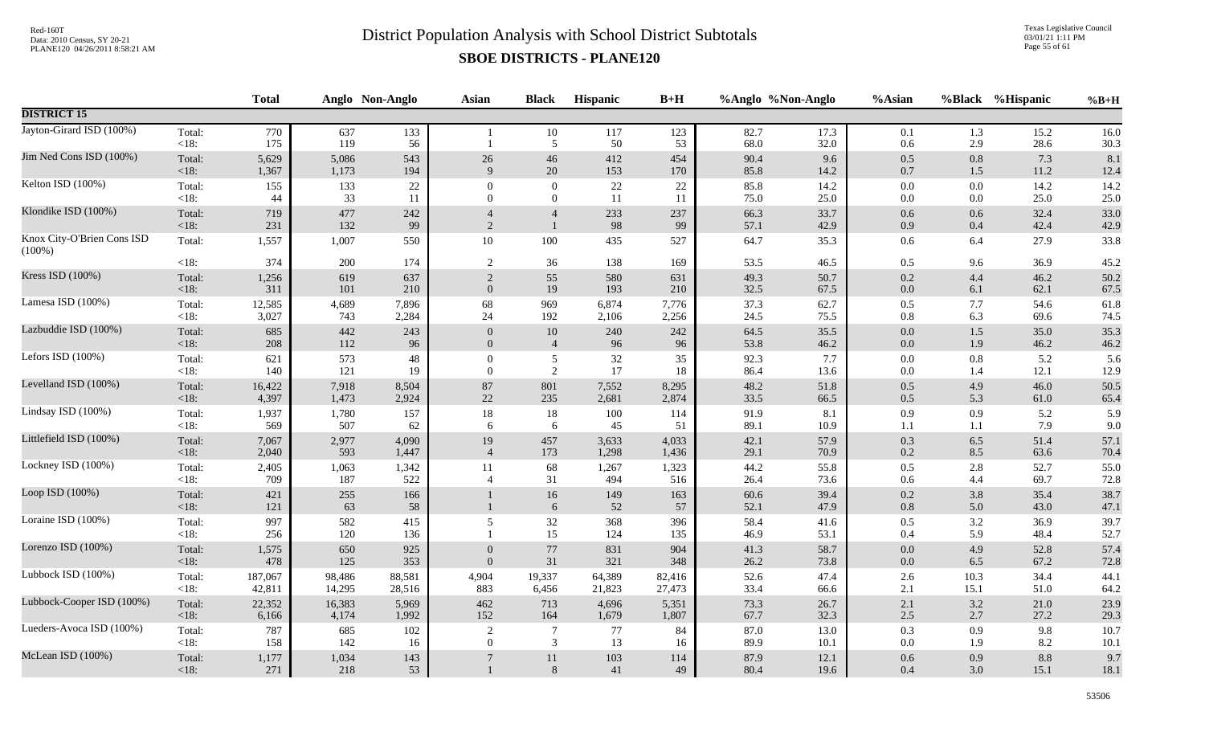Texas Legislative Council 03/01/21 1:11 PM Page 55 of 61

|                                         |                   | <b>Total</b> |              | Anglo Non-Anglo | Asian          | <b>Black</b>   | <b>Hispanic</b> | $B+H$         |                  | %Anglo %Non-Anglo | %Asian             |            | %Black %Hispanic | $%B+H$       |
|-----------------------------------------|-------------------|--------------|--------------|-----------------|----------------|----------------|-----------------|---------------|------------------|-------------------|--------------------|------------|------------------|--------------|
| <b>DISTRICT 15</b>                      |                   |              |              |                 |                |                |                 |               |                  |                   |                    |            |                  |              |
| Jayton-Girard ISD (100%)                | Total:<br><18:    | 770<br>175   | 637<br>119   | 133<br>56       |                | 10<br>5        | 117<br>50       | 123<br>53     | 82.7<br>68.0     | 17.3<br>32.0      | 0.1<br>0.6         | 1.3<br>2.9 | 15.2<br>28.6     | 16.0<br>30.3 |
| Jim Ned Cons ISD (100%)                 | Total:            | 5,629        | 5,086        | 543             | 26             | 46             | 412             | 454           | 90.4             | 9.6               | 0.5                | 0.8        | 7.3              | 8.1          |
|                                         | <18:              | 1,367        | 1,173        | 194             | 9              | 20             | 153             | 170           | 85.8             | 14.2              | $0.7\,$            | 1.5        | 11.2             | 12.4         |
| Kelton ISD (100%)                       | Total:            | 155          | 133          | 22              | $\Omega$       | $\mathbf{0}$   | 22              | 22            | 85.8             | 14.2              | $0.0\,$            | 0.0        | 14.2             | 14.2         |
|                                         | < 18:             | 44           | 33           | 11              | $\Omega$       | $\overline{0}$ | 11              | 11            | 75.0             | 25.0              | $0.0\,$            | $0.0\,$    | 25.0             | 25.0         |
| Klondike ISD (100%)                     | Total:            | 719          | 477          | 242             | $\overline{4}$ | $\overline{4}$ | 233             | 237           | 66.3             | 33.7              | $0.6\,$            | 0.6        | 32.4             | 33.0         |
|                                         | <18:              | 231          | 132          | 99              | 2              | $\mathbf{1}$   | 98              | 99            | 57.1             | 42.9              | 0.9                | 0.4        | 42.4             | 42.9         |
| Knox City-O'Brien Cons ISD<br>$(100\%)$ | Total:            | 1,557        | 1,007        | 550             | 10             | 100            | 435             | 527           | 64.7             | 35.3              | $0.6\,$            | 6.4        | 27.9             | 33.8         |
|                                         | <18:              | 374          | 200          | 174             | 2              | 36             | 138             | 169           | 53.5             | 46.5              | 0.5                | 9.6        | 36.9             | 45.2         |
| Kress ISD (100%)                        | Total:            | 1,256        | 619          | 637             | $\sqrt{2}$     | 55             | 580             | 631           | 49.3             | 50.7              | $0.2\,$            | 4.4        | 46.2             | 50.2         |
|                                         | < 18:             | 311          | 101          | 210             | $\mathbf{0}$   | 19             | 193             | 210           | 32.5             | 67.5              | $0.0\,$            | 6.1        | 62.1             | 67.5         |
| Lamesa ISD (100%)                       | Total:            | 12,585       | 4,689        | 7,896           | 68             | 969            | 6,874           | 7,776         | 37.3             | 62.7              | $0.5\,$            | 7.7        | 54.6             | 61.8         |
|                                         | <18:              | 3,027        | 743          | 2,284           | 24             | 192            | 2,106           | 2,256         | 24.5             | 75.5              | $0.8\,$            | 6.3        | 69.6             | 74.5         |
| Lazbuddie ISD (100%)                    | Total:            | 685          | 442          | 243             | $\mathbf{0}$   | $10\,$         | 240             | 242           | 64.5             | 35.5              | $0.0\,$            | $1.5\,$    | 35.0             | 35.3         |
|                                         | <18:              | 208          | 112          | 96              | $\mathbf{0}$   | $\overline{4}$ | 96              | 96            | 53.8             | 46.2              | $0.0\,$            | 1.9        | 46.2             | 46.2         |
| Lefors ISD (100%)                       | Total:            | 621          | 573          | 48              | $\overline{0}$ | $\mathfrak{S}$ | $32\,$          | 35            | 92.3             | 7.7               | $0.0\,$            | 0.8        | 5.2              | 5.6          |
|                                         | <18:              | 140          | 121          | 19              | $\overline{0}$ | 2              | 17              | 18            | 86.4             | 13.6              | $0.0\,$            | 1.4        | 12.1             | 12.9         |
| Levelland ISD (100%)                    | Total:            | 16,422       | 7,918        | 8,504           | $87\,$         | 801            | 7,552           | 8,295         | 48.2             | 51.8              | $0.5\,$            | 4.9        | 46.0             | 50.5         |
|                                         | <18:              | 4,397        | 1,473        | 2,924           | $22\,$         | 235            | 2,681           | 2,874         | 33.5             | 66.5              | $0.5\,$            | 5.3        | 61.0             | 65.4         |
| Lindsay ISD (100%)                      | Total:            | 1,937        | 1,780        | 157             | 18             | $18\,$         | 100             | 114           | 91.9             | 8.1               | 0.9                | 0.9        | 5.2              | 5.9          |
|                                         | <18:              | 569          | 507          | 62              | 6              | 6              | 45              | 51            | 89.1             | 10.9              | 1.1                | 1.1        | 7.9              | 9.0          |
| Littlefield ISD (100%)                  | Total:            | 7,067        | 2,977        | 4,090           | 19             | 457            | 3,633           | 4,033         | 42.1             | 57.9              | 0.3                | 6.5        | 51.4             | 57.1         |
|                                         | <18:              | 2,040        | 593          | 1,447           | $\overline{4}$ | 173            | 1,298           | 1,436         | 29.1             | 70.9              | $0.2\,$            | 8.5        | 63.6             | 70.4         |
| Lockney ISD (100%)                      | Total:            | 2,405        | 1,063        | 1,342           | 11             | 68             | 1,267           | 1,323         | 44.2             | 55.8              | $0.5\,$            | 2.8        | 52.7             | 55.0         |
|                                         | <18:              | 709          | 187          | 522             | $\overline{4}$ | 31             | 494             | 516           | 26.4             | 73.6              | 0.6                | 4.4        | 69.7             | 72.8         |
| Loop ISD (100%)                         | Total:<br>$<18$ : | 421<br>121   | 255<br>63    | 166<br>58       |                | 16<br>$6\,$    | 149<br>52       | 163<br>$57\,$ | $60.6\,$<br>52.1 | 39.4<br>47.9      | $0.2\,$<br>$0.8\,$ | 3.8<br>5.0 | 35.4<br>43.0     | 38.7<br>47.1 |
| Loraine ISD (100%)                      | Total:<br><18:    | 997<br>256   | 582<br>120   | 415<br>136      | 5              | 32<br>15       | 368<br>124      | 396<br>135    | 58.4<br>46.9     | 41.6<br>53.1      | $0.5\,$<br>0.4     | 3.2<br>5.9 | 36.9<br>48.4     | 39.7<br>52.7 |
| Lorenzo ISD (100%)                      | Total:            | 1,575        | 650          | 925             | $\overline{0}$ | $77\,$         | 831             | 904           | 41.3             | 58.7              | $0.0\,$            | 4.9        | 52.8             | 57.4         |
|                                         | <18:              | 478          | 125          | 353             | $\mathbf{0}$   | 31             | 321             | 348           | 26.2             | 73.8              | $0.0\,$            | 6.5        | 67.2             | 72.8         |
| Lubbock ISD (100%)                      | Total:            | 187,067      | 98,486       | 88,581          | 4,904          | 19,337         | 64,389          | 82,416        | 52.6             | 47.4              | 2.6                | 10.3       | 34.4             | 44.1         |
|                                         | <18:              | 42,811       | 14,295       | 28,516          | 883            | 6,456          | 21,823          | 27,473        | 33.4             | 66.6              | 2.1                | 15.1       | 51.0             | 64.2         |
| Lubbock-Cooper ISD (100%)               | Total:            | 22,352       | 16,383       | 5,969           | 462            | 713            | 4,696           | 5,351         | 73.3             | 26.7              | $2.1\,$            | 3.2        | 21.0             | 23.9         |
|                                         | $<18$ :           | 6,166        | 4,174        | 1,992           | 152            | 164            | 1,679           | 1,807         | 67.7             | 32.3              | $2.5\,$            | 2.7        | 27.2             | 29.3         |
| Lueders-Avoca ISD (100%)                | Total:            | 787          | 685          | 102             | 2              | $\tau$         | 77              | 84            | 87.0             | 13.0              | 0.3                | 0.9        | 9.8              | 10.7         |
|                                         | <18:              | 158          | 142          | 16              | $\Omega$       | 3              | 13              | 16            | 89.9             | 10.1              | $0.0\,$            | 1.9        | 8.2              | 10.1         |
| McLean ISD (100%)                       | Total:<br>$<18$ : | 1,177<br>271 | 1,034<br>218 | 143<br>53       |                | 11<br>$8\,$    | 103<br>41       | 114<br>49     | 87.9<br>80.4     | 12.1<br>19.6      | 0.6<br>0.4         | 0.9<br>3.0 | 8.8<br>15.1      | 9.7<br>18.1  |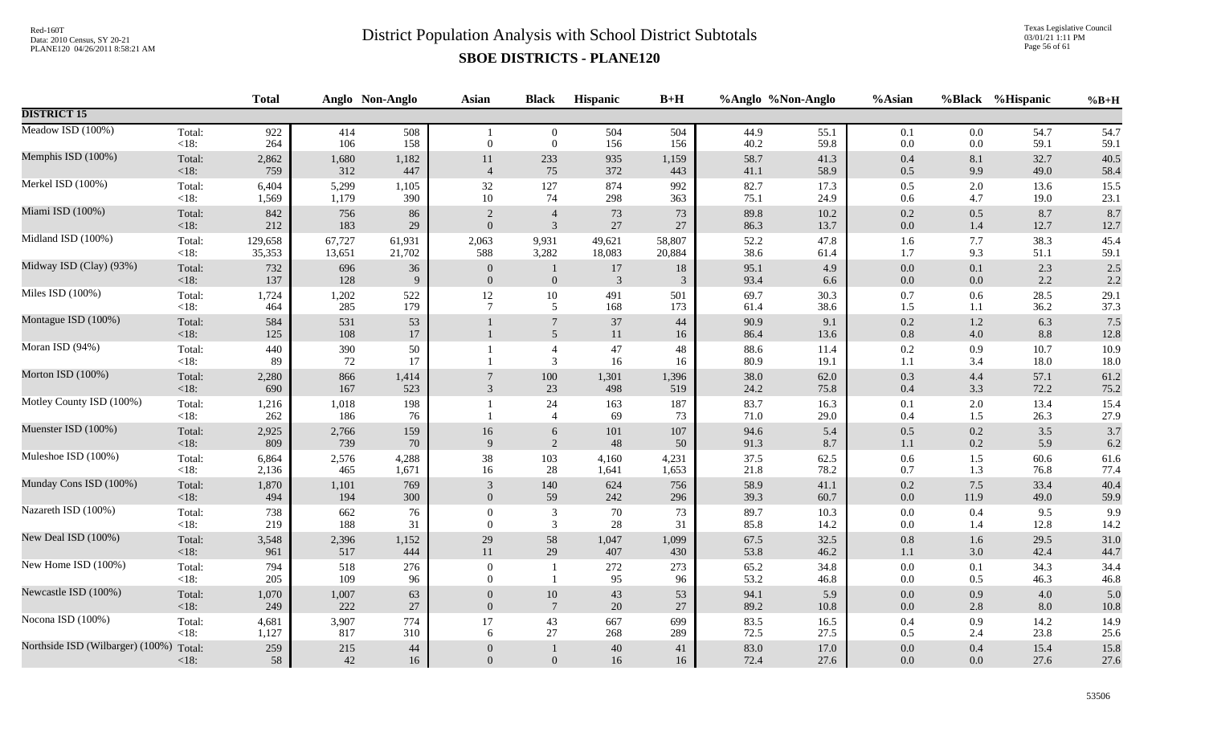Texas Legislative Council 03/01/21 1:11 PM Page 56 of 61

|                                  |                 | <b>Total</b> |              | Anglo Non-Anglo | Asian            | <b>Black</b>                     | <b>Hispanic</b> | $B+H$      |                  | %Anglo %Non-Anglo | %Asian         | %Black         | %Hispanic    | $%B+H$       |
|----------------------------------|-----------------|--------------|--------------|-----------------|------------------|----------------------------------|-----------------|------------|------------------|-------------------|----------------|----------------|--------------|--------------|
| <b>DISTRICT 15</b>               |                 |              |              |                 |                  |                                  |                 |            |                  |                   |                |                |              |              |
| Meadow ISD (100%)                | Total:<br>< 18: | 922<br>264   | 414<br>106   | 508<br>158      | $\overline{0}$   | $\overline{0}$<br>$\overline{0}$ | 504<br>156      | 504<br>156 | 44.9<br>40.2     | 55.1<br>59.8      | 0.1<br>$0.0\,$ | 0.0<br>0.0     | 54.7<br>59.1 | 54.7<br>59.1 |
| Memphis ISD (100%)               | Total:          | 2,862        | 1,680        | 1,182           | 11               | 233                              | 935             | 1,159      | 58.7             | 41.3              | 0.4            | $8.1\,$        | 32.7         | 40.5         |
|                                  | <18:            | 759          | 312          | 447             | $\overline{4}$   | 75                               | 372             | 443        | 41.1             | 58.9              | 0.5            | 9.9            | 49.0         | 58.4         |
| Merkel ISD (100%)                | Total:          | 6,404        | 5,299        | 1,105           | 32               | 127                              | 874             | 992        | 82.7             | 17.3              | 0.5            | 2.0            | 13.6         | 15.5         |
|                                  | <18:            | 1,569        | 1,179        | 390             | $10\,$           | 74                               | 298             | 363        | 75.1             | 24.9              | $0.6\,$        | 4.7            | 19.0         | 23.1         |
| Miami ISD (100%)                 | Total:          | 842          | 756          | 86              | 2                | $\overline{4}$                   | 73              | 73         | 89.8             | 10.2              | $0.2\,$        | 0.5            | 8.7          | 8.7          |
|                                  | < 18:           | 212          | 183          | 29              | $\overline{0}$   | $\mathfrak{Z}$                   | $27\,$          | 27         | 86.3             | 13.7              | $0.0\,$        | 1.4            | 12.7         | 12.7         |
| Midland ISD (100%)               | Total:          | 129,658      | 67,727       | 61,931          | 2,063            | 9,931                            | 49,621          | 58,807     | 52.2             | 47.8              | 1.6            | 7.7            | 38.3         | 45.4         |
|                                  | $<18$ :         | 35,353       | 13,651       | 21,702          | 588              | 3,282                            | 18,083          | 20,884     | 38.6             | 61.4              | 1.7            | 9.3            | 51.1         | 59.1         |
| Midway ISD (Clay) (93%)          | Total:          | 732          | 696          | $36\,$          | $\boldsymbol{0}$ | 1                                | $17\,$          | 18         | 95.1             | 4.9               | $0.0\,$        | 0.1            | 2.3          | $2.5$        |
|                                  | $<18$ :         | 137          | 128          | 9               | $\overline{0}$   | $\boldsymbol{0}$                 | $\overline{3}$  | 3          | 93.4             | 6.6               | $0.0\,$        | 0.0            | 2.2          | 2.2          |
| Miles ISD (100%)                 | Total:          | 1,724        | 1,202        | 522             | 12               | $10\,$                           | 491             | 501        | 69.7             | 30.3              | 0.7            | 0.6            | 28.5         | 29.1         |
|                                  | < 18:           | 464          | 285          | 179             | $\overline{7}$   | $5\phantom{.0}$                  | 168             | 173        | 61.4             | 38.6              | 1.5            | 1.1            | 36.2         | 37.3         |
| Montague ISD (100%)              | Total:<br>< 18: | 584<br>125   | 531<br>108   | 53<br>17        |                  | $7\phantom{.0}$<br>5             | 37<br>11        | 44<br>16   | 90.9<br>86.4     | 9.1<br>13.6       | 0.2<br>$0.8\,$ | $1.2\,$<br>4.0 | 6.3<br>8.8   | 7.5<br>12.8  |
| Moran ISD (94%)                  | Total:<br>< 18: | 440<br>89    | 390<br>72    | 50<br>17        |                  | $\overline{4}$<br>3              | 47<br>16        | 48<br>16   | $88.6\,$<br>80.9 | 11.4<br>19.1      | $0.2\,$<br>1.1 | 0.9<br>3.4     | 10.7<br>18.0 | 10.9<br>18.0 |
| Morton ISD (100%)                | Total:          | 2,280        | 866          | 1,414           | $\overline{7}$   | 100                              | 1,301           | 1,396      | 38.0             | 62.0              | 0.3            | 4.4            | 57.1         | 61.2         |
|                                  | $<18$ :         | 690          | 167          | 523             | 3                | 23                               | 498             | 519        | 24.2             | 75.8              | $0.4\,$        | 3.3            | 72.2         | 75.2         |
| Motley County ISD (100%)         | Total:<br>< 18: | 1,216<br>262 | 1,018<br>186 | 198<br>76       |                  | 24<br>$\overline{4}$             | 163<br>69       | 187<br>73  | 83.7<br>71.0     | 16.3<br>29.0      | $0.1\,$<br>0.4 | 2.0<br>1.5     | 13.4<br>26.3 | 15.4<br>27.9 |
| Muenster ISD (100%)              | Total:          | 2,925        | 2,766        | 159             | 16               | 6                                | 101             | 107        | 94.6             | 5.4               | 0.5            | 0.2            | 3.5          | 3.7          |
|                                  | < 18:           | 809          | 739          | 70              | 9                | $\overline{2}$                   | 48              | 50         | 91.3             | 8.7               | $1.1\,$        | 0.2            | 5.9          | 6.2          |
| Muleshoe ISD (100%)              | Total:          | 6,864        | 2,576        | 4,288           | 38               | 103                              | 4,160           | 4,231      | 37.5             | 62.5              | $0.6\,$        | 1.5            | $60.6\,$     | 61.6         |
|                                  | < 18:           | 2,136        | 465          | 1,671           | 16               | 28                               | 1,641           | 1,653      | 21.8             | 78.2              | 0.7            | 1.3            | 76.8         | 77.4         |
| Munday Cons ISD (100%)           | Total:          | 1,870        | 1,101        | 769             | $\mathfrak{Z}$   | 140                              | 624             | 756        | 58.9             | 41.1              | $0.2\,$        | 7.5            | 33.4         | 40.4         |
|                                  | $<18$ :         | 494          | 194          | 300             | $\mathbf{0}$     | 59                               | 242             | 296        | 39.3             | 60.7              | $0.0\,$        | 11.9           | 49.0         | 59.9         |
| Nazareth ISD (100%)              | Total:          | 738          | 662          | 76              | $\overline{0}$   | 3                                | 70              | 73         | 89.7             | 10.3              | $0.0\,$        | 0.4            | 9.5          | 9.9          |
|                                  | < 18:           | 219          | 188          | 31              | $\Omega$         | $\mathfrak{Z}$                   | 28              | 31         | 85.8             | 14.2              | 0.0            | 1.4            | 12.8         | 14.2         |
| New Deal ISD (100%)              | Total:          | 3,548        | 2,396        | 1,152           | 29               | 58                               | 1,047           | 1,099      | 67.5             | 32.5              | 0.8            | 1.6            | 29.5         | 31.0         |
|                                  | $<18$ :         | 961          | 517          | 444             | 11               | 29                               | 407             | 430        | 53.8             | 46.2              | 1.1            | 3.0            | 42.4         | 44.7         |
| New Home ISD (100%)              | Total:          | 794          | 518          | 276             | $\overline{0}$   | -1                               | 272             | 273        | 65.2             | 34.8              | $0.0\,$        | 0.1            | 34.3         | 34.4         |
|                                  | <18:            | 205          | 109          | 96              | $\Omega$         | $\overline{1}$                   | 95              | 96         | 53.2             | 46.8              | $0.0\,$        | $0.5\,$        | 46.3         | 46.8         |
| Newcastle ISD (100%)             | Total:          | 1,070        | 1,007        | 63              | $\boldsymbol{0}$ | $10\,$                           | 43              | 53         | 94.1             | 5.9               | $0.0\,$        | 0.9            | 4.0          | 5.0          |
|                                  | <18:            | 249          | 222          | 27              | $\overline{0}$   | $7\phantom{.0}$                  | 20              | 27         | 89.2             | $10.8\,$          | $0.0\,$        | 2.8            | 8.0          | $10.8\,$     |
| Nocona ISD (100%)                | Total:          | 4,681        | 3,907        | 774             | 17               | 43                               | 667             | 699        | 83.5             | 16.5              | $0.4\,$        | 0.9            | 14.2         | 14.9         |
|                                  | < 18:           | 1,127        | 817          | 310             | 6                | 27                               | 268             | 289        | 72.5             | 27.5              | 0.5            | 2.4            | 23.8         | 25.6         |
| Northside ISD (Wilbarger) (100%) | Total:          | 259          | 215          | 44              | $\overline{0}$   | $\mathbf{1}$                     | 40              | 41         | 83.0             | 17.0              | $0.0\,$        | 0.4            | 15.4         | 15.8         |
|                                  | $<18$ :         | 58           | 42           | 16              | $\mathbf{0}$     | $\overline{0}$                   | 16              | 16         | 72.4             | 27.6              | 0.0            | 0.0            | 27.6         | 27.6         |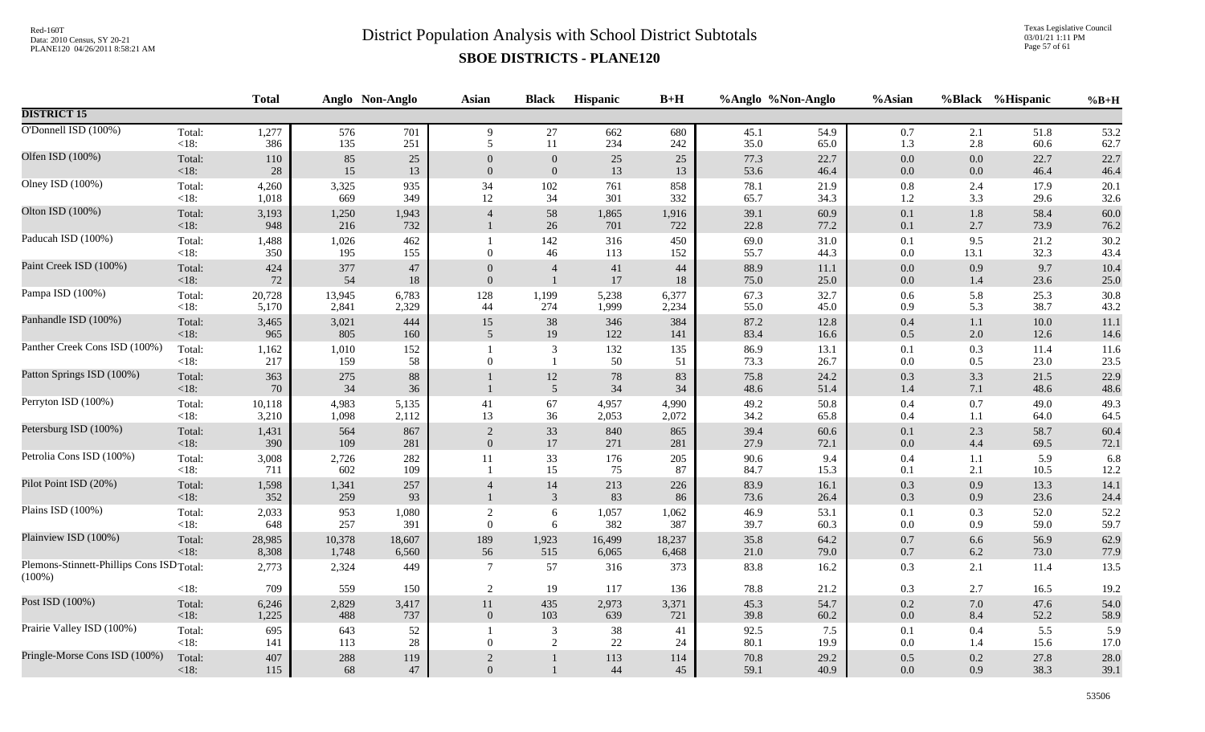Texas Legislative Council 03/01/21 1:11 PM Page 57 of 61

|                                                        |                   | <b>Total</b> |              | Anglo Non-Anglo | <b>Asian</b>     | <b>Black</b>                   | Hispanic     | $B+H$        |              | %Anglo %Non-Anglo | %Asian             |                | %Black %Hispanic | $%B+H$       |
|--------------------------------------------------------|-------------------|--------------|--------------|-----------------|------------------|--------------------------------|--------------|--------------|--------------|-------------------|--------------------|----------------|------------------|--------------|
| <b>DISTRICT 15</b>                                     |                   |              |              |                 |                  |                                |              |              |              |                   |                    |                |                  |              |
| O'Donnell ISD (100%)                                   | Total:            | 1,277        | 576          | 701             | 9                | 27                             | 662          | 680          | 45.1         | 54.9              | $0.7\,$            | 2.1            | 51.8             | 53.2         |
|                                                        | $<18$ :           | 386          | 135          | 251             | 5                | 11                             | 234          | 242          | 35.0         | 65.0              | 1.3                | 2.8            | 60.6             | 62.7         |
| Olfen ISD (100%)                                       | Total:            | 110          | 85           | $25\,$          | $\Omega$         | $\boldsymbol{0}$               | 25           | $25\,$       | 77.3         | 22.7              | $0.0\,$            | $0.0\,$        | 22.7             | 22.7         |
|                                                        | <18:              | 28           | 15           | 13              | $\boldsymbol{0}$ | $\boldsymbol{0}$               | 13           | 13           | 53.6         | 46.4              | $0.0\,$            | $0.0\,$        | 46.4             | 46.4         |
| Olney ISD (100%)                                       | Total:            | 4,260        | 3,325        | 935             | 34               | 102                            | 761          | 858          | 78.1         | 21.9              | $0.8\,$            | 2.4            | 17.9             | 20.1         |
|                                                        | $<18$ :           | 1,018        | 669          | 349             | 12               | 34                             | 301          | 332          | 65.7         | 34.3              | 1.2                | 3.3            | 29.6             | 32.6         |
| Olton ISD (100%)                                       | Total:<br>$<18$ : | 3,193<br>948 | 1,250<br>216 | 1,943<br>732    | $\overline{4}$   | $58\,$<br>$26\,$               | 1,865<br>701 | 1,916<br>722 | 39.1<br>22.8 | 60.9<br>77.2      | $0.1\,$<br>0.1     | $1.8\,$<br>2.7 | 58.4<br>73.9     | 60.0<br>76.2 |
| Paducah ISD (100%)                                     | Total:            | 1,488        | 1,026        | 462             | $\mathbf{1}$     | 142                            | 316          | 450          | 69.0         | 31.0              | 0.1                | 9.5            | 21.2             | 30.2         |
|                                                        | $<18$ :           | 350          | 195          | 155             | $\boldsymbol{0}$ | 46                             | 113          | 152          | 55.7         | 44.3              | $0.0\,$            | 13.1           | 32.3             | 43.4         |
| Paint Creek ISD (100%)                                 | Total:            | 424          | 377          | $47\,$          | $\theta$         | $\overline{4}$                 | 41           | 44           | 88.9         | 11.1              | $0.0\,$            | 0.9            | 9.7              | 10.4         |
|                                                        | $<18$ :           | 72           | 54           | 18              | $\mathbf{0}$     | $\overline{1}$                 | $17\,$       | 18           | 75.0         | 25.0              | $0.0\,$            | 1.4            | 23.6             | 25.0         |
| Pampa ISD (100%)                                       | Total:            | 20,728       | 13,945       | 6,783           | 128              | 1,199                          | 5,238        | 6,377        | 67.3         | 32.7              | 0.6                | 5.8            | 25.3             | 30.8         |
|                                                        | $<18$ :           | 5,170        | 2,841        | 2,329           | 44               | 274                            | 1,999        | 2,234        | 55.0         | 45.0              | 0.9                | 5.3            | 38.7             | 43.2         |
| Panhandle ISD (100%)                                   | Total:            | 3,465        | 3,021        | 444             | $15\,$           | $38\,$                         | 346          | 384          | 87.2         | 12.8              | $0.4\,$            | 1.1            | $10.0\,$         | 11.1         |
|                                                        | < 18:             | 965          | 805          | 160             | 5                | 19                             | 122          | 141          | 83.4         | 16.6              | $0.5\,$            | 2.0            | 12.6             | 14.6         |
| Panther Creek Cons ISD (100%)                          | Total:<br>$<18$ : | 1,162<br>217 | 1,010<br>159 | 152<br>58       | $\Omega$         | $\overline{3}$<br>$\mathbf{1}$ | 132<br>50    | 135<br>51    | 86.9<br>73.3 | 13.1<br>26.7      | 0.1<br>0.0         | 0.3<br>0.5     | 11.4<br>23.0     | 11.6<br>23.5 |
| Patton Springs ISD (100%)                              | Total:<br><18:    | 363<br>70    | 275<br>34    | 88<br>36        |                  | $12\,$<br>$\overline{5}$       | 78<br>$34\,$ | 83<br>34     | 75.8<br>48.6 | 24.2<br>51.4      | $0.3\,$<br>$1.4\,$ | 3.3<br>7.1     | 21.5<br>48.6     | 22.9<br>48.6 |
| Perryton ISD (100%)                                    | Total:            | 10,118       | 4,983        | 5,135           | 41               | 67                             | 4,957        | 4,990        | 49.2         | 50.8              | $0.4\,$            | 0.7            | 49.0             | 49.3         |
|                                                        | $<18$ :           | 3,210        | 1,098        | 2,112           | 13               | 36                             | 2,053        | 2,072        | 34.2         | 65.8              | $0.4\,$            | 1.1            | 64.0             | 64.5         |
| Petersburg ISD (100%)                                  | Total:            | 1,431        | 564          | 867             | $\sqrt{2}$       | $33\,$                         | 840          | 865          | 39.4         | 60.6              | $0.1\,$            | 2.3            | 58.7             | 60.4         |
|                                                        | $<18$ :           | 390          | 109          | 281             | $\Omega$         | 17                             | 271          | 281          | 27.9         | 72.1              | $0.0\,$            | 4.4            | 69.5             | 72.1         |
| Petrolia Cons ISD (100%)                               | Total:            | 3,008        | 2,726        | 282             | 11               | 33                             | 176          | 205          | 90.6         | 9.4               | $0.4\,$            | 1.1            | 5.9              | 6.8          |
|                                                        | $<18$ :           | 711          | 602          | 109             | $\overline{1}$   | 15                             | 75           | 87           | 84.7         | 15.3              | 0.1                | 2.1            | 10.5             | 12.2         |
| Pilot Point ISD (20%)                                  | Total:<br>$<18$ : | 1,598<br>352 | 1,341<br>259 | 257<br>93       | $\overline{4}$   | 14<br>$\mathbf{3}$             | 213<br>83    | 226<br>86    | 83.9<br>73.6 | 16.1<br>26.4      | $0.3\,$<br>0.3     | 0.9<br>0.9     | 13.3<br>23.6     | 14.1<br>24.4 |
| Plains ISD (100%)                                      | Total:            | 2,033        | 953          | 1,080           | $\overline{2}$   | 6                              | 1,057        | 1,062        | 46.9         | 53.1              | 0.1                | 0.3            | 52.0             | 52.2         |
|                                                        | $<18$ :           | 648          | 257          | 391             | $\overline{0}$   | 6                              | 382          | 387          | 39.7         | 60.3              | $0.0\,$            | 0.9            | 59.0             | 59.7         |
| Plainview ISD (100%)                                   | Total:            | 28,985       | 10,378       | 18,607          | 189              | 1,923                          | 16,499       | 18,237       | 35.8         | 64.2              | $0.7\,$            | 6.6            | 56.9             | 62.9         |
|                                                        | < 18:             | 8,308        | 1,748        | 6,560           | 56               | 515                            | 6,065        | 6,468        | 21.0         | 79.0              | $0.7\,$            | 6.2            | 73.0             | 77.9         |
| Plemons-Stinnett-Phillips Cons ISD Total:<br>$(100\%)$ |                   | 2,773        | 2,324        | 449             | $\tau$           | 57                             | 316          | 373          | 83.8         | 16.2              | 0.3                | 2.1            | 11.4             | 13.5         |
|                                                        | $<18$ :           | 709          | 559          | 150             | $\overline{2}$   | 19                             | 117          | 136          | 78.8         | 21.2              | $0.3\,$            | 2.7            | 16.5             | 19.2         |
| Post ISD (100%)                                        | Total:            | 6,246        | 2,829        | 3,417           | $11\,$           | 435                            | 2,973        | 3,371        | 45.3         | 54.7              | $0.2\,$            | 7.0            | 47.6             | 54.0         |
|                                                        | $<18$ :           | 1,225        | 488          | 737             | $\mathbf{0}$     | 103                            | 639          | 721          | 39.8         | 60.2              | $0.0\,$            | 8.4            | 52.2             | 58.9         |
| Prairie Valley ISD (100%)                              | Total:<br>$<18$ : | 695<br>141   | 643<br>113   | 52<br>$28\,$    | $\Omega$         | $\mathbf{3}$<br>2              | 38<br>22     | 41<br>24     | 92.5<br>80.1 | 7.5<br>19.9       | 0.1<br>$0.0\,$     | 0.4<br>1.4     | 5.5<br>15.6      | 5.9<br>17.0  |
| Pringle-Morse Cons ISD (100%)                          | Total:            | 407          | 288          | 119             | $\sqrt{2}$       | $\mathbf{1}$                   | 113          | 114          | 70.8         | 29.2              | $0.5\,$            | 0.2            | 27.8             | 28.0         |
|                                                        | $<18$ :           | 115          | 68           | 47              | $\overline{0}$   | $\mathbf{1}$                   | 44           | 45           | 59.1         | 40.9              | 0.0                | 0.9            | 38.3             | 39.1         |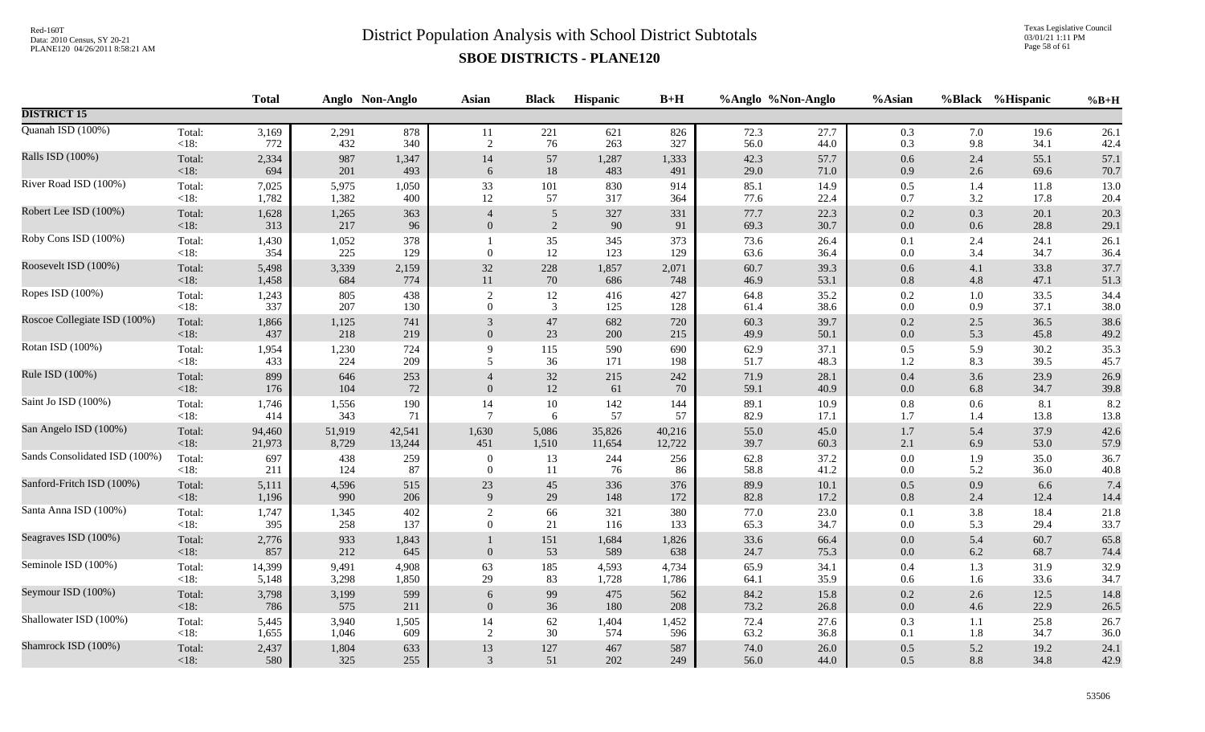Texas Legislative Council 03/01/21 1:11 PM Page 58 of 61

|                               |                   | <b>Total</b> |              | Anglo Non-Anglo | <b>Asian</b>     | <b>Black</b>   | Hispanic     | $B+H$        |              | %Anglo %Non-Anglo | %Asian             |                | %Black %Hispanic | $%B+H$       |
|-------------------------------|-------------------|--------------|--------------|-----------------|------------------|----------------|--------------|--------------|--------------|-------------------|--------------------|----------------|------------------|--------------|
| <b>DISTRICT 15</b>            |                   |              |              |                 |                  |                |              |              |              |                   |                    |                |                  |              |
| Quanah ISD (100%)             | Total:            | 3,169        | 2,291        | 878             | 11               | 221            | 621          | 826          | 72.3         | 27.7              | 0.3                | 7.0            | 19.6             | 26.1         |
|                               | <18:              | 772          | 432          | 340             | 2                | 76             | 263          | 327          | 56.0         | 44.0              | 0.3                | 9.8            | 34.1             | 42.4         |
| Ralls ISD (100%)              | Total:            | 2,334        | 987          | 1,347           | 14               | 57             | 1,287        | 1,333        | 42.3         | 57.7              | $0.6\,$            | 2.4            | 55.1             | 57.1         |
|                               | <18:              | 694          | 201          | 493             | 6                | $18\,$         | 483          | 491          | 29.0         | 71.0              | 0.9                | 2.6            | 69.6             | 70.7         |
| River Road ISD (100%)         | Total:            | 7,025        | 5,975        | 1,050           | 33               | 101            | 830          | 914          | 85.1         | 14.9              | $0.5\,$            | 1.4            | 11.8             | 13.0         |
|                               | $<18$ :           | 1,782        | 1,382        | 400             | 12               | 57             | 317          | 364          | 77.6         | 22.4              | 0.7                | 3.2            | 17.8             | 20.4         |
| Robert Lee ISD (100%)         | Total:            | 1,628        | 1,265        | 363             | $\overline{4}$   | $\sqrt{5}$     | 327          | 331          | 77.7         | 22.3              | $0.2\,$            | 0.3            | 20.1             | 20.3         |
|                               | < 18:             | 313          | 217          | 96              | $\overline{0}$   | 2              | 90           | 91           | 69.3         | 30.7              | $0.0\,$            | 0.6            | 28.8             | 29.1         |
| Roby Cons ISD (100%)          | Total:<br><18:    | 1,430<br>354 | 1,052<br>225 | 378<br>129      | $\mathbf{0}$     | 35<br>12       | 345<br>123   | 373<br>129   | 73.6<br>63.6 | 26.4<br>36.4      | 0.1<br>$0.0\,$     | 2.4<br>3.4     | 24.1<br>34.7     | 26.1<br>36.4 |
| Roosevelt ISD (100%)          | Total:            | 5,498        | 3,339        | 2,159           | $32\,$           | 228            | 1,857        | 2,071        | 60.7         | 39.3              | $0.6\,$            | 4.1            | 33.8             | 37.7         |
|                               | <18:              | 1,458        | 684          | 774             | $11\,$           | $70\,$         | 686          | 748          | 46.9         | 53.1              | $0.8\,$            | 4.8            | 47.1             | 51.3         |
| Ropes ISD (100%)              | Total:            | 1,243        | 805          | 438             | $\overline{2}$   | 12             | 416          | 427          | 64.8         | 35.2              | $0.2\,$            | 1.0            | 33.5             | 34.4         |
|                               | $<18$ :           | 337          | 207          | 130             | $\overline{0}$   | $\overline{3}$ | 125          | 128          | 61.4         | 38.6              | $0.0\,$            | 0.9            | 37.1             | 38.0         |
| Roscoe Collegiate ISD (100%)  | Total:            | 1,866        | 1,125        | 741             | 3                | $47\,$         | 682          | 720          | 60.3         | 39.7              | $0.2\,$            | 2.5            | 36.5             | 38.6         |
|                               | < 18:             | 437          | 218          | 219             | $\Omega$         | 23             | 200          | 215          | 49.9         | 50.1              | $0.0\,$            | 5.3            | 45.8             | 49.2         |
| Rotan ISD (100%)              | Total:            | 1,954        | 1,230        | 724             | 9                | 115            | 590          | 690          | 62.9         | 37.1              | $0.5\,$            | 5.9            | 30.2             | 35.3         |
|                               | < 18:             | 433          | 224          | 209             | 5                | 36             | 171          | 198          | 51.7         | 48.3              | $1.2\,$            | 8.3            | 39.5             | 45.7         |
| Rule ISD (100%)               | Total:<br>$<18$ : | 899<br>176   | 646<br>104   | 253<br>72       | $\mathbf{0}$     | $32\,$<br>12   | 215<br>61    | 242<br>70    | 71.9<br>59.1 | 28.1<br>40.9      | $0.4\,$<br>$0.0\,$ | 3.6<br>6.8     | 23.9<br>34.7     | 26.9<br>39.8 |
| Saint Jo ISD (100%)           | Total:            | 1,746        | 1,556        | 190             | 14               | $10\,$         | 142          | 144          | 89.1         | 10.9              | $\rm 0.8$          | 0.6            | 8.1              | 8.2          |
|                               | $<18$ :           | 414          | 343          | 71              | $\overline{7}$   | 6              | 57           | 57           | 82.9         | 17.1              | 1.7                | 1.4            | 13.8             | 13.8         |
| San Angelo ISD (100%)         | Total:            | 94,460       | 51,919       | 42,541          | 1,630            | 5,086          | 35,826       | 40,216       | 55.0         | 45.0              | $1.7\,$            | 5.4            | 37.9             | 42.6         |
|                               | <18:              | 21,973       | 8,729        | 13,244          | 451              | 1,510          | 11,654       | 12,722       | 39.7         | 60.3              | $2.1\,$            | 6.9            | 53.0             | 57.9         |
| Sands Consolidated ISD (100%) | Total:            | 697          | 438          | 259             | $\overline{0}$   | 13             | 244          | 256          | 62.8         | 37.2              | $0.0\,$            | 1.9            | 35.0             | 36.7         |
|                               | <18:              | 211          | 124          | 87              | $\mathbf{0}$     | 11             | 76           | 86           | 58.8         | 41.2              | $0.0\,$            | 5.2            | 36.0             | 40.8         |
| Sanford-Fritch ISD (100%)     | Total:            | 5,111        | 4,596        | 515             | 23               | 45             | 336          | 376          | 89.9         | 10.1              | $0.5\,$            | 0.9            | 6.6              | 7.4          |
|                               | $<18$ :           | 1,196        | 990          | 206             | 9                | 29             | 148          | 172          | 82.8         | 17.2              | $0.8\,$            | 2.4            | 12.4             | 14.4         |
| Santa Anna ISD (100%)         | Total:            | 1,747        | 1,345        | 402             | 2                | 66             | 321          | 380          | 77.0         | 23.0              | 0.1                | 3.8            | 18.4             | 21.8         |
|                               | $<18$ :           | 395          | 258          | 137             | $\boldsymbol{0}$ | 21             | 116          | 133          | 65.3         | 34.7              | $0.0\,$            | 5.3            | 29.4             | 33.7         |
| Seagraves ISD (100%)          | Total:<br>$<18$ : | 2,776<br>857 | 933<br>212   | 1,843<br>645    | $\Omega$         | 151<br>53      | 1,684<br>589 | 1,826<br>638 | 33.6<br>24.7 | 66.4<br>75.3      | $0.0\,$<br>$0.0\,$ | 5.4<br>$6.2\,$ | 60.7<br>68.7     | 65.8<br>74.4 |
| Seminole ISD (100%)           | Total:            | 14,399       | 9,491        | 4,908           | 63               | 185            | 4,593        | 4,734        | 65.9         | 34.1              | $0.4\,$            | 1.3            | 31.9             | 32.9         |
|                               | $<18$ :           | 5,148        | 3,298        | 1,850           | 29               | 83             | 1,728        | 1,786        | 64.1         | 35.9              | $0.6\,$            | 1.6            | 33.6             | 34.7         |
| Seymour ISD (100%)            | Total:            | 3,798        | 3,199        | 599             | 6                | 99             | 475          | 562          | 84.2         | 15.8              | $0.2\,$            | 2.6            | 12.5             | 14.8         |
|                               | $<18$ :           | 786          | 575          | 211             | $\Omega$         | 36             | 180          | 208          | 73.2         | 26.8              | $0.0\,$            | 4.6            | 22.9             | 26.5         |
| Shallowater ISD (100%)        | Total:            | 5,445        | 3,940        | 1,505           | 14               | 62             | 1,404        | 1,452        | 72.4         | 27.6              | $0.3\,$            | 1.1            | 25.8             | 26.7         |
|                               | $<18$ :           | 1,655        | 1,046        | 609             | 2                | 30             | 574          | 596          | 63.2         | 36.8              | 0.1                | 1.8            | 34.7             | 36.0         |
| Shamrock ISD (100%)           | Total:            | 2,437        | 1,804        | 633             | 13               | 127            | 467          | 587          | 74.0         | 26.0              | $0.5\,$            | 5.2            | 19.2             | 24.1         |
|                               | $<18$ :           | 580          | 325          | 255             | 3                | 51             | 202          | 249          | 56.0         | 44.0              | 0.5                | 8.8            | 34.8             | 42.9         |
|                               |                   |              |              |                 |                  |                |              |              |              |                   |                    |                |                  |              |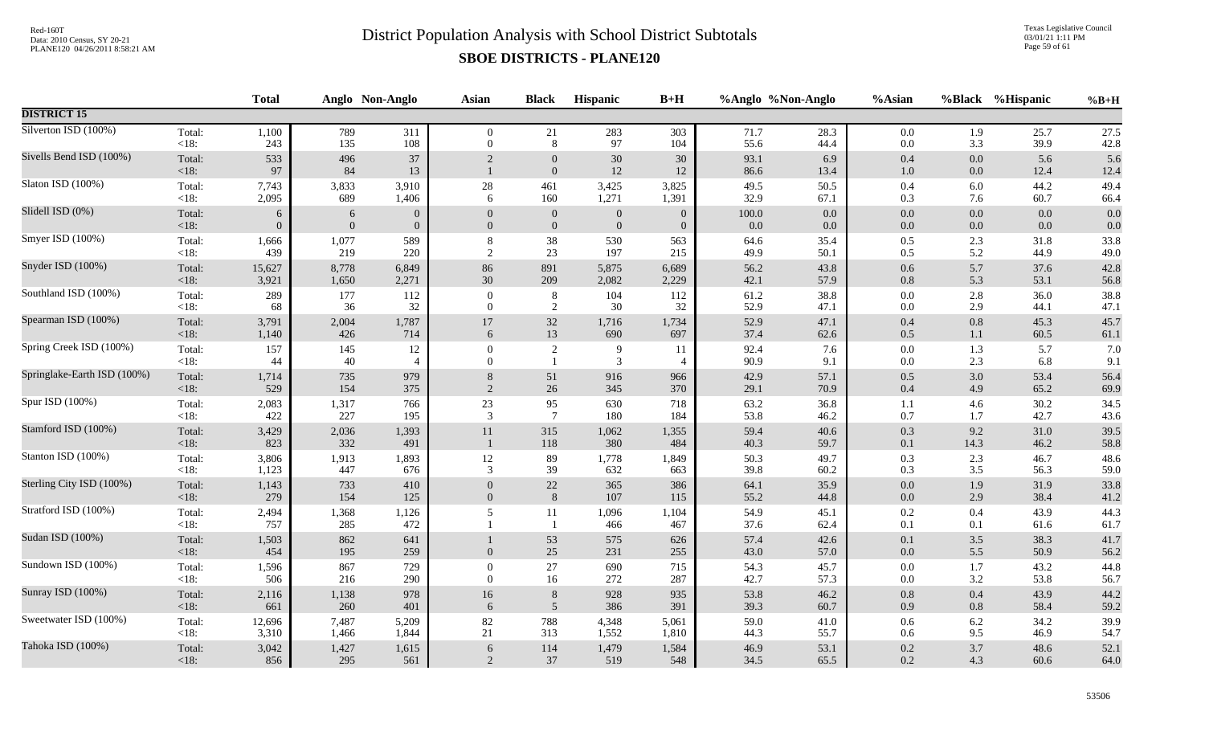Texas Legislative Council 03/01/21 1:11 PM Page 59 of 61

|                             |                   | <b>Total</b>   |              | Anglo Non-Anglo | Asian            | <b>Black</b>                 | Hispanic         | $B+H$            |              | %Anglo %Non-Anglo | %Asian             |                    | %Black %Hispanic | $%B+H$       |
|-----------------------------|-------------------|----------------|--------------|-----------------|------------------|------------------------------|------------------|------------------|--------------|-------------------|--------------------|--------------------|------------------|--------------|
| <b>DISTRICT 15</b>          |                   |                |              |                 |                  |                              |                  |                  |              |                   |                    |                    |                  |              |
| Silverton ISD (100%)        | Total:            | 1,100          | 789          | 311             | $\overline{0}$   | 21                           | 283              | 303              | 71.7         | 28.3              | $0.0\,$            | 1.9                | 25.7             | 27.5         |
|                             | <18:              | 243            | 135          | 108             | $\overline{0}$   | $\,8\,$                      | 97               | 104              | 55.6         | 44.4              | $0.0\,$            | 3.3                | 39.9             | 42.8         |
| Sivells Bend ISD (100%)     | Total:<br><18:    | 533<br>97      | 496<br>84    | 37<br>13        | 2                | $\mathbf{0}$<br>$\mathbf{0}$ | 30<br>$12\,$     | 30<br>12         | 93.1<br>86.6 | 6.9<br>13.4       | 0.4<br>$1.0\,$     | $0.0\,$<br>$0.0\,$ | 5.6<br>12.4      | 5.6<br>12.4  |
| Slaton ISD (100%)           | Total:            | 7,743          | 3,833        | 3,910           | $28\,$           | 461                          | 3,425            | 3,825            | 49.5         | 50.5              | $0.4\,$            | 6.0                | 44.2             | 49.4         |
|                             | <18:              | 2,095          | 689          | 1,406           | 6                | 160                          | 1,271            | 1,391            | 32.9         | 67.1              | 0.3                | 7.6                | 60.7             | 66.4         |
| Slidell ISD (0%)            | Total:            | 6              | 6            | $\mathbf{0}$    | $\overline{0}$   | $\boldsymbol{0}$             | $\mathbf{0}$     | $\overline{0}$   | 100.0        | $0.0\,$           | $0.0\,$            | 0.0                | 0.0              | 0.0          |
|                             | < 18:             | $\overline{0}$ | $\mathbf{0}$ | $\mathbf{0}$    | $\mathbf{0}$     | $\boldsymbol{0}$             | $\boldsymbol{0}$ | $\boldsymbol{0}$ | 0.0          | $0.0\,$           | $0.0\,$            | $0.0\,$            | 0.0              | 0.0          |
| Smyer ISD (100%)            | Total:            | 1,666          | 1,077        | 589             | 8                | 38                           | 530              | 563              | 64.6         | 35.4              | $0.5\,$            | 2.3                | 31.8             | 33.8         |
|                             | < 18:             | 439            | 219          | 220             | $\overline{c}$   | $23\,$                       | 197              | 215              | 49.9         | 50.1              | $0.5\,$            | 5.2                | 44.9             | 49.0         |
| Snyder ISD (100%)           | Total:            | 15,627         | 8,778        | 6,849           | 86               | 891                          | 5,875            | 6,689            | 56.2         | 43.8              | $0.6\,$            | 5.7                | 37.6             | 42.8         |
|                             | <18:              | 3,921          | 1,650        | 2,271           | $30\,$           | 209                          | 2,082            | 2,229            | 42.1         | 57.9              | $0.8\,$            | 5.3                | 53.1             | 56.8         |
| Southland ISD (100%)        | Total:            | 289            | 177          | 112             | $\overline{0}$   | 8                            | 104              | 112              | 61.2         | 38.8              | $0.0\,$            | 2.8                | 36.0             | 38.8         |
|                             | $<18$ :           | 68             | 36           | 32              | $\theta$         | $\sqrt{2}$                   | 30               | 32               | 52.9         | 47.1              | $0.0\,$            | 2.9                | 44.1             | 47.1         |
| Spearman ISD (100%)         | Total:            | 3,791          | 2,004        | 1,787           | $17\,$           | $32\,$                       | 1,716            | 1,734            | 52.9         | 47.1              | $0.4\,$            | 0.8                | 45.3             | 45.7         |
|                             | $<18$ :           | 1,140          | 426          | 714             | 6                | 13                           | 690              | 697              | 37.4         | 62.6              | $0.5\,$            | $1.1\,$            | 60.5             | 61.1         |
| Spring Creek ISD (100%)     | Total:            | 157            | 145          | 12              | $\boldsymbol{0}$ | $\sqrt{2}$                   | 9                | 11               | 92.4         | 7.6               | $0.0\,$            | 1.3                | 5.7              | 7.0          |
|                             | $<18$ :           | 44             | 40           | $\overline{4}$  | $\theta$         | -1                           | 3                | $\overline{4}$   | 90.9         | 9.1               | $0.0\,$            | 2.3                | 6.8              | 9.1          |
| Springlake-Earth ISD (100%) | Total:            | 1,714          | 735          | 979             | 8                | 51                           | 916              | 966              | 42.9         | 57.1              | $0.5\,$            | 3.0                | 53.4             | 56.4         |
|                             | < 18:             | 529            | 154          | 375             | 2                | 26                           | 345              | 370              | 29.1         | 70.9              | 0.4                | 4.9                | 65.2             | 69.9         |
| Spur ISD (100%)             | Total:            | 2,083          | 1,317        | 766             | $23\,$           | 95                           | 630              | 718              | 63.2         | 36.8              | 1.1                | 4.6                | 30.2             | 34.5         |
|                             | < 18:             | 422            | 227          | 195             | 3                | $7\phantom{.0}$              | 180              | 184              | 53.8         | 46.2              | 0.7                | 1.7                | 42.7             | 43.6         |
| Stamford ISD (100%)         | Total:<br><18:    | 3,429<br>823   | 2,036<br>332 | 1,393<br>491    | 11               | 315<br>$118\,$               | 1,062<br>380     | 1,355<br>484     | 59.4<br>40.3 | 40.6<br>59.7      | $0.3\,$<br>0.1     | 9.2<br>14.3        | 31.0<br>46.2     | 39.5<br>58.8 |
| Stanton ISD (100%)          | Total:            | 3,806          | 1,913        | 1,893           | 12               | 89                           | 1,778            | 1,849            | 50.3         | 49.7              | $0.3\,$            | 2.3                | 46.7             | 48.6         |
|                             | <18:              | 1,123          | 447          | 676             | 3                | 39                           | 632              | 663              | 39.8         | 60.2              | $0.3\,$            | 3.5                | 56.3             | 59.0         |
| Sterling City ISD (100%)    | Total:            | 1,143          | 733          | 410             | $\overline{0}$   | 22                           | 365              | 386              | 64.1         | 35.9              | $0.0\,$            | 1.9                | 31.9             | 33.8         |
|                             | <18:              | 279            | 154          | 125             | $\mathbf{0}$     | $8\,$                        | 107              | 115              | 55.2         | 44.8              | 0.0                | 2.9                | 38.4             | 41.2         |
| Stratford ISD (100%)        | Total:<br>< 18:   | 2,494<br>757   | 1,368<br>285 | 1,126<br>472    | 5                | 11<br>-1                     | 1,096<br>466     | 1,104<br>467     | 54.9<br>37.6 | 45.1<br>62.4      | 0.2<br>0.1         | 0.4<br>0.1         | 43.9<br>61.6     | 44.3<br>61.7 |
| Sudan ISD (100%)            | Total:<br>$<18$ : | 1,503<br>454   | 862<br>195   | 641<br>259      | $\mathbf{0}$     | 53<br>25                     | 575<br>231       | 626<br>255       | 57.4<br>43.0 | 42.6<br>57.0      | $0.1\,$<br>$0.0\,$ | 3.5<br>5.5         | 38.3<br>50.9     | 41.7<br>56.2 |
| Sundown ISD (100%)          | Total:            | 1,596          | 867          | 729             | $\overline{0}$   | 27                           | 690              | 715              | 54.3         | 45.7              | $0.0\,$            | 1.7                | 43.2             | 44.8         |
|                             | <18:              | 506            | 216          | 290             | $\overline{0}$   | 16                           | 272              | 287              | 42.7         | 57.3              | $0.0\,$            | 3.2                | 53.8             | 56.7         |
| Sunray ISD (100%)           | Total:            | 2,116          | 1,138        | 978             | 16               | $\,8\,$                      | 928              | 935              | 53.8         | 46.2              | $0.8\,$            | 0.4                | 43.9             | 44.2         |
|                             | <18:              | 661            | 260          | 401             | 6                | 5                            | 386              | 391              | 39.3         | 60.7              | 0.9                | 0.8                | 58.4             | 59.2         |
| Sweetwater ISD (100%)       | Total:            | 12,696         | 7,487        | 5,209           | 82               | 788                          | 4,348            | 5,061            | 59.0         | 41.0              | 0.6                | 6.2                | 34.2             | 39.9         |
|                             | $<18$ :           | 3,310          | 1,466        | 1,844           | 21               | 313                          | 1,552            | 1,810            | 44.3         | 55.7              | 0.6                | 9.5                | 46.9             | 54.7         |
| Tahoka ISD (100%)           | Total:            | 3,042          | 1,427        | 1,615           | 6                | 114                          | 1,479            | 1,584            | 46.9         | 53.1              | $0.2\,$            | $3.7$              | 48.6             | 52.1         |
|                             | $<18$ :           | 856            | 295          | 561             | 2                | 37                           | 519              | 548              | 34.5         | 65.5              | 0.2                | 4.3                | 60.6             | 64.0         |
|                             |                   |                |              |                 |                  |                              |                  |                  |              |                   |                    |                    |                  |              |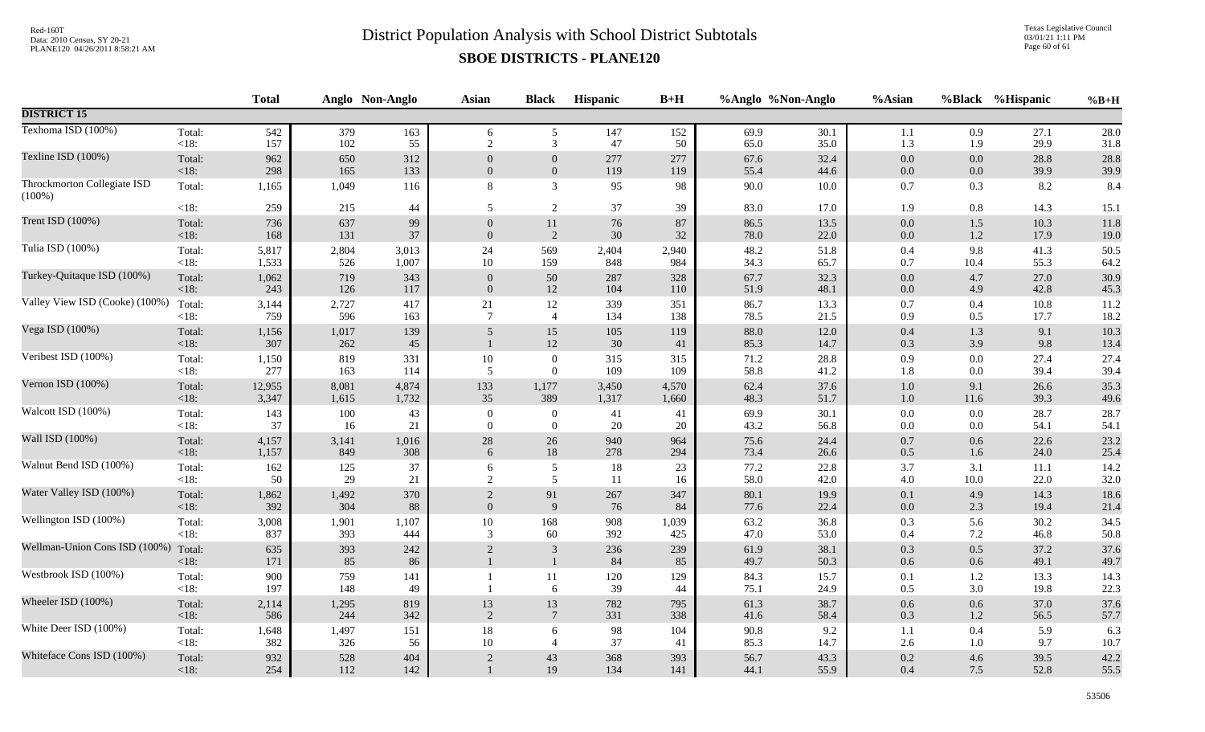Texas Legislative Council 03/01/21 1:11 PM Page 60 of 61

|                                          |                   | <b>Total</b> |              | Anglo Non-Anglo | <b>Asian</b>   | <b>Black</b>               | Hispanic   | $B+H$      |              | %Anglo %Non-Anglo | %Asian             | %Black             | %Hispanic    | $%B+H$       |
|------------------------------------------|-------------------|--------------|--------------|-----------------|----------------|----------------------------|------------|------------|--------------|-------------------|--------------------|--------------------|--------------|--------------|
| <b>DISTRICT 15</b>                       |                   |              |              |                 |                |                            |            |            |              |                   |                    |                    |              |              |
| Texhoma ISD (100%)                       | Total:            | 542          | 379          | 163             | 6              | 5                          | 147        | 152        | 69.9         | 30.1              | 1.1                | 0.9                | 27.1         | 28.0         |
|                                          | $<18$ :           | 157          | 102          | 55              | $\overline{2}$ | 3                          | 47         | 50         | 65.0         | 35.0              | 1.3                | 1.9                | 29.9         | 31.8         |
| Texline ISD (100%)                       | Total:            | 962          | 650          | 312             | $\theta$       | $\overline{0}$             | 277        | 277        | 67.6         | 32.4              | $0.0\,$            | 0.0                | 28.8         | 28.8         |
|                                          | $<18$ :           | 298          | 165          | 133             | $\mathbf{0}$   | $\boldsymbol{0}$           | 119        | 119        | 55.4         | 44.6              | $0.0\,$            | 0.0                | 39.9         | 39.9         |
| Throckmorton Collegiate ISD<br>$(100\%)$ | Total:            | 1,165        | 1,049        | 116             | 8              | $\mathfrak{Z}$             | 95         | 98         | 90.0         | 10.0              | $0.7\,$            | 0.3                | 8.2          | 8.4          |
|                                          | $<18$ :           | 259          | 215          | 44              | 5              | 2                          | $37\,$     | 39         | 83.0         | 17.0              | 1.9                | $0.8\,$            | 14.3         | 15.1         |
| Trent ISD (100%)                         | Total:            | 736          | 637          | 99              | $\overline{0}$ | $11\,$                     | 76         | 87         | 86.5         | 13.5              | 0.0                | $1.5\,$            | 10.3         | 11.8         |
|                                          | < 18:             | 168          | 131          | 37              | $\overline{0}$ | $\overline{2}$             | 30         | 32         | 78.0         | 22.0              | $0.0\,$            | 1.2                | 17.9         | 19.0         |
| Tulia ISD (100%)                         | Total:            | 5,817        | 2,804        | 3,013           | 24             | 569                        | 2,404      | 2,940      | 48.2         | 51.8              | 0.4                | 9.8                | 41.3         | 50.5         |
|                                          | $<18$ :           | 1,533        | 526          | 1,007           | $10\,$         | 159                        | 848        | 984        | 34.3         | 65.7              | 0.7                | 10.4               | 55.3         | 64.2         |
| Turkey-Quitaque ISD (100%)               | Total:            | 1,062        | 719          | 343             | $\theta$       | 50                         | 287        | 328        | 67.7         | 32.3              | $0.0\,$            | 4.7                | 27.0         | 30.9         |
|                                          | <18:              | 243          | 126          | 117             | $\overline{0}$ | 12                         | 104        | 110        | 51.9         | 48.1              | $0.0\,$            | 4.9                | 42.8         | 45.3         |
| Valley View ISD (Cooke) (100%)           | Total:            | 3,144        | 2,727        | 417             | 21             | 12                         | 339        | 351        | 86.7         | 13.3              | 0.7                | 0.4                | 10.8         | 11.2         |
|                                          | $<18$ :           | 759          | 596          | 163             | $\overline{7}$ | $\overline{4}$             | 134        | 138        | 78.5         | 21.5              | 0.9                | 0.5                | 17.7         | 18.2         |
| Vega ISD (100%)                          | Total:<br>$<18$ : | 1,156<br>307 | 1,017<br>262 | 139<br>45       | 5              | 15<br>$12\,$               | 105<br>30  | 119<br>41  | 88.0<br>85.3 | 12.0<br>14.7      | 0.4<br>0.3         | 1.3<br>3.9         | 9.1<br>9.8   | 10.3<br>13.4 |
| Veribest ISD (100%)                      | Total:            | 1,150        | 819          | 331             | $10\,$         | $\boldsymbol{0}$           | 315        | 315        | 71.2         | 28.8              | 0.9                | $0.0\,$            | 27.4         | 27.4         |
|                                          | $<18$ :           | 277          | 163          | 114             | 5              | $\mathbf{0}$               | 109        | 109        | 58.8         | 41.2              | 1.8                | $0.0\,$            | 39.4         | 39.4         |
| Vernon ISD (100%)                        | Total:            | 12,955       | 8,081        | 4,874           | 133            | 1,177                      | 3,450      | 4,570      | 62.4         | 37.6              | $1.0\,$            | 9.1                | 26.6         | 35.3         |
|                                          | $<18$ :           | 3,347        | 1,615        | 1,732           | 35             | 389                        | 1,317      | 1,660      | 48.3         | 51.7              | $1.0\,$            | 11.6               | 39.3         | 49.6         |
| Walcott ISD (100%)                       | Total:            | 143          | 100          | 43              | $\mathbf{0}$   | $\boldsymbol{0}$           | 41         | 41         | 69.9         | 30.1              | $0.0\,$            | $0.0\,$            | 28.7         | 28.7         |
|                                          | <18:              | 37           | 16           | 21              | $\overline{0}$ | $\mathbf{0}$               | 20         | 20         | 43.2         | 56.8              | $0.0\,$            | $0.0\,$            | 54.1         | 54.1         |
| Wall ISD (100%)                          | Total:            | 4,157        | 3,141        | 1,016           | $28\,$         | $26\,$                     | 940        | 964        | 75.6         | 24.4              | $0.7\,$            | 0.6                | 22.6         | 23.2         |
|                                          | $<18$ :           | 1,157        | 849          | 308             | 6              | $18\,$                     | 278        | 294        | 73.4         | 26.6              | 0.5                | 1.6                | 24.0         | 25.4         |
| Walnut Bend ISD (100%)                   | Total:            | 162          | 125          | 37              | 6              | $\sqrt{5}$                 | 18         | 23         | 77.2         | 22.8              | 3.7                | 3.1                | 11.1         | 14.2         |
|                                          | <18:              | 50           | 29           | 21              | 2              | 5                          | 11         | 16         | 58.0         | 42.0              | $4.0\,$            | 10.0               | 22.0         | 32.0         |
| Water Valley ISD (100%)                  | Total:            | 1,862        | 1,492        | 370             | $\overline{2}$ | 91                         | 267        | 347        | 80.1         | 19.9              | $0.1\,$            | 4.9                | 14.3         | 18.6         |
|                                          | $<18$ :           | 392          | 304          | 88              | $\mathbf{0}$   | $\overline{9}$             | 76         | 84         | 77.6         | 22.4              | $0.0\,$            | 2.3                | 19.4         | 21.4         |
| Wellington ISD (100%)                    | Total:            | 3,008        | 1,901        | 1,107           | $10\,$         | 168                        | 908        | 1,039      | 63.2         | 36.8              | 0.3                | 5.6                | 30.2         | 34.5         |
|                                          | <18:              | 837          | 393          | 444             | 3              | 60                         | 392        | 425        | 47.0         | 53.0              | 0.4                | 7.2                | 46.8         | 50.8         |
| Wellman-Union Cons ISD (100%)            | Total:<br>$<18$ : | 635<br>171   | 393<br>85    | 242<br>86       | $\overline{2}$ | $\sqrt{3}$<br>$\mathbf{1}$ | 236<br>84  | 239<br>85  | 61.9<br>49.7 | 38.1<br>50.3      | 0.3<br>$0.6\,$     | $0.5\,$<br>$0.6\,$ | 37.2<br>49.1 | 37.6<br>49.7 |
| Westbrook ISD (100%)                     | Total:<br><18:    | 900<br>197   | 759<br>148   | 141<br>49       |                | 11<br>6                    | 120<br>39  | 129<br>44  | 84.3<br>75.1 | 15.7<br>24.9      | 0.1<br>0.5         | 1.2<br>3.0         | 13.3<br>19.8 | 14.3<br>22.3 |
| Wheeler ISD (100%)                       | Total:            | 2,114        | 1,295        | 819             | $13\,$         | 13                         | 782        | 795        | 61.3         | 38.7              | $0.6\,$            | $0.6\,$            | 37.0         | 37.6         |
|                                          | $<18$ :           | 586          | 244          | 342             | $\overline{2}$ | $7\phantom{.0}$            | 331        | 338        | 41.6         | 58.4              | 0.3                | $1.2\,$            | 56.5         | 57.7         |
| White Deer ISD (100%)                    | Total:            | 1,648        | 1,497        | 151             | $18\,$         | 6                          | 98         | 104        | 90.8         | 9.2               | 1.1                | 0.4                | 5.9          | 6.3          |
|                                          | <18:              | 382          | 326          | 56              | $10\,$         | $\overline{4}$             | 37         | 41         | 85.3         | 14.7              | 2.6                | 1.0                | 9.7          | 10.7         |
| Whiteface Cons ISD (100%)                | Total:<br>$<18$ : | 932<br>254   | 528<br>112   | 404<br>142      | $\overline{2}$ | 43<br>19                   | 368<br>134 | 393<br>141 | 56.7<br>44.1 | 43.3<br>55.9      | $0.2\,$<br>$0.4\,$ | 4.6<br>7.5         | 39.5<br>52.8 | 42.2<br>55.5 |